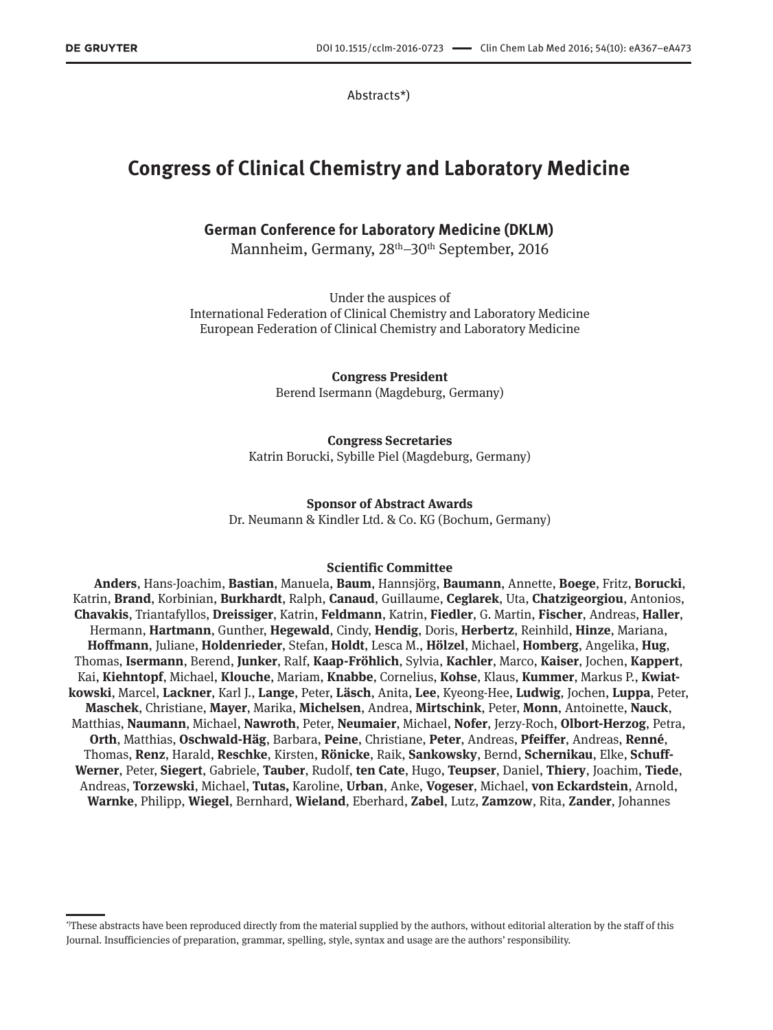Abstracts\*)

# **Congress of Clinical Chemistry and Laboratory Medicine**

# **German Conference for Laboratory Medicine (DKLM)**

Mannheim, Germany, 28<sup>th</sup>–30<sup>th</sup> September, 2016

Under the auspices of International Federation of Clinical Chemistry and Laboratory Medicine European Federation of Clinical Chemistry and Laboratory Medicine

> **Congress President** Berend Isermann (Magdeburg, Germany)

# **Congress Secretaries**

Katrin Borucki, Sybille Piel (Magdeburg, Germany)

# **Sponsor of Abstract Awards**

Dr. Neumann & Kindler Ltd. & Co. KG (Bochum, Germany)

## **Scientific Committee**

**Anders**, Hans-Joachim, **Bastian**, Manuela, **Baum**, Hannsjörg, **Baumann**, Annette, **Boege**, Fritz, **Borucki**, Katrin, **Brand**, Korbinian, **Burkhardt**, Ralph, **Canaud**, Guillaume, **Ceglarek**, Uta, **Chatzigeorgiou**, Antonios, **Chavakis**, Triantafyllos, **Dreissiger**, Katrin, **Feldmann**, Katrin, **Fiedler**, G. Martin, **Fischer**, Andreas, **Haller**, Hermann, **Hartmann**, Gunther, **Hegewald**, Cindy, **Hendig**, Doris, **Herbertz**, Reinhild, **Hinze**, Mariana, **Hoffmann**, Juliane, **Holdenrieder**, Stefan, **Holdt**, Lesca M., **Hölzel**, Michael, **Homberg**, Angelika, **Hug**, Thomas, **Isermann**, Berend, **Junker**, Ralf, **Kaap-Fröhlich**, Sylvia, **Kachler**, Marco, **Kaiser**, Jochen, **Kappert**, Kai, **Kiehntopf**, Michael, **Klouche**, Mariam, **Knabbe**, Cornelius, **Kohse**, Klaus, **Kummer**, Markus P., **Kwiatkowski**, Marcel, **Lackner**, Karl J., **Lange**, Peter, **Läsch**, Anita, **Lee**, Kyeong-Hee, **Ludwig**, Jochen, **Luppa**, Peter, **Maschek**, Christiane, **Mayer**, Marika, **Michelsen**, Andrea, **Mirtschink**, Peter, **Monn**, Antoinette, **Nauck**, Matthias, **Naumann**, Michael, **Nawroth**, Peter, **Neumaier**, Michael, **Nofer**, Jerzy-Roch, **Olbort-Herzog**, Petra, **Orth**, Matthias, **Oschwald-Häg**, Barbara, **Peine**, Christiane, **Peter**, Andreas, **Pfeiffer**, Andreas, **Renné**, Thomas, **Renz**, Harald, **Reschke**, Kirsten, **Rönicke**, Raik, **Sankowsky**, Bernd, **Schernikau**, Elke, **Schuff-Werner**, Peter, **Siegert**, Gabriele, **Tauber**, Rudolf, **ten Cate**, Hugo, **Teupser**, Daniel, **Thiery**, Joachim, **Tiede**, Andreas, **Torzewski**, Michael, **Tutas,** Karoline, **Urban**, Anke, **Vogeser**, Michael, **von Eckardstein**, Arnold, **Warnke**, Philipp, **Wiegel**, Bernhard, **Wieland**, Eberhard, **Zabel**, Lutz, **Zamzow**, Rita, **Zander**, Johannes

<sup>\*)</sup>These abstracts have been reproduced directly from the material supplied by the authors, without editorial alteration by the staff of this Journal. Insufficiencies of preparation, grammar, spelling, style, syntax and usage are the authors' responsibility.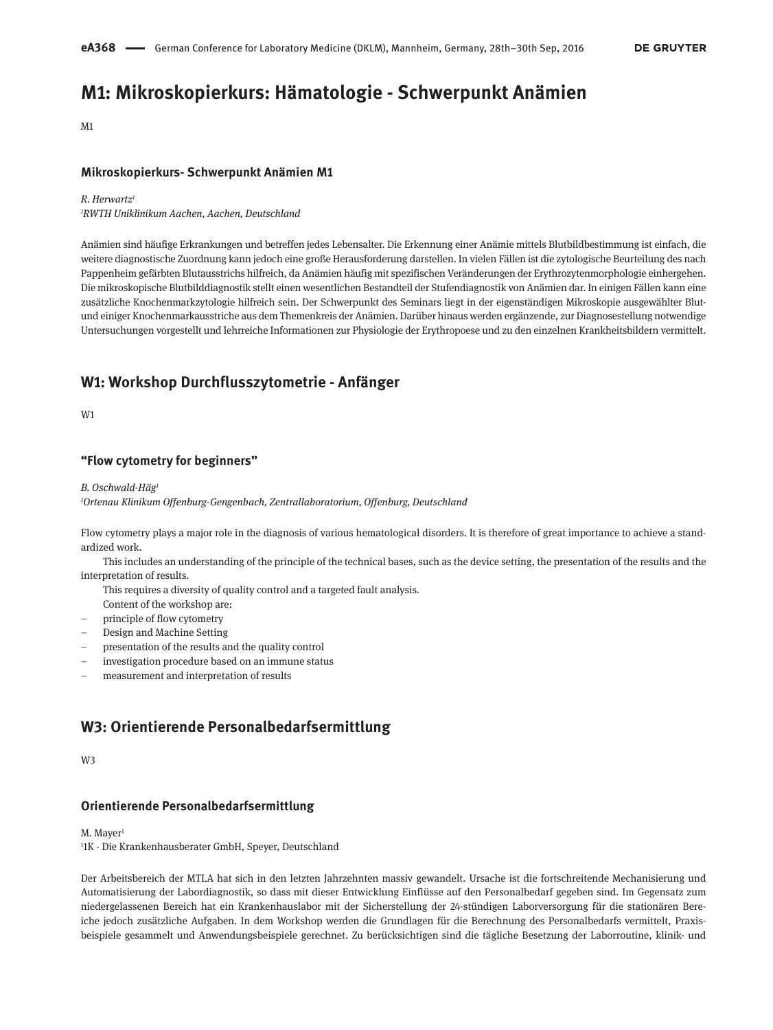# **M1: Mikroskopierkurs: Hämatologie - Schwerpunkt Anämien**

M1

### **Mikroskopierkurs- Schwerpunkt Anämien M1**

#### *R. Herwartz*

*1 RWTH Uniklinikum Aachen, Aachen, Deutschland*

Anämien sind häufige Erkrankungen und betreffen jedes Lebensalter. Die Erkennung einer Anämie mittels Blutbildbestimmung ist einfach, die weitere diagnostische Zuordnung kann jedoch eine große Herausforderung darstellen. In vielen Fällen ist die zytologische Beurteilung des nach Pappenheim gefärbten Blutausstrichs hilfreich, da Anämien häufig mit spezifischen Veränderungen der Erythrozytenmorphologie einhergehen. Die mikroskopische Blutbilddiagnostik stellt einen wesentlichen Bestandteil der Stufendiagnostik von Anämien dar. In einigen Fällen kann eine zusätzliche Knochenmarkzytologie hilfreich sein. Der Schwerpunkt des Seminars liegt in der eigenständigen Mikroskopie ausgewählter Blutund einiger Knochenmarkausstriche aus dem Themenkreis der Anämien. Darüber hinaus werden ergänzende, zur Diagnosestellung notwendige Untersuchungen vorgestellt und lehrreiche Informationen zur Physiologie der Erythropoese und zu den einzelnen Krankheitsbildern vermittelt.

# **W1: Workshop Durchflusszytometrie - Anfänger**

**W1** 

### **"Flow cytometry for beginners"**

*B. Oschwald-Häg1*

*1 Ortenau Klinikum Offenburg-Gengenbach, Zentrallaboratorium, Offenburg, Deutschland*

Flow cytometry plays a major role in the diagnosis of various hematological disorders. It is therefore of great importance to achieve a standardized work.

This includes an understanding of the principle of the technical bases, such as the device setting, the presentation of the results and the interpretation of results.

This requires a diversity of quality control and a targeted fault analysis.

Content of the workshop are:

- principle of flow cytometry
- Design and Machine Setting
- presentation of the results and the quality control
- investigation procedure based on an immune status
- measurement and interpretation of results

# **W3: Orientierende Personalbedarfsermittlung**

W3

#### **Orientierende Personalbedarfsermittlung**

M. Mayer<sup>1</sup>

1 1K - Die Krankenhausberater GmbH, Speyer, Deutschland

Der Arbeitsbereich der MTLA hat sich in den letzten Jahrzehnten massiv gewandelt. Ursache ist die fortschreitende Mechanisierung und Automatisierung der Labordiagnostik, so dass mit dieser Entwicklung Einflüsse auf den Personalbedarf gegeben sind. Im Gegensatz zum niedergelassenen Bereich hat ein Krankenhauslabor mit der Sicherstellung der 24-stündigen Laborversorgung für die stationären Bereiche jedoch zusätzliche Aufgaben. In dem Workshop werden die Grundlagen für die Berechnung des Personalbedarfs vermittelt, Praxisbeispiele gesammelt und Anwendungsbeispiele gerechnet. Zu berücksichtigen sind die tägliche Besetzung der Laborroutine, klinik- und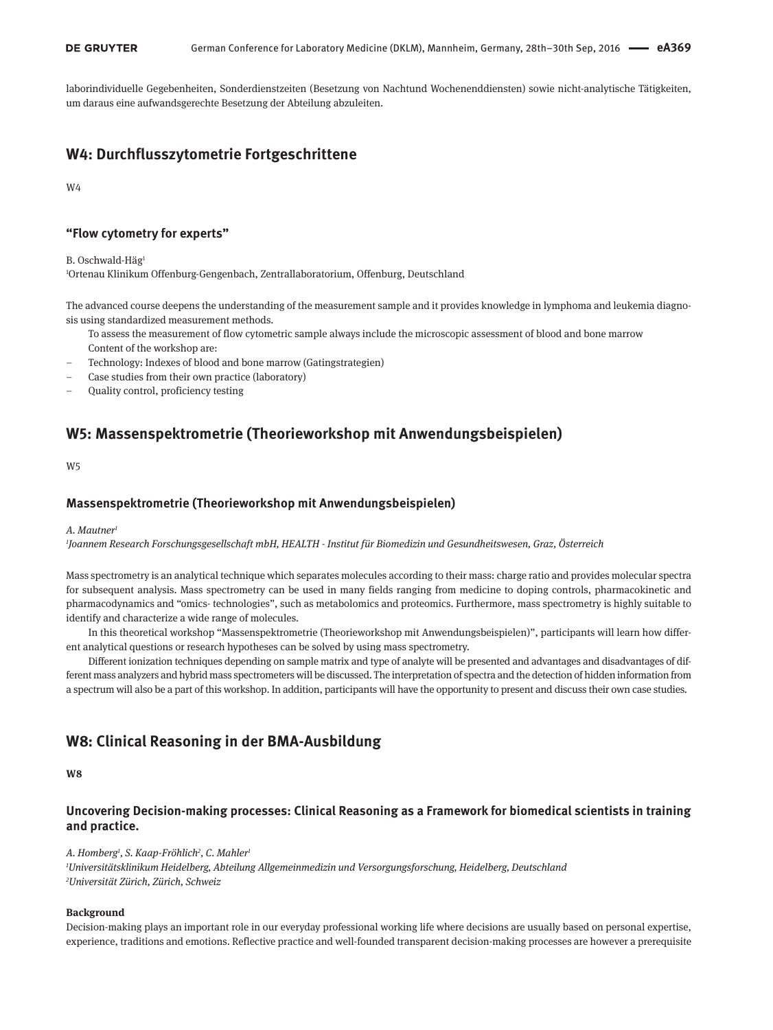laborindividuelle Gegebenheiten, Sonderdienstzeiten (Besetzung von Nachtund Wochenenddiensten) sowie nicht-analytische Tätigkeiten, um daraus eine aufwandsgerechte Besetzung der Abteilung abzuleiten.

# **W4: Durchflusszytometrie Fortgeschrittene**

W4

### **"Flow cytometry for experts"**

B. Oschwald-Häg<sup>1</sup>

1 Ortenau Klinikum Offenburg-Gengenbach, Zentrallaboratorium, Offenburg, Deutschland

The advanced course deepens the understanding of the measurement sample and it provides knowledge in lymphoma and leukemia diagnosis using standardized measurement methods.

- To assess the measurement of flow cytometric sample always include the microscopic assessment of blood and bone marrow Content of the workshop are:
- Technology: Indexes of blood and bone marrow (Gatingstrategien)
- Case studies from their own practice (laboratory)
- Quality control, proficiency testing

# **W5: Massenspektrometrie (Theorieworkshop mit Anwendungsbeispielen)**

W5

### **Massenspektrometrie (Theorieworkshop mit Anwendungsbeispielen)**

#### A. Mautner

*1 Joannem Research Forschungsgesellschaft mbH, HEALTH - Institut für Biomedizin und Gesundheitswesen, Graz, Österreich*

Mass spectrometry is an analytical technique which separates molecules according to their mass: charge ratio and provides molecular spectra for subsequent analysis. Mass spectrometry can be used in many fields ranging from medicine to doping controls, pharmacokinetic and pharmacodynamics and "omics- technologies", such as metabolomics and proteomics. Furthermore, mass spectrometry is highly suitable to identify and characterize a wide range of molecules.

In this theoretical workshop "Massenspektrometrie (Theorieworkshop mit Anwendungsbeispielen)", participants will learn how different analytical questions or research hypotheses can be solved by using mass spectrometry.

Different ionization techniques depending on sample matrix and type of analyte will be presented and advantages and disadvantages of different mass analyzers and hybrid mass spectrometers will be discussed. The interpretation of spectra and the detection of hidden information from a spectrum will also be a part of this workshop. In addition, participants will have the opportunity to present and discuss their own case studies.

# **W8: Clinical Reasoning in der BMA-Ausbildung**

**W8**

# **Uncovering Decision-making processes: Clinical Reasoning as a Framework for biomedical scientists in training and practice.**

*A. Homberg1 , S. Kaap-Fröhlich2 , C. Mahler1*

*1 Universitätsklinikum Heidelberg, Abteilung Allgemeinmedizin und Versorgungsforschung, Heidelberg, Deutschland 2 Universität Zürich, Zürich, Schweiz*

#### **Background**

Decision-making plays an important role in our everyday professional working life where decisions are usually based on personal expertise, experience, traditions and emotions. Reflective practice and well-founded transparent decision-making processes are however a prerequisite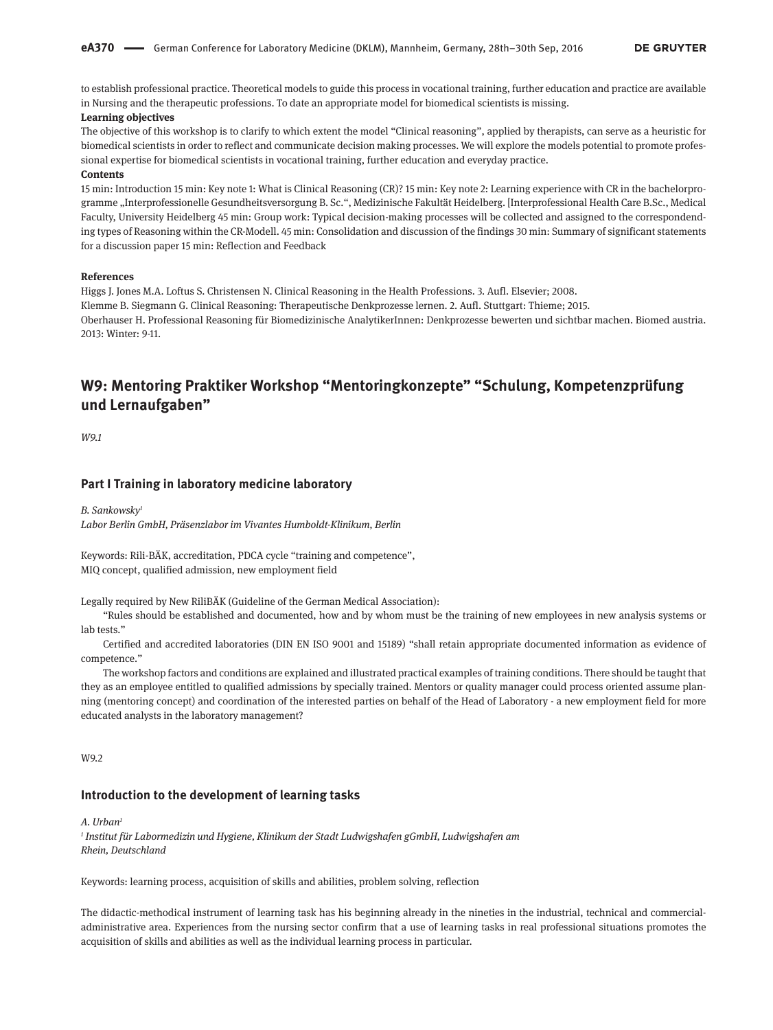to establish professional practice. Theoretical models to guide this process in vocational training, further education and practice are available in Nursing and the therapeutic professions. To date an appropriate model for biomedical scientists is missing.

# **Learning objectives**

The objective of this workshop is to clarify to which extent the model "Clinical reasoning", applied by therapists, can serve as a heuristic for biomedical scientists in order to reflect and communicate decision making processes. We will explore the models potential to promote professional expertise for biomedical scientists in vocational training, further education and everyday practice.

#### **Contents**

15 min: Introduction 15 min: Key note 1: What is Clinical Reasoning (CR)? 15 min: Key note 2: Learning experience with CR in the bachelorprogramme "Interprofessionelle Gesundheitsversorgung B. Sc.", Medizinische Fakultät Heidelberg. [Interprofessional Health Care B.Sc., Medical Faculty, University Heidelberg 45 min: Group work: Typical decision-making processes will be collected and assigned to the correspondending types of Reasoning within the CR-Modell. 45 min: Consolidation and discussion of the findings 30 min: Summary of significant statements for a discussion paper 15 min: Reflection and Feedback

#### **References**

Higgs J. Jones M.A. Loftus S. Christensen N. Clinical Reasoning in the Health Professions. 3. Aufl. Elsevier; 2008. Klemme B. Siegmann G. Clinical Reasoning: Therapeutische Denkprozesse lernen. 2. Aufl. Stuttgart: Thieme; 2015. Oberhauser H. Professional Reasoning für Biomedizinische AnalytikerInnen: Denkprozesse bewerten und sichtbar machen. Biomed austria. 2013: Winter: 9-11.

# **W9: Mentoring Praktiker Workshop "Mentoringkonzepte" "Schulung, Kompetenzprüfung und Lernaufgaben"**

*W9.1*

#### **Part I Training in laboratory medicine laboratory**

*B. Sankowsky1 Labor Berlin GmbH, Präsenzlabor im Vivantes Humboldt-Klinikum, Berlin*

Keywords: Rili-BÄK, accreditation, PDCA cycle "training and competence", MIQ concept, qualified admission, new employment field

Legally required by New RiliBÄK (Guideline of the German Medical Association):

"Rules should be established and documented, how and by whom must be the training of new employees in new analysis systems or lah tests."

Certified and accredited laboratories (DIN EN ISO 9001 and 15189) "shall retain appropriate documented information as evidence of competence."

The workshop factors and conditions are explained and illustrated practical examples of training conditions. There should be taught that they as an employee entitled to qualified admissions by specially trained. Mentors or quality manager could process oriented assume planning (mentoring concept) and coordination of the interested parties on behalf of the Head of Laboratory - a new employment field for more educated analysts in the laboratory management?

W9.2

### **Introduction to the development of learning tasks**

*A. Urban1*

*<sup>1</sup> Institut für Labormedizin und Hygiene, Klinikum der Stadt Ludwigshafen gGmbH, Ludwigshafen am Rhein, Deutschland*

Keywords: learning process, acquisition of skills and abilities, problem solving, reflection

The didactic-methodical instrument of learning task has his beginning already in the nineties in the industrial, technical and commercialadministrative area. Experiences from the nursing sector confirm that a use of learning tasks in real professional situations promotes the acquisition of skills and abilities as well as the individual learning process in particular.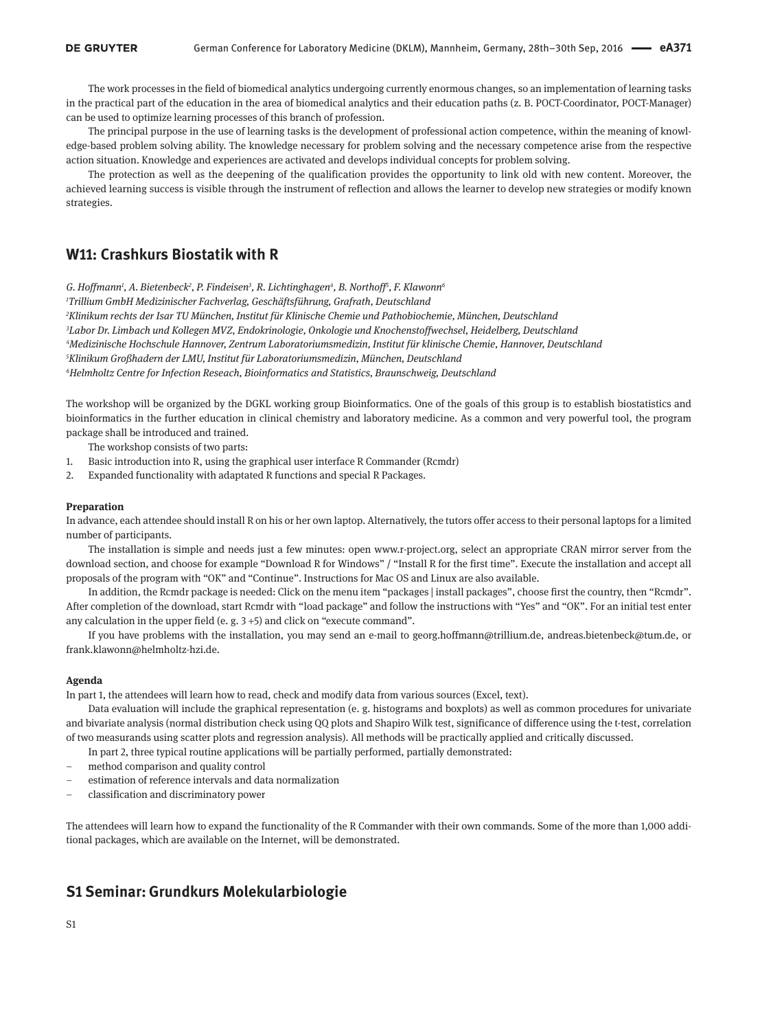The work processes in the field of biomedical analytics undergoing currently enormous changes, so an implementation of learning tasks in the practical part of the education in the area of biomedical analytics and their education paths (z. B. POCT-Coordinator, POCT-Manager) can be used to optimize learning processes of this branch of profession.

The principal purpose in the use of learning tasks is the development of professional action competence, within the meaning of knowledge-based problem solving ability. The knowledge necessary for problem solving and the necessary competence arise from the respective action situation. Knowledge and experiences are activated and develops individual concepts for problem solving.

The protection as well as the deepening of the qualification provides the opportunity to link old with new content. Moreover, the achieved learning success is visible through the instrument of reflection and allows the learner to develop new strategies or modify known strategies.

# **W11: Crashkurs Biostatik with R**

*G. Hoffmann1 , A. Bietenbeck2 , P. Findeisen3 , R. Lichtinghagen4 , B. Northoff5 , F. Klawonn6*

*1 Trillium GmbH Medizinischer Fachverlag, Geschäftsführung, Grafrath, Deutschland*

 *Klinikum rechts der Isar TU München, Institut für Klinische Chemie und Pathobiochemie, München, Deutschland Labor Dr. Limbach und Kollegen MVZ, Endokrinologie, Onkologie und Knochenstoffwechsel, Heidelberg, Deutschland Medizinische Hochschule Hannover, Zentrum Laboratoriumsmedizin, Institut für klinische Chemie, Hannover, Deutschland Klinikum Großhadern der LMU, Institut für Laboratoriumsmedizin, München, Deutschland Helmholtz Centre for Infection Reseach, Bioinformatics and Statistics, Braunschweig, Deutschland*

The workshop will be organized by the DGKL working group Bioinformatics. One of the goals of this group is to establish biostatistics and bioinformatics in the further education in clinical chemistry and laboratory medicine. As a common and very powerful tool, the program package shall be introduced and trained.

The workshop consists of two parts:

- 1. Basic introduction into R, using the graphical user interface R Commander (Rcmdr)
- 2. Expanded functionality with adaptated R functions and special R Packages.

#### **Preparation**

In advance, each attendee should install R on his or her own laptop. Alternatively, the tutors offer access to their personal laptops for a limited number of participants.

The installation is simple and needs just a few minutes: open [www.r-project.org,](www.r-project.org) select an appropriate CRAN mirror server from the download section, and choose for example "Download R for Windows" / "Install R for the first time". Execute the installation and accept all proposals of the program with "OK" and "Continue". Instructions for Mac OS and Linux are also available.

In addition, the Rcmdr package is needed: Click on the menu item "packages | install packages", choose first the country, then "Rcmdr". After completion of the download, start Rcmdr with "load package" and follow the instructions with "Yes" and "OK". For an initial test enter any calculation in the upper field (e. g. 3 +5) and click on "execute command".

If you have problems with the installation, you may send an e-mail to georg.hoffmann@trillium.de, andreas.bietenbeck@tum.de, or frank.klawonn@helmholtz-hzi.de.

#### **Agenda**

In part 1, the attendees will learn how to read, check and modify data from various sources (Excel, text).

Data evaluation will include the graphical representation (e. g. histograms and boxplots) as well as common procedures for univariate and bivariate analysis (normal distribution check using QQ plots and Shapiro Wilk test, significance of difference using the t-test, correlation of two measurands using scatter plots and regression analysis). All methods will be practically applied and critically discussed.

In part 2, three typical routine applications will be partially performed, partially demonstrated:

- method comparison and quality control
- estimation of reference intervals and data normalization
- classification and discriminatory power

The attendees will learn how to expand the functionality of the R Commander with their own commands. Some of the more than 1,000 additional packages, which are available on the Internet, will be demonstrated.

# **S1 Seminar: Grundkurs Molekularbiologie**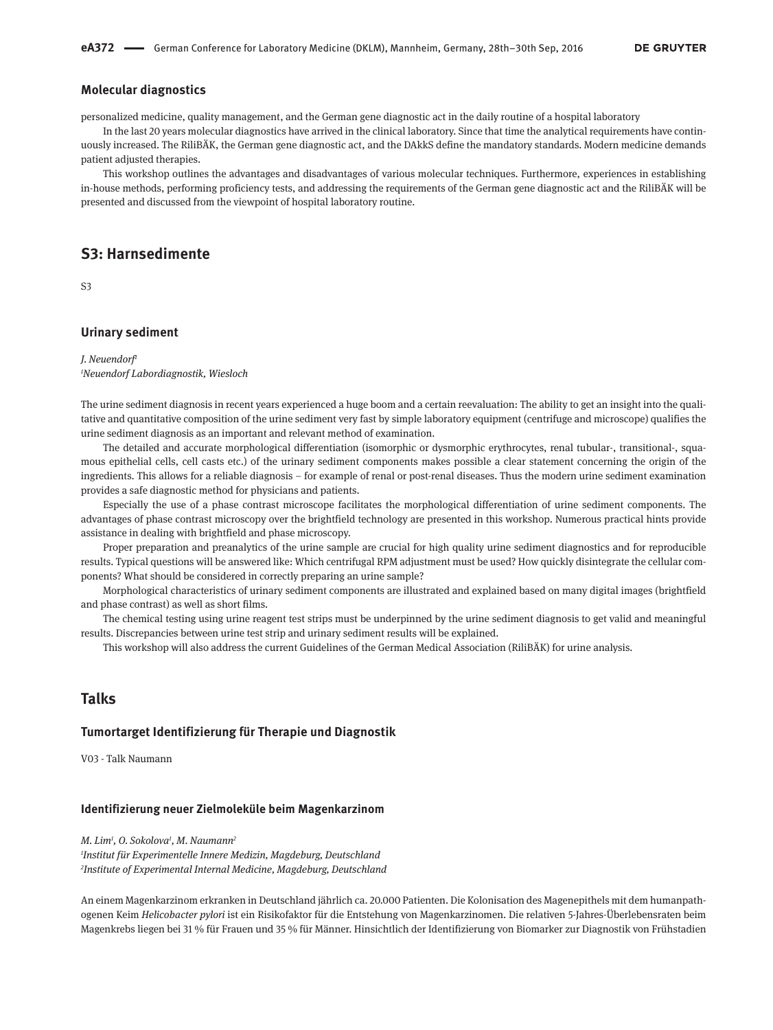### **Molecular diagnostics**

personalized medicine, quality management, and the German gene diagnostic act in the daily routine of a hospital laboratory

In the last 20 years molecular diagnostics have arrived in the clinical laboratory. Since that time the analytical requirements have continuously increased. The RiliBÄK, the German gene diagnostic act, and the DAkkS define the mandatory standards. Modern medicine demands patient adjusted therapies.

This workshop outlines the advantages and disadvantages of various molecular techniques. Furthermore, experiences in establishing in-house methods, performing proficiency tests, and addressing the requirements of the German gene diagnostic act and the RiliBÄK will be presented and discussed from the viewpoint of hospital laboratory routine.

# **S3: Harnsedimente**

S3

#### **Urinary sediment**

*J. Neuendorf1 1 Neuendorf Labordiagnostik, Wiesloch*

The urine sediment diagnosis in recent years experienced a huge boom and a certain reevaluation: The ability to get an insight into the qualitative and quantitative composition of the urine sediment very fast by simple laboratory equipment (centrifuge and microscope) qualifies the urine sediment diagnosis as an important and relevant method of examination.

The detailed and accurate morphological differentiation (isomorphic or dysmorphic erythrocytes, renal tubular-, transitional-, squamous epithelial cells, cell casts etc.) of the urinary sediment components makes possible a clear statement concerning the origin of the ingredients. This allows for a reliable diagnosis – for example of renal or post-renal diseases. Thus the modern urine sediment examination provides a safe diagnostic method for physicians and patients.

Especially the use of a phase contrast microscope facilitates the morphological differentiation of urine sediment components. The advantages of phase contrast microscopy over the brightfield technology are presented in this workshop. Numerous practical hints provide assistance in dealing with brightfield and phase microscopy.

Proper preparation and preanalytics of the urine sample are crucial for high quality urine sediment diagnostics and for reproducible results. Typical questions will be answered like: Which centrifugal RPM adjustment must be used? How quickly disintegrate the cellular components? What should be considered in correctly preparing an urine sample?

Morphological characteristics of urinary sediment components are illustrated and explained based on many digital images (brightfield and phase contrast) as well as short films.

The chemical testing using urine reagent test strips must be underpinned by the urine sediment diagnosis to get valid and meaningful results. Discrepancies between urine test strip and urinary sediment results will be explained.

This workshop will also address the current Guidelines of the German Medical Association (RiliBÄK) for urine analysis.

# **Talks**

#### **Tumortarget Identifizierung für Therapie und Diagnostik**

V03 - Talk Naumann

#### **Identifizierung neuer Zielmoleküle beim Magenkarzinom**

*M. Lim1 , O. Sokolova1 , M. Naumann2 1 Institut für Experimentelle Innere Medizin, Magdeburg, Deutschland 2 Institute of Experimental Internal Medicine, Magdeburg, Deutschland*

An einem Magenkarzinom erkranken in Deutschland jährlich ca. 20.000 Patienten. Die Kolonisation des Magenepithels mit dem humanpathogenen Keim *Helicobacter pylori* ist ein Risikofaktor für die Entstehung von Magenkarzinomen. Die relativen 5-Jahres-Überlebensraten beim Magenkrebs liegen bei 31 % für Frauen und 35 % für Männer. Hinsichtlich der Identifizierung von Biomarker zur Diagnostik von Frühstadien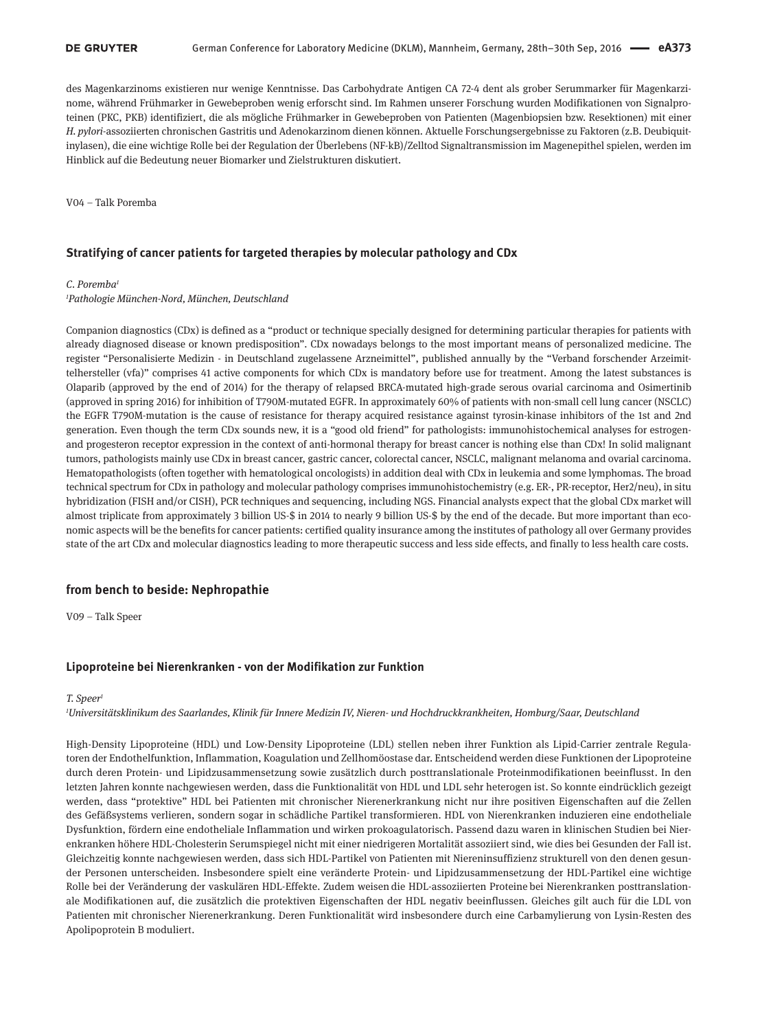des Magenkarzinoms existieren nur wenige Kenntnisse. Das Carbohydrate Antigen CA 72-4 dent als grober Serummarker für Magenkarzinome, während Frühmarker in Gewebeproben wenig erforscht sind. Im Rahmen unserer Forschung wurden Modifikationen von Signalproteinen (PKC, PKB) identifiziert, die als mögliche Frühmarker in Gewebeproben von Patienten (Magenbiopsien bzw. Resektionen) mit einer *H. pylori*-assoziierten chronischen Gastritis und Adenokarzinom dienen können. Aktuelle Forschungsergebnisse zu Faktoren (z.B. Deubiquitinylasen), die eine wichtige Rolle bei der Regulation der Überlebens (NF-kB)/Zelltod Signaltransmission im Magenepithel spielen, werden im Hinblick auf die Bedeutung neuer Biomarker und Zielstrukturen diskutiert.

V04 – Talk Poremba

#### **Stratifying of cancer patients for targeted therapies by molecular pathology and CDx**

#### *C. Poremba1*

*1 Pathologie München-Nord, München, Deutschland*

Companion diagnostics (CDx) is defined as a "product or technique specially designed for determining particular therapies for patients with already diagnosed disease or known predisposition". CDx nowadays belongs to the most important means of personalized medicine. The register "Personalisierte Medizin - in Deutschland zugelassene Arzneimittel", published annually by the "Verband forschender Arzeimittelhersteller (vfa)" comprises 41 active components for which CDx is mandatory before use for treatment. Among the latest substances is Olaparib (approved by the end of 2014) for the therapy of relapsed BRCA-mutated high-grade serous ovarial carcinoma and Osimertinib (approved in spring 2016) for inhibition of T790M-mutated EGFR. In approximately 60% of patients with non-small cell lung cancer (NSCLC) the EGFR T790M-mutation is the cause of resistance for therapy acquired resistance against tyrosin-kinase inhibitors of the 1st and 2nd generation. Even though the term CDx sounds new, it is a "good old friend" for pathologists: immunohistochemical analyses for estrogenand progesteron receptor expression in the context of anti-hormonal therapy for breast cancer is nothing else than CDx! In solid malignant tumors, pathologists mainly use CDx in breast cancer, gastric cancer, colorectal cancer, NSCLC, malignant melanoma and ovarial carcinoma. Hematopathologists (often together with hematological oncologists) in addition deal with CDx in leukemia and some lymphomas. The broad technical spectrum for CDx in pathology and molecular pathology comprises immunohistochemistry (e.g. ER-, PR-receptor, Her2/neu), in situ hybridization (FISH and/or CISH), PCR techniques and sequencing, including NGS. Financial analysts expect that the global CDx market will almost triplicate from approximately 3 billion US-\$ in 2014 to nearly 9 billion US-\$ by the end of the decade. But more important than economic aspects will be the benefits for cancer patients: certified quality insurance among the institutes of pathology all over Germany provides state of the art CDx and molecular diagnostics leading to more therapeutic success and less side effects, and finally to less health care costs.

#### **from bench to beside: Nephropathie**

V09 – Talk Speer

### **Lipoproteine bei Nierenkranken - von der Modifikation zur Funktion**

#### *T. Speer1*

*1 Universitätsklinikum des Saarlandes, Klinik für Innere Medizin IV, Nieren- und Hochdruckkrankheiten, Homburg/Saar, Deutschland*

High-Density Lipoproteine (HDL) und Low-Density Lipoproteine (LDL) stellen neben ihrer Funktion als Lipid-Carrier zentrale Regulatoren der Endothelfunktion, Inflammation, Koagulation und Zellhomöostase dar. Entscheidend werden diese Funktionen der Lipoproteine durch deren Protein- und Lipidzusammensetzung sowie zusätzlich durch posttranslationale Proteinmodifikationen beeinflusst. In den letzten Jahren konnte nachgewiesen werden, dass die Funktionalität von HDL und LDL sehr heterogen ist. So konnte eindrücklich gezeigt werden, dass "protektive" HDL bei Patienten mit chronischer Nierenerkrankung nicht nur ihre positiven Eigenschaften auf die Zellen des Gefäßsystems verlieren, sondern sogar in schädliche Partikel transformieren. HDL von Nierenkranken induzieren eine endotheliale Dysfunktion, fördern eine endotheliale Inflammation und wirken prokoagulatorisch. Passend dazu waren in klinischen Studien bei Nierenkranken höhere HDL-Cholesterin Serumspiegel nicht mit einer niedrigeren Mortalität assoziiert sind, wie dies bei Gesunden der Fall ist. Gleichzeitig konnte nachgewiesen werden, dass sich HDL-Partikel von Patienten mit Niereninsuffizienz strukturell von den denen gesunder Personen unterscheiden. Insbesondere spielt eine veränderte Protein- und Lipidzusammensetzung der HDL-Partikel eine wichtige Rolle bei der Veränderung der vaskulären HDL-Effekte. Zudem weisen die HDL-assoziierten Proteine bei Nierenkranken posttranslationale Modifikationen auf, die zusätzlich die protektiven Eigenschaften der HDL negativ beeinflussen. Gleiches gilt auch für die LDL von Patienten mit chronischer Nierenerkrankung. Deren Funktionalität wird insbesondere durch eine Carbamylierung von Lysin-Resten des Apolipoprotein B moduliert.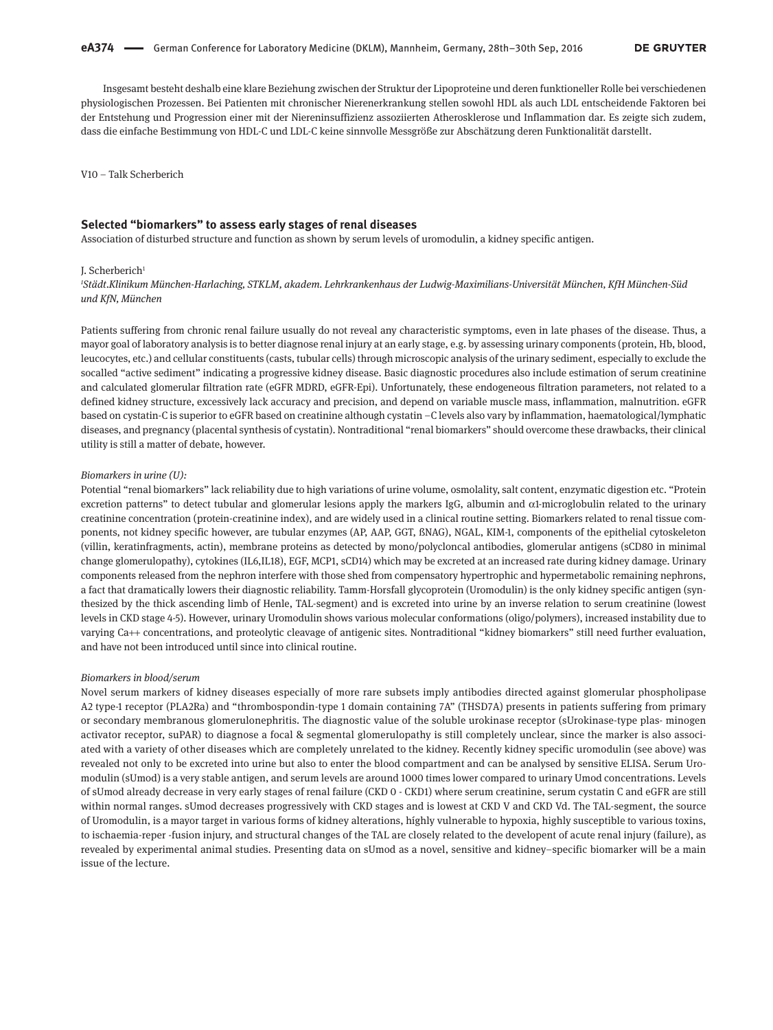Insgesamt besteht deshalb eine klare Beziehung zwischen der Struktur der Lipoproteine und deren funktioneller Rolle bei verschiedenen physiologischen Prozessen. Bei Patienten mit chronischer Nierenerkrankung stellen sowohl HDL als auch LDL entscheidende Faktoren bei der Entstehung und Progression einer mit der Niereninsuffizienz assoziierten Atherosklerose und Inflammation dar. Es zeigte sich zudem, dass die einfache Bestimmung von HDL-C und LDL-C keine sinnvolle Messgröße zur Abschätzung deren Funktionalität darstellt.

V10 – Talk Scherberich

### **Selected "biomarkers" to assess early stages of renal diseases**

Association of disturbed structure and function as shown by serum levels of uromodulin, a kidney specific antigen.

#### I. Scherberich

*1 Städt.Klinikum München-Harlaching, STKLM, akadem. Lehrkrankenhaus der Ludwig-Maximilians-Universität München, KfH München-Süd und KfN, München*

Patients suffering from chronic renal failure usually do not reveal any characteristic symptoms, even in late phases of the disease. Thus, a mayor goal of laboratory analysis is to better diagnose renal injury at an early stage, e.g. by assessing urinary components (protein, Hb, blood, leucocytes, etc.) and cellular constituents (casts, tubular cells) through microscopic analysis of the urinary sediment, especially to exclude the socalled "active sediment" indicating a progressive kidney disease. Basic diagnostic procedures also include estimation of serum creatinine and calculated glomerular filtration rate (eGFR MDRD, eGFR-Epi). Unfortunately, these endogeneous filtration parameters, not related to a defined kidney structure, excessively lack accuracy and precision, and depend on variable muscle mass, inflammation, malnutrition. eGFR based on cystatin-C is superior to eGFR based on creatinine although cystatin –C levels also vary by inflammation, haematological/lymphatic diseases, and pregnancy (placental synthesis of cystatin). Nontraditional "renal biomarkers" should overcome these drawbacks, their clinical utility is still a matter of debate, however.

#### *Biomarkers in urine (U):*

Potential "renal biomarkers" lack reliability due to high variations of urine volume, osmolality, salt content, enzymatic digestion etc. "Protein excretion patterns" to detect tubular and glomerular lesions apply the markers IgG, albumin and α1-microglobulin related to the urinary creatinine concentration (protein-creatinine index), and are widely used in a clinical routine setting. Biomarkers related to renal tissue components, not kidney specific however, are tubular enzymes (AP, AAP, GGT, ßNAG), NGAL, KIM-1, components of the epithelial cytoskeleton (villin, keratinfragments, actin), membrane proteins as detected by mono/polycloncal antibodies, glomerular antigens (sCD80 in minimal change glomerulopathy), cytokines (IL6,IL18), EGF, MCP1, sCD14) which may be excreted at an increased rate during kidney damage. Urinary components released from the nephron interfere with those shed from compensatory hypertrophic and hypermetabolic remaining nephrons, a fact that dramatically lowers their diagnostic reliability. Tamm-Horsfall glycoprotein (Uromodulin) is the only kidney specific antigen (synthesized by the thick ascending limb of Henle, TAL-segment) and is excreted into urine by an inverse relation to serum creatinine (lowest levels in CKD stage 4-5). However, urinary Uromodulin shows various molecular conformations (oligo/polymers), increased instability due to varying Ca++ concentrations, and proteolytic cleavage of antigenic sites. Nontraditional "kidney biomarkers" still need further evaluation, and have not been introduced until since into clinical routine.

#### *Biomarkers in blood/serum*

Novel serum markers of kidney diseases especially of more rare subsets imply antibodies directed against glomerular phospholipase A2 type-1 receptor (PLA2Ra) and "thrombospondin-type 1 domain containing 7A" (THSD7A) presents in patients suffering from primary or secondary membranous glomerulonephritis. The diagnostic value of the soluble urokinase receptor (sUrokinase-type plas- minogen activator receptor, suPAR) to diagnose a focal & segmental glomerulopathy is still completely unclear, since the marker is also associated with a variety of other diseases which are completely unrelated to the kidney. Recently kidney specific uromodulin (see above) was revealed not only to be excreted into urine but also to enter the blood compartment and can be analysed by sensitive ELISA. Serum Uromodulin (sUmod) is a very stable antigen, and serum levels are around 1000 times lower compared to urinary Umod concentrations. Levels of sUmod already decrease in very early stages of renal failure (CKD 0 - CKD1) where serum creatinine, serum cystatin C and eGFR are still within normal ranges. sUmod decreases progressively with CKD stages and is lowest at CKD V and CKD Vd. The TAL-segment, the source of Uromodulin, is a mayor target in various forms of kidney alterations, híghly vulnerable to hypoxia, highly susceptible to various toxins, to ischaemia-reper -fusion injury, and structural changes of the TAL are closely related to the developent of acute renal injury (failure), as revealed by experimental animal studies. Presenting data on sUmod as a novel, sensitive and kidney–specific biomarker will be a main issue of the lecture.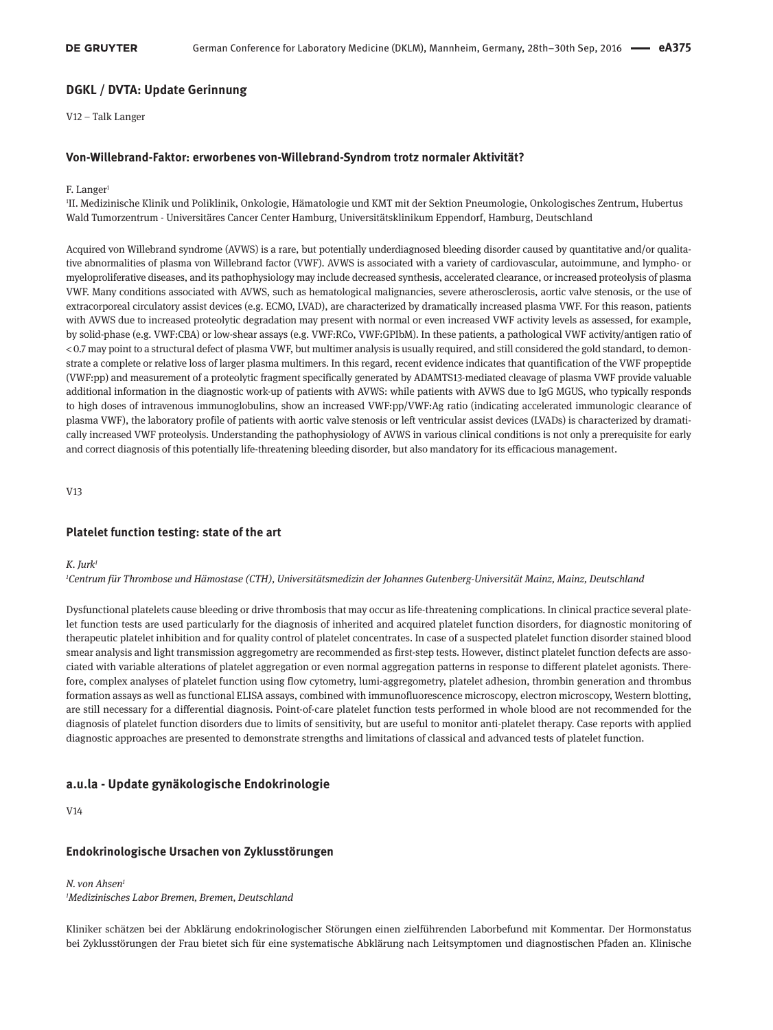### **DGKL / DVTA: Update Gerinnung**

V12 – Talk Langer

#### **Von-Willebrand-Faktor: erworbenes von-Willebrand-Syndrom trotz normaler Aktivität?**

#### F. Langer<sup>1</sup>

1 II. Medizinische Klinik und Poliklinik, Onkologie, Hämatologie und KMT mit der Sektion Pneumologie, Onkologisches Zentrum, Hubertus Wald Tumorzentrum - Universitäres Cancer Center Hamburg, Universitätsklinikum Eppendorf, Hamburg, Deutschland

Acquired von Willebrand syndrome (AVWS) is a rare, but potentially underdiagnosed bleeding disorder caused by quantitative and/or qualitative abnormalities of plasma von Willebrand factor (VWF). AVWS is associated with a variety of cardiovascular, autoimmune, and lympho- or myeloproliferative diseases, and its pathophysiology may include decreased synthesis, accelerated clearance, or increased proteolysis of plasma VWF. Many conditions associated with AVWS, such as hematological malignancies, severe atherosclerosis, aortic valve stenosis, or the use of extracorporeal circulatory assist devices (e.g. ECMO, LVAD), are characterized by dramatically increased plasma VWF. For this reason, patients with AVWS due to increased proteolytic degradation may present with normal or even increased VWF activity levels as assessed, for example, by solid-phase (e.g. VWF:CBA) or low-shear assays (e.g. VWF:RCo, VWF:GPIbM). In these patients, a pathological VWF activity/antigen ratio of < 0.7 may point to a structural defect of plasma VWF, but multimer analysis is usually required, and still considered the gold standard, to demonstrate a complete or relative loss of larger plasma multimers. In this regard, recent evidence indicates that quantification of the VWF propeptide (VWF:pp) and measurement of a proteolytic fragment specifically generated by ADAMTS13-mediated cleavage of plasma VWF provide valuable additional information in the diagnostic work-up of patients with AVWS: while patients with AVWS due to IgG MGUS, who typically responds to high doses of intravenous immunoglobulins, show an increased VWF:pp/VWF:Ag ratio (indicating accelerated immunologic clearance of plasma VWF), the laboratory profile of patients with aortic valve stenosis or left ventricular assist devices (LVADs) is characterized by dramatically increased VWF proteolysis. Understanding the pathophysiology of AVWS in various clinical conditions is not only a prerequisite for early and correct diagnosis of this potentially life-threatening bleeding disorder, but also mandatory for its efficacious management.

V13

#### **Platelet function testing: state of the art**

#### *K. Jurk1*

*1 Centrum für Thrombose und Hämostase (CTH), Universitätsmedizin der Johannes Gutenberg-Universität Mainz, Mainz, Deutschland*

Dysfunctional platelets cause bleeding or drive thrombosis that may occur as life-threatening complications. In clinical practice several platelet function tests are used particularly for the diagnosis of inherited and acquired platelet function disorders, for diagnostic monitoring of therapeutic platelet inhibition and for quality control of platelet concentrates. In case of a suspected platelet function disorder stained blood smear analysis and light transmission aggregometry are recommended as first-step tests. However, distinct platelet function defects are associated with variable alterations of platelet aggregation or even normal aggregation patterns in response to different platelet agonists. Therefore, complex analyses of platelet function using flow cytometry, lumi-aggregometry, platelet adhesion, thrombin generation and thrombus formation assays as well as functional ELISA assays, combined with immunofluorescence microscopy, electron microscopy, Western blotting, are still necessary for a differential diagnosis. Point-of-care platelet function tests performed in whole blood are not recommended for the diagnosis of platelet function disorders due to limits of sensitivity, but are useful to monitor anti-platelet therapy. Case reports with applied diagnostic approaches are presented to demonstrate strengths and limitations of classical and advanced tests of platelet function.

#### **a.u.la - Update gynäkologische Endokrinologie**

V14

#### **Endokrinologische Ursachen von Zyklusstörungen**

### *N. von Ahsen1*

*1 Medizinisches Labor Bremen, Bremen, Deutschland*

Kliniker schätzen bei der Abklärung endokrinologischer Störungen einen zielführenden Laborbefund mit Kommentar. Der Hormonstatus bei Zyklusstörungen der Frau bietet sich für eine systematische Abklärung nach Leitsymptomen und diagnostischen Pfaden an. Klinische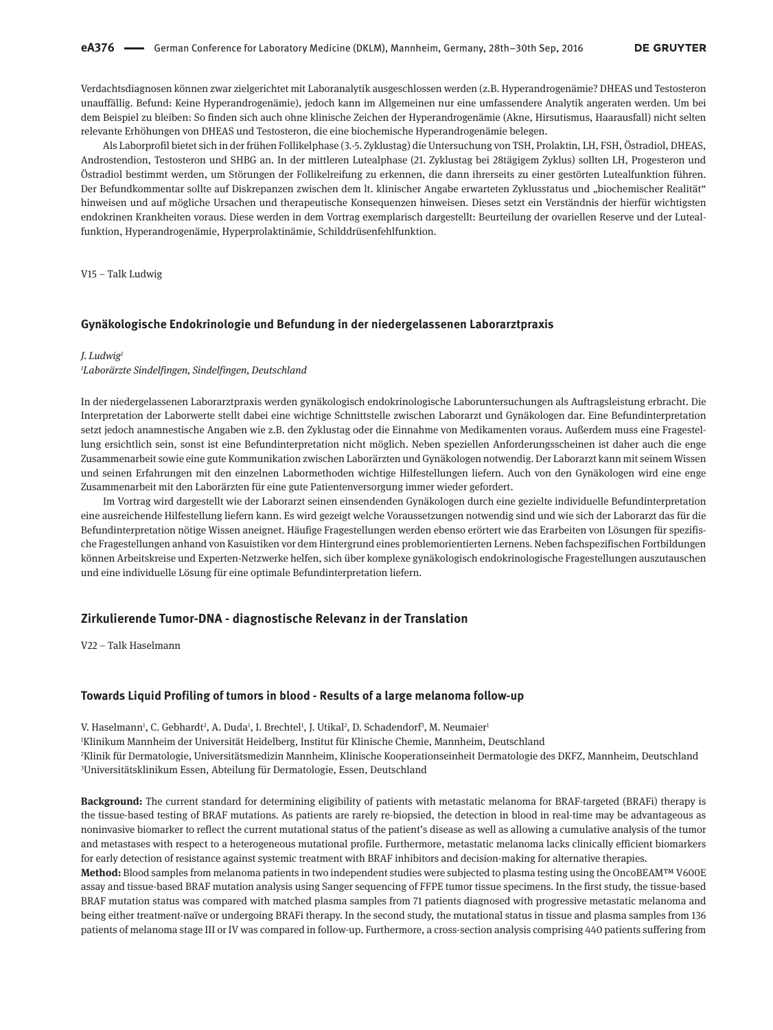Verdachtsdiagnosen können zwar zielgerichtet mit Laboranalytik ausgeschlossen werden (z.B. Hyperandrogenämie? DHEAS und Testosteron unauffällig. Befund: Keine Hyperandrogenämie), jedoch kann im Allgemeinen nur eine umfassendere Analytik angeraten werden. Um bei dem Beispiel zu bleiben: So finden sich auch ohne klinische Zeichen der Hyperandrogenämie (Akne, Hirsutismus, Haarausfall) nicht selten relevante Erhöhungen von DHEAS und Testosteron, die eine biochemische Hyperandrogenämie belegen.

Als Laborprofil bietet sich in der frühen Follikelphase (3.-5. Zyklustag) die Untersuchung von TSH, Prolaktin, LH, FSH, Östradiol, DHEAS, Androstendion, Testosteron und SHBG an. In der mittleren Lutealphase (21. Zyklustag bei 28tägigem Zyklus) sollten LH, Progesteron und Östradiol bestimmt werden, um Störungen der Follikelreifung zu erkennen, die dann ihrerseits zu einer gestörten Lutealfunktion führen. Der Befundkommentar sollte auf Diskrepanzen zwischen dem lt. klinischer Angabe erwarteten Zyklusstatus und "biochemischer Realität" hinweisen und auf mögliche Ursachen und therapeutische Konsequenzen hinweisen. Dieses setzt ein Verständnis der hierfür wichtigsten endokrinen Krankheiten voraus. Diese werden in dem Vortrag exemplarisch dargestellt: Beurteilung der ovariellen Reserve und der Lutealfunktion, Hyperandrogenämie, Hyperprolaktinämie, Schilddrüsenfehlfunktion.

V15 – Talk Ludwig

#### **Gynäkologische Endokrinologie und Befundung in der niedergelassenen Laborarztpraxis**

#### *J. Ludwig1*

#### *1 Laborärzte Sindelfingen, Sindelfingen, Deutschland*

In der niedergelassenen Laborarztpraxis werden gynäkologisch endokrinologische Laboruntersuchungen als Auftragsleistung erbracht. Die Interpretation der Laborwerte stellt dabei eine wichtige Schnittstelle zwischen Laborarzt und Gynäkologen dar. Eine Befundinterpretation setzt jedoch anamnestische Angaben wie z.B. den Zyklustag oder die Einnahme von Medikamenten voraus. Außerdem muss eine Fragestellung ersichtlich sein, sonst ist eine Befundinterpretation nicht möglich. Neben speziellen Anforderungsscheinen ist daher auch die enge Zusammenarbeit sowie eine gute Kommunikation zwischen Laborärzten und Gynäkologen notwendig. Der Laborarzt kann mit seinem Wissen und seinen Erfahrungen mit den einzelnen Labormethoden wichtige Hilfestellungen liefern. Auch von den Gynäkologen wird eine enge Zusammenarbeit mit den Laborärzten für eine gute Patientenversorgung immer wieder gefordert.

Im Vortrag wird dargestellt wie der Laborarzt seinen einsendenden Gynäkologen durch eine gezielte individuelle Befundinterpretation eine ausreichende Hilfestellung liefern kann. Es wird gezeigt welche Voraussetzungen notwendig sind und wie sich der Laborarzt das für die Befundinterpretation nötige Wissen aneignet. Häufige Fragestellungen werden ebenso erörtert wie das Erarbeiten von Lösungen für spezifische Fragestellungen anhand von Kasuistiken vor dem Hintergrund eines problemorientierten Lernens. Neben fachspezifischen Fortbildungen können Arbeitskreise und Experten-Netzwerke helfen, sich über komplexe gynäkologisch endokrinologische Fragestellungen auszutauschen und eine individuelle Lösung für eine optimale Befundinterpretation liefern.

### **Zirkulierende Tumor-DNA - diagnostische Relevanz in der Translation**

V22 – Talk Haselmann

#### **Towards Liquid Profiling of tumors in blood - Results of a large melanoma follow-up**

V. Haselmann<sup>1</sup>, C. Gebhardt<sup>2</sup>, A. Duda<sup>1</sup>, I. Brechtel<sup>1</sup>, J. Utikal<sup>2</sup>, D. Schadendorf<sup>3</sup>, M. Neumaier<sup>1</sup> Klinikum Mannheim der Universität Heidelberg, Institut für Klinische Chemie, Mannheim, Deutschland Klinik für Dermatologie, Universitätsmedizin Mannheim, Klinische Kooperationseinheit Dermatologie des DKFZ, Mannheim, Deutschland Universitätsklinikum Essen, Abteilung für Dermatologie, Essen, Deutschland

**Background:** The current standard for determining eligibility of patients with metastatic melanoma for BRAF-targeted (BRAFi) therapy is the tissue-based testing of BRAF mutations. As patients are rarely re-biopsied, the detection in blood in real-time may be advantageous as noninvasive biomarker to reflect the current mutational status of the patient's disease as well as allowing a cumulative analysis of the tumor and metastases with respect to a heterogeneous mutational profile. Furthermore, metastatic melanoma lacks clinically efficient biomarkers for early detection of resistance against systemic treatment with BRAF inhibitors and decision-making for alternative therapies.

**Method:** Blood samples from melanoma patients in two independent studies were subjected to plasma testing using the OncoBEAM™ V600E assay and tissue-based BRAF mutation analysis using Sanger sequencing of FFPE tumor tissue specimens. In the first study, the tissue-based BRAF mutation status was compared with matched plasma samples from 71 patients diagnosed with progressive metastatic melanoma and being either treatment-naïve or undergoing BRAFi therapy. In the second study, the mutational status in tissue and plasma samples from 136 patients of melanoma stage III or IV was compared in follow-up. Furthermore, a cross-section analysis comprising 440 patients suffering from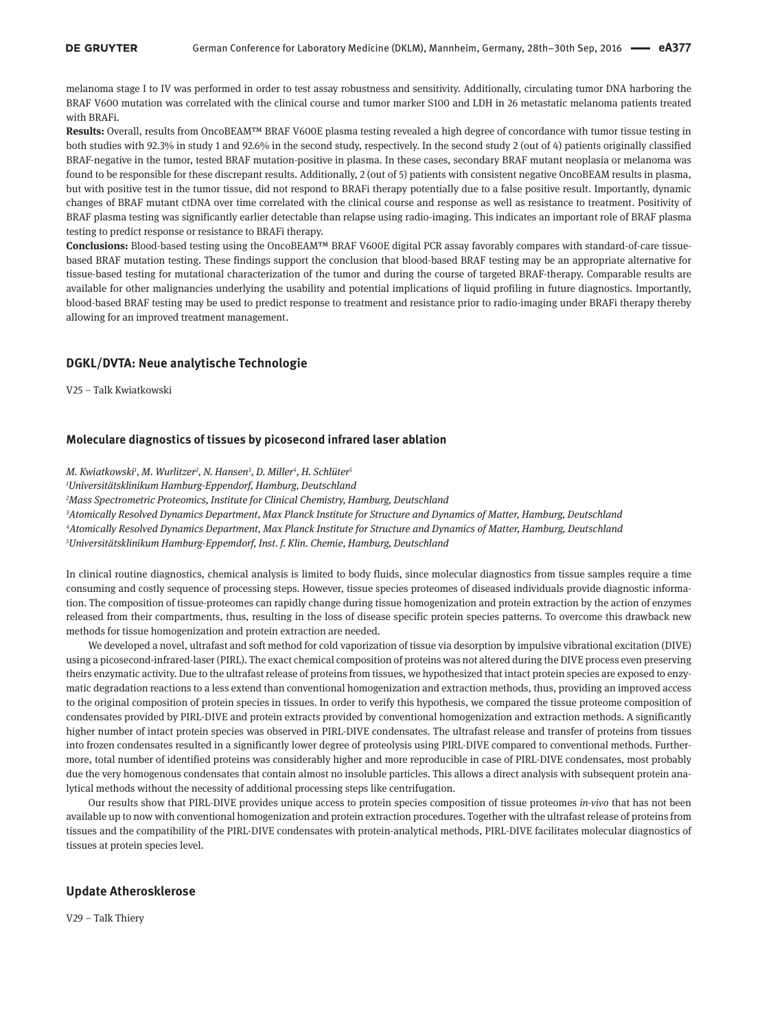melanoma stage I to IV was performed in order to test assay robustness and sensitivity. Additionally, circulating tumor DNA harboring the BRAF V600 mutation was correlated with the clinical course and tumor marker S100 and LDH in 26 metastatic melanoma patients treated with BRAFi.

**Results:** Overall, results from OncoBEAM™ BRAF V600E plasma testing revealed a high degree of concordance with tumor tissue testing in both studies with 92.3% in study 1 and 92.6% in the second study, respectively. In the second study 2 (out of 4) patients originally classified BRAF-negative in the tumor, tested BRAF mutation-positive in plasma. In these cases, secondary BRAF mutant neoplasia or melanoma was found to be responsible for these discrepant results. Additionally, 2 (out of 5) patients with consistent negative OncoBEAM results in plasma, but with positive test in the tumor tissue, did not respond to BRAFi therapy potentially due to a false positive result. Importantly, dynamic changes of BRAF mutant ctDNA over time correlated with the clinical course and response as well as resistance to treatment. Positivity of BRAF plasma testing was significantly earlier detectable than relapse using radio-imaging. This indicates an important role of BRAF plasma testing to predict response or resistance to BRAFi therapy.

**Conclusions:** Blood-based testing using the OncoBEAM™ BRAF V600E digital PCR assay favorably compares with standard-of-care tissuebased BRAF mutation testing. These findings support the conclusion that blood-based BRAF testing may be an appropriate alternative for tissue-based testing for mutational characterization of the tumor and during the course of targeted BRAF-therapy. Comparable results are available for other malignancies underlying the usability and potential implications of liquid profiling in future diagnostics. Importantly, blood-based BRAF testing may be used to predict response to treatment and resistance prior to radio-imaging under BRAFi therapy thereby allowing for an improved treatment management.

### **DGKL/DVTA: Neue analytische Technologie**

V25 – Talk Kwiatkowski

### **Moleculare diagnostics of tissues by picosecond infrared laser ablation**

*M. Kwiatkowski1 , M. Wurlitzer2 , N. Hansen3 , D. Miller4 , H. Schlüter5*

*1 Universitätsklinikum Hamburg-Eppendorf, Hamburg, Deutschland*

*2 Mass Spectrometric Proteomics, Institute for Clinical Chemistry, Hamburg, Deutschland*

*3 Atomically Resolved Dynamics Department, Max Planck Institute for Structure and Dynamics of Matter, Hamburg, Deutschland 4 Atomically Resolved Dynamics Department, Max Planck Institute for Structure and Dynamics of Matter, Hamburg, Deutschland 5 Universitätsklinikum Hamburg-Eppemdorf, Inst. f. Klin. Chemie, Hamburg, Deutschland*

In clinical routine diagnostics, chemical analysis is limited to body fluids, since molecular diagnostics from tissue samples require a time consuming and costly sequence of processing steps. However, tissue species proteomes of diseased individuals provide diagnostic information. The composition of tissue-proteomes can rapidly change during tissue homogenization and protein extraction by the action of enzymes released from their compartments, thus, resulting in the loss of disease specific protein species patterns. To overcome this drawback new methods for tissue homogenization and protein extraction are needed.

We developed a novel, ultrafast and soft method for cold vaporization of tissue via desorption by impulsive vibrational excitation (DIVE) using a picosecond-infrared-laser (PIRL). The exact chemical composition of proteins was not altered during the DIVE process even preserving theirs enzymatic activity. Due to the ultrafast release of proteins from tissues, we hypothesized that intact protein species are exposed to enzymatic degradation reactions to a less extend than conventional homogenization and extraction methods, thus, providing an improved access to the original composition of protein species in tissues. In order to verify this hypothesis, we compared the tissue proteome composition of condensates provided by PIRL-DIVE and protein extracts provided by conventional homogenization and extraction methods. A significantly higher number of intact protein species was observed in PIRL-DIVE condensates. The ultrafast release and transfer of proteins from tissues into frozen condensates resulted in a significantly lower degree of proteolysis using PIRL-DIVE compared to conventional methods. Furthermore, total number of identified proteins was considerably higher and more reproducible in case of PIRL-DIVE condensates, most probably due the very homogenous condensates that contain almost no insoluble particles. This allows a direct analysis with subsequent protein analytical methods without the necessity of additional processing steps like centrifugation.

Our results show that PIRL-DIVE provides unique access to protein species composition of tissue proteomes *in-vivo* that has not been available up to now with conventional homogenization and protein extraction procedures. Together with the ultrafast release of proteins from tissues and the compatibility of the PIRL-DIVE condensates with protein-analytical methods, PIRL-DIVE facilitates molecular diagnostics of tissues at protein species level.

### **Update Atherosklerose**

V29 – Talk Thiery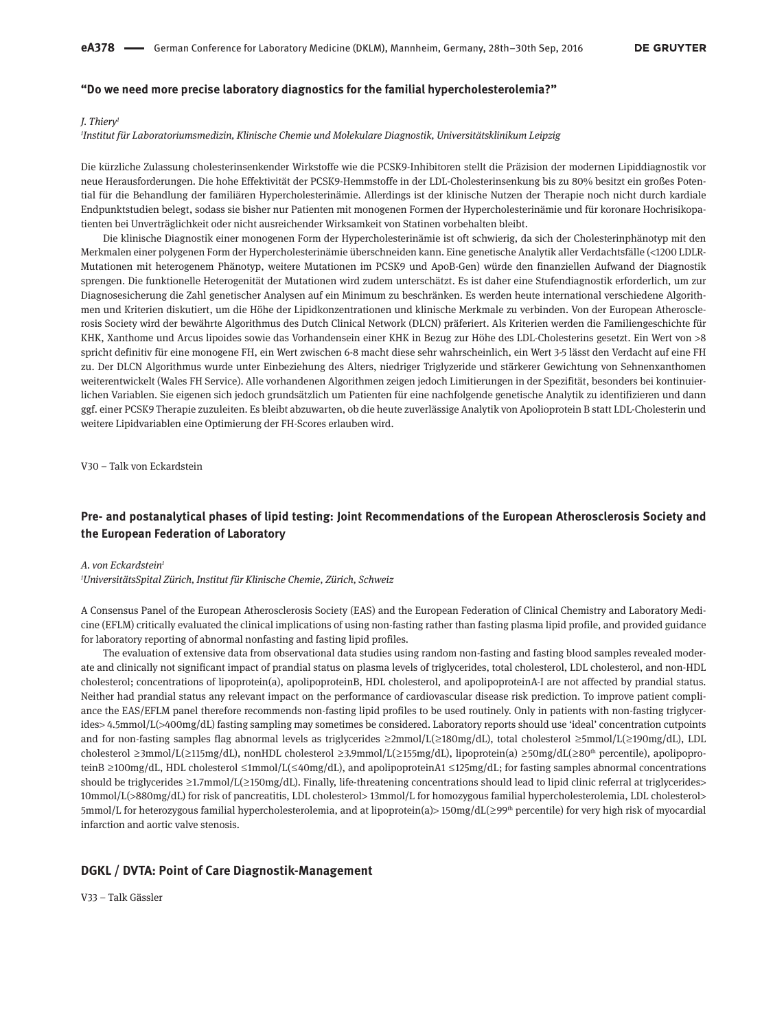### **"Do we need more precise laboratory diagnostics for the familial hypercholesterolemia?"**

#### *J. Thiery1*

#### *1 Institut für Laboratoriumsmedizin, Klinische Chemie und Molekulare Diagnostik, Universitätsklinikum Leipzig*

Die kürzliche Zulassung cholesterinsenkender Wirkstoffe wie die PCSK9-Inhibitoren stellt die Präzision der modernen Lipiddiagnostik vor neue Herausforderungen. Die hohe Effektivität der PCSK9-Hemmstoffe in der LDL-Cholesterinsenkung bis zu 80% besitzt ein großes Potential für die Behandlung der familiären Hypercholesterinämie. Allerdings ist der klinische Nutzen der Therapie noch nicht durch kardiale Endpunktstudien belegt, sodass sie bisher nur Patienten mit monogenen Formen der Hypercholesterinämie und für koronare Hochrisikopatienten bei Unverträglichkeit oder nicht ausreichender Wirksamkeit von Statinen vorbehalten bleibt.

Die klinische Diagnostik einer monogenen Form der Hypercholesterinämie ist oft schwierig, da sich der Cholesterinphänotyp mit den Merkmalen einer polygenen Form der Hypercholesterinämie überschneiden kann. Eine genetische Analytik aller Verdachtsfälle (<1200 LDLR-Mutationen mit heterogenem Phänotyp, weitere Mutationen im PCSK9 und ApoB-Gen) würde den finanziellen Aufwand der Diagnostik sprengen. Die funktionelle Heterogenität der Mutationen wird zudem unterschätzt. Es ist daher eine Stufendiagnostik erforderlich, um zur Diagnosesicherung die Zahl genetischer Analysen auf ein Minimum zu beschränken. Es werden heute international verschiedene Algorithmen und Kriterien diskutiert, um die Höhe der Lipidkonzentrationen und klinische Merkmale zu verbinden. Von der European Atherosclerosis Society wird der bewährte Algorithmus des Dutch Clinical Network (DLCN) präferiert. Als Kriterien werden die Familiengeschichte für KHK, Xanthome und Arcus lipoides sowie das Vorhandensein einer KHK in Bezug zur Höhe des LDL-Cholesterins gesetzt. Ein Wert von >8 spricht definitiv für eine monogene FH, ein Wert zwischen 6-8 macht diese sehr wahrscheinlich, ein Wert 3-5 lässt den Verdacht auf eine FH zu. Der DLCN Algorithmus wurde unter Einbeziehung des Alters, niedriger Triglyzeride und stärkerer Gewichtung von Sehnenxanthomen weiterentwickelt (Wales FH Service). Alle vorhandenen Algorithmen zeigen jedoch Limitierungen in der Spezifität, besonders bei kontinuierlichen Variablen. Sie eigenen sich jedoch grundsätzlich um Patienten für eine nachfolgende genetische Analytik zu identifizieren und dann ggf. einer PCSK9 Therapie zuzuleiten. Es bleibt abzuwarten, ob die heute zuverlässige Analytik von Apolioprotein B statt LDL-Cholesterin und weitere Lipidvariablen eine Optimierung der FH-Scores erlauben wird.

V30 – Talk von Eckardstein

## **Pre- and postanalytical phases of lipid testing: Joint Recommendations of the European Atherosclerosis Society and the European Federation of Laboratory**

#### *A. von Eckardstein1*

*1 UniversitätsSpital Zürich, Institut für Klinische Chemie, Zürich, Schweiz*

A Consensus Panel of the European Atherosclerosis Society (EAS) and the European Federation of Clinical Chemistry and Laboratory Medicine (EFLM) critically evaluated the clinical implications of using non-fasting rather than fasting plasma lipid profile, and provided guidance for laboratory reporting of abnormal nonfasting and fasting lipid profiles.

The evaluation of extensive data from observational data studies using random non-fasting and fasting blood samples revealed moderate and clinically not significant impact of prandial status on plasma levels of triglycerides, total cholesterol, LDL cholesterol, and non-HDL cholesterol; concentrations of lipoprotein(a), apolipoproteinB, HDL cholesterol, and apolipoproteinA-I are not affected by prandial status. Neither had prandial status any relevant impact on the performance of cardiovascular disease risk prediction. To improve patient compliance the EAS/EFLM panel therefore recommends non-fasting lipid profiles to be used routinely. Only in patients with non-fasting triglycerides> 4.5mmol/L(>400mg/dL) fasting sampling may sometimes be considered. Laboratory reports should use 'ideal' concentration cutpoints and for non-fasting samples flag abnormal levels as triglycerides ≥2mmol/L(≥180mg/dL), total cholesterol ≥5mmol/L(≥190mg/dL), LDL cholesterol  ≥ 3mmol/L( ≥ 115mg/dL), nonHDL cholesterol  ≥ 3.9mmol/L( ≥ 155mg/dL), lipoprotein(a)  ≥ 50mg/dL( ≥ 80th percentile), apolipoproteinB ≥100mg/dL, HDL cholesterol ≤1mmol/L(≤40mg/dL), and apolipoproteinA1 ≤125mg/dL; for fasting samples abnormal concentrations should be triglycerides ≥1.7mmol/L(≥150mg/dL). Finally, life-threatening concentrations should lead to lipid clinic referral at triglycerides> 10mmol/L(>880mg/dL) for risk of pancreatitis, LDL cholesterol> 13mmol/L for homozygous familial hypercholesterolemia, LDL cholesterol> 5mmol/L for heterozygous familial hypercholesterolemia, and at lipoprotein(a)> 150mg/dL(≥99<sup>th</sup> percentile) for very high risk of myocardial infarction and aortic valve stenosis.

#### **DGKL / DVTA: Point of Care Diagnostik-Management**

V33 – Talk Gässler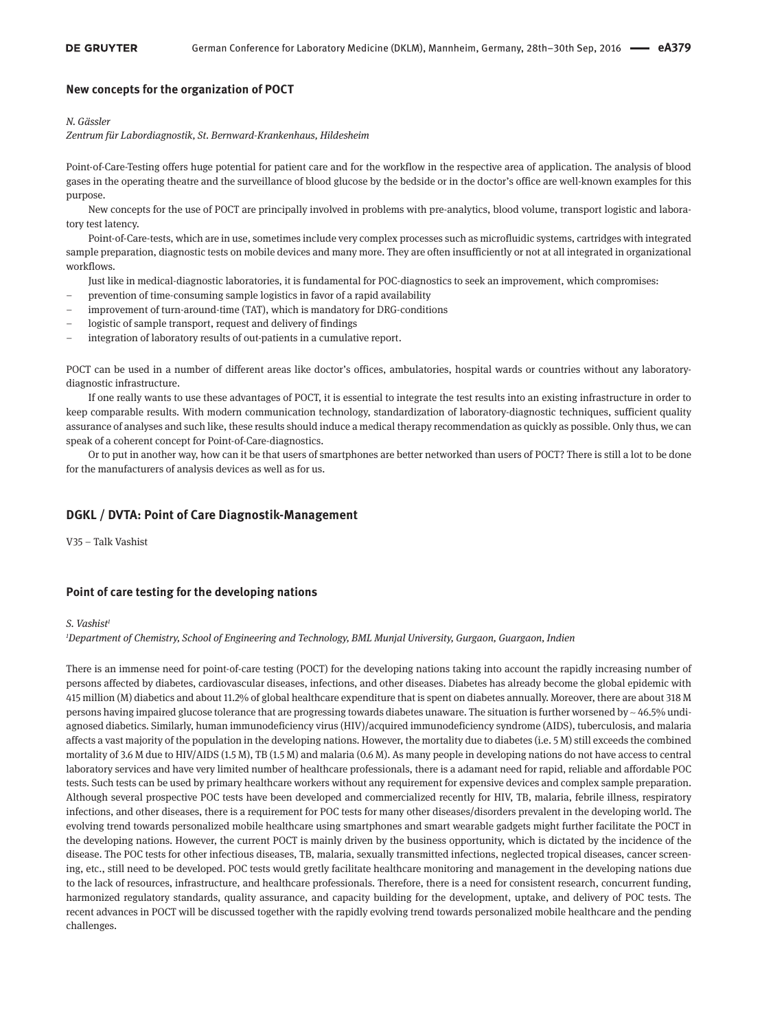### **New concepts for the organization of POCT**

#### *N. Gässler*

*Zentrum für Labordiagnostik, St. Bernward-Krankenhaus, Hildesheim*

Point-of-Care-Testing offers huge potential for patient care and for the workflow in the respective area of application. The analysis of blood gases in the operating theatre and the surveillance of blood glucose by the bedside or in the doctor's office are well-known examples for this purpose.

New concepts for the use of POCT are principally involved in problems with pre-analytics, blood volume, transport logistic and laboratory test latency.

Point-of-Care-tests, which are in use, sometimes include very complex processes such as microfluidic systems, cartridges with integrated sample preparation, diagnostic tests on mobile devices and many more. They are often insufficiently or not at all integrated in organizational workflows.

Just like in medical-diagnostic laboratories, it is fundamental for POC-diagnostics to seek an improvement, which compromises:

- prevention of time-consuming sample logistics in favor of a rapid availability
- improvement of turn-around-time (TAT), which is mandatory for DRG-conditions
- logistic of sample transport, request and delivery of findings
- integration of laboratory results of out-patients in a cumulative report.

POCT can be used in a number of different areas like doctor's offices, ambulatories, hospital wards or countries without any laboratorydiagnostic infrastructure.

If one really wants to use these advantages of POCT, it is essential to integrate the test results into an existing infrastructure in order to keep comparable results. With modern communication technology, standardization of laboratory-diagnostic techniques, sufficient quality assurance of analyses and such like, these results should induce a medical therapy recommendation as quickly as possible. Only thus, we can speak of a coherent concept for Point-of-Care-diagnostics.

Or to put in another way, how can it be that users of smartphones are better networked than users of POCT? There is still a lot to be done for the manufacturers of analysis devices as well as for us.

### **DGKL / DVTA: Point of Care Diagnostik-Management**

V35 – Talk Vashist

### **Point of care testing for the developing nations**

#### *S. Vashist1*

*1 Department of Chemistry, School of Engineering and Technology, BML Munjal University, Gurgaon, Guargaon, Indien*

There is an immense need for point-of-care testing (POCT) for the developing nations taking into account the rapidly increasing number of persons affected by diabetes, cardiovascular diseases, infections, and other diseases. Diabetes has already become the global epidemic with 415 million (M) diabetics and about 11.2% of global healthcare expenditure that is spent on diabetes annually. Moreover, there are about 318 M persons having impaired glucose tolerance that are progressing towards diabetes unaware. The situation is further worsened by  $\sim$  46.5% undiagnosed diabetics. Similarly, human immunodeficiency virus (HIV)/acquired immunodeficiency syndrome (AIDS), tuberculosis, and malaria affects a vast majority of the population in the developing nations. However, the mortality due to diabetes (i.e. 5 M) still exceeds the combined mortality of 3.6 M due to HIV/AIDS (1.5 M), TB (1.5 M) and malaria (0.6 M). As many people in developing nations do not have access to central laboratory services and have very limited number of healthcare professionals, there is a adamant need for rapid, reliable and affordable POC tests. Such tests can be used by primary healthcare workers without any requirement for expensive devices and complex sample preparation. Although several prospective POC tests have been developed and commercialized recently for HIV, TB, malaria, febrile illness, respiratory infections, and other diseases, there is a requirement for POC tests for many other diseases/disorders prevalent in the developing world. The evolving trend towards personalized mobile healthcare using smartphones and smart wearable gadgets might further facilitate the POCT in the developing nations. However, the current POCT is mainly driven by the business opportunity, which is dictated by the incidence of the disease. The POC tests for other infectious diseases, TB, malaria, sexually transmitted infections, neglected tropical diseases, cancer screening, etc., still need to be developed. POC tests would gretly facilitate healthcare monitoring and management in the developing nations due to the lack of resources, infrastructure, and healthcare professionals. Therefore, there is a need for consistent research, concurrent funding, harmonized regulatory standards, quality assurance, and capacity building for the development, uptake, and delivery of POC tests. The recent advances in POCT will be discussed together with the rapidly evolving trend towards personalized mobile healthcare and the pending challenges.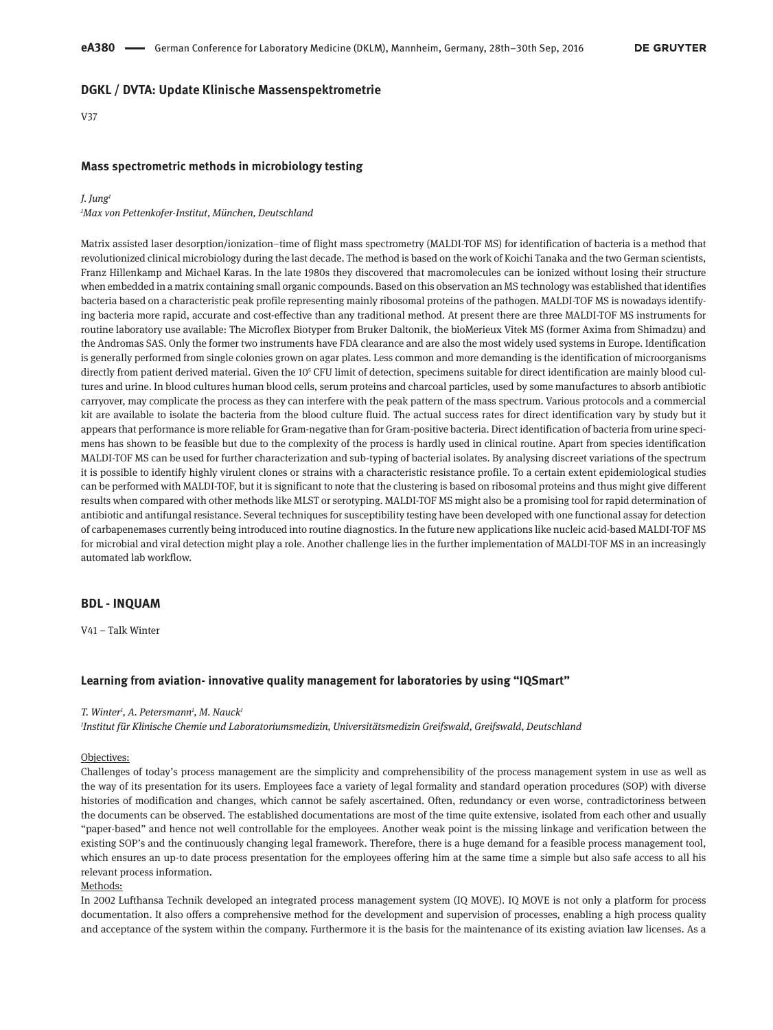### **DGKL / DVTA: Update Klinische Massenspektrometrie**

#### V37

#### **Mass spectrometric methods in microbiology testing**

#### *J. Jung1*

*1 Max von Pettenkofer-Institut, München, Deutschland*

Matrix assisted laser desorption/ionization–time of flight mass spectrometry (MALDI-TOF MS) for identification of bacteria is a method that revolutionized clinical microbiology during the last decade. The method is based on the work of Koichi Tanaka and the two German scientists, Franz Hillenkamp and Michael Karas. In the late 1980s they discovered that macromolecules can be ionized without losing their structure when embedded in a matrix containing small organic compounds. Based on this observation an MS technology was established that identifies bacteria based on a characteristic peak profile representing mainly ribosomal proteins of the pathogen. MALDI-TOF MS is nowadays identifying bacteria more rapid, accurate and cost-effective than any traditional method. At present there are three MALDI-TOF MS instruments for routine laboratory use available: The Microflex Biotyper from Bruker Daltonik, the bioMerieux Vitek MS (former Axima from Shimadzu) and the Andromas SAS. Only the former two instruments have FDA clearance and are also the most widely used systems in Europe. Identification is generally performed from single colonies grown on agar plates. Less common and more demanding is the identification of microorganisms directly from patient derived material. Given the 105 CFU limit of detection, specimens suitable for direct identification are mainly blood cultures and urine. In blood cultures human blood cells, serum proteins and charcoal particles, used by some manufactures to absorb antibiotic carryover, may complicate the process as they can interfere with the peak pattern of the mass spectrum. Various protocols and a commercial kit are available to isolate the bacteria from the blood culture fluid. The actual success rates for direct identification vary by study but it appears that performance is more reliable for Gram-negative than for Gram-positive bacteria. Direct identification of bacteria from urine specimens has shown to be feasible but due to the complexity of the process is hardly used in clinical routine. Apart from species identification MALDI-TOF MS can be used for further characterization and sub-typing of bacterial isolates. By analysing discreet variations of the spectrum it is possible to identify highly virulent clones or strains with a characteristic resistance profile. To a certain extent epidemiological studies can be performed with MALDI-TOF, but it is significant to note that the clustering is based on ribosomal proteins and thus might give different results when compared with other methods like MLST or serotyping. MALDI-TOF MS might also be a promising tool for rapid determination of antibiotic and antifungal resistance. Several techniques for susceptibility testing have been developed with one functional assay for detection of carbapenemases currently being introduced into routine diagnostics. In the future new applications like nucleic acid-based MALDI-TOF MS for microbial and viral detection might play a role. Another challenge lies in the further implementation of MALDI-TOF MS in an increasingly automated lab workflow.

### **BDL - INQUAM**

V41 – Talk Winter

### **Learning from aviation- innovative quality management for laboratories by using "IQSmart"**

#### *T. Winter1 , A. Petersmann1 , M. Nauck1*

*1 Institut für Klinische Chemie und Laboratoriumsmedizin, Universitätsmedizin Greifswald, Greifswald, Deutschland*

#### Objectives:

Challenges of today's process management are the simplicity and comprehensibility of the process management system in use as well as the way of its presentation for its users. Employees face a variety of legal formality and standard operation procedures (SOP) with diverse histories of modification and changes, which cannot be safely ascertained. Often, redundancy or even worse, contradictoriness between the documents can be observed. The established documentations are most of the time quite extensive, isolated from each other and usually "paper-based" and hence not well controllable for the employees. Another weak point is the missing linkage and verification between the existing SOP's and the continuously changing legal framework. Therefore, there is a huge demand for a feasible process management tool, which ensures an up-to date process presentation for the employees offering him at the same time a simple but also safe access to all his relevant process information.

### Methods:

In 2002 Lufthansa Technik developed an integrated process management system (IQ MOVE). IQ MOVE is not only a platform for process documentation. It also offers a comprehensive method for the development and supervision of processes, enabling a high process quality and acceptance of the system within the company. Furthermore it is the basis for the maintenance of its existing aviation law licenses. As a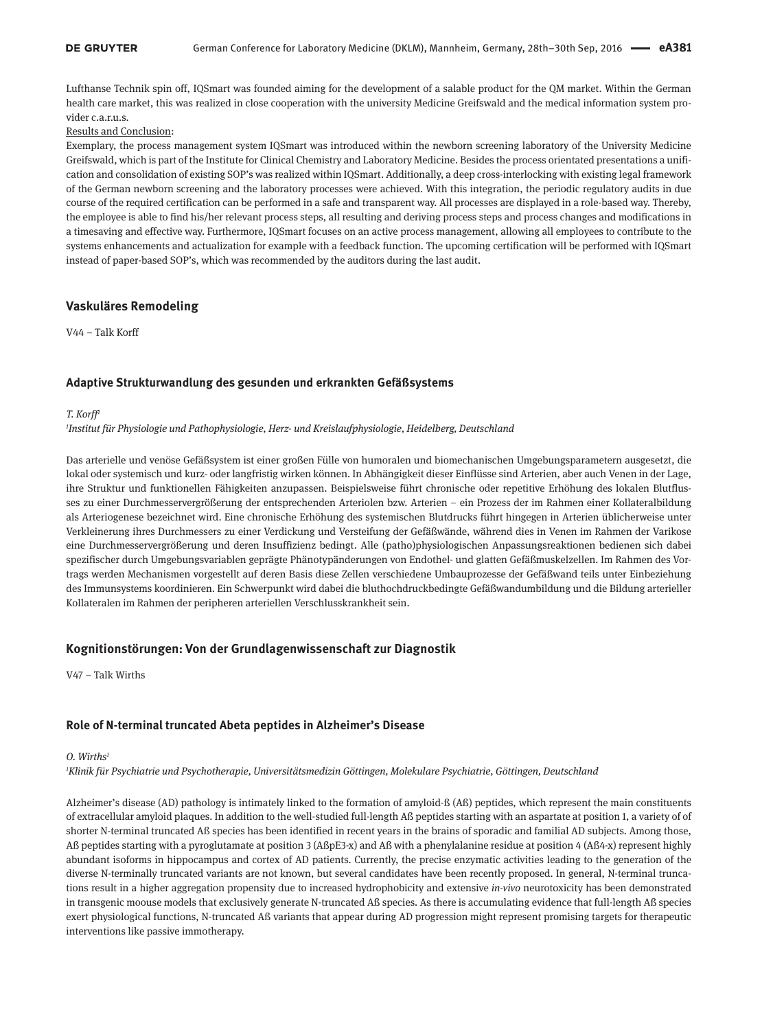Lufthanse Technik spin off, IQSmart was founded aiming for the development of a salable product for the QM market. Within the German health care market, this was realized in close cooperation with the university Medicine Greifswald and the medical information system provider c.a.r.u.s.

### Results and Conclusion:

Exemplary, the process management system IQSmart was introduced within the newborn screening laboratory of the University Medicine Greifswald, which is part of the Institute for Clinical Chemistry and Laboratory Medicine. Besides the process orientated presentations a unification and consolidation of existing SOP's was realized within IQSmart. Additionally, a deep cross-interlocking with existing legal framework of the German newborn screening and the laboratory processes were achieved. With this integration, the periodic regulatory audits in due course of the required certification can be performed in a safe and transparent way. All processes are displayed in a role-based way. Thereby, the employee is able to find his/her relevant process steps, all resulting and deriving process steps and process changes and modifications in a timesaving and effective way. Furthermore, IQSmart focuses on an active process management, allowing all employees to contribute to the systems enhancements and actualization for example with a feedback function. The upcoming certification will be performed with IQSmart instead of paper-based SOP's, which was recommended by the auditors during the last audit.

### **Vaskuläres Remodeling**

V44 – Talk Korff

### **Adaptive Strukturwandlung des gesunden und erkrankten Gefäßsystems**

#### *T. Korff1*

*1 Institut für Physiologie und Pathophysiologie, Herz- und Kreislaufphysiologie, Heidelberg, Deutschland*

Das arterielle und venöse Gefäßsystem ist einer großen Fülle von humoralen und biomechanischen Umgebungsparametern ausgesetzt, die lokal oder systemisch und kurz- oder langfristig wirken können. In Abhängigkeit dieser Einflüsse sind Arterien, aber auch Venen in der Lage, ihre Struktur und funktionellen Fähigkeiten anzupassen. Beispielsweise führt chronische oder repetitive Erhöhung des lokalen Blutflusses zu einer Durchmesservergrößerung der entsprechenden Arteriolen bzw. Arterien – ein Prozess der im Rahmen einer Kollateralbildung als Arteriogenese bezeichnet wird. Eine chronische Erhöhung des systemischen Blutdrucks führt hingegen in Arterien üblicherweise unter Verkleinerung ihres Durchmessers zu einer Verdickung und Versteifung der Gefäßwände, während dies in Venen im Rahmen der Varikose eine Durchmesservergrößerung und deren Insuffizienz bedingt. Alle (patho)physiologischen Anpassungsreaktionen bedienen sich dabei spezifischer durch Umgebungsvariablen geprägte Phänotypänderungen von Endothel- und glatten Gefäßmuskelzellen. Im Rahmen des Vortrags werden Mechanismen vorgestellt auf deren Basis diese Zellen verschiedene Umbauprozesse der Gefäßwand teils unter Einbeziehung des Immunsystems koordinieren. Ein Schwerpunkt wird dabei die bluthochdruckbedingte Gefäßwandumbildung und die Bildung arterieller Kollateralen im Rahmen der peripheren arteriellen Verschlusskrankheit sein.

### **Kognitionstörungen: Von der Grundlagenwissenschaft zur Diagnostik**

V47 – Talk Wirths

### **Role of N-terminal truncated Abeta peptides in Alzheimer's Disease**

#### *O. Wirths1*

*1 Klinik für Psychiatrie und Psychotherapie, Universitätsmedizin Göttingen, Molekulare Psychiatrie, Göttingen, Deutschland*

Alzheimer's disease (AD) pathology is intimately linked to the formation of amyloid-ß (Aß) peptides, which represent the main constituents of extracellular amyloid plaques. In addition to the well-studied full-length Aß peptides starting with an aspartate at position 1, a variety of of shorter N-terminal truncated Aß species has been identified in recent years in the brains of sporadic and familial AD subjects. Among those, Aß peptides starting with a pyroglutamate at position 3 (AßpE3-x) and Aß with a phenylalanine residue at position 4 (Aß4-x) represent highly abundant isoforms in hippocampus and cortex of AD patients. Currently, the precise enzymatic activities leading to the generation of the diverse N-terminally truncated variants are not known, but several candidates have been recently proposed. In general, N-terminal truncations result in a higher aggregation propensity due to increased hydrophobicity and extensive *in-vivo* neurotoxicity has been demonstrated in transgenic moouse models that exclusively generate N-truncated Aß species. As there is accumulating evidence that full-length Aß species exert physiological functions, N-truncated Aß variants that appear during AD progression might represent promising targets for therapeutic interventions like passive immotherapy.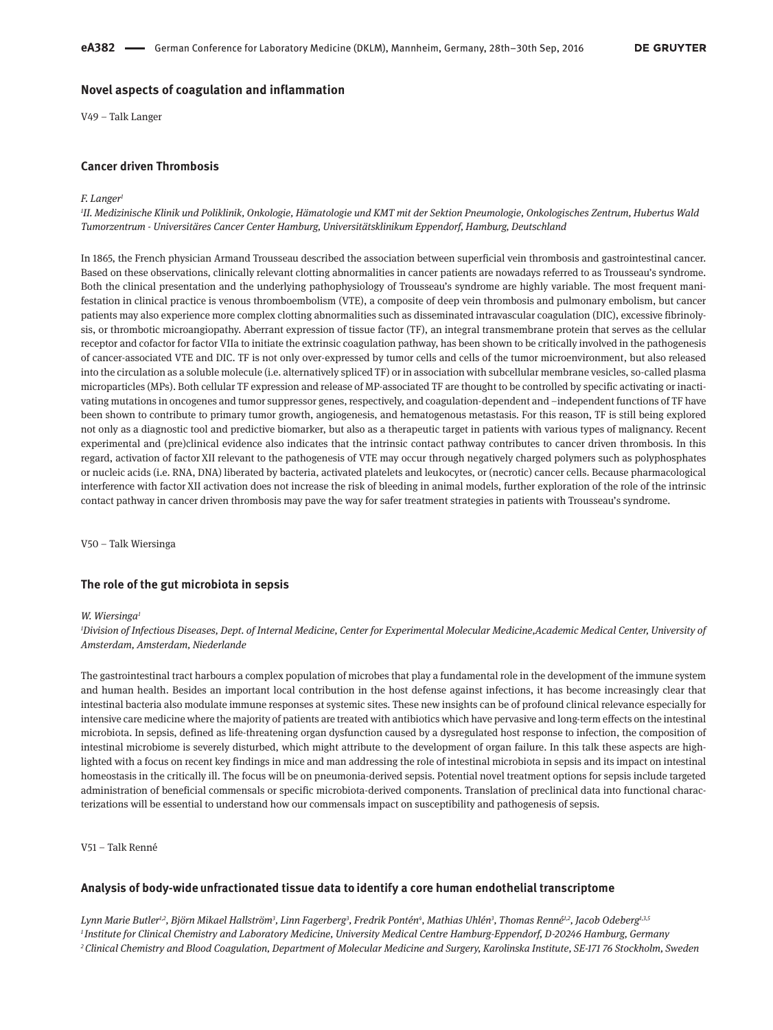### **Novel aspects of coagulation and inflammation**

V49 – Talk Langer

### **Cancer driven Thrombosis**

#### *F. Langer1*

*1 II. Medizinische Klinik und Poliklinik, Onkologie, Hämatologie und KMT mit der Sektion Pneumologie, Onkologisches Zentrum, Hubertus Wald Tumorzentrum - Universitäres Cancer Center Hamburg, Universitätsklinikum Eppendorf, Hamburg, Deutschland*

In 1865, the French physician Armand Trousseau described the association between superficial vein thrombosis and gastrointestinal cancer. Based on these observations, clinically relevant clotting abnormalities in cancer patients are nowadays referred to as Trousseau's syndrome. Both the clinical presentation and the underlying pathophysiology of Trousseau's syndrome are highly variable. The most frequent manifestation in clinical practice is venous thromboembolism (VTE), a composite of deep vein thrombosis and pulmonary embolism, but cancer patients may also experience more complex clotting abnormalities such as disseminated intravascular coagulation (DIC), excessive fibrinolysis, or thrombotic microangiopathy. Aberrant expression of tissue factor (TF), an integral transmembrane protein that serves as the cellular receptor and cofactor for factor VIIa to initiate the extrinsic coagulation pathway, has been shown to be critically involved in the pathogenesis of cancer-associated VTE and DIC. TF is not only over-expressed by tumor cells and cells of the tumor microenvironment, but also released into the circulation as a soluble molecule (i.e. alternatively spliced TF) or in association with subcellular membrane vesicles, so-called plasma microparticles (MPs). Both cellular TF expression and release of MP-associated TF are thought to be controlled by specific activating or inactivating mutations in oncogenes and tumor suppressor genes, respectively, and coagulation-dependent and –independent functions of TF have been shown to contribute to primary tumor growth, angiogenesis, and hematogenous metastasis. For this reason, TF is still being explored not only as a diagnostic tool and predictive biomarker, but also as a therapeutic target in patients with various types of malignancy. Recent experimental and (pre)clinical evidence also indicates that the intrinsic contact pathway contributes to cancer driven thrombosis. In this regard, activation of factor XII relevant to the pathogenesis of VTE may occur through negatively charged polymers such as polyphosphates or nucleic acids (i.e. RNA, DNA) liberated by bacteria, activated platelets and leukocytes, or (necrotic) cancer cells. Because pharmacological interference with factor XII activation does not increase the risk of bleeding in animal models, further exploration of the role of the intrinsic contact pathway in cancer driven thrombosis may pave the way for safer treatment strategies in patients with Trousseau's syndrome.

V50 – Talk Wiersinga

### **The role of the gut microbiota in sepsis**

#### *W. Wiersinga1*

*1 Division of Infectious Diseases, Dept. of Internal Medicine, Center for Experimental Molecular Medicine,Academic Medical Center, University of Amsterdam, Amsterdam, Niederlande*

The gastrointestinal tract harbours a complex population of microbes that play a fundamental role in the development of the immune system and human health. Besides an important local contribution in the host defense against infections, it has become increasingly clear that intestinal bacteria also modulate immune responses at systemic sites. These new insights can be of profound clinical relevance especially for intensive care medicine where the majority of patients are treated with antibiotics which have pervasive and long-term effects on the intestinal microbiota. In sepsis, defined as life-threatening organ dysfunction caused by a dysregulated host response to infection, the composition of intestinal microbiome is severely disturbed, which might attribute to the development of organ failure. In this talk these aspects are highlighted with a focus on recent key findings in mice and man addressing the role of intestinal microbiota in sepsis and its impact on intestinal homeostasis in the critically ill. The focus will be on pneumonia-derived sepsis. Potential novel treatment options for sepsis include targeted administration of beneficial commensals or specific microbiota-derived components. Translation of preclinical data into functional characterizations will be essential to understand how our commensals impact on susceptibility and pathogenesis of sepsis.

V51 – Talk Renné

### **Analysis of body-wide unfractionated tissue data to identify a core human endothelial transcriptome**

Lynn Marie Butler<sup>1,2</sup>, Björn Mikael Hallström<sup>3</sup>, Linn Fagerberg<sup>3</sup>, Fredrik Pontén<sup>4</sup>, Mathias Uhlén<sup>3</sup>, Thomas Renné<sup>1,2</sup>, Jacob Odeberg<sup>1,3,5</sup> *<sup>1</sup> Institute for Clinical Chemistry and Laboratory Medicine, University Medical Centre Hamburg-Eppendorf, D-20246 Hamburg, Germany 2Clinical Chemistry and Blood Coagulation, Department of Molecular Medicine and Surgery, Karolinska Institute, SE-171 76 Stockholm, Sweden*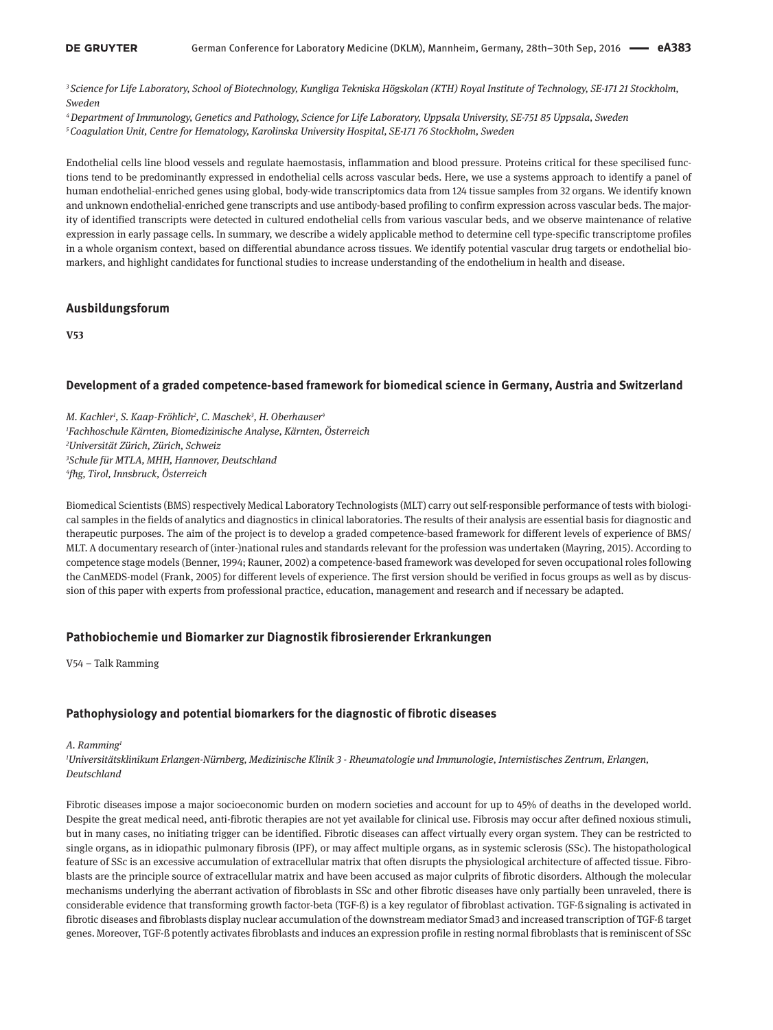*<sup>3</sup> Science for Life Laboratory, School of Biotechnology, Kungliga Tekniska Högskolan (KTH) Royal Institute of Technology, SE-171 21 Stockholm, Sweden*

*4Department of Immunology, Genetics and Pathology, Science for Life Laboratory, Uppsala University, SE-751 85 Uppsala, Sweden 5Coagulation Unit, Centre for Hematology, Karolinska University Hospital, SE-171 76 Stockholm, Sweden*

Endothelial cells line blood vessels and regulate haemostasis, inflammation and blood pressure. Proteins critical for these specilised functions tend to be predominantly expressed in endothelial cells across vascular beds. Here, we use a systems approach to identify a panel of human endothelial-enriched genes using global, body-wide transcriptomics data from 124 tissue samples from 32 organs. We identify known and unknown endothelial-enriched gene transcripts and use antibody-based profiling to confirm expression across vascular beds. The majority of identified transcripts were detected in cultured endothelial cells from various vascular beds, and we observe maintenance of relative expression in early passage cells. In summary, we describe a widely applicable method to determine cell type-specific transcriptome profiles in a whole organism context, based on differential abundance across tissues. We identify potential vascular drug targets or endothelial biomarkers, and highlight candidates for functional studies to increase understanding of the endothelium in health and disease.

### **Ausbildungsforum**

**V53**

### **Development of a graded competence-based framework for biomedical science in Germany, Austria and Switzerland**

*M. Kachler1 , S. Kaap-Fröhlich2 , C. Maschek3 , H. Oberhauser4 Fachhoschule Kärnten, Biomedizinische Analyse, Kärnten, Österreich Universität Zürich, Zürich, Schweiz Schule für MTLA, MHH, Hannover, Deutschland fhg, Tirol, Innsbruck, Österreich*

Biomedical Scientists (BMS) respectively Medical Laboratory Technologists (MLT) carry out self-responsible performance of tests with biological samples in the fields of analytics and diagnostics in clinical laboratories. The results of their analysis are essential basis for diagnostic and therapeutic purposes. The aim of the project is to develop a graded competence-based framework for different levels of experience of BMS/ MLT. A documentary research of (inter-)national rules and standards relevant for the profession was undertaken (Mayring, 2015). According to competence stage models (Benner, 1994; Rauner, 2002) a competence-based framework was developed for seven occupational roles following the CanMEDS-model (Frank, 2005) for different levels of experience. The first version should be verified in focus groups as well as by discussion of this paper with experts from professional practice, education, management and research and if necessary be adapted.

### **Pathobiochemie und Biomarker zur Diagnostik fibrosierender Erkrankungen**

V54 – Talk Ramming

### **Pathophysiology and potential biomarkers for the diagnostic of fibrotic diseases**

#### *A. Ramming1*

*1 Universitätsklinikum Erlangen-Nürnberg, Medizinische Klinik 3 - Rheumatologie und Immunologie, Internistisches Zentrum, Erlangen, Deutschland*

Fibrotic diseases impose a major socioeconomic burden on modern societies and account for up to 45% of deaths in the developed world. Despite the great medical need, anti-fibrotic therapies are not yet available for clinical use. Fibrosis may occur after defined noxious stimuli, but in many cases, no initiating trigger can be identified. Fibrotic diseases can affect virtually every organ system. They can be restricted to single organs, as in idiopathic pulmonary fibrosis (IPF), or may affect multiple organs, as in systemic sclerosis (SSc). The histopathological feature of SSc is an excessive accumulation of extracellular matrix that often disrupts the physiological architecture of affected tissue. Fibroblasts are the principle source of extracellular matrix and have been accused as major culprits of fibrotic disorders. Although the molecular mechanisms underlying the aberrant activation of fibroblasts in SSc and other fibrotic diseases have only partially been unraveled, there is considerable evidence that transforming growth factor-beta (TGF-ß) is a key regulator of fibroblast activation. TGF-ß signaling is activated in fibrotic diseases and fibroblasts display nuclear accumulation of the downstream mediator Smad3 and increased transcription of TGF-ß target genes. Moreover, TGF-ß potently activates fibroblasts and induces an expression profile in resting normal fibroblasts that is reminiscent of SSc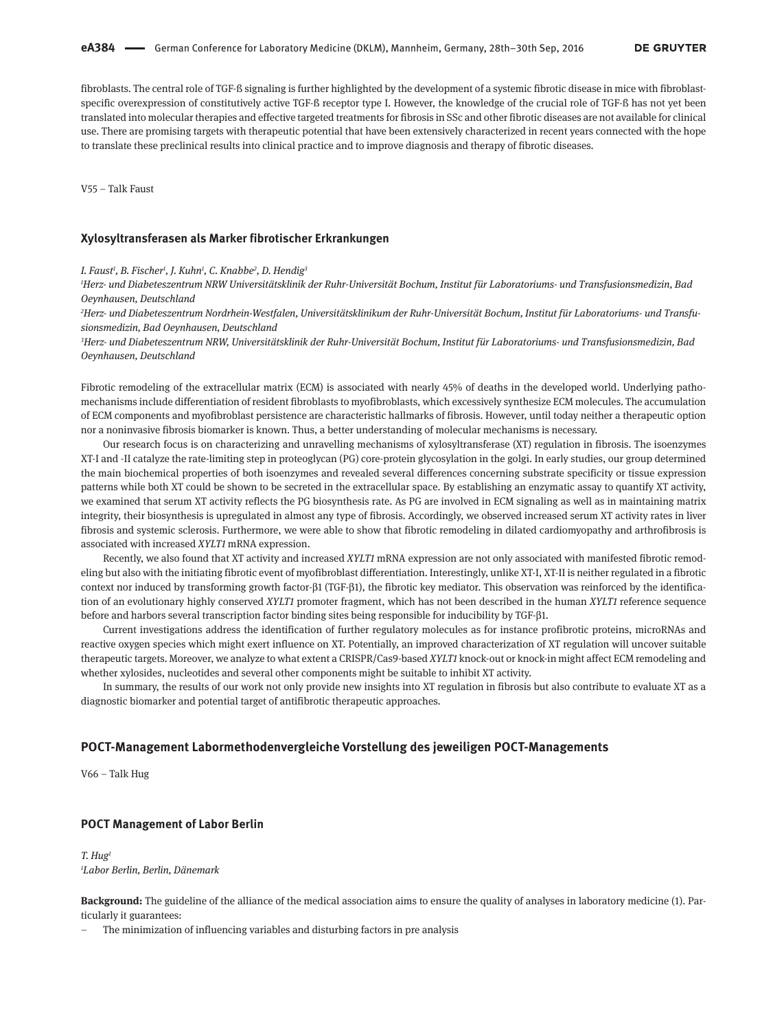fibroblasts. The central role of TGF-ß signaling is further highlighted by the development of a systemic fibrotic disease in mice with fibroblastspecific overexpression of constitutively active TGF-ß receptor type I. However, the knowledge of the crucial role of TGF-ß has not yet been translated into molecular therapies and effective targeted treatments for fibrosis in SSc and other fibrotic diseases are not available for clinical use. There are promising targets with therapeutic potential that have been extensively characterized in recent years connected with the hope to translate these preclinical results into clinical practice and to improve diagnosis and therapy of fibrotic diseases.

V55 – Talk Faust

#### **Xylosyltransferasen als Marker fibrotischer Erkrankungen**

*I. Faust1 , B. Fischer1 , J. Kuhn1 , C. Knabbe2 , D. Hendig3*

*1 Herz- und Diabeteszentrum NRW Universitätsklinik der Ruhr-Universität Bochum, Institut für Laboratoriums- und Transfusionsmedizin, Bad Oeynhausen, Deutschland*

*2 Herz- und Diabeteszentrum Nordrhein-Westfalen, Universitätsklinikum der Ruhr-Universität Bochum, Institut für Laboratoriums- und Transfusionsmedizin, Bad Oeynhausen, Deutschland*

*3 Herz- und Diabeteszentrum NRW, Universitätsklinik der Ruhr-Universität Bochum, Institut für Laboratoriums- und Transfusionsmedizin, Bad Oeynhausen, Deutschland*

Fibrotic remodeling of the extracellular matrix (ECM) is associated with nearly 45% of deaths in the developed world. Underlying pathomechanisms include differentiation of resident fibroblasts to myofibroblasts, which excessively synthesize ECM molecules. The accumulation of ECM components and myofibroblast persistence are characteristic hallmarks of fibrosis. However, until today neither a therapeutic option nor a noninvasive fibrosis biomarker is known. Thus, a better understanding of molecular mechanisms is necessary.

Our research focus is on characterizing and unravelling mechanisms of xylosyltransferase (XT) regulation in fibrosis. The isoenzymes XT-I and -II catalyze the rate-limiting step in proteoglycan (PG) core-protein glycosylation in the golgi. In early studies, our group determined the main biochemical properties of both isoenzymes and revealed several differences concerning substrate specificity or tissue expression patterns while both XT could be shown to be secreted in the extracellular space. By establishing an enzymatic assay to quantify XT activity, we examined that serum XT activity reflects the PG biosynthesis rate. As PG are involved in ECM signaling as well as in maintaining matrix integrity, their biosynthesis is upregulated in almost any type of fibrosis. Accordingly, we observed increased serum XT activity rates in liver fibrosis and systemic sclerosis. Furthermore, we were able to show that fibrotic remodeling in dilated cardiomyopathy and arthrofibrosis is associated with increased *XYLT1* mRNA expression.

Recently, we also found that XT activity and increased *XYLT1* mRNA expression are not only associated with manifested fibrotic remodeling but also with the initiating fibrotic event of myofibroblast differentiation. Interestingly, unlike XT-I, XT-II is neither regulated in a fibrotic context nor induced by transforming growth factor-β1 (TGF-β1), the fibrotic key mediator. This observation was reinforced by the identification of an evolutionary highly conserved *XYLT1* promoter fragment, which has not been described in the human *XYLT1* reference sequence before and harbors several transcription factor binding sites being responsible for inducibility by TGF-β1.

Current investigations address the identification of further regulatory molecules as for instance profibrotic proteins, microRNAs and reactive oxygen species which might exert influence on XT. Potentially, an improved characterization of XT regulation will uncover suitable therapeutic targets. Moreover, we analyze to what extent a CRISPR/Cas9-based *XYLT1* knock-out or knock-in might affect ECM remodeling and whether xylosides, nucleotides and several other components might be suitable to inhibit XT activity.

In summary, the results of our work not only provide new insights into XT regulation in fibrosis but also contribute to evaluate XT as a diagnostic biomarker and potential target of antifibrotic therapeutic approaches.

### **POCT-Management Labormethodenvergleiche Vorstellung des jeweiligen POCT-Managements**

V66 – Talk Hug

### **POCT Management of Labor Berlin**

*T. Hug1 1 Labor Berlin, Berlin, Dänemark*

**Background:** The guideline of the alliance of the medical association aims to ensure the quality of analyses in laboratory medicine (1). Particularly it guarantees:

– The minimization of influencing variables and disturbing factors in pre analysis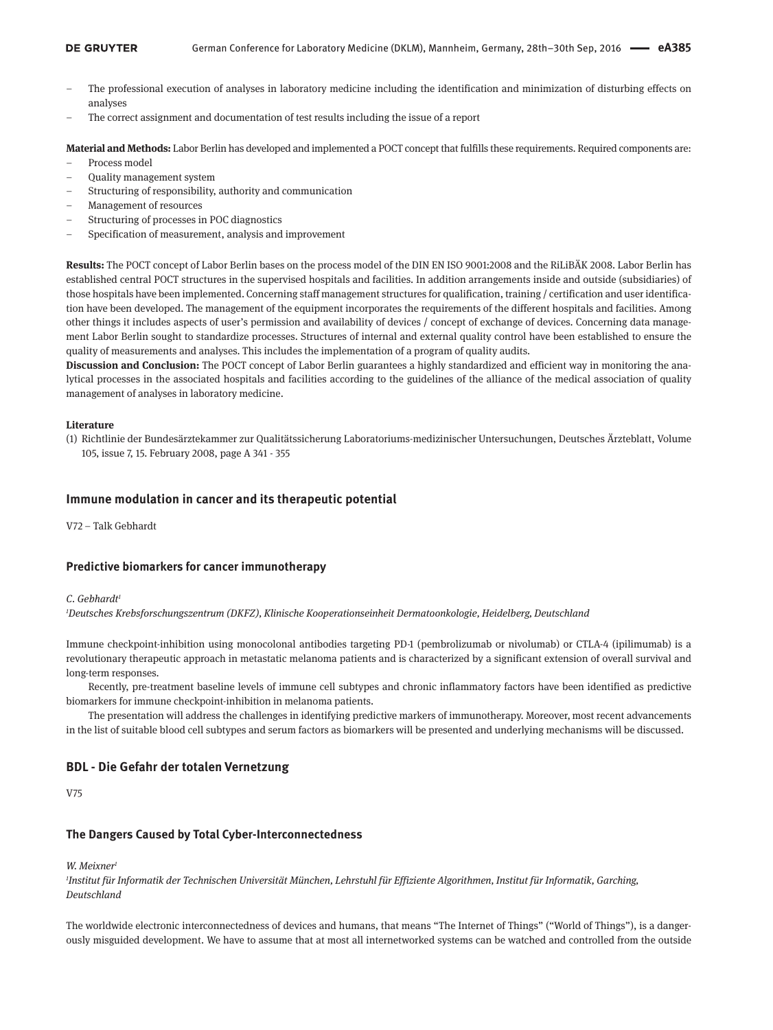- The professional execution of analyses in laboratory medicine including the identification and minimization of disturbing effects on analyses
- The correct assignment and documentation of test results including the issue of a report

**Material and Methods:** Labor Berlin has developed and implemented a POCT concept that fulfills these requirements. Required components are:

- Process model
- Quality management system
- Structuring of responsibility, authority and communication
- Management of resources
- Structuring of processes in POC diagnostics
- Specification of measurement, analysis and improvement

**Results:** The POCT concept of Labor Berlin bases on the process model of the DIN EN ISO 9001:2008 and the RiLiBÄK 2008. Labor Berlin has established central POCT structures in the supervised hospitals and facilities. In addition arrangements inside and outside (subsidiaries) of those hospitals have been implemented. Concerning staff management structures for qualification, training / certification and user identification have been developed. The management of the equipment incorporates the requirements of the different hospitals and facilities. Among other things it includes aspects of user's permission and availability of devices / concept of exchange of devices. Concerning data management Labor Berlin sought to standardize processes. Structures of internal and external quality control have been established to ensure the quality of measurements and analyses. This includes the implementation of a program of quality audits.

**Discussion and Conclusion:** The POCT concept of Labor Berlin guarantees a highly standardized and efficient way in monitoring the analytical processes in the associated hospitals and facilities according to the guidelines of the alliance of the medical association of quality management of analyses in laboratory medicine.

#### **Literature**

(1) Richtlinie der Bundesärztekammer zur Qualitätssicherung Laboratoriums-medizinischer Untersuchungen, Deutsches Ärzteblatt, Volume 105, issue 7, 15. February 2008, page A 341 - 355

### **Immune modulation in cancer and its therapeutic potential**

V72 – Talk Gebhardt

### **Predictive biomarkers for cancer immunotherapy**

#### *C. Gebhardt1*

*1 Deutsches Krebsforschungszentrum (DKFZ), Klinische Kooperationseinheit Dermatoonkologie, Heidelberg, Deutschland*

Immune checkpoint-inhibition using monocolonal antibodies targeting PD-1 (pembrolizumab or nivolumab) or CTLA-4 (ipilimumab) is a revolutionary therapeutic approach in metastatic melanoma patients and is characterized by a significant extension of overall survival and long-term responses.

Recently, pre-treatment baseline levels of immune cell subtypes and chronic inflammatory factors have been identified as predictive biomarkers for immune checkpoint-inhibition in melanoma patients.

The presentation will address the challenges in identifying predictive markers of immunotherapy. Moreover, most recent advancements in the list of suitable blood cell subtypes and serum factors as biomarkers will be presented and underlying mechanisms will be discussed.

### **BDL - Die Gefahr der totalen Vernetzung**

V75

### **The Dangers Caused by Total Cyber-Interconnectedness**

*W. Meixner1*

*1 Institut für Informatik der Technischen Universität München, Lehrstuhl für Effiziente Algorithmen, Institut für Informatik, Garching, Deutschland*

The worldwide electronic interconnectedness of devices and humans, that means "The Internet of Things" ("World of Things"), is a dangerously misguided development. We have to assume that at most all internetworked systems can be watched and controlled from the outside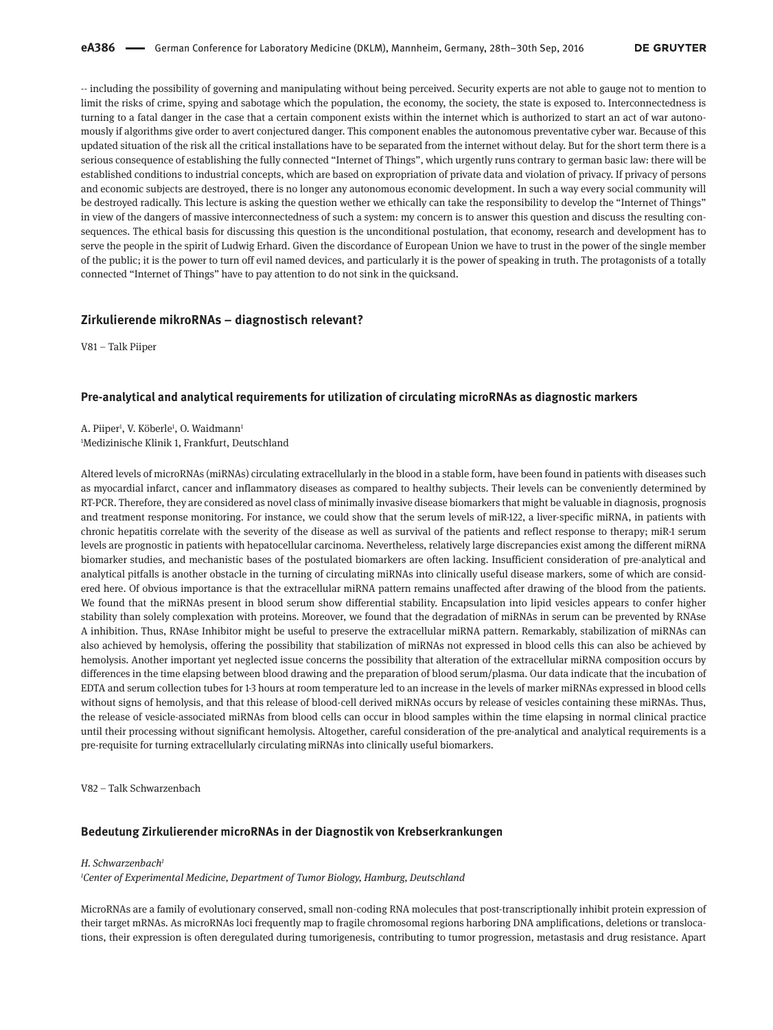-- including the possibility of governing and manipulating without being perceived. Security experts are not able to gauge not to mention to limit the risks of crime, spying and sabotage which the population, the economy, the society, the state is exposed to. Interconnectedness is turning to a fatal danger in the case that a certain component exists within the internet which is authorized to start an act of war autonomously if algorithms give order to avert conjectured danger. This component enables the autonomous preventative cyber war. Because of this updated situation of the risk all the critical installations have to be separated from the internet without delay. But for the short term there is a serious consequence of establishing the fully connected "Internet of Things", which urgently runs contrary to german basic law: there will be established conditions to industrial concepts, which are based on expropriation of private data and violation of privacy. If privacy of persons and economic subjects are destroyed, there is no longer any autonomous economic development. In such a way every social community will be destroyed radically. This lecture is asking the question wether we ethically can take the responsibility to develop the "Internet of Things" in view of the dangers of massive interconnectedness of such a system: my concern is to answer this question and discuss the resulting consequences. The ethical basis for discussing this question is the unconditional postulation, that economy, research and development has to serve the people in the spirit of Ludwig Erhard. Given the discordance of European Union we have to trust in the power of the single member of the public; it is the power to turn off evil named devices, and particularly it is the power of speaking in truth. The protagonists of a totally connected "Internet of Things" have to pay attention to do not sink in the quicksand.

#### **Zirkulierende mikroRNAs – diagnostisch relevant?**

V81 – Talk Piiper

#### **Pre-analytical and analytical requirements for utilization of circulating microRNAs as diagnostic markers**

A. Piiper<sup>1</sup>, V. Köberle<sup>1</sup>, O. Waidmann<sup>1</sup> 1 Medizinische Klinik 1, Frankfurt, Deutschland

Altered levels of microRNAs (miRNAs) circulating extracellularly in the blood in a stable form, have been found in patients with diseases such as myocardial infarct, cancer and inflammatory diseases as compared to healthy subjects. Their levels can be conveniently determined by RT-PCR. Therefore, they are considered as novel class of minimally invasive disease biomarkers that might be valuable in diagnosis, prognosis and treatment response monitoring. For instance, we could show that the serum levels of miR-122, a liver-specific miRNA, in patients with chronic hepatitis correlate with the severity of the disease as well as survival of the patients and reflect response to therapy; miR-1 serum levels are prognostic in patients with hepatocellular carcinoma. Nevertheless, relatively large discrepancies exist among the different miRNA biomarker studies, and mechanistic bases of the postulated biomarkers are often lacking. Insufficient consideration of pre-analytical and analytical pitfalls is another obstacle in the turning of circulating miRNAs into clinically useful disease markers, some of which are considered here. Of obvious importance is that the extracellular miRNA pattern remains unaffected after drawing of the blood from the patients. We found that the miRNAs present in blood serum show differential stability. Encapsulation into lipid vesicles appears to confer higher stability than solely complexation with proteins. Moreover, we found that the degradation of miRNAs in serum can be prevented by RNAse A inhibition. Thus, RNAse Inhibitor might be useful to preserve the extracellular miRNA pattern. Remarkably, stabilization of miRNAs can also achieved by hemolysis, offering the possibility that stabilization of miRNAs not expressed in blood cells this can also be achieved by hemolysis. Another important yet neglected issue concerns the possibility that alteration of the extracellular miRNA composition occurs by differences in the time elapsing between blood drawing and the preparation of blood serum/plasma. Our data indicate that the incubation of EDTA and serum collection tubes for 1-3 hours at room temperature led to an increase in the levels of marker miRNAs expressed in blood cells without signs of hemolysis, and that this release of blood-cell derived miRNAs occurs by release of vesicles containing these miRNAs. Thus, the release of vesicle-associated miRNAs from blood cells can occur in blood samples within the time elapsing in normal clinical practice until their processing without significant hemolysis. Altogether, careful consideration of the pre-analytical and analytical requirements is a pre-requisite for turning extracellularly circulating miRNAs into clinically useful biomarkers.

V82 – Talk Schwarzenbach

#### **Bedeutung Zirkulierender microRNAs in der Diagnostik von Krebserkrankungen**

#### *H. Schwarzenbach1*

*1 Center of Experimental Medicine, Department of Tumor Biology, Hamburg, Deutschland*

MicroRNAs are a family of evolutionary conserved, small non-coding RNA molecules that post-transcriptionally inhibit protein expression of their target mRNAs. As microRNAs loci frequently map to fragile chromosomal regions harboring DNA amplifications, deletions or translocations, their expression is often deregulated during tumorigenesis, contributing to tumor progression, metastasis and drug resistance. Apart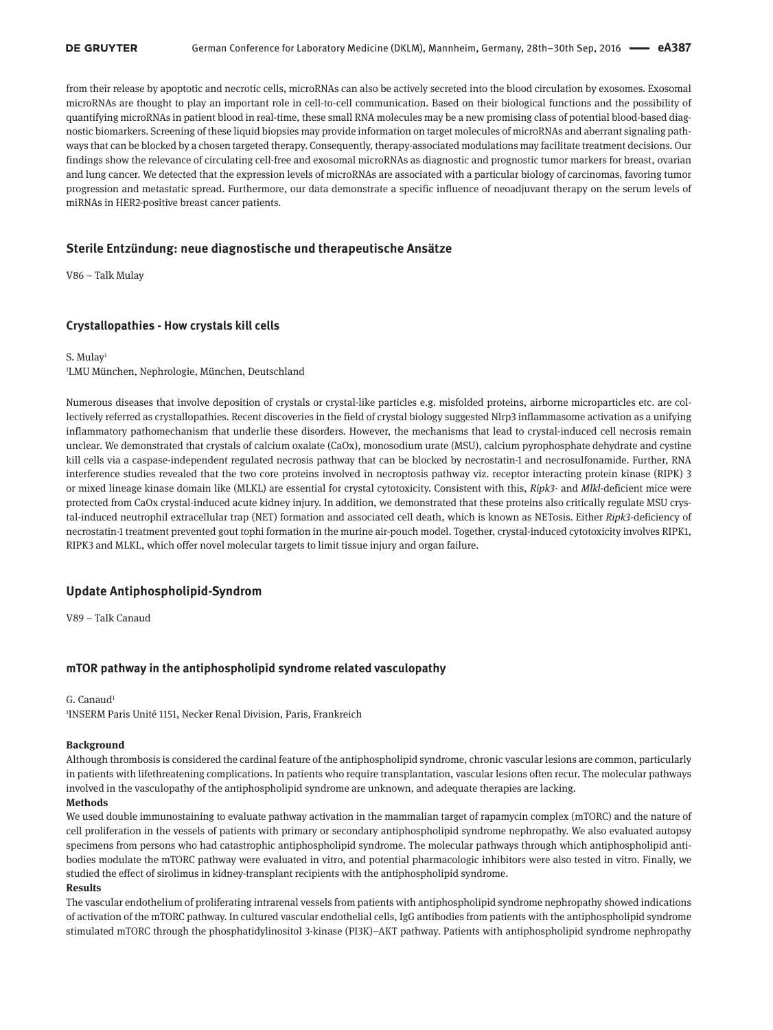from their release by apoptotic and necrotic cells, microRNAs can also be actively secreted into the blood circulation by exosomes. Exosomal microRNAs are thought to play an important role in cell-to-cell communication. Based on their biological functions and the possibility of quantifying microRNAs in patient blood in real-time, these small RNA molecules may be a new promising class of potential blood-based diagnostic biomarkers. Screening of these liquid biopsies may provide information on target molecules of microRNAs and aberrant signaling pathways that can be blocked by a chosen targeted therapy. Consequently, therapy-associated modulations may facilitate treatment decisions. Our findings show the relevance of circulating cell-free and exosomal microRNAs as diagnostic and prognostic tumor markers for breast, ovarian and lung cancer. We detected that the expression levels of microRNAs are associated with a particular biology of carcinomas, favoring tumor progression and metastatic spread. Furthermore, our data demonstrate a specific influence of neoadjuvant therapy on the serum levels of miRNAs in HER2-positive breast cancer patients.

### **Sterile Entzündung: neue diagnostische und therapeutische Ansätze**

V86 – Talk Mulay

### **Crystallopathies - How crystals kill cells**

#### S. Mulay<sup>1</sup>

### 1 LMU München, Nephrologie, München, Deutschland

Numerous diseases that involve deposition of crystals or crystal-like particles e.g. misfolded proteins, airborne microparticles etc. are collectively referred as crystallopathies. Recent discoveries in the field of crystal biology suggested Nlrp3 inflammasome activation as a unifying inflammatory pathomechanism that underlie these disorders. However, the mechanisms that lead to crystal-induced cell necrosis remain unclear. We demonstrated that crystals of calcium oxalate (CaOx), monosodium urate (MSU), calcium pyrophosphate dehydrate and cystine kill cells via a caspase-independent regulated necrosis pathway that can be blocked by necrostatin-1 and necrosulfonamide. Further, RNA interference studies revealed that the two core proteins involved in necroptosis pathway viz. receptor interacting protein kinase (RIPK) 3 or mixed lineage kinase domain like (MLKL) are essential for crystal cytotoxicity. Consistent with this, *Ripk3-* and *Mlkl-*deficient mice were protected from CaOx crystal-induced acute kidney injury. In addition, we demonstrated that these proteins also critically regulate MSU crystal-induced neutrophil extracellular trap (NET) formation and associated cell death, which is known as NETosis. Either *Ripk3-*deficiency of necrostatin-1 treatment prevented gout tophi formation in the murine air-pouch model. Together, crystal-induced cytotoxicity involves RIPK1, RIPK3 and MLKL, which offer novel molecular targets to limit tissue injury and organ failure.

### **Update Antiphospholipid-Syndrom**

V89 – Talk Canaud

### **mTOR pathway in the antiphospholipid syndrome related vasculopathy**

#### G. Canaud<sup>1</sup>

1 INSERM Paris Unité 1151, Necker Renal Division, Paris, Frankreich

#### **Background**

Although thrombosis is considered the cardinal feature of the antiphospholipid syndrome, chronic vascular lesions are common, particularly in patients with lifethreatening complications. In patients who require transplantation, vascular lesions often recur. The molecular pathways involved in the vasculopathy of the antiphospholipid syndrome are unknown, and adequate therapies are lacking.

#### **Methods**

We used double immunostaining to evaluate pathway activation in the mammalian target of rapamycin complex (mTORC) and the nature of cell proliferation in the vessels of patients with primary or secondary antiphospholipid syndrome nephropathy. We also evaluated autopsy specimens from persons who had catastrophic antiphospholipid syndrome. The molecular pathways through which antiphospholipid antibodies modulate the mTORC pathway were evaluated in vitro, and potential pharmacologic inhibitors were also tested in vitro. Finally, we studied the effect of sirolimus in kidney-transplant recipients with the antiphospholipid syndrome.

### **Results**

The vascular endothelium of proliferating intrarenal vessels from patients with antiphospholipid syndrome nephropathy showed indications of activation of the mTORC pathway. In cultured vascular endothelial cells, IgG antibodies from patients with the antiphospholipid syndrome stimulated mTORC through the phosphatidylinositol 3-kinase (PI3K)–AKT pathway. Patients with antiphospholipid syndrome nephropathy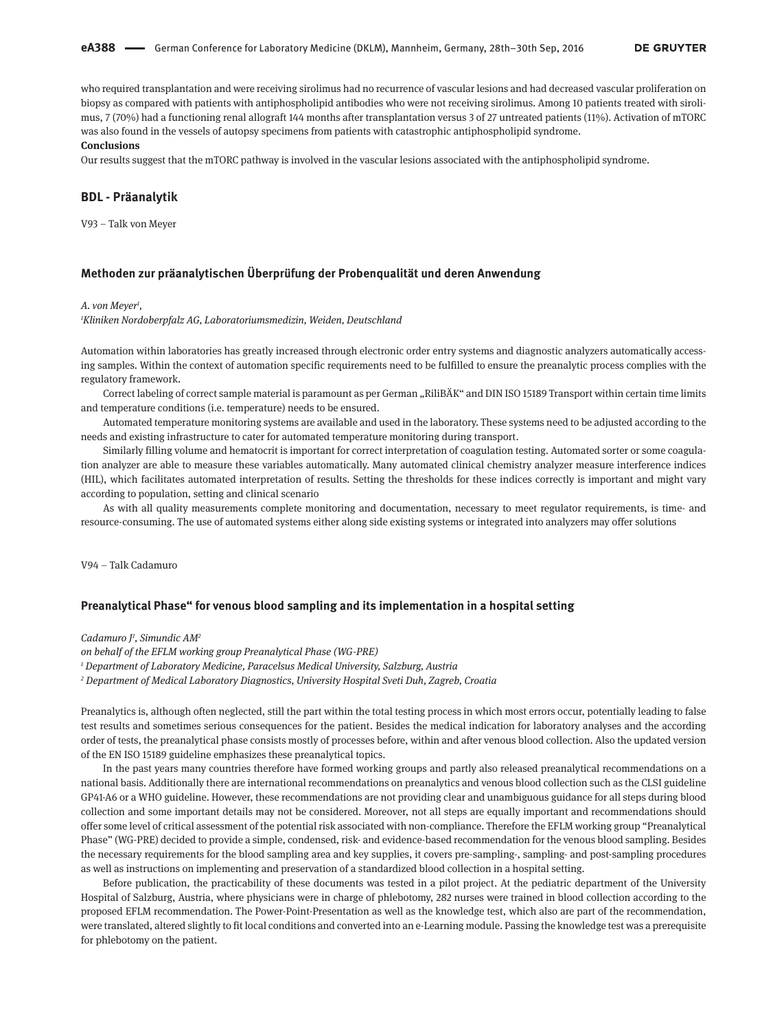who required transplantation and were receiving sirolimus had no recurrence of vascular lesions and had decreased vascular proliferation on biopsy as compared with patients with antiphospholipid antibodies who were not receiving sirolimus. Among 10 patients treated with sirolimus, 7 (70%) had a functioning renal allograft 144 months after transplantation versus 3 of 27 untreated patients (11%). Activation of mTORC was also found in the vessels of autopsy specimens from patients with catastrophic antiphospholipid syndrome.

#### **Conclusions**

Our results suggest that the mTORC pathway is involved in the vascular lesions associated with the antiphospholipid syndrome.

#### **BDL - Präanalytik**

V93 – Talk von Meyer

### **Methoden zur präanalytischen Überprüfung der Probenqualität und deren Anwendung**

#### *A. von Meyer1 ,*

*1 Kliniken Nordoberpfalz AG, Laboratoriumsmedizin, Weiden, Deutschland*

Automation within laboratories has greatly increased through electronic order entry systems and diagnostic analyzers automatically accessing samples. Within the context of automation specific requirements need to be fulfilled to ensure the preanalytic process complies with the regulatory framework.

Correct labeling of correct sample material is paramount as per German "RiliBÄK" and DIN ISO 15189 Transport within certain time limits and temperature conditions (i.e. temperature) needs to be ensured.

Automated temperature monitoring systems are available and used in the laboratory. These systems need to be adjusted according to the needs and existing infrastructure to cater for automated temperature monitoring during transport.

Similarly filling volume and hematocrit is important for correct interpretation of coagulation testing. Automated sorter or some coagulation analyzer are able to measure these variables automatically. Many automated clinical chemistry analyzer measure interference indices (HIL), which facilitates automated interpretation of results. Setting the thresholds for these indices correctly is important and might vary according to population, setting and clinical scenario

As with all quality measurements complete monitoring and documentation, necessary to meet regulator requirements, is time- and resource-consuming. The use of automated systems either along side existing systems or integrated into analyzers may offer solutions

V94 – Talk Cadamuro

### **Preanalytical Phase" for venous blood sampling and its implementation in a hospital setting**

*Cadamuro J1 , Simundic AM2*

*on behalf of the EFLM working group Preanalytical Phase (WG-PRE) <sup>1</sup> Department of Laboratory Medicine, Paracelsus Medical University, Salzburg, Austria <sup>2</sup> Department of Medical Laboratory Diagnostics, University Hospital Sveti Duh, Zagreb, Croatia*

Preanalytics is, although often neglected, still the part within the total testing process in which most errors occur, potentially leading to false test results and sometimes serious consequences for the patient. Besides the medical indication for laboratory analyses and the according order of tests, the preanalytical phase consists mostly of processes before, within and after venous blood collection. Also the updated version of the EN ISO 15189 guideline emphasizes these preanalytical topics.

In the past years many countries therefore have formed working groups and partly also released preanalytical recommendations on a national basis. Additionally there are international recommendations on preanalytics and venous blood collection such as the CLSI guideline GP41-A6 or a WHO guideline. However, these recommendations are not providing clear and unambiguous guidance for all steps during blood collection and some important details may not be considered. Moreover, not all steps are equally important and recommendations should offer some level of critical assessment of the potential risk associated with non-compliance. Therefore the EFLM working group "Preanalytical Phase" (WG-PRE) decided to provide a simple, condensed, risk- and evidence-based recommendation for the venous blood sampling. Besides the necessary requirements for the blood sampling area and key supplies, it covers pre-sampling-, sampling- and post-sampling procedures as well as instructions on implementing and preservation of a standardized blood collection in a hospital setting.

Before publication, the practicability of these documents was tested in a pilot project. At the pediatric department of the University Hospital of Salzburg, Austria, where physicians were in charge of phlebotomy, 282 nurses were trained in blood collection according to the proposed EFLM recommendation. The Power-Point-Presentation as well as the knowledge test, which also are part of the recommendation, were translated, altered slightly to fit local conditions and converted into an e-Learning module. Passing the knowledge test was a prerequisite for phlebotomy on the patient.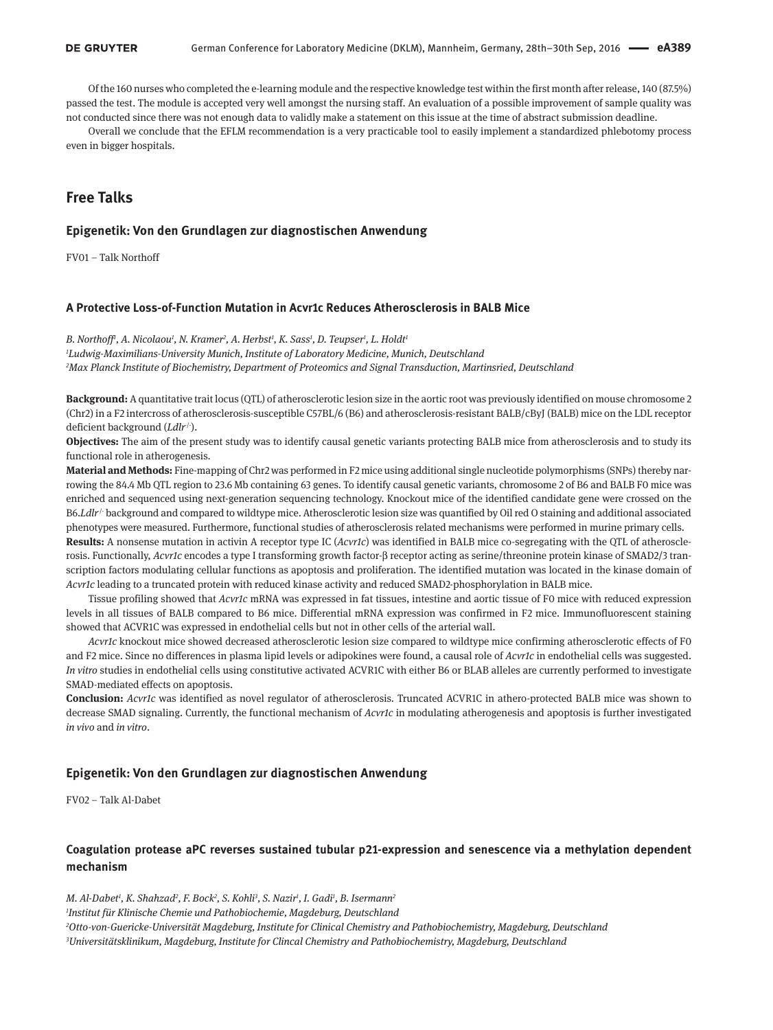Of the 160 nurses who completed the e-learning module and the respective knowledge test within the first month after release, 140 (87.5%) passed the test. The module is accepted very well amongst the nursing staff. An evaluation of a possible improvement of sample quality was not conducted since there was not enough data to validly make a statement on this issue at the time of abstract submission deadline.

Overall we conclude that the EFLM recommendation is a very practicable tool to easily implement a standardized phlebotomy process even in bigger hospitals.

# **Free Talks**

### **Epigenetik: Von den Grundlagen zur diagnostischen Anwendung**

FV01 – Talk Northoff

### **A Protective Loss-of-Function Mutation in Acvr1c Reduces Atherosclerosis in BALB Mice**

*B. Northoff1 , A. Nicolaou1 , N. Kramer2 , A. Herbst1 , K. Sass1 , D. Teupser1 , L. Holdt1 1 Ludwig-Maximilians-University Munich, Institute of Laboratory Medicine, Munich, Deutschland 2 Max Planck Institute of Biochemistry, Department of Proteomics and Signal Transduction, Martinsried, Deutschland*

**Background:** A quantitative trait locus (QTL) of atherosclerotic lesion size in the aortic root was previously identified on mouse chromosome 2 (Chr2) in a F2 intercross of atherosclerosis-susceptible C57BL/6 (B6) and atherosclerosis-resistant BALB/cByJ (BALB) mice on the LDL receptor deficient background (*Ldlr<sup>/-</sup>*).

**Objectives:** The aim of the present study was to identify causal genetic variants protecting BALB mice from atherosclerosis and to study its functional role in atherogenesis.

**Material and Methods:** Fine-mapping of Chr2 was performed in F2 mice using additional single nucleotide polymorphisms (SNPs) thereby narrowing the 84.4 Mb QTL region to 23.6 Mb containing 63 genes. To identify causal genetic variants, chromosome 2 of B6 and BALB F0 mice was enriched and sequenced using next-generation sequencing technology. Knockout mice of the identified candidate gene were crossed on the B6.*Ldlr<sup>1</sup>*-background and compared to wildtype mice. Atherosclerotic lesion size was quantified by Oil red O staining and additional associated phenotypes were measured. Furthermore, functional studies of atherosclerosis related mechanisms were performed in murine primary cells.

**Results:** A nonsense mutation in activin A receptor type IC (*Acvr1c*) was identified in BALB mice co-segregating with the QTL of atherosclerosis. Functionally, *Acvr1c* encodes a type I transforming growth factor-β receptor acting as serine/threonine protein kinase of SMAD2/3 transcription factors modulating cellular functions as apoptosis and proliferation. The identified mutation was located in the kinase domain of *Acvr1c* leading to a truncated protein with reduced kinase activity and reduced SMAD2-phosphorylation in BALB mice.

Tissue profiling showed that *Acvr1c* mRNA was expressed in fat tissues, intestine and aortic tissue of F0 mice with reduced expression levels in all tissues of BALB compared to B6 mice. Differential mRNA expression was confirmed in F2 mice. Immunofluorescent staining showed that ACVR1C was expressed in endothelial cells but not in other cells of the arterial wall.

*Acvr1c* knockout mice showed decreased atherosclerotic lesion size compared to wildtype mice confirming atherosclerotic effects of F0 and F2 mice. Since no differences in plasma lipid levels or adipokines were found, a causal role of *Acvr1c* in endothelial cells was suggested. *In vitro* studies in endothelial cells using constitutive activated ACVR1C with either B6 or BLAB alleles are currently performed to investigate SMAD-mediated effects on apoptosis.

**Conclusion:** *Acvr1c* was identified as novel regulator of atherosclerosis. Truncated ACVR1C in athero-protected BALB mice was shown to decrease SMAD signaling. Currently, the functional mechanism of *Acvr1c* in modulating atherogenesis and apoptosis is further investigated *in vivo* and *in vitro*.

#### **Epigenetik: Von den Grundlagen zur diagnostischen Anwendung**

FV02 – Talk Al-Dabet

### **Coagulation protease aPC reverses sustained tubular p21-expression and senescence via a methylation dependent mechanism**

*M. Al-Dabet1 , K. Shahzad2 , F. Bock2 , S. Kohli3 , S. Nazir1 , I. Gadi1 , B. Isermann2 Institut für Klinische Chemie und Pathobiochemie, Magdeburg, Deutschland Otto-von-Guericke-Universität Magdeburg, Institute for Clinical Chemistry and Pathobiochemistry, Magdeburg, Deutschland Universitätsklinikum, Magdeburg, Institute for Clincal Chemistry and Pathobiochemistry, Magdeburg, Deutschland*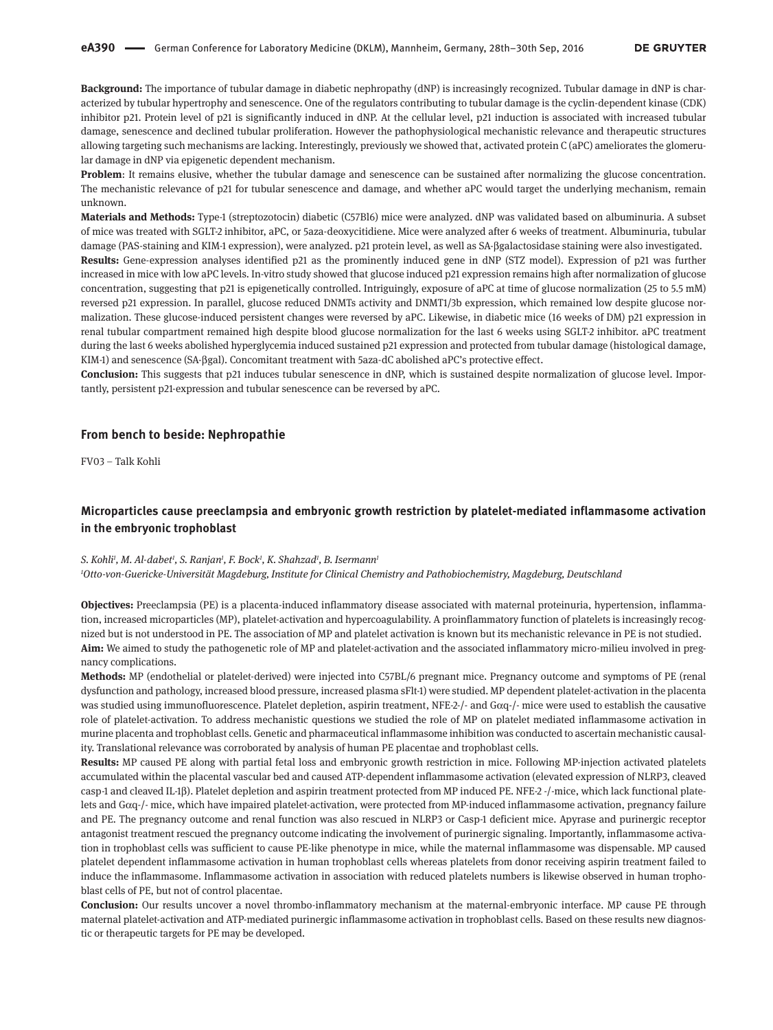**Background:** The importance of tubular damage in diabetic nephropathy (dNP) is increasingly recognized. Tubular damage in dNP is characterized by tubular hypertrophy and senescence. One of the regulators contributing to tubular damage is the cyclin-dependent kinase (CDK) inhibitor p21. Protein level of p21 is significantly induced in dNP. At the cellular level, p21 induction is associated with increased tubular damage, senescence and declined tubular proliferation. However the pathophysiological mechanistic relevance and therapeutic structures allowing targeting such mechanisms are lacking. Interestingly, previously we showed that, activated protein C (aPC) ameliorates the glomerular damage in dNP via epigenetic dependent mechanism.

**Problem**: It remains elusive, whether the tubular damage and senescence can be sustained after normalizing the glucose concentration. The mechanistic relevance of p21 for tubular senescence and damage, and whether aPC would target the underlying mechanism, remain unknown.

**Materials and Methods:** Type-1 (streptozotocin) diabetic (C57Bl6) mice were analyzed. dNP was validated based on albuminuria. A subset of mice was treated with SGLT-2 inhibitor, aPC, or 5aza-deoxycitidiene. Mice were analyzed after 6 weeks of treatment. Albuminuria, tubular damage (PAS-staining and KIM-1 expression), were analyzed. p21 protein level, as well as SA-βgalactosidase staining were also investigated. **Results:** Gene-expression analyses identified p21 as the prominently induced gene in dNP (STZ model). Expression of p21 was further increased in mice with low aPC levels. In-vitro study showed that glucose induced p21 expression remains high after normalization of glucose concentration, suggesting that p21 is epigenetically controlled. Intriguingly, exposure of aPC at time of glucose normalization (25 to 5.5 mM) reversed p21 expression. In parallel, glucose reduced DNMTs activity and DNMT1/3b expression, which remained low despite glucose normalization. These glucose-induced persistent changes were reversed by aPC. Likewise, in diabetic mice (16 weeks of DM) p21 expression in renal tubular compartment remained high despite blood glucose normalization for the last 6 weeks using SGLT-2 inhibitor. aPC treatment during the last 6 weeks abolished hyperglycemia induced sustained p21 expression and protected from tubular damage (histological damage, KIM-1) and senescence (SA-βgal). Concomitant treatment with 5aza-dC abolished aPC's protective effect.

**Conclusion:** This suggests that p21 induces tubular senescence in dNP, which is sustained despite normalization of glucose level. Importantly, persistent p21-expression and tubular senescence can be reversed by aPC.

#### **From bench to beside: Nephropathie**

FV03 – Talk Kohli

### **Microparticles cause preeclampsia and embryonic growth restriction by platelet-mediated inflammasome activation in the embryonic trophoblast**

#### *S. Kohli1 , M. Al-dabet1 , S. Ranjan1 , F. Bock1 , K. Shahzad1 , B. Isermann1*

*1 Otto-von-Guericke-Universität Magdeburg, Institute for Clinical Chemistry and Pathobiochemistry, Magdeburg, Deutschland*

**Objectives:** Preeclampsia (PE) is a placenta-induced inflammatory disease associated with maternal proteinuria, hypertension, inflammation, increased microparticles (MP), platelet-activation and hypercoagulability. A proinflammatory function of platelets is increasingly recognized but is not understood in PE. The association of MP and platelet activation is known but its mechanistic relevance in PE is not studied. **Aim:** We aimed to study the pathogenetic role of MP and platelet-activation and the associated inflammatory micro-milieu involved in pregnancy complications.

**Methods:** MP (endothelial or platelet-derived) were injected into C57BL/6 pregnant mice. Pregnancy outcome and symptoms of PE (renal dysfunction and pathology, increased blood pressure, increased plasma sFlt-1) were studied. MP dependent platelet-activation in the placenta was studied using immunofluorescence. Platelet depletion, aspirin treatment, NFE-2-/- and Gαq-/- mice were used to establish the causative role of platelet-activation. To address mechanistic questions we studied the role of MP on platelet mediated inflammasome activation in murine placenta and trophoblast cells. Genetic and pharmaceutical inflammasome inhibition was conducted to ascertain mechanistic causality. Translational relevance was corroborated by analysis of human PE placentae and trophoblast cells.

**Results:** MP caused PE along with partial fetal loss and embryonic growth restriction in mice. Following MP-injection activated platelets accumulated within the placental vascular bed and caused ATP-dependent inflammasome activation (elevated expression of NLRP3, cleaved casp-1 and cleaved IL-1β). Platelet depletion and aspirin treatment protected from MP induced PE. NFE-2 -/-mice, which lack functional platelets and Gαq-/- mice, which have impaired platelet-activation, were protected from MP-induced inflammasome activation, pregnancy failure and PE. The pregnancy outcome and renal function was also rescued in NLRP3 or Casp-1 deficient mice. Apyrase and purinergic receptor antagonist treatment rescued the pregnancy outcome indicating the involvement of purinergic signaling. Importantly, inflammasome activation in trophoblast cells was sufficient to cause PE-like phenotype in mice, while the maternal inflammasome was dispensable. MP caused platelet dependent inflammasome activation in human trophoblast cells whereas platelets from donor receiving aspirin treatment failed to induce the inflammasome. Inflammasome activation in association with reduced platelets numbers is likewise observed in human trophoblast cells of PE, but not of control placentae.

**Conclusion:** Our results uncover a novel thrombo-inflammatory mechanism at the maternal-embryonic interface. MP cause PE through maternal platelet-activation and ATP-mediated purinergic inflammasome activation in trophoblast cells. Based on these results new diagnostic or therapeutic targets for PE may be developed.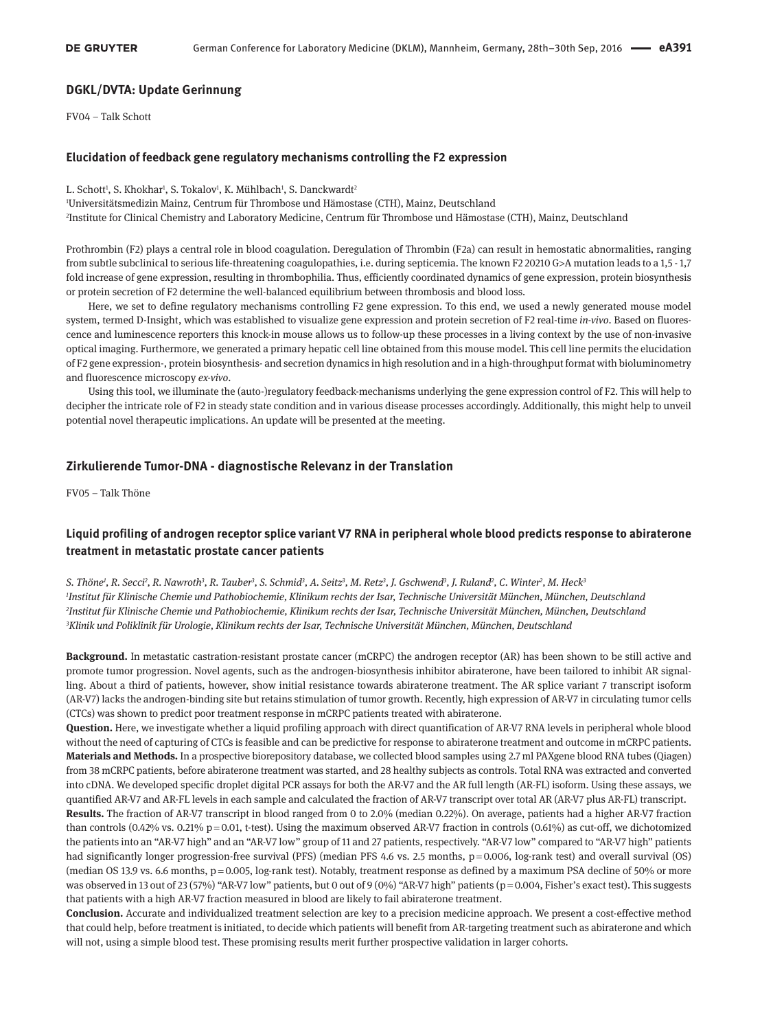### **DGKL/DVTA: Update Gerinnung**

FV04 – Talk Schott

#### **Elucidation of feedback gene regulatory mechanisms controlling the F2 expression**

L. Schott<sup>1</sup>, S. Khokhar<sup>1</sup>, S. Tokalov<sup>1</sup>, K. Mühlbach<sup>1</sup>, S. Danckwardt<sup>2</sup>

1 Universitätsmedizin Mainz, Centrum für Thrombose und Hämostase (CTH), Mainz, Deutschland

2 Institute for Clinical Chemistry and Laboratory Medicine, Centrum für Thrombose und Hämostase (CTH), Mainz, Deutschland

Prothrombin (F2) plays a central role in blood coagulation. Deregulation of Thrombin (F2a) can result in hemostatic abnormalities, ranging from subtle subclinical to serious life-threatening coagulopathies, i.e. during septicemia. The known F2 20210 G>A mutation leads to a 1,5 - 1,7 fold increase of gene expression, resulting in thrombophilia. Thus, efficiently coordinated dynamics of gene expression, protein biosynthesis or protein secretion of F2 determine the well-balanced equilibrium between thrombosis and blood loss.

Here, we set to define regulatory mechanisms controlling F2 gene expression. To this end, we used a newly generated mouse model system, termed D-Insight, which was established to visualize gene expression and protein secretion of F2 real-time *in-vivo*. Based on fluorescence and luminescence reporters this knock-in mouse allows us to follow-up these processes in a living context by the use of non-invasive optical imaging. Furthermore, we generated a primary hepatic cell line obtained from this mouse model. This cell line permits the elucidation of F2 gene expression-, protein biosynthesis- and secretion dynamics in high resolution and in a high-throughput format with bioluminometry and fluorescence microscopy *ex-vivo*.

Using this tool, we illuminate the (auto-)regulatory feedback-mechanisms underlying the gene expression control of F2. This will help to decipher the intricate role of F2 in steady state condition and in various disease processes accordingly. Additionally, this might help to unveil potential novel therapeutic implications. An update will be presented at the meeting.

#### **Zirkulierende Tumor-DNA - diagnostische Relevanz in der Translation**

FV05 – Talk Thöne

# **Liquid profiling of androgen receptor splice variant V7 RNA in peripheral whole blood predicts response to abiraterone treatment in metastatic prostate cancer patients**

 $S$ . Thöne<sup>1</sup>, R. Secci<sup>2</sup>, R. Nawroth<sup>3</sup>, R. Tauber<sup>3</sup>, S. Schmid<sup>3</sup>, A. Seitz<sup>3</sup>, M. Retz<sup>3</sup>, J. Gschwend<sup>3</sup>, J. Ruland<sup>2</sup>, C. Winter<sup>2</sup>, M. Heck<sup>3</sup> *Institut für Klinische Chemie und Pathobiochemie, Klinikum rechts der Isar, Technische Universität München, München, Deutschland Institut für Klinische Chemie und Pathobiochemie, Klinikum rechts der Isar, Technische Universität München, München, Deutschland Klinik und Poliklinik für Urologie, Klinikum rechts der Isar, Technische Universität München, München, Deutschland*

**Background.** In metastatic castration-resistant prostate cancer (mCRPC) the androgen receptor (AR) has been shown to be still active and promote tumor progression. Novel agents, such as the androgen-biosynthesis inhibitor abiraterone, have been tailored to inhibit AR signalling. About a third of patients, however, show initial resistance towards abiraterone treatment. The AR splice variant 7 transcript isoform (AR-V7) lacks the androgen-binding site but retains stimulation of tumor growth. Recently, high expression of AR-V7 in circulating tumor cells (CTCs) was shown to predict poor treatment response in mCRPC patients treated with abiraterone.

**Question.** Here, we investigate whether a liquid profiling approach with direct quantification of AR-V7 RNA levels in peripheral whole blood without the need of capturing of CTCs is feasible and can be predictive for response to abiraterone treatment and outcome in mCRPC patients. **Materials and Methods.** In a prospective biorepository database, we collected blood samples using 2.7 ml PAXgene blood RNA tubes (Qiagen) from 38 mCRPC patients, before abiraterone treatment was started, and 28 healthy subjects as controls. Total RNA was extracted and converted into cDNA. We developed specific droplet digital PCR assays for both the AR-V7 and the AR full length (AR-FL) isoform. Using these assays, we quantified AR-V7 and AR-FL levels in each sample and calculated the fraction of AR-V7 transcript over total AR (AR-V7 plus AR-FL) transcript.

**Results.** The fraction of AR-V7 transcript in blood ranged from 0 to 2.0% (median 0.22%). On average, patients had a higher AR-V7 fraction than controls  $(0.42\%$  vs.  $0.21\%$  p=0.01, t-test). Using the maximum observed AR-V7 fraction in controls  $(0.61\%)$  as cut-off, we dichotomized the patients into an "AR-V7 high" and an "AR-V7 low" group of 11 and 27 patients, respectively. "AR-V7 low" compared to "AR-V7 high" patients had significantly longer progression-free survival (PFS) (median PFS 4.6 vs. 2.5 months, p = 0.006, log-rank test) and overall survival (OS) (median OS 13.9 vs. 6.6 months, p = 0.005, log-rank test). Notably, treatment response as defined by a maximum PSA decline of 50% or more was observed in 13 out of 23 (57%) "AR-V7 low" patients, but 0 out of 9 (0%) "AR-V7 high" patients (p = 0.004, Fisher's exact test). This suggests that patients with a high AR-V7 fraction measured in blood are likely to fail abiraterone treatment.

**Conclusion.** Accurate and individualized treatment selection are key to a precision medicine approach. We present a cost-effective method that could help, before treatment is initiated, to decide which patients will benefit from AR-targeting treatment such as abiraterone and which will not, using a simple blood test. These promising results merit further prospective validation in larger cohorts.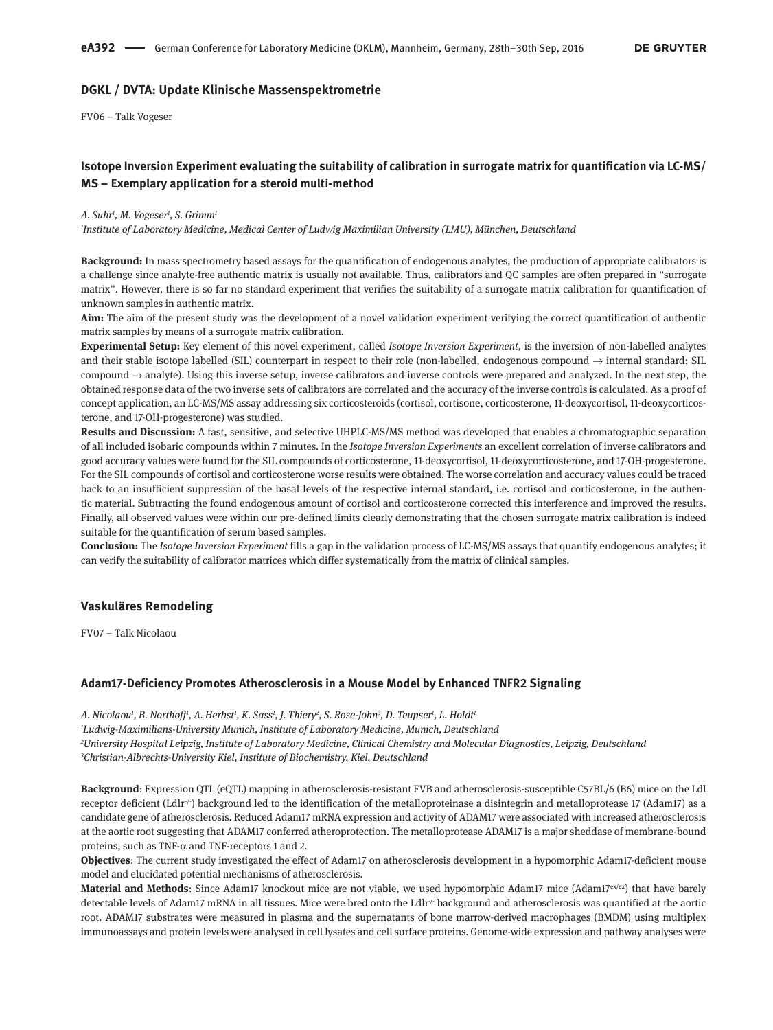### **DGKL / DVTA: Update Klinische Massenspektrometrie**

FV06 – Talk Vogeser

# **Isotope Inversion Experiment evaluating the suitability of calibration in surrogate matrix for quantification via LC-MS/ MS – Exemplary application for a steroid multi-method**

#### *A. Suhr1 , M. Vogeser1 , S. Grimm1*

*1 Institute of Laboratory Medicine, Medical Center of Ludwig Maximilian University (LMU), München, Deutschland*

**Background:** In mass spectrometry based assays for the quantification of endogenous analytes, the production of appropriate calibrators is a challenge since analyte-free authentic matrix is usually not available. Thus, calibrators and QC samples are often prepared in "surrogate matrix". However, there is so far no standard experiment that verifies the suitability of a surrogate matrix calibration for quantification of unknown samples in authentic matrix.

**Aim:** The aim of the present study was the development of a novel validation experiment verifying the correct quantification of authentic matrix samples by means of a surrogate matrix calibration.

**Experimental Setup:** Key element of this novel experiment, called *Isotope Inversion Experiment*, is the inversion of non-labelled analytes and their stable isotope labelled (SIL) counterpart in respect to their role (non-labelled, endogenous compound  $\rightarrow$  internal standard; SIL compound  $\rightarrow$  analyte). Using this inverse setup, inverse calibrators and inverse controls were prepared and analyzed. In the next step, the obtained response data of the two inverse sets of calibrators are correlated and the accuracy of the inverse controls is calculated. As a proof of concept application, an LC-MS/MS assay addressing six corticosteroids (cortisol, cortisone, corticosterone, 11-deoxycortisol, 11-deoxycorticosterone, and 17-OH-progesterone) was studied.

**Results and Discussion:** A fast, sensitive, and selective UHPLC-MS/MS method was developed that enables a chromatographic separation of all included isobaric compounds within 7 minutes. In the *Isotope Inversion Experiments* an excellent correlation of inverse calibrators and good accuracy values were found for the SIL compounds of corticosterone, 11-deoxycortisol, 11-deoxycorticosterone, and 17-OH-progesterone. For the SIL compounds of cortisol and corticosterone worse results were obtained. The worse correlation and accuracy values could be traced back to an insufficient suppression of the basal levels of the respective internal standard, i.e. cortisol and corticosterone, in the authentic material. Subtracting the found endogenous amount of cortisol and corticosterone corrected this interference and improved the results. Finally, all observed values were within our pre-defined limits clearly demonstrating that the chosen surrogate matrix calibration is indeed suitable for the quantification of serum based samples.

**Conclusion:** The *Isotope Inversion Experiment* fills a gap in the validation process of LC-MS/MS assays that quantify endogenous analytes; it can verify the suitability of calibrator matrices which differ systematically from the matrix of clinical samples.

### **Vaskuläres Remodeling**

FV07 – Talk Nicolaou

#### **Adam17-Deficiency Promotes Atherosclerosis in a Mouse Model by Enhanced TNFR2 Signaling**

*A. Nicolaou1 , B. Northoff1 , A. Herbst1 , K. Sass1 , J. Thiery2 , S. Rose-John3 , D. Teupser1 , L. Holdt1 Ludwig-Maximilians-University Munich, Institute of Laboratory Medicine, Munich, Deutschland University Hospital Leipzig, Institute of Laboratory Medicine, Clinical Chemistry and Molecular Diagnostics, Leipzig, Deutschland Christian-Albrechts-University Kiel, Institute of Biochemistry, Kiel, Deutschland*

**Background**: Expression QTL (eQTL) mapping in atherosclerosis-resistant FVB and atherosclerosis-susceptible C57BL/6 (B6) mice on the Ldl receptor deficient (Ldlr $\frac{1}{r}$ ) background led to the identification of the metalloproteinase a disintegrin and metalloprotease 17 (Adam17) as a candidate gene of atherosclerosis. Reduced Adam17 mRNA expression and activity of ADAM17 were associated with increased atherosclerosis at the aortic root suggesting that ADAM17 conferred atheroprotection. The metalloprotease ADAM17 is a major sheddase of membrane-bound proteins, such as TNF-α and TNF-receptors 1 and 2.

**Objectives**: The current study investigated the effect of Adam17 on atherosclerosis development in a hypomorphic Adam17-deficient mouse model and elucidated potential mechanisms of atherosclerosis.

**Material and Methods**: Since Adam17 knockout mice are not viable, we used hypomorphic Adam17 mice (Adam17<sup>ex/ex</sup>) that have barely detectable levels of Adam17 mRNA in all tissues. Mice were bred onto the Ldlr/ background and atherosclerosis was quantified at the aortic root. ADAM17 substrates were measured in plasma and the supernatants of bone marrow-derived macrophages (BMDM) using multiplex immunoassays and protein levels were analysed in cell lysates and cell surface proteins. Genome-wide expression and pathway analyses were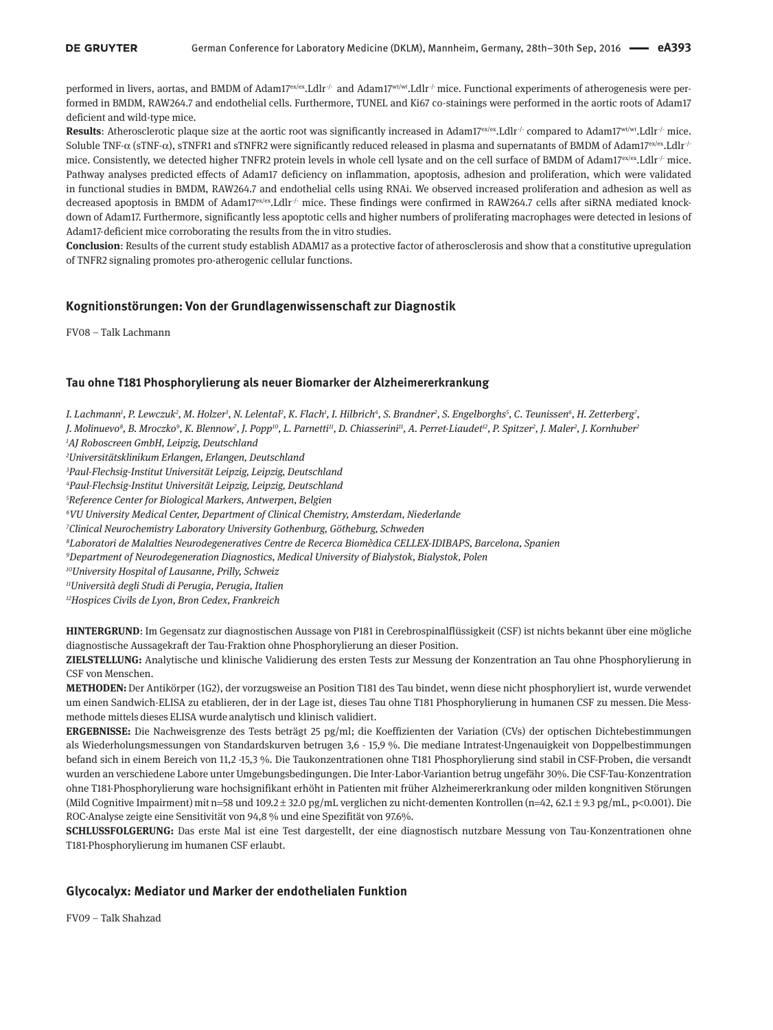performed in livers, aortas, and BMDM of Adam17ex/ex.Ldlr<sup>-/-</sup> and Adam17<sup>wt/wt</sup>.Ldlr<sup>-/-</sup> mice. Functional experiments of atherogenesis were performed in BMDM, RAW264.7 and endothelial cells. Furthermore, TUNEL and Ki67 co-stainings were performed in the aortic roots of Adam17 deficient and wild-type mice.

**Results:** Atherosclerotic plaque size at the aortic root was significantly increased in Adam17<sup>ex/ex</sup>.Ldlr<sup>*j*</sup> compared to Adam17<sup>wt/wt</sup>.Ldlr<sup>*j*</sup> mice. Soluble TNF-α (sTNF-α), sTNFR1 and sTNFR2 were significantly reduced released in plasma and supernatants of BMDM of Adam17<sup>ex/ex</sup>.Ldlr<sup>/-</sup> mice. Consistently, we detected higher TNFR2 protein levels in whole cell lysate and on the cell surface of BMDM of Adam17<sup>ex/ex</sup>.Ldlr<sup>-/-</sup> mice. Pathway analyses predicted effects of Adam17 deficiency on inflammation, apoptosis, adhesion and proliferation, which were validated in functional studies in BMDM, RAW264.7 and endothelial cells using RNAi. We observed increased proliferation and adhesion as well as decreased apoptosis in BMDM of Adam17 $\text{exLdir}$  mice. These findings were confirmed in RAW264.7 cells after siRNA mediated knockdown of Adam17. Furthermore, significantly less apoptotic cells and higher numbers of proliferating macrophages were detected in lesions of Adam17-deficient mice corroborating the results from the in vitro studies.

**Conclusion**: Results of the current study establish ADAM17 as a protective factor of atherosclerosis and show that a constitutive upregulation of TNFR2 signaling promotes pro-atherogenic cellular functions.

### **Kognitionstörungen: Von der Grundlagenwissenschaft zur Diagnostik**

FV08 – Talk Lachmann

### **Tau ohne T181 Phosphorylierung als neuer Biomarker der Alzheimererkrankung**

I. Lachmann', P. Lewczuk<sup>2</sup>, M. Holzer<sup>3</sup>, N. Lelental<sup>2</sup>, K. Flach', I. Hilbrich<sup>4</sup>, S. Brandner<sup>2</sup>, S. Engelborghs<sup>5</sup>, C. Teunissen<sup>6</sup>, H. Zetterberg<sup>7</sup>, *J. Molinuevo8 , B. Mroczko9 , K. Blennow7 , J. Popp10, L. Parnetti11, D. Chiasserini11, A. Perret-Liaudet12, P. Spitzer2 , J. Maler2 , J. Kornhuber2*

*1 AJ Roboscreen GmbH, Leipzig, Deutschland*

*2 Universitätsklinikum Erlangen, Erlangen, Deutschland*

*3 Paul-Flechsig-Institut Universität Leipzig, Leipzig, Deutschland*

*4 Paul-Flechsig-Institut Universität Leipzig, Leipzig, Deutschland*

*5 Reference Center for Biological Markers, Antwerpen, Belgien*

*6 VU University Medical Center, Department of Clinical Chemistry, Amsterdam, Niederlande*

*7 Clinical Neurochemistry Laboratory University Gothenburg, Götheburg, Schweden*

*8 Laboratori de Malalties Neurodegeneratives Centre de Recerca Biomèdica CELLEX-IDIBAPS, Barcelona, Spanien*

*9 Department of Neurodegeneration Diagnostics, Medical University of Bialystok, Bialystok, Polen*

*10University Hospital of Lausanne, Prilly, Schweiz*

*11Università degli Studi di Perugia, Perugia, Italien*

*12Hospices Civils de Lyon, Bron Cedex, Frankreich*

**HINTERGRUND**: Im Gegensatz zur diagnostischen Aussage von P181 in Cerebrospinalflüssigkeit (CSF) ist nichts bekannt über eine mögliche diagnostische Aussagekraft der Tau-Fraktion ohne Phosphorylierung an dieser Position.

**ZIELSTELLUNG:** Analytische und klinische Validierung des ersten Tests zur Messung der Konzentration an Tau ohne Phosphorylierung in CSF von Menschen.

**METHODEN:** Der Antikörper (1G2), der vorzugsweise an Position T181 des Tau bindet, wenn diese nicht phosphoryliert ist, wurde verwendet um einen Sandwich-ELISA zu etablieren, der in der Lage ist, dieses Tau ohne T181 Phosphorylierung in humanen CSF zu messen. Die Messmethode mittels dieses ELISA wurde analytisch und klinisch validiert. 

**ERGEBNISSE:** Die Nachweisgrenze des Tests beträgt 25 pg/ml; die Koeffizienten der Variation (CVs) der optischen Dichtebestimmungen als Wiederholungsmessungen von Standardskurven betrugen 3,6 - 15,9 %. Die mediane Intratest-Ungenauigkeit von Doppelbestimmungen befand sich in einem Bereich von 11,2 -15,3 %. Die Taukonzentrationen ohne T181 Phosphorylierung sind stabil in CSF-Proben, die versandt wurden an verschiedene Labore unter Umgebungsbedingungen. Die Inter-Labor-Variantion betrug ungefähr 30%. Die CSF-Tau-Konzentration ohne T181-Phosphorylierung ware hochsignifikant erhöht in Patienten mit früher Alzheimererkrankung oder milden kongnitiven Störungen (Mild Cognitive Impairment) mit n=58 und 109.2 ± 32.0 pg/mL verglichen zu nicht-dementen Kontrollen (n=42, 62.1 ± 9.3 pg/mL, p<0.001). Die ROC-Analyse zeigte eine Sensitivität von 94,8 % und eine Spezifität von 97.6%.

**SCHLUSSFOLGERUNG:** Das erste Mal ist eine Test dargestellt, der eine diagnostisch nutzbare Messung von Tau-Konzentrationen ohne T181-Phosphorylierung im humanen CSF erlaubt.

### **Glycocalyx: Mediator und Marker der endothelialen Funktion**

FV09 – Talk Shahzad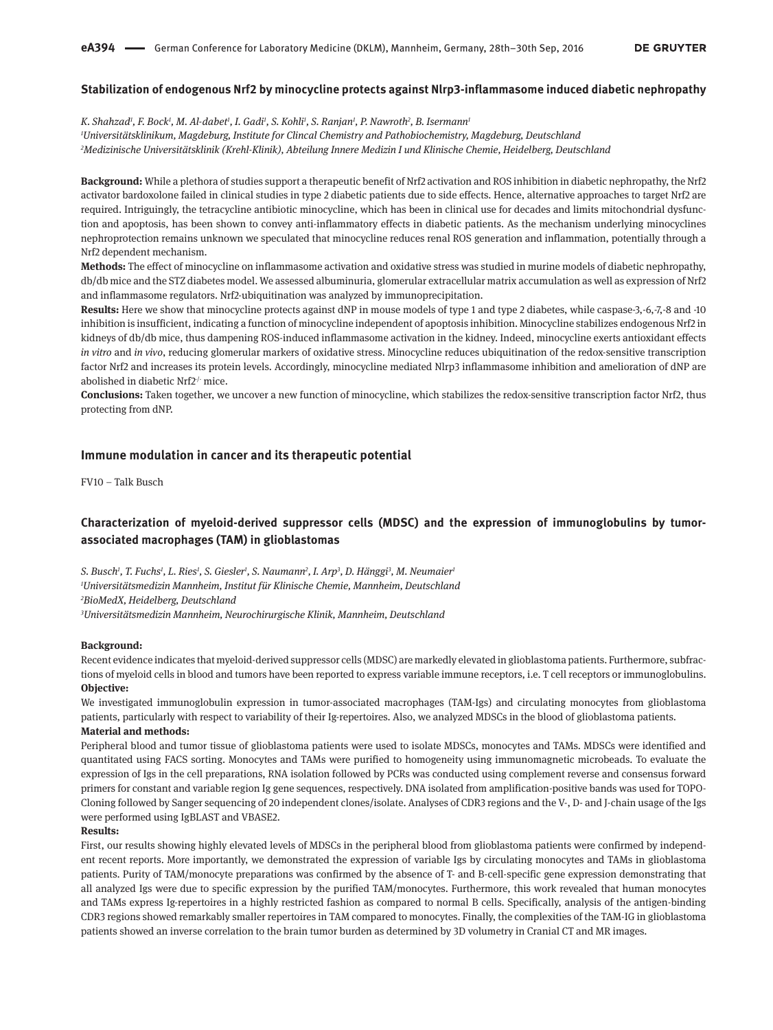### **Stabilization of endogenous Nrf2 by minocycline protects against Nlrp3-inflammasome induced diabetic nephropathy**

*K. Shahzad1 , F. Bock1 , M. Al-dabet1 , I. Gadi1 , S. Kohli1 , S. Ranjan1 , P. Nawroth2 , B. Isermann1 1 Universitätsklinikum, Magdeburg, Institute for Clincal Chemistry and Pathobiochemistry, Magdeburg, Deutschland 2 Medizinische Universitätsklinik (Krehl-Klinik), Abteilung Innere Medizin I und Klinische Chemie, Heidelberg, Deutschland*

**Background:** While a plethora of studies support a therapeutic benefit of Nrf2 activation and ROS inhibition in diabetic nephropathy, the Nrf2 activator bardoxolone failed in clinical studies in type 2 diabetic patients due to side effects. Hence, alternative approaches to target Nrf2 are required. Intriguingly, the tetracycline antibiotic minocycline, which has been in clinical use for decades and limits mitochondrial dysfunction and apoptosis, has been shown to convey anti-inflammatory effects in diabetic patients. As the mechanism underlying minocyclines nephroprotection remains unknown we speculated that minocycline reduces renal ROS generation and inflammation, potentially through a Nrf2 dependent mechanism.

**Methods:** The effect of minocycline on inflammasome activation and oxidative stress was studied in murine models of diabetic nephropathy, db/db mice and the STZ diabetes model. We assessed albuminuria, glomerular extracellular matrix accumulation as well as expression of Nrf2 and inflammasome regulators. Nrf2-ubiquitination was analyzed by immunoprecipitation.

**Results:** Here we show that minocycline protects against dNP in mouse models of type 1 and type 2 diabetes, while caspase-3,-6,-7,-8 and -10 inhibition is insufficient, indicating a function of minocycline independent of apoptosis inhibition. Minocycline stabilizes endogenous Nrf2 in kidneys of db/db mice, thus dampening ROS-induced inflammasome activation in the kidney. Indeed, minocycline exerts antioxidant effects *in vitro* and *in vivo*, reducing glomerular markers of oxidative stress. Minocycline reduces ubiquitination of the redox-sensitive transcription factor Nrf2 and increases its protein levels. Accordingly, minocycline mediated Nlrp3 inflammasome inhibition and amelioration of dNP are abolished in diabetic Nrf $2^{\prime}$  mice.

**Conclusions:** Taken together, we uncover a new function of minocycline, which stabilizes the redox-sensitive transcription factor Nrf2, thus protecting from dNP.

### **Immune modulation in cancer and its therapeutic potential**

FV10 – Talk Busch

# **Characterization of myeloid-derived suppressor cells (MDSC) and the expression of immunoglobulins by tumorassociated macrophages (TAM) in glioblastomas**

*S. Busch1 , T. Fuchs1 , L. Ries1 , S. Giesler1 , S. Naumann2 , I. Arp3 , D. Hänggi3 , M. Neumaier1 1 Universitätsmedizin Mannheim, Institut für Klinische Chemie, Mannheim, Deutschland 2 BioMedX, Heidelberg, Deutschland*

*3 Universitätsmedizin Mannheim, Neurochirurgische Klinik, Mannheim, Deutschland*

#### **Background:**

Recent evidence indicates that myeloid-derived suppressor cells (MDSC) are markedly elevated in glioblastoma patients. Furthermore, subfractions of myeloid cells in blood and tumors have been reported to express variable immune receptors, i.e. T cell receptors or immunoglobulins. **Objective:**

We investigated immunoglobulin expression in tumor-associated macrophages (TAM-Igs) and circulating monocytes from glioblastoma patients, particularly with respect to variability of their Ig-repertoires. Also, we analyzed MDSCs in the blood of glioblastoma patients. **Material and methods:**

Peripheral blood and tumor tissue of glioblastoma patients were used to isolate MDSCs, monocytes and TAMs. MDSCs were identified and quantitated using FACS sorting. Monocytes and TAMs were purified to homogeneity using immunomagnetic microbeads. To evaluate the expression of Igs in the cell preparations, RNA isolation followed by PCRs was conducted using complement reverse and consensus forward primers for constant and variable region Ig gene sequences, respectively. DNA isolated from amplification-positive bands was used for TOPO-Cloning followed by Sanger sequencing of 20 independent clones/isolate. Analyses of CDR3 regions and the V-, D- and J-chain usage of the Igs were performed using IgBLAST and VBASE2.

#### **Results:**

First, our results showing highly elevated levels of MDSCs in the peripheral blood from glioblastoma patients were confirmed by independent recent reports. More importantly, we demonstrated the expression of variable Igs by circulating monocytes and TAMs in glioblastoma patients. Purity of TAM/monocyte preparations was confirmed by the absence of T- and B-cell-specific gene expression demonstrating that all analyzed Igs were due to specific expression by the purified TAM/monocytes. Furthermore, this work revealed that human monocytes and TAMs express Ig-repertoires in a highly restricted fashion as compared to normal B cells. Specifically, analysis of the antigen-binding CDR3 regions showed remarkably smaller repertoires in TAM compared to monocytes. Finally, the complexities of the TAM-IG in glioblastoma patients showed an inverse correlation to the brain tumor burden as determined by 3D volumetry in Cranial CT and MR images.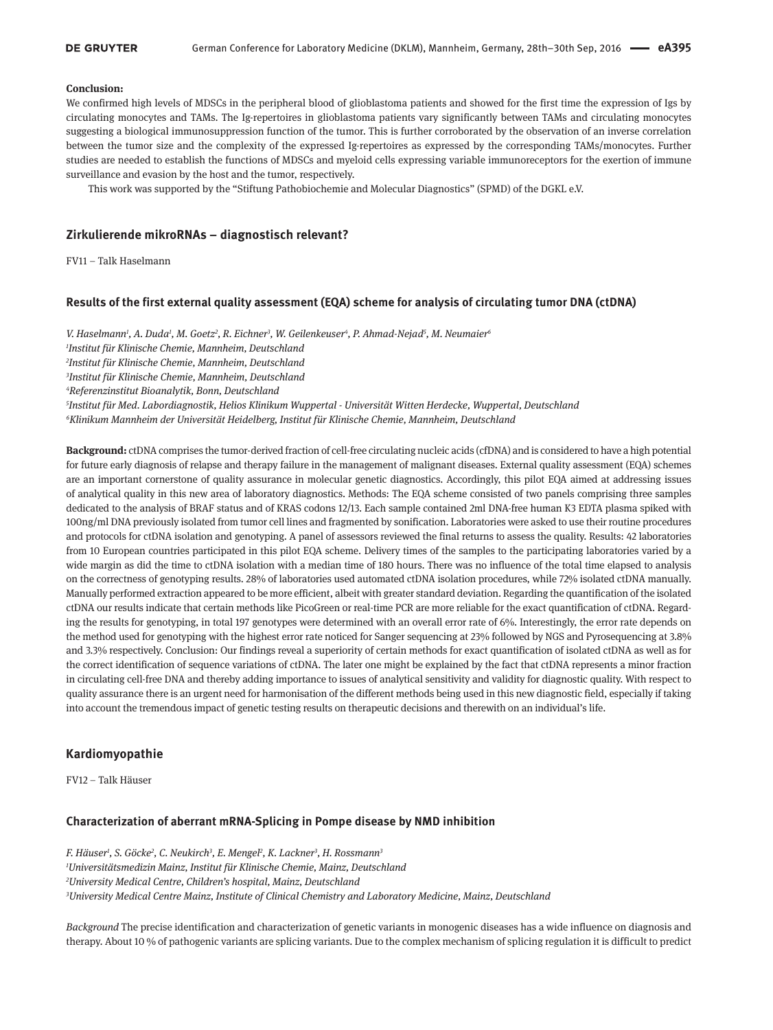#### **DE GRUYTER**

#### **Conclusion:**

We confirmed high levels of MDSCs in the peripheral blood of glioblastoma patients and showed for the first time the expression of Igs by circulating monocytes and TAMs. The Ig-repertoires in glioblastoma patients vary significantly between TAMs and circulating monocytes suggesting a biological immunosuppression function of the tumor. This is further corroborated by the observation of an inverse correlation between the tumor size and the complexity of the expressed Ig-repertoires as expressed by the corresponding TAMs/monocytes. Further studies are needed to establish the functions of MDSCs and myeloid cells expressing variable immunoreceptors for the exertion of immune surveillance and evasion by the host and the tumor, respectively.

This work was supported by the "Stiftung Pathobiochemie and Molecular Diagnostics" (SPMD) of the DGKL e.V.

### **Zirkulierende mikroRNAs – diagnostisch relevant?**

FV11 – Talk Haselmann

### **Results of the first external quality assessment (EQA) scheme for analysis of circulating tumor DNA (ctDNA)**

*V. Haselmann1 , A. Duda1 , M. Goetz2 , R. Eichner3 , W. Geilenkeuser4 , P. Ahmad-Nejad5 , M. Neumaier6 Institut für Klinische Chemie, Mannheim, Deutschland Institut für Klinische Chemie, Mannheim, Deutschland Institut für Klinische Chemie, Mannheim, Deutschland Referenzinstitut Bioanalytik, Bonn, Deutschland Institut für Med. Labordiagnostik, Helios Klinikum Wuppertal - Universität Witten Herdecke, Wuppertal, Deutschland Klinikum Mannheim der Universität Heidelberg, Institut für Klinische Chemie, Mannheim, Deutschland*

**Background:** ctDNA comprises the tumor-derived fraction of cell-free circulating nucleic acids (cfDNA) and is considered to have a high potential for future early diagnosis of relapse and therapy failure in the management of malignant diseases. External quality assessment (EQA) schemes are an important cornerstone of quality assurance in molecular genetic diagnostics. Accordingly, this pilot EQA aimed at addressing issues of analytical quality in this new area of laboratory diagnostics. Methods: The EQA scheme consisted of two panels comprising three samples dedicated to the analysis of BRAF status and of KRAS codons 12/13. Each sample contained 2ml DNA-free human K3 EDTA plasma spiked with 100ng/ml DNA previously isolated from tumor cell lines and fragmented by sonification. Laboratories were asked to use their routine procedures and protocols for ctDNA isolation and genotyping. A panel of assessors reviewed the final returns to assess the quality. Results: 42 laboratories from 10 European countries participated in this pilot EQA scheme. Delivery times of the samples to the participating laboratories varied by a wide margin as did the time to ctDNA isolation with a median time of 180 hours. There was no influence of the total time elapsed to analysis on the correctness of genotyping results. 28% of laboratories used automated ctDNA isolation procedures, while 72% isolated ctDNA manually. Manually performed extraction appeared to be more efficient, albeit with greater standard deviation. Regarding the quantification of the isolated ctDNA our results indicate that certain methods like PicoGreen or real-time PCR are more reliable for the exact quantification of ctDNA. Regarding the results for genotyping, in total 197 genotypes were determined with an overall error rate of 6%. Interestingly, the error rate depends on the method used for genotyping with the highest error rate noticed for Sanger sequencing at 23% followed by NGS and Pyrosequencing at 3.8% and 3.3% respectively. Conclusion: Our findings reveal a superiority of certain methods for exact quantification of isolated ctDNA as well as for the correct identification of sequence variations of ctDNA. The later one might be explained by the fact that ctDNA represents a minor fraction in circulating cell-free DNA and thereby adding importance to issues of analytical sensitivity and validity for diagnostic quality. With respect to quality assurance there is an urgent need for harmonisation of the different methods being used in this new diagnostic field, especially if taking into account the tremendous impact of genetic testing results on therapeutic decisions and therewith on an individual's life.

### **Kardiomyopathie**

FV12 – Talk Häuser

### **Characterization of aberrant mRNA-Splicing in Pompe disease by NMD inhibition**

*F. Häuser1 , S. Göcke2 , C. Neukirch3 , E. Mengel2 , K. Lackner3 , H. Rossmann3 Universitätsmedizin Mainz, Institut für Klinische Chemie, Mainz, Deutschland University Medical Centre, Children's hospital, Mainz, Deutschland University Medical Centre Mainz, Institute of Clinical Chemistry and Laboratory Medicine, Mainz, Deutschland*

*Background* The precise identification and characterization of genetic variants in monogenic diseases has a wide influence on diagnosis and therapy. About 10 % of pathogenic variants are splicing variants. Due to the complex mechanism of splicing regulation it is difficult to predict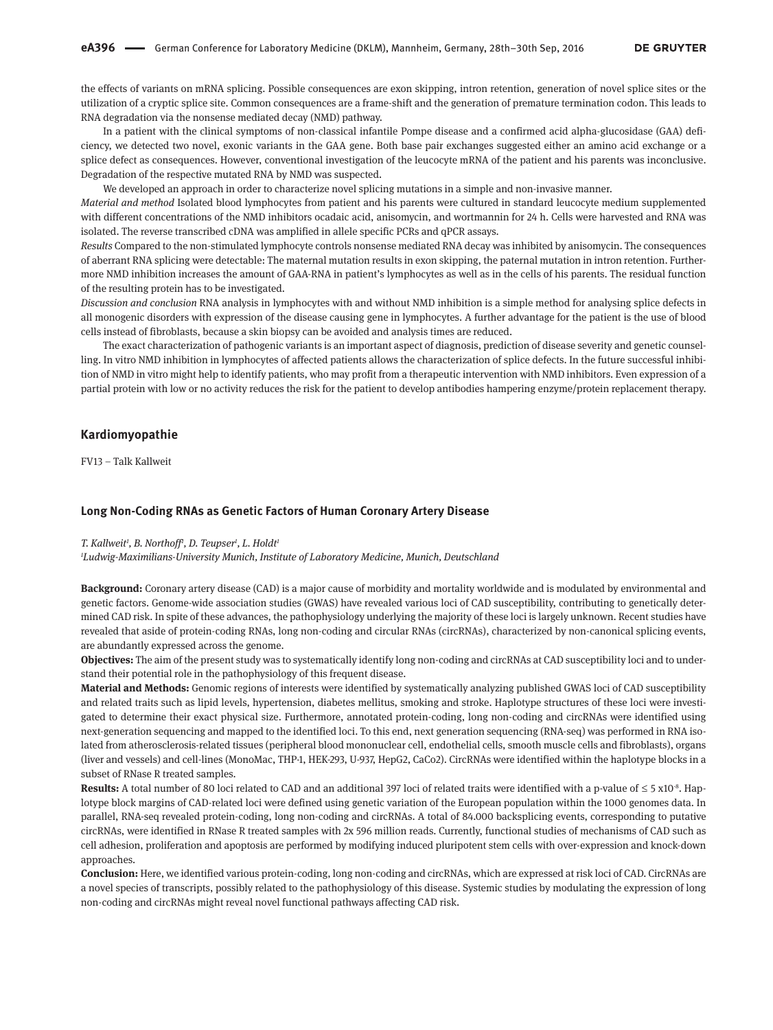the effects of variants on mRNA splicing. Possible consequences are exon skipping, intron retention, generation of novel splice sites or the utilization of a cryptic splice site. Common consequences are a frame-shift and the generation of premature termination codon. This leads to RNA degradation via the nonsense mediated decay (NMD) pathway.

In a patient with the clinical symptoms of non-classical infantile Pompe disease and a confirmed acid alpha-glucosidase (GAA) deficiency, we detected two novel, exonic variants in the GAA gene. Both base pair exchanges suggested either an amino acid exchange or a splice defect as consequences. However, conventional investigation of the leucocyte mRNA of the patient and his parents was inconclusive. Degradation of the respective mutated RNA by NMD was suspected.

We developed an approach in order to characterize novel splicing mutations in a simple and non-invasive manner.

*Material and method* Isolated blood lymphocytes from patient and his parents were cultured in standard leucocyte medium supplemented with different concentrations of the NMD inhibitors ocadaic acid, anisomycin, and wortmannin for 24 h. Cells were harvested and RNA was isolated. The reverse transcribed cDNA was amplified in allele specific PCRs and qPCR assays.

*Results* Compared to the non-stimulated lymphocyte controls nonsense mediated RNA decay was inhibited by anisomycin. The consequences of aberrant RNA splicing were detectable: The maternal mutation results in exon skipping, the paternal mutation in intron retention. Furthermore NMD inhibition increases the amount of GAA-RNA in patient's lymphocytes as well as in the cells of his parents. The residual function of the resulting protein has to be investigated.

*Discussion and conclusion* RNA analysis in lymphocytes with and without NMD inhibition is a simple method for analysing splice defects in all monogenic disorders with expression of the disease causing gene in lymphocytes. A further advantage for the patient is the use of blood cells instead of fibroblasts, because a skin biopsy can be avoided and analysis times are reduced.

The exact characterization of pathogenic variants is an important aspect of diagnosis, prediction of disease severity and genetic counselling. In vitro NMD inhibition in lymphocytes of affected patients allows the characterization of splice defects. In the future successful inhibition of NMD in vitro might help to identify patients, who may profit from a therapeutic intervention with NMD inhibitors. Even expression of a partial protein with low or no activity reduces the risk for the patient to develop antibodies hampering enzyme/protein replacement therapy.

### **Kardiomyopathie**

FV13 – Talk Kallweit

#### **Long Non-Coding RNAs as Genetic Factors of Human Coronary Artery Disease**

#### *T. Kallweit1 , B. Northoff1 , D. Teupser1 , L. Holdt1*

*1 Ludwig-Maximilians-University Munich, Institute of Laboratory Medicine, Munich, Deutschland*

**Background:** Coronary artery disease (CAD) is a major cause of morbidity and mortality worldwide and is modulated by environmental and genetic factors. Genome-wide association studies (GWAS) have revealed various loci of CAD susceptibility, contributing to genetically determined CAD risk. In spite of these advances, the pathophysiology underlying the majority of these loci is largely unknown. Recent studies have revealed that aside of protein-coding RNAs, long non-coding and circular RNAs (circRNAs), characterized by non-canonical splicing events, are abundantly expressed across the genome.

**Objectives:** The aim of the present study was to systematically identify long non-coding and circRNAs at CAD susceptibility loci and to understand their potential role in the pathophysiology of this frequent disease.

**Material and Methods:** Genomic regions of interests were identified by systematically analyzing published GWAS loci of CAD susceptibility and related traits such as lipid levels, hypertension, diabetes mellitus, smoking and stroke. Haplotype structures of these loci were investigated to determine their exact physical size. Furthermore, annotated protein-coding, long non-coding and circRNAs were identified using next-generation sequencing and mapped to the identified loci. To this end, next generation sequencing (RNA-seq) was performed in RNA isolated from atherosclerosis-related tissues (peripheral blood mononuclear cell, endothelial cells, smooth muscle cells and fibroblasts), organs (liver and vessels) and cell-lines (MonoMac, THP-1, HEK-293, U-937, HepG2, CaCo2). CircRNAs were identified within the haplotype blocks in a subset of RNase R treated samples.

**Results:** A total number of 80 loci related to CAD and an additional 397 loci of related traits were identified with a p-value of ≤ 5 x10<sup>-8</sup>. Haplotype block margins of CAD-related loci were defined using genetic variation of the European population within the 1000 genomes data. In parallel, RNA-seq revealed protein-coding, long non-coding and circRNAs. A total of 84.000 backsplicing events, corresponding to putative circRNAs, were identified in RNase R treated samples with 2x 596 million reads. Currently, functional studies of mechanisms of CAD such as cell adhesion, proliferation and apoptosis are performed by modifying induced pluripotent stem cells with over-expression and knock-down approaches.

**Conclusion:** Here, we identified various protein-coding, long non-coding and circRNAs, which are expressed at risk loci of CAD. CircRNAs are a novel species of transcripts, possibly related to the pathophysiology of this disease. Systemic studies by modulating the expression of long non-coding and circRNAs might reveal novel functional pathways affecting CAD risk.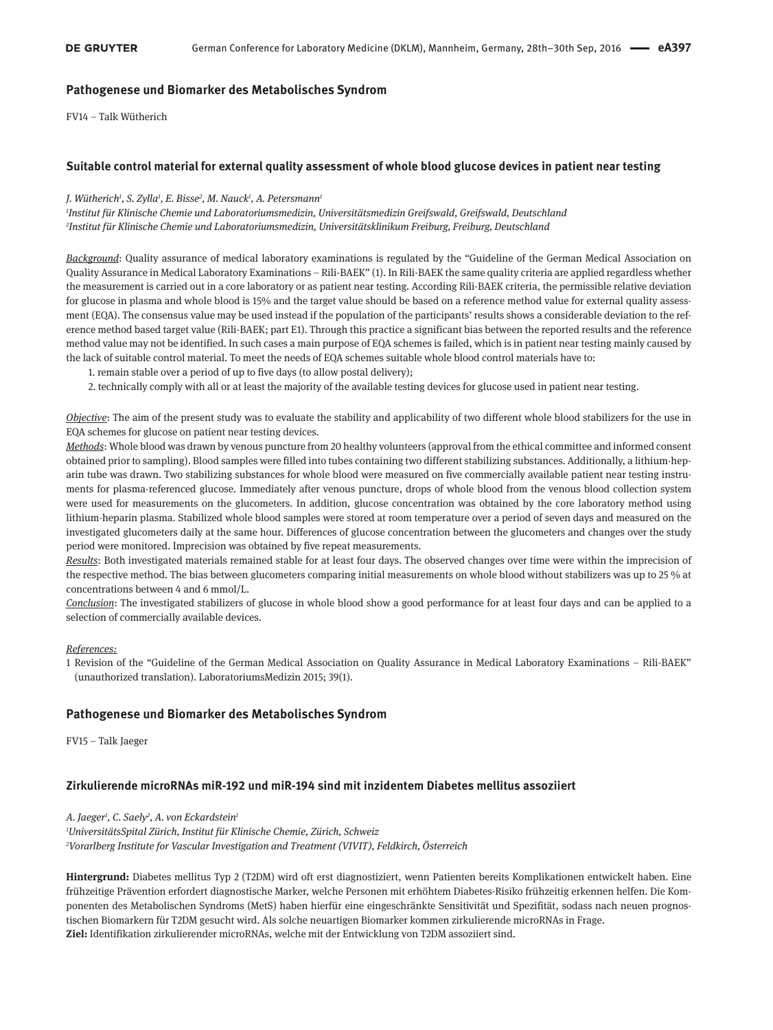### **Pathogenese und Biomarker des Metabolisches Syndrom**

FV14 – Talk Wütherich

### **Suitable control material for external quality assessment of whole blood glucose devices in patient near testing**

### *J. Wütherich1 , S. Zylla1 , E. Bisse2 , M. Nauck1 , A. Petersmann1*

*1 Institut für Klinische Chemie und Laboratoriumsmedizin, Universitätsmedizin Greifswald, Greifswald, Deutschland 2 Institut für Klinische Chemie und Laboratoriumsmedizin, Universitätsklinikum Freiburg, Freiburg, Deutschland*

*Background*: Quality assurance of medical laboratory examinations is regulated by the "Guideline of the German Medical Association on Quality Assurance in Medical Laboratory Examinations – Rili-BAEK" (1). In Rili-BAEK the same quality criteria are applied regardless whether the measurement is carried out in a core laboratory or as patient near testing. According Rili-BAEK criteria, the permissible relative deviation for glucose in plasma and whole blood is 15% and the target value should be based on a reference method value for external quality assessment (EQA). The consensus value may be used instead if the population of the participants' results shows a considerable deviation to the reference method based target value (Rili-BAEK; part E1). Through this practice a significant bias between the reported results and the reference method value may not be identified. In such cases a main purpose of EQA schemes is failed, which is in patient near testing mainly caused by the lack of suitable control material. To meet the needs of EQA schemes suitable whole blood control materials have to:

- 1. remain stable over a period of up to five days (to allow postal delivery);
- 2. technically comply with all or at least the majority of the available testing devices for glucose used in patient near testing.

*Objective*: The aim of the present study was to evaluate the stability and applicability of two different whole blood stabilizers for the use in EQA schemes for glucose on patient near testing devices.

*Methods*: Whole blood was drawn by venous puncture from 20 healthy volunteers (approval from the ethical committee and informed consent obtained prior to sampling). Blood samples were filled into tubes containing two different stabilizing substances. Additionally, a lithium-heparin tube was drawn. Two stabilizing substances for whole blood were measured on five commercially available patient near testing instruments for plasma-referenced glucose. Immediately after venous puncture, drops of whole blood from the venous blood collection system were used for measurements on the glucometers. In addition, glucose concentration was obtained by the core laboratory method using lithium-heparin plasma. Stabilized whole blood samples were stored at room temperature over a period of seven days and measured on the investigated glucometers daily at the same hour. Differences of glucose concentration between the glucometers and changes over the study period were monitored. Imprecision was obtained by five repeat measurements.

*Results*: Both investigated materials remained stable for at least four days. The observed changes over time were within the imprecision of the respective method. The bias between glucometers comparing initial measurements on whole blood without stabilizers was up to 25 % at concentrations between 4 and 6 mmol/L.

*Conclusion*: The investigated stabilizers of glucose in whole blood show a good performance for at least four days and can be applied to a selection of commercially available devices.

### *References:*

1 Revision of the "Guideline of the German Medical Association on Quality Assurance in Medical Laboratory Examinations – Rili-BAEK" (unauthorized translation). LaboratoriumsMedizin 2015; 39(1).

### **Pathogenese und Biomarker des Metabolisches Syndrom**

FV15 – Talk Jaeger

### **Zirkulierende microRNAs miR-192 und miR-194 sind mit inzidentem Diabetes mellitus assoziiert**

*A. Jaeger1 , C. Saely2 , A. von Eckardstein1 1 UniversitätsSpital Zürich, Institut für Klinische Chemie, Zürich, Schweiz 2 Vorarlberg Institute for Vascular Investigation and Treatment (VIVIT), Feldkirch, Österreich*

**Hintergrund:** Diabetes mellitus Typ 2 (T2DM) wird oft erst diagnostiziert, wenn Patienten bereits Komplikationen entwickelt haben. Eine frühzeitige Prävention erfordert diagnostische Marker, welche Personen mit erhöhtem Diabetes-Risiko frühzeitig erkennen helfen. Die Komponenten des Metabolischen Syndroms (MetS) haben hierfür eine eingeschränkte Sensitivität und Spezifität, sodass nach neuen prognostischen Biomarkern für T2DM gesucht wird. Als solche neuartigen Biomarker kommen zirkulierende microRNAs in Frage. **Ziel:** Identifikation zirkulierender microRNAs, welche mit der Entwicklung von T2DM assoziiert sind.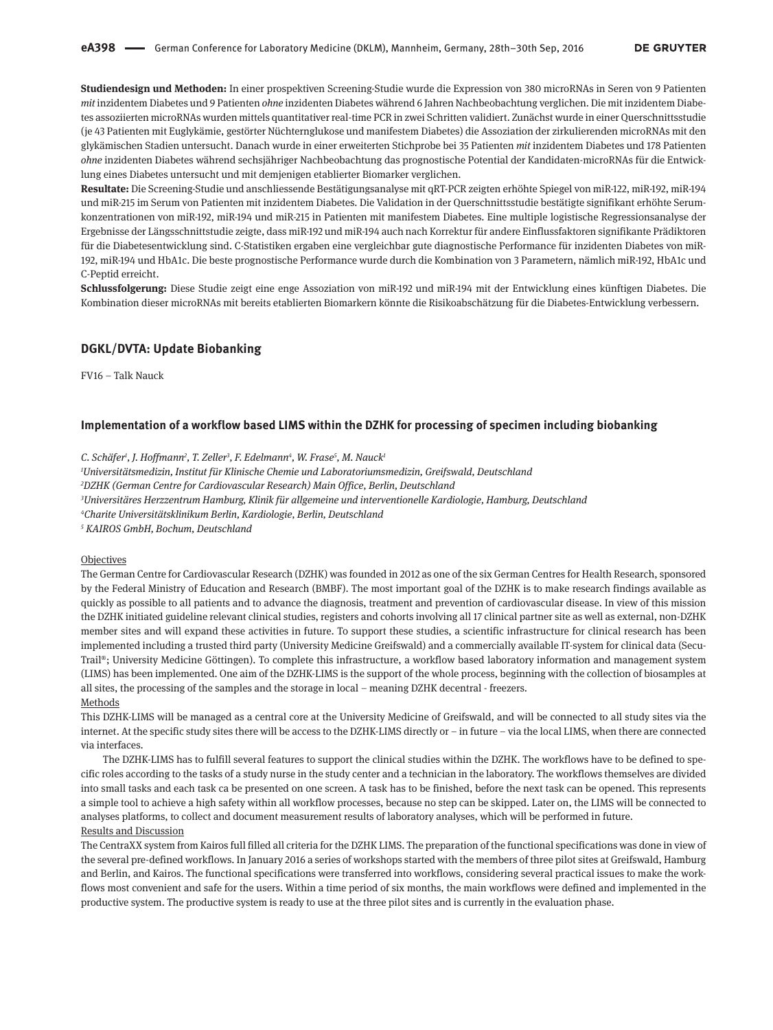**Studiendesign und Methoden:** In einer prospektiven Screening-Studie wurde die Expression von 380 microRNAs in Seren von 9 Patienten *mit* inzidentem Diabetes und 9 Patienten *ohne* inzidenten Diabetes während 6 Jahren Nachbeobachtung verglichen. Die mit inzidentem Diabetes assoziierten microRNAs wurden mittels quantitativer real-time PCR in zwei Schritten validiert. Zunächst wurde in einer Querschnittsstudie (je 43 Patienten mit Euglykämie, gestörter Nüchternglukose und manifestem Diabetes) die Assoziation der zirkulierenden microRNAs mit den glykämischen Stadien untersucht. Danach wurde in einer erweiterten Stichprobe bei 35 Patienten *mit* inzidentem Diabetes und 178 Patienten *ohne* inzidenten Diabetes während sechsjähriger Nachbeobachtung das prognostische Potential der Kandidaten-microRNAs für die Entwicklung eines Diabetes untersucht und mit demjenigen etablierter Biomarker verglichen.

**Resultate:** Die Screening-Studie und anschliessende Bestätigungsanalyse mit qRT-PCR zeigten erhöhte Spiegel von miR-122, miR-192, miR-194 und miR-215 im Serum von Patienten mit inzidentem Diabetes. Die Validation in der Querschnittsstudie bestätigte signifikant erhöhte Serumkonzentrationen von miR-192, miR-194 und miR-215 in Patienten mit manifestem Diabetes. Eine multiple logistische Regressionsanalyse der Ergebnisse der Längsschnittstudie zeigte, dass miR-192 und miR-194 auch nach Korrektur für andere Einflussfaktoren signifikante Prädiktoren für die Diabetesentwicklung sind. C-Statistiken ergaben eine vergleichbar gute diagnostische Performance für inzidenten Diabetes von miR-192, miR-194 und HbA1c. Die beste prognostische Performance wurde durch die Kombination von 3 Parametern, nämlich miR-192, HbA1c und C-Peptid erreicht.

**Schlussfolgerung:** Diese Studie zeigt eine enge Assoziation von miR-192 und miR-194 mit der Entwicklung eines künftigen Diabetes. Die Kombination dieser microRNAs mit bereits etablierten Biomarkern könnte die Risikoabschätzung für die Diabetes-Entwicklung verbessern.

### **DGKL/DVTA: Update Biobanking**

FV16 – Talk Nauck

### **Implementation of a workflow based LIMS within the DZHK for processing of specimen including biobanking**

*C. Schäfer1 , J. Hoffmann2 , T. Zeller3 , F. Edelmann4 , W. Frase5 , M. Nauck1*

*1 Universitätsmedizin, Institut für Klinische Chemie und Laboratoriumsmedizin, Greifswald, Deutschland*

*2 DZHK (German Centre for Cardiovascular Research) Main Office, Berlin, Deutschland*

*3 Universitäres Herzzentrum Hamburg, Klinik für allgemeine und interventionelle Kardiologie, Hamburg, Deutschland*

*4 Charite Universitätsklinikum Berlin, Kardiologie, Berlin, Deutschland*

*<sup>5</sup> KAIROS GmbH, Bochum, Deutschland*

#### Objectives

The German Centre for Cardiovascular Research (DZHK) was founded in 2012 as one of the six German Centres for Health Research, sponsored by the Federal Ministry of Education and Research (BMBF). The most important goal of the DZHK is to make research findings available as quickly as possible to all patients and to advance the diagnosis, treatment and prevention of cardiovascular disease. In view of this mission the DZHK initiated guideline relevant clinical studies, registers and cohorts involving all 17 clinical partner site as well as external, non-DZHK member sites and will expand these activities in future. To support these studies, a scientific infrastructure for clinical research has been implemented including a trusted third party (University Medicine Greifswald) and a commercially available IT-system for clinical data (Secu-Trail®; University Medicine Göttingen). To complete this infrastructure, a workflow based laboratory information and management system (LIMS) has been implemented. One aim of the DZHK-LIMS is the support of the whole process, beginning with the collection of biosamples at all sites, the processing of the samples and the storage in local – meaning DZHK decentral - freezers. Methods

This DZHK-LIMS will be managed as a central core at the University Medicine of Greifswald, and will be connected to all study sites via the internet. At the specific study sites there will be access to the DZHK-LIMS directly or – in future – via the local LIMS, when there are connected via interfaces.

The DZHK-LIMS has to fulfill several features to support the clinical studies within the DZHK. The workflows have to be defined to specific roles according to the tasks of a study nurse in the study center and a technician in the laboratory. The workflows themselves are divided into small tasks and each task ca be presented on one screen. A task has to be finished, before the next task can be opened. This represents a simple tool to achieve a high safety within all workflow processes, because no step can be skipped. Later on, the LIMS will be connected to analyses platforms, to collect and document measurement results of laboratory analyses, which will be performed in future. Results and Discussion

The CentraXX system from Kairos full filled all criteria for the DZHK LIMS. The preparation of the functional specifications was done in view of the several pre-defined workflows. In January 2016 a series of workshops started with the members of three pilot sites at Greifswald, Hamburg and Berlin, and Kairos. The functional specifications were transferred into workflows, considering several practical issues to make the workflows most convenient and safe for the users. Within a time period of six months, the main workflows were defined and implemented in the productive system. The productive system is ready to use at the three pilot sites and is currently in the evaluation phase.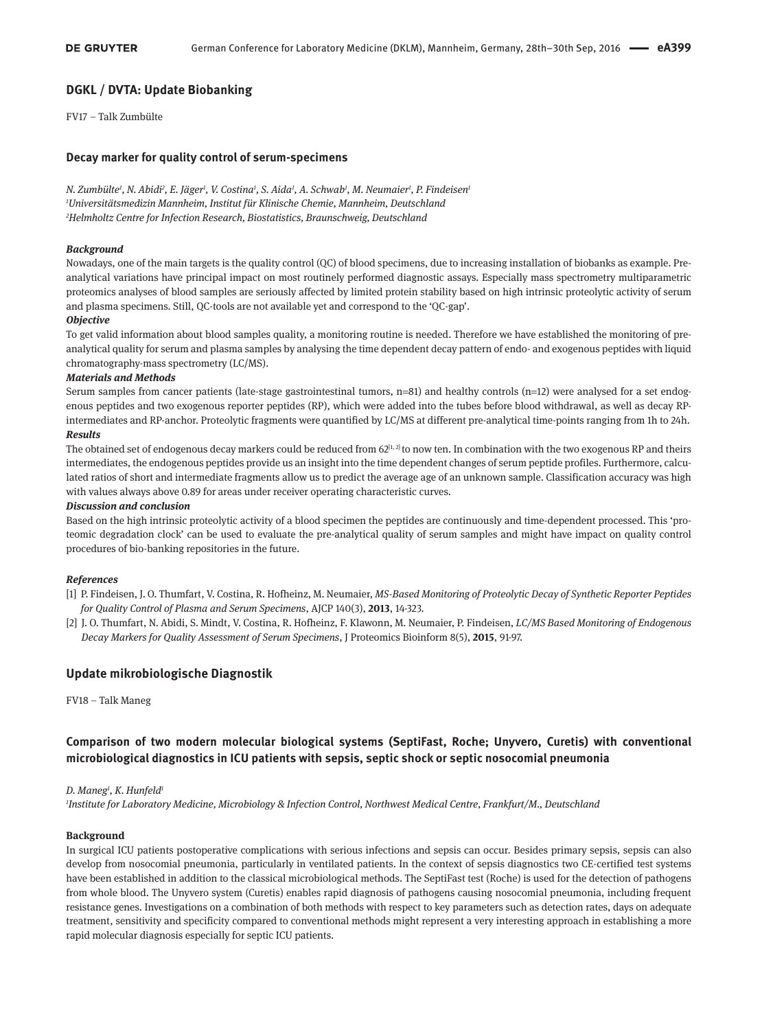### **DGKL / DVTA: Update Biobanking**

FV17 – Talk Zumbülte

### **Decay marker for quality control of serum-specimens**

*N. Zumbülte1 , N. Abidi2 , E. Jäger1 , V. Costina1 , S. Aida1 , A. Schwab1 , M. Neumaier1 , P. Findeisen1 1 Universitätsmedizin Mannheim, Institut für Klinische Chemie, Mannheim, Deutschland 2 Helmholtz Centre for Infection Research, Biostatistics, Braunschweig, Deutschland*

#### *Background*

Nowadays, one of the main targets is the quality control (QC) of blood specimens, due to increasing installation of biobanks as example. Preanalytical variations have principal impact on most routinely performed diagnostic assays. Especially mass spectrometry multiparametric proteomics analyses of blood samples are seriously affected by limited protein stability based on high intrinsic proteolytic activity of serum and plasma specimens. Still, QC-tools are not available yet and correspond to the 'QC-gap'.

#### *Objective*

To get valid information about blood samples quality, a monitoring routine is needed. Therefore we have established the monitoring of preanalytical quality for serum and plasma samples by analysing the time dependent decay pattern of endo- and exogenous peptides with liquid chromatography-mass spectrometry (LC/MS).

#### *Materials and Methods*

Serum samples from cancer patients (late-stage gastrointestinal tumors, n=81) and healthy controls (n=12) were analysed for a set endogenous peptides and two exogenous reporter peptides (RP), which were added into the tubes before blood withdrawal, as well as decay RPintermediates and RP-anchor. Proteolytic fragments were quantified by LC/MS at different pre-analytical time-points ranging from 1h to 24h.

#### *Results*

The obtained set of endogenous decay markers could be reduced from  $62^{[1, 2]}$  to now ten. In combination with the two exogenous RP and theirs intermediates, the endogenous peptides provide us an insight into the time dependent changes of serum peptide profiles. Furthermore, calculated ratios of short and intermediate fragments allow us to predict the average age of an unknown sample. Classification accuracy was high with values always above 0.89 for areas under receiver operating characteristic curves.

#### *Discussion and conclusion*

Based on the high intrinsic proteolytic activity of a blood specimen the peptides are continuously and time-dependent processed. This 'proteomic degradation clock' can be used to evaluate the pre-analytical quality of serum samples and might have impact on quality control procedures of bio-banking repositories in the future.

### *References*

- [1] P. Findeisen, J. O. Thumfart, V. Costina, R. Hofheinz, M. Neumaier, *MS-Based Monitoring of Proteolytic Decay of Synthetic Reporter Peptides for Quality Control of Plasma and Serum Specimens*, AJCP 140(3), **2013**, 14-323.
- [2] J. O. Thumfart, N. Abidi, S. Mindt, V. Costina, R. Hofheinz, F. Klawonn, M. Neumaier, P. Findeisen, *LC/MS Based Monitoring of Endogenous Decay Markers for Quality Assessment of Serum Specimens*, J Proteomics Bioinform 8(5), **2015**, 91-97.

### **Update mikrobiologische Diagnostik**

FV18 – Talk Maneg

# **Comparison of two modern molecular biological systems (SeptiFast, Roche; Unyvero, Curetis) with conventional microbiological diagnostics in ICU patients with sepsis, septic shock or septic nosocomial pneumonia**

#### *D. Maneg1 , K. Hunfeld1*

*1 Institute for Laboratory Medicine, Microbiology & Infection Control, Northwest Medical Centre, Frankfurt/M., Deutschland*

### **Background**

In surgical ICU patients postoperative complications with serious infections and sepsis can occur. Besides primary sepsis, sepsis can also develop from nosocomial pneumonia, particularly in ventilated patients. In the context of sepsis diagnostics two CE-certified test systems have been established in addition to the classical microbiological methods. The SeptiFast test (Roche) is used for the detection of pathogens from whole blood. The Unyvero system (Curetis) enables rapid diagnosis of pathogens causing nosocomial pneumonia, including frequent resistance genes. Investigations on a combination of both methods with respect to key parameters such as detection rates, days on adequate treatment, sensitivity and specificity compared to conventional methods might represent a very interesting approach in establishing a more rapid molecular diagnosis especially for septic ICU patients.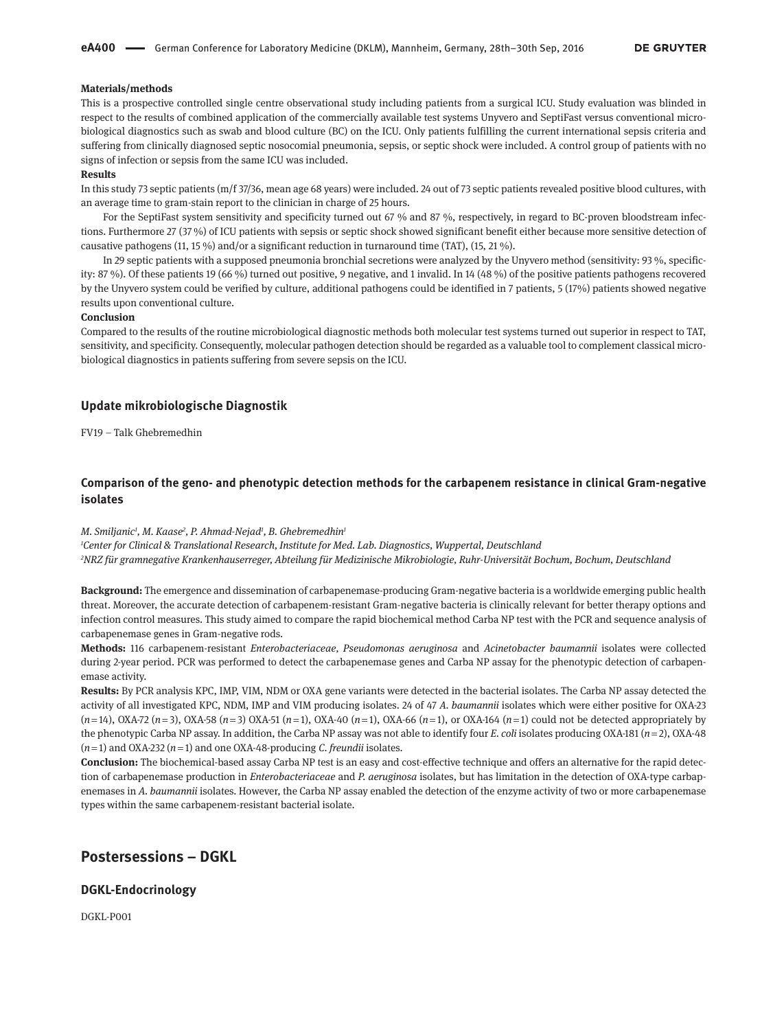#### **Materials/methods**

This is a prospective controlled single centre observational study including patients from a surgical ICU. Study evaluation was blinded in respect to the results of combined application of the commercially available test systems Unyvero and SeptiFast versus conventional microbiological diagnostics such as swab and blood culture (BC) on the ICU. Only patients fulfilling the current international sepsis criteria and suffering from clinically diagnosed septic nosocomial pneumonia, sepsis, or septic shock were included. A control group of patients with no signs of infection or sepsis from the same ICU was included.

#### **Results**

In this study 73 septic patients (m/f 37/36, mean age 68 years) were included. 24 out of 73 septic patients revealed positive blood cultures, with an average time to gram-stain report to the clinician in charge of 25 hours.

For the SeptiFast system sensitivity and specificity turned out 67 % and 87 %, respectively, in regard to BC-proven bloodstream infections. Furthermore 27 (37 %) of ICU patients with sepsis or septic shock showed significant benefit either because more sensitive detection of causative pathogens (11, 15 %) and/or a significant reduction in turnaround time (TAT), (15, 21 %).

In 29 septic patients with a supposed pneumonia bronchial secretions were analyzed by the Unyvero method (sensitivity: 93 %, specificity: 87 %). Of these patients 19 (66 %) turned out positive, 9 negative, and 1 invalid. In 14 (48 %) of the positive patients pathogens recovered by the Unyvero system could be verified by culture, additional pathogens could be identified in 7 patients, 5 (17%) patients showed negative results upon conventional culture.

#### **Conclusion**

Compared to the results of the routine microbiological diagnostic methods both molecular test systems turned out superior in respect to TAT, sensitivity, and specificity. Consequently, molecular pathogen detection should be regarded as a valuable tool to complement classical microbiological diagnostics in patients suffering from severe sepsis on the ICU.

#### **Update mikrobiologische Diagnostik**

FV19 – Talk Ghebremedhin

### **Comparison of the geno- and phenotypic detection methods for the carbapenem resistance in clinical Gram-negative isolates**

#### *M. Smiljanic1 , M. Kaase2 , P. Ahmad-Nejad1 , B. Ghebremedhin1*

*1 Center for Clinical & Translational Research, Institute for Med. Lab. Diagnostics, Wuppertal, Deutschland 2 NRZ für gramnegative Krankenhauserreger, Abteilung für Medizinische Mikrobiologie, Ruhr-Universität Bochum, Bochum, Deutschland*

**Background:** The emergence and dissemination of carbapenemase-producing Gram-negative bacteria is a worldwide emerging public health threat. Moreover, the accurate detection of carbapenem-resistant Gram-negative bacteria is clinically relevant for better therapy options and infection control measures. This study aimed to compare the rapid biochemical method Carba NP test with the PCR and sequence analysis of carbapenemase genes in Gram-negative rods.

**Methods:** 116 carbapenem-resistant *Enterobacteriaceae, Pseudomonas aeruginosa* and *Acinetobacter baumannii* isolates were collected during 2-year period. PCR was performed to detect the carbapenemase genes and Carba NP assay for the phenotypic detection of carbapenemase activity.

**Results:** By PCR analysis KPC, IMP, VIM, NDM or OXA gene variants were detected in the bacterial isolates. The Carba NP assay detected the activity of all investigated KPC, NDM, IMP and VIM producing isolates. 24 of 47 *A. baumannii* isolates which were either positive for OXA-23  $(n=14)$ , OXA-72  $(n=3)$ , OXA-58  $(n=3)$  OXA-51  $(n=1)$ , OXA-40  $(n=1)$ , OXA-66  $(n=1)$ , or OXA-164  $(n=1)$  could not be detected appropriately by the phenotypic Carba NP assay. In addition, the Carba NP assay was not able to identify four *E. coli* isolates producing OXA-181 (*n* = 2), OXA-48  $(n=1)$  and OXA-232  $(n=1)$  and one OXA-48-producing *C*. *freundii* isolates.

**Conclusion:** The biochemical-based assay Carba NP test is an easy and cost-effective technique and offers an alternative for the rapid detection of carbapenemase production in *Enterobacteriaceae* and *P. aeruginosa* isolates, but has limitation in the detection of OXA-type carbapenemases in *A. baumannii* isolates. However, the Carba NP assay enabled the detection of the enzyme activity of two or more carbapenemase types within the same carbapenem-resistant bacterial isolate.

# **Postersessions – DGKL**

### **DGKL-Endocrinology**

DGKL-P001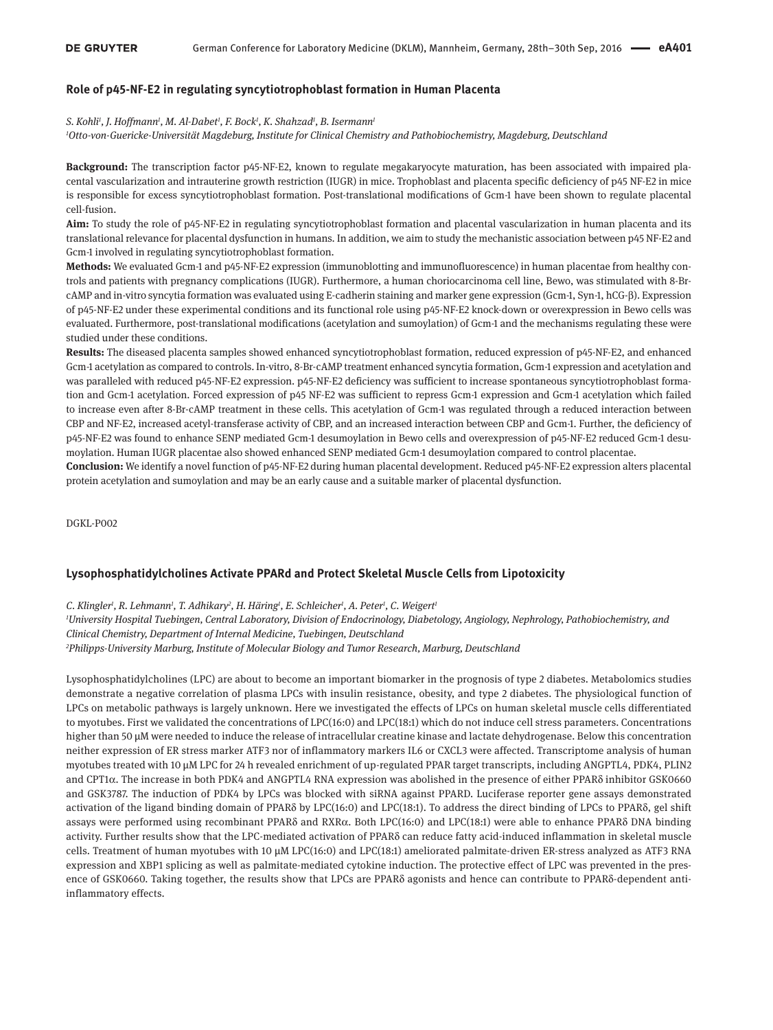### **Role of p45-NF-E2 in regulating syncytiotrophoblast formation in Human Placenta**

#### *S. Kohli1 , J. Hoffmann1 , M. Al-Dabet1 , F. Bock1 , K. Shahzad1 , B. Isermann1*

*1 Otto-von-Guericke-Universität Magdeburg, Institute for Clinical Chemistry and Pathobiochemistry, Magdeburg, Deutschland*

**Background:** The transcription factor p45-NF-E2, known to regulate megakaryocyte maturation, has been associated with impaired placental vascularization and intrauterine growth restriction (IUGR) in mice. Trophoblast and placenta specific deficiency of p45 NF-E2 in mice is responsible for excess syncytiotrophoblast formation. Post-translational modifications of Gcm-1 have been shown to regulate placental cell-fusion.

**Aim:** To study the role of p45-NF-E2 in regulating syncytiotrophoblast formation and placental vascularization in human placenta and its translational relevance for placental dysfunction in humans. In addition, we aim to study the mechanistic association between p45 NF-E2 and Gcm-1 involved in regulating syncytiotrophoblast formation.

**Methods:** We evaluated Gcm-1 and p45-NF-E2 expression (immunoblotting and immunofluorescence) in human placentae from healthy controls and patients with pregnancy complications (IUGR). Furthermore, a human choriocarcinoma cell line, Bewo, was stimulated with 8-BrcAMP and in-vitro syncytia formation was evaluated using E-cadherin staining and marker gene expression (Gcm-1, Syn-1, hCG-β). Expression of p45-NF-E2 under these experimental conditions and its functional role using p45-NF-E2 knock-down or overexpression in Bewo cells was evaluated. Furthermore, post-translational modifications (acetylation and sumoylation) of Gcm-1 and the mechanisms regulating these were studied under these conditions.

**Results:** The diseased placenta samples showed enhanced syncytiotrophoblast formation, reduced expression of p45-NF-E2, and enhanced Gcm-1 acetylation as compared to controls. In-vitro, 8-Br-cAMP treatment enhanced syncytia formation, Gcm-1 expression and acetylation and was paralleled with reduced p45-NF-E2 expression. p45-NF-E2 deficiency was sufficient to increase spontaneous syncytiotrophoblast formation and Gcm-1 acetylation. Forced expression of p45 NF-E2 was sufficient to repress Gcm-1 expression and Gcm-1 acetylation which failed to increase even after 8-Br-cAMP treatment in these cells. This acetylation of Gcm-1 was regulated through a reduced interaction between CBP and NF-E2, increased acetyl-transferase activity of CBP, and an increased interaction between CBP and Gcm-1. Further, the deficiency of p45-NF-E2 was found to enhance SENP mediated Gcm-1 desumoylation in Bewo cells and overexpression of p45-NF-E2 reduced Gcm-1 desumoylation. Human IUGR placentae also showed enhanced SENP mediated Gcm-1 desumoylation compared to control placentae.

**Conclusion:** We identify a novel function of p45-NF-E2 during human placental development. Reduced p45-NF-E2 expression alters placental protein acetylation and sumoylation and may be an early cause and a suitable marker of placental dysfunction.

DGKL-P002

### **Lysophosphatidylcholines Activate PPARd and Protect Skeletal Muscle Cells from Lipotoxicity**

C. Klingler<sup>1</sup>, R. Lehmann<sup>1</sup>, T. Adhikary<sup>2</sup>, H. Häring<sup>1</sup>, E. Schleicher<sup>1</sup>, A. Peter<sup>1</sup>, C. Weigert<sup>1</sup>

*1 University Hospital Tuebingen, Central Laboratory, Division of Endocrinology, Diabetology, Angiology, Nephrology, Pathobiochemistry, and Clinical Chemistry, Department of Internal Medicine, Tuebingen, Deutschland 2 Philipps-University Marburg, Institute of Molecular Biology and Tumor Research, Marburg, Deutschland*

Lysophosphatidylcholines (LPC) are about to become an important biomarker in the prognosis of type 2 diabetes. Metabolomics studies demonstrate a negative correlation of plasma LPCs with insulin resistance, obesity, and type 2 diabetes. The physiological function of LPCs on metabolic pathways is largely unknown. Here we investigated the effects of LPCs on human skeletal muscle cells differentiated to myotubes. First we validated the concentrations of LPC(16:0) and LPC(18:1) which do not induce cell stress parameters. Concentrations higher than 50 µM were needed to induce the release of intracellular creatine kinase and lactate dehydrogenase. Below this concentration neither expression of ER stress marker ATF3 nor of inflammatory markers IL6 or CXCL3 were affected. Transcriptome analysis of human myotubes treated with 10 µM LPC for 24 h revealed enrichment of up-regulated PPAR target transcripts, including ANGPTL4, PDK4, PLIN2 and CPT1α. The increase in both PDK4 and ANGPTL4 RNA expression was abolished in the presence of either PPARδ inhibitor GSK0660 and GSK3787. The induction of PDK4 by LPCs was blocked with siRNA against PPARD. Luciferase reporter gene assays demonstrated activation of the ligand binding domain of PPARδ by LPC(16:0) and LPC(18:1). To address the direct binding of LPCs to PPARδ, gel shift assays were performed using recombinant PPARδ and RXRα. Both LPC(16:0) and LPC(18:1) were able to enhance PPARδ DNA binding activity. Further results show that the LPC-mediated activation of PPARδ can reduce fatty acid-induced inflammation in skeletal muscle cells. Treatment of human myotubes with 10 µM LPC(16:0) and LPC(18:1) ameliorated palmitate-driven ER-stress analyzed as ATF3 RNA expression and XBP1 splicing as well as palmitate-mediated cytokine induction. The protective effect of LPC was prevented in the presence of GSK0660. Taking together, the results show that LPCs are PPARδ agonists and hence can contribute to PPARδ-dependent antiinflammatory effects.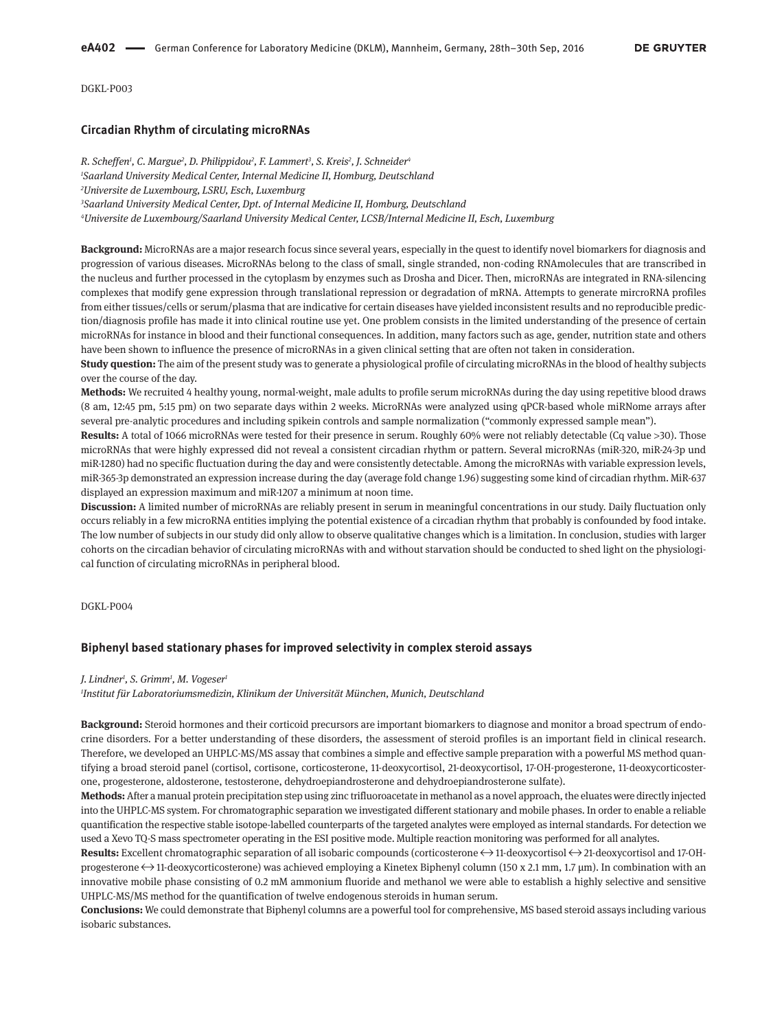DGKL-P003

### **Circadian Rhythm of circulating microRNAs**

*R. Scheffen1 , C. Margue2 , D. Philippidou2 , F. Lammert3 , S. Kreis2 , J. Schneider4 Saarland University Medical Center, Internal Medicine II, Homburg, Deutschland Universite de Luxembourg, LSRU, Esch, Luxemburg Saarland University Medical Center, Dpt. of Internal Medicine II, Homburg, Deutschland Universite de Luxembourg/Saarland University Medical Center, LCSB/Internal Medicine II, Esch, Luxemburg*

**Background:** MicroRNAs are a major research focus since several years, especially in the quest to identify novel biomarkers for diagnosis and progression of various diseases. MicroRNAs belong to the class of small, single stranded, non-coding RNAmolecules that are transcribed in the nucleus and further processed in the cytoplasm by enzymes such as Drosha and Dicer. Then, microRNAs are integrated in RNA-silencing complexes that modify gene expression through translational repression or degradation of mRNA. Attempts to generate mircroRNA profiles from either tissues/cells or serum/plasma that are indicative for certain diseases have yielded inconsistent results and no reproducible prediction/diagnosis profile has made it into clinical routine use yet. One problem consists in the limited understanding of the presence of certain microRNAs for instance in blood and their functional consequences. In addition, many factors such as age, gender, nutrition state and others have been shown to influence the presence of microRNAs in a given clinical setting that are often not taken in consideration.

**Study question:** The aim of the present study was to generate a physiological profile of circulating microRNAs in the blood of healthy subjects over the course of the day.

**Methods:** We recruited 4 healthy young, normal-weight, male adults to profile serum microRNAs during the day using repetitive blood draws (8 am, 12:45 pm, 5:15 pm) on two separate days within 2 weeks. MicroRNAs were analyzed using qPCR-based whole miRNome arrays after several pre-analytic procedures and including spikein controls and sample normalization ("commonly expressed sample mean").

**Results:** A total of 1066 microRNAs were tested for their presence in serum. Roughly 60% were not reliably detectable (Cq value >30). Those microRNAs that were highly expressed did not reveal a consistent circadian rhythm or pattern. Several microRNAs (miR-320, miR-24-3p und miR-1280) had no specific fluctuation during the day and were consistently detectable. Among the microRNAs with variable expression levels, miR-365-3p demonstrated an expression increase during the day (average fold change 1.96) suggesting some kind of circadian rhythm. MiR-637 displayed an expression maximum and miR-1207 a minimum at noon time.

**Discussion:** A limited number of microRNAs are reliably present in serum in meaningful concentrations in our study. Daily fluctuation only occurs reliably in a few microRNA entities implying the potential existence of a circadian rhythm that probably is confounded by food intake. The low number of subjects in our study did only allow to observe qualitative changes which is a limitation. In conclusion, studies with larger cohorts on the circadian behavior of circulating microRNAs with and without starvation should be conducted to shed light on the physiological function of circulating microRNAs in peripheral blood.

DGKL-P004

### **Biphenyl based stationary phases for improved selectivity in complex steroid assays**

*J. Lindner1 , S. Grimm1 , M. Vogeser1*

*1 Institut für Laboratoriumsmedizin, Klinikum der Universität München, Munich, Deutschland*

**Background:** Steroid hormones and their corticoid precursors are important biomarkers to diagnose and monitor a broad spectrum of endocrine disorders. For a better understanding of these disorders, the assessment of steroid profiles is an important field in clinical research. Therefore, we developed an UHPLC-MS/MS assay that combines a simple and effective sample preparation with a powerful MS method quantifying a broad steroid panel (cortisol, cortisone, corticosterone, 11-deoxycortisol, 21-deoxycortisol, 17-OH-progesterone, 11-deoxycorticosterone, progesterone, aldosterone, testosterone, dehydroepiandrosterone and dehydroepiandrosterone sulfate).

**Methods:** After a manual protein precipitation step using zinc trifluoroacetate in methanol as a novel approach, the eluates were directly injected into the UHPLC-MS system. For chromatographic separation we investigated different stationary and mobile phases. In order to enable a reliable quantification the respective stable isotope-labelled counterparts of the targeted analytes were employed as internal standards. For detection we used a Xevo TQ-S mass spectrometer operating in the ESI positive mode. Multiple reaction monitoring was performed for all analytes.

**Results:** Excellent chromatographic separation of all isobaric compounds (corticosterone ↔ 11-deoxycortisol ↔ 21-deoxycortisol and 17-OHprogesterone $\leftrightarrow$ 11-deoxycorticosterone) was achieved employing a Kinetex Biphenyl column (150 x 2.1 mm, 1.7 µm). In combination with an innovative mobile phase consisting of 0.2 mM ammonium fluoride and methanol we were able to establish a highly selective and sensitive UHPLC-MS/MS method for the quantification of twelve endogenous steroids in human serum.

**Conclusions:** We could demonstrate that Biphenyl columns are a powerful tool for comprehensive, MS based steroid assays including various isobaric substances.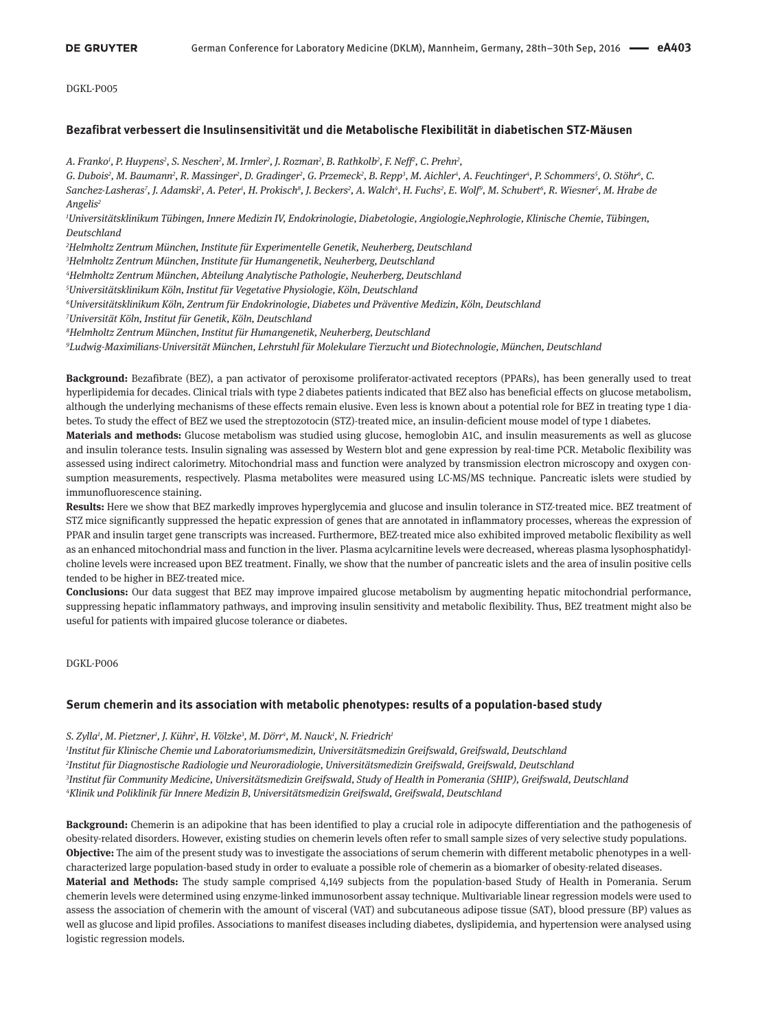## **Bezafibrat verbessert die Insulinsensitivität und die Metabolische Flexibilität in diabetischen STZ-Mäusen**

*A. Franko1 , P. Huypens2 , S. Neschen2 , M. Irmler2 , J. Rozman2 , B. Rathkolb2 , F. Neff2 , C. Prehn2 ,*

G. Dubois<sup>2</sup>, M. Baumann<sup>2</sup>, R. Massinger<sup>2</sup>, D. Gradinger<sup>2</sup>, G. Przemeck<sup>2</sup>, B. Repp<sup>3</sup>, M. Aichler<sup>4</sup>, A. Feuchtinger<sup>4</sup>, P. Schommers<sup>5</sup>, O. Stöhr<sup>6</sup>, C. Sanchez-Lasheras', J. Adamski<sup>2</sup>, A. Peter', H. Prokisch<sup>s</sup>, J. Beckers<sup>2</sup>, A. Walch'<sup>,</sup> H. Fuchs<sup>2</sup>, E. Wolf', M. Schubert', R. Wiesner<sup>s</sup>, M. Hrabe de *Angelis2*

*1 Universitätsklinikum Tübingen, Innere Medizin IV, Endokrinologie, Diabetologie, Angiologie,Nephrologie, Klinische Chemie, Tübingen, Deutschland*

*2 Helmholtz Zentrum München, Institute für Experimentelle Genetik, Neuherberg, Deutschland*

*3 Helmholtz Zentrum München, Institute für Humangenetik, Neuherberg, Deutschland*

*4 Helmholtz Zentrum München, Abteilung Analytische Pathologie, Neuherberg, Deutschland*

*5 Universitätsklinikum Köln, Institut für Vegetative Physiologie, Köln, Deutschland*

*6 Universitätsklinikum Köln, Zentrum für Endokrinologie, Diabetes und Präventive Medizin, Köln, Deutschland*

*7 Universität Köln, Institut für Genetik, Köln, Deutschland*

*8 Helmholtz Zentrum München, Institut für Humangenetik, Neuherberg, Deutschland*

*9 Ludwig-Maximilians-Universität München, Lehrstuhl für Molekulare Tierzucht und Biotechnologie, München, Deutschland*

**Background:** Bezafibrate (BEZ), a pan activator of peroxisome proliferator-activated receptors (PPARs), has been generally used to treat hyperlipidemia for decades. Clinical trials with type 2 diabetes patients indicated that BEZ also has beneficial effects on glucose metabolism, although the underlying mechanisms of these effects remain elusive. Even less is known about a potential role for BEZ in treating type 1 diabetes. To study the effect of BEZ we used the streptozotocin (STZ)-treated mice, an insulin-deficient mouse model of type 1 diabetes.

**Materials and methods:** Glucose metabolism was studied using glucose, hemoglobin A1C, and insulin measurements as well as glucose and insulin tolerance tests. Insulin signaling was assessed by Western blot and gene expression by real-time PCR. Metabolic flexibility was assessed using indirect calorimetry. Mitochondrial mass and function were analyzed by transmission electron microscopy and oxygen consumption measurements, respectively. Plasma metabolites were measured using LC-MS/MS technique. Pancreatic islets were studied by immunofluorescence staining.

**Results:** Here we show that BEZ markedly improves hyperglycemia and glucose and insulin tolerance in STZ-treated mice. BEZ treatment of STZ mice significantly suppressed the hepatic expression of genes that are annotated in inflammatory processes, whereas the expression of PPAR and insulin target gene transcripts was increased. Furthermore, BEZ-treated mice also exhibited improved metabolic flexibility as well as an enhanced mitochondrial mass and function in the liver. Plasma acylcarnitine levels were decreased, whereas plasma lysophosphatidylcholine levels were increased upon BEZ treatment. Finally, we show that the number of pancreatic islets and the area of insulin positive cells tended to be higher in BEZ-treated mice.

**Conclusions:** Our data suggest that BEZ may improve impaired glucose metabolism by augmenting hepatic mitochondrial performance, suppressing hepatic inflammatory pathways, and improving insulin sensitivity and metabolic flexibility. Thus, BEZ treatment might also be useful for patients with impaired glucose tolerance or diabetes.

DGKL-P006

## **Serum chemerin and its association with metabolic phenotypes: results of a population-based study**

#### *S. Zylla1 , M. Pietzner1 , J. Kühn2 , H. Völzke3 , M. Dörr4 , M. Nauck1 , N. Friedrich1*

 *Institut für Klinische Chemie und Laboratoriumsmedizin, Universitätsmedizin Greifswald, Greifswald, Deutschland Institut für Diagnostische Radiologie und Neuroradiologie, Universitätsmedizin Greifswald, Greifswald, Deutschland Institut für Community Medicine, Universitätsmedizin Greifswald, Study of Health in Pomerania (SHIP), Greifswald, Deutschland Klinik und Poliklinik für Innere Medizin B, Universitätsmedizin Greifswald, Greifswald, Deutschland*

**Background:** Chemerin is an adipokine that has been identified to play a crucial role in adipocyte differentiation and the pathogenesis of obesity-related disorders. However, existing studies on chemerin levels often refer to small sample sizes of very selective study populations. **Objective:** The aim of the present study was to investigate the associations of serum chemerin with different metabolic phenotypes in a wellcharacterized large population-based study in order to evaluate a possible role of chemerin as a biomarker of obesity-related diseases. **Material and Methods:** The study sample comprised 4,149 subjects from the population-based Study of Health in Pomerania. Serum chemerin levels were determined using enzyme-linked immunosorbent assay technique. Multivariable linear regression models were used to assess the association of chemerin with the amount of visceral (VAT) and subcutaneous adipose tissue (SAT), blood pressure (BP) values as well as glucose and lipid profiles. Associations to manifest diseases including diabetes, dyslipidemia, and hypertension were analysed using logistic regression models.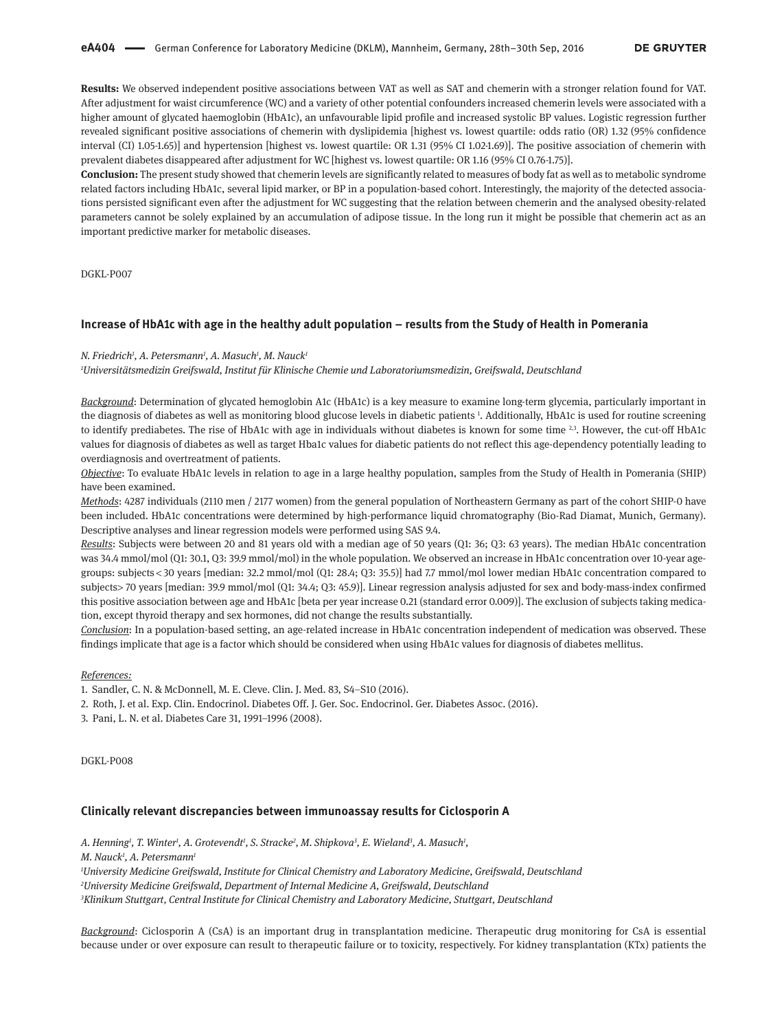**Results:** We observed independent positive associations between VAT as well as SAT and chemerin with a stronger relation found for VAT. After adjustment for waist circumference (WC) and a variety of other potential confounders increased chemerin levels were associated with a higher amount of glycated haemoglobin (HbA1c), an unfavourable lipid profile and increased systolic BP values. Logistic regression further revealed significant positive associations of chemerin with dyslipidemia [highest vs. lowest quartile: odds ratio (OR) 1.32 (95% confidence interval (CI) 1.05-1.65)] and hypertension [highest vs. lowest quartile: OR 1.31 (95% CI 1.02-1.69)]. The positive association of chemerin with prevalent diabetes disappeared after adjustment for WC [highest vs. lowest quartile: OR 1.16 (95% CI 0.76-1.75)].

**Conclusion:** The present study showed that chemerin levels are significantly related to measures of body fat as well as to metabolic syndrome related factors including HbA1c, several lipid marker, or BP in a population-based cohort. Interestingly, the majority of the detected associations persisted significant even after the adjustment for WC suggesting that the relation between chemerin and the analysed obesity-related parameters cannot be solely explained by an accumulation of adipose tissue. In the long run it might be possible that chemerin act as an important predictive marker for metabolic diseases.

DGKL-P007

#### **Increase of HbA1c with age in the healthy adult population – results from the Study of Health in Pomerania**

#### *N. Friedrich1 , A. Petersmann1 , A. Masuch1 , M. Nauck1*

*1 Universitätsmedizin Greifswald, Institut für Klinische Chemie und Laboratoriumsmedizin, Greifswald, Deutschland*

*Background*: Determination of glycated hemoglobin A1c (HbA1c) is a key measure to examine long-term glycemia, particularly important in the diagnosis of diabetes as well as monitoring blood glucose levels in diabetic patients 1 . Additionally, HbA1c is used for routine screening to identify prediabetes. The rise of HbA1c with age in individuals without diabetes is known for some time <sup>2,3</sup>. However, the cut-off HbA1c values for diagnosis of diabetes as well as target Hba1c values for diabetic patients do not reflect this age-dependency potentially leading to overdiagnosis and overtreatment of patients.

*Objective*: To evaluate HbA1c levels in relation to age in a large healthy population, samples from the Study of Health in Pomerania (SHIP) have been examined.

*Methods*: 4287 individuals (2110 men / 2177 women) from the general population of Northeastern Germany as part of the cohort SHIP-0 have been included. HbA1c concentrations were determined by high-performance liquid chromatography (Bio-Rad Diamat, Munich, Germany). Descriptive analyses and linear regression models were performed using SAS 9.4.

*Results*: Subjects were between 20 and 81 years old with a median age of 50 years (Q1: 36; Q3: 63 years). The median HbA1c concentration was 34.4 mmol/mol (Q1: 30.1, Q3: 39.9 mmol/mol) in the whole population. We observed an increase in HbA1c concentration over 10-year agegroups: subjects < 30 years [median: 32.2 mmol/mol (Q1: 28.4; Q3: 35.5)] had 7.7 mmol/mol lower median HbA1c concentration compared to subjects> 70 years [median: 39.9 mmol/mol (Q1: 34.4; Q3: 45.9)]. Linear regression analysis adjusted for sex and body-mass-index confirmed this positive association between age and HbA1c [beta per year increase 0.21 (standard error 0.009)]. The exclusion of subjects taking medication, except thyroid therapy and sex hormones, did not change the results substantially.

*Conclusion*: In a population-based setting, an age-related increase in HbA1c concentration independent of medication was observed. These findings implicate that age is a factor which should be considered when using HbA1c values for diagnosis of diabetes mellitus.

*References:*

1. Sandler, C. N. & McDonnell, M. E. Cleve. Clin. J. Med. 83, S4–S10 (2016).

2. Roth, J. et al. Exp. Clin. Endocrinol. Diabetes Off. J. Ger. Soc. Endocrinol. Ger. Diabetes Assoc. (2016).

3. Pani, L. N. et al. Diabetes Care 31, 1991–1996 (2008).

DGKL-P008

## **Clinically relevant discrepancies between immunoassay results for Ciclosporin A**

*A. Henning1 , T. Winter1 , A. Grotevendt1 , S. Stracke2 , M. Shipkova3 , E. Wieland3 , A. Masuch1 ,*

*M. Nauck1 , A. Petersmann1*

*1 University Medicine Greifswald, Institute for Clinical Chemistry and Laboratory Medicine, Greifswald, Deutschland*

*2 University Medicine Greifswald, Department of Internal Medicine A, Greifswald, Deutschland*

*3 Klinikum Stuttgart, Central Institute for Clinical Chemistry and Laboratory Medicine, Stuttgart, Deutschland*

*Background*: Ciclosporin A (CsA) is an important drug in transplantation medicine. Therapeutic drug monitoring for CsA is essential because under or over exposure can result to therapeutic failure or to toxicity, respectively. For kidney transplantation (KTx) patients the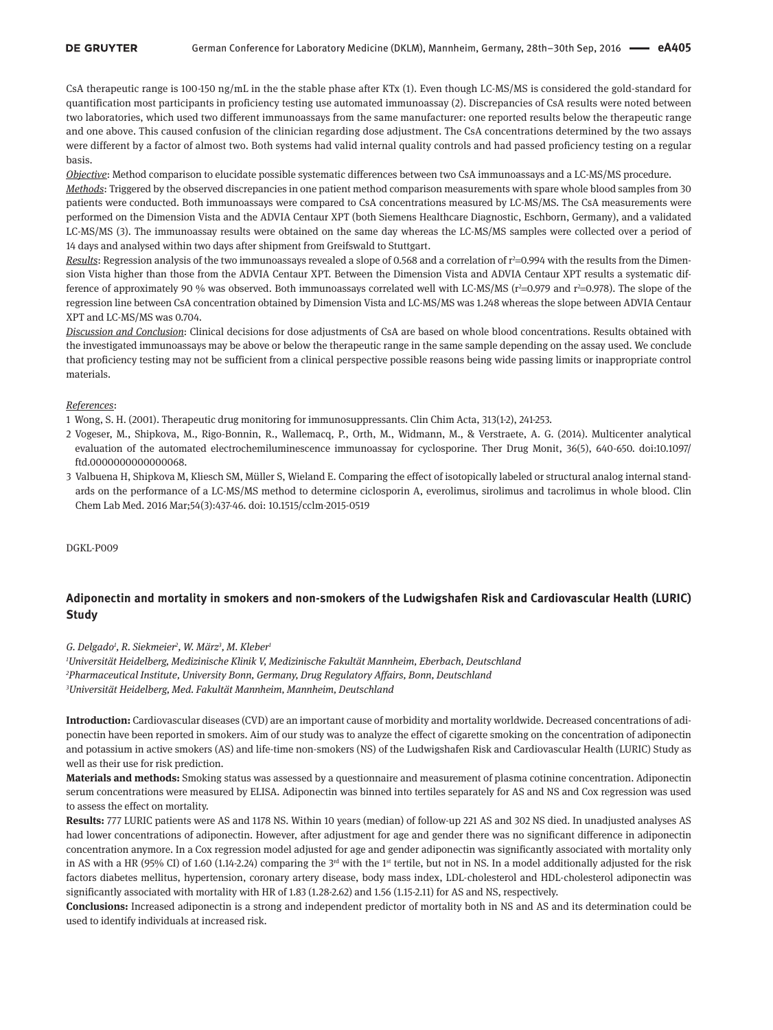CsA therapeutic range is 100-150 ng/mL in the the stable phase after KTx (1). Even though LC-MS/MS is considered the gold-standard for quantification most participants in proficiency testing use automated immunoassay (2). Discrepancies of CsA results were noted between two laboratories, which used two different immunoassays from the same manufacturer: one reported results below the therapeutic range and one above. This caused confusion of the clinician regarding dose adjustment. The CsA concentrations determined by the two assays were different by a factor of almost two. Both systems had valid internal quality controls and had passed proficiency testing on a regular basis.

*Objective*: Method comparison to elucidate possible systematic differences between two CsA immunoassays and a LC-MS/MS procedure. *Methods*: Triggered by the observed discrepancies in one patient method comparison measurements with spare whole blood samples from 30 patients were conducted. Both immunoassays were compared to CsA concentrations measured by LC-MS/MS. The CsA measurements were performed on the Dimension Vista and the ADVIA Centaur XPT (both Siemens Healthcare Diagnostic, Eschborn, Germany), and a validated LC-MS/MS (3). The immunoassay results were obtained on the same day whereas the LC-MS/MS samples were collected over a period of 14 days and analysed within two days after shipment from Greifswald to Stuttgart.

<u>Results</u>: Regression analysis of the two immunoassays revealed a slope of 0.568 and a correlation of r<sup>2</sup>=0.994 with the results from the Dimension Vista higher than those from the ADVIA Centaur XPT. Between the Dimension Vista and ADVIA Centaur XPT results a systematic difference of approximately 90 % was observed. Both immunoassays correlated well with LC-MS/MS (r<sup>2</sup>=0.979 and r<sup>2</sup>=0.978). The slope of the regression line between CsA concentration obtained by Dimension Vista and LC-MS/MS was 1.248 whereas the slope between ADVIA Centaur XPT and LC-MS/MS was 0.704.

*Discussion and Conclusion*: Clinical decisions for dose adjustments of CsA are based on whole blood concentrations. Results obtained with the investigated immunoassays may be above or below the therapeutic range in the same sample depending on the assay used. We conclude that proficiency testing may not be sufficient from a clinical perspective possible reasons being wide passing limits or inappropriate control materials.

#### *References*:

1 Wong, S. H. (2001). Therapeutic drug monitoring for immunosuppressants. Clin Chim Acta, 313(1-2), 241-253.

- 2 Vogeser, M., Shipkova, M., Rigo-Bonnin, R., Wallemacq, P., Orth, M., Widmann, M., & Verstraete, A. G. (2014). Multicenter analytical evaluation of the automated electrochemiluminescence immunoassay for cyclosporine. Ther Drug Monit, 36(5), 640-650. doi:10.1097/ ftd.0000000000000068.
- 3 Valbuena H, Shipkova M, Kliesch SM, Müller S, Wieland E. Comparing the effect of isotopically labeled or structural analog internal standards on the performance of a LC-MS/MS method to determine ciclosporin A, everolimus, sirolimus and tacrolimus in whole blood. Clin Chem Lab Med. 2016 Mar;54(3):437-46. doi: 10.1515/cclm-2015-0519

DGKL-P009

# **Adiponectin and mortality in smokers and non-smokers of the Ludwigshafen Risk and Cardiovascular Health (LURIC) Study**

*G. Delgado1 , R. Siekmeier2 , W. März3 , M. Kleber1*

*1 Universität Heidelberg, Medizinische Klinik V, Medizinische Fakultät Mannheim, Eberbach, Deutschland 2 Pharmaceutical Institute, University Bonn, Germany, Drug Regulatory Affairs, Bonn, Deutschland 3 Universität Heidelberg, Med. Fakultät Mannheim, Mannheim, Deutschland*

**Introduction:** Cardiovascular diseases (CVD) are an important cause of morbidity and mortality worldwide. Decreased concentrations of adiponectin have been reported in smokers. Aim of our study was to analyze the effect of cigarette smoking on the concentration of adiponectin and potassium in active smokers (AS) and life-time non-smokers (NS) of the Ludwigshafen Risk and Cardiovascular Health (LURIC) Study as well as their use for risk prediction.

**Materials and methods:** Smoking status was assessed by a questionnaire and measurement of plasma cotinine concentration. Adiponectin serum concentrations were measured by ELISA. Adiponectin was binned into tertiles separately for AS and NS and Cox regression was used to assess the effect on mortality.

**Results:** 777 LURIC patients were AS and 1178 NS. Within 10 years (median) of follow-up 221 AS and 302 NS died. In unadjusted analyses AS had lower concentrations of adiponectin. However, after adjustment for age and gender there was no significant difference in adiponectin concentration anymore. In a Cox regression model adjusted for age and gender adiponectin was significantly associated with mortality only in AS with a HR (95% CI) of 1.60 (1.14-2.24) comparing the  $3<sup>rd</sup>$  with the 1<sup>st</sup> tertile, but not in NS. In a model additionally adjusted for the risk factors diabetes mellitus, hypertension, coronary artery disease, body mass index, LDL-cholesterol and HDL-cholesterol adiponectin was significantly associated with mortality with HR of 1.83 (1.28-2.62) and 1.56 (1.15-2.11) for AS and NS, respectively.

**Conclusions:** Increased adiponectin is a strong and independent predictor of mortality both in NS and AS and its determination could be used to identify individuals at increased risk.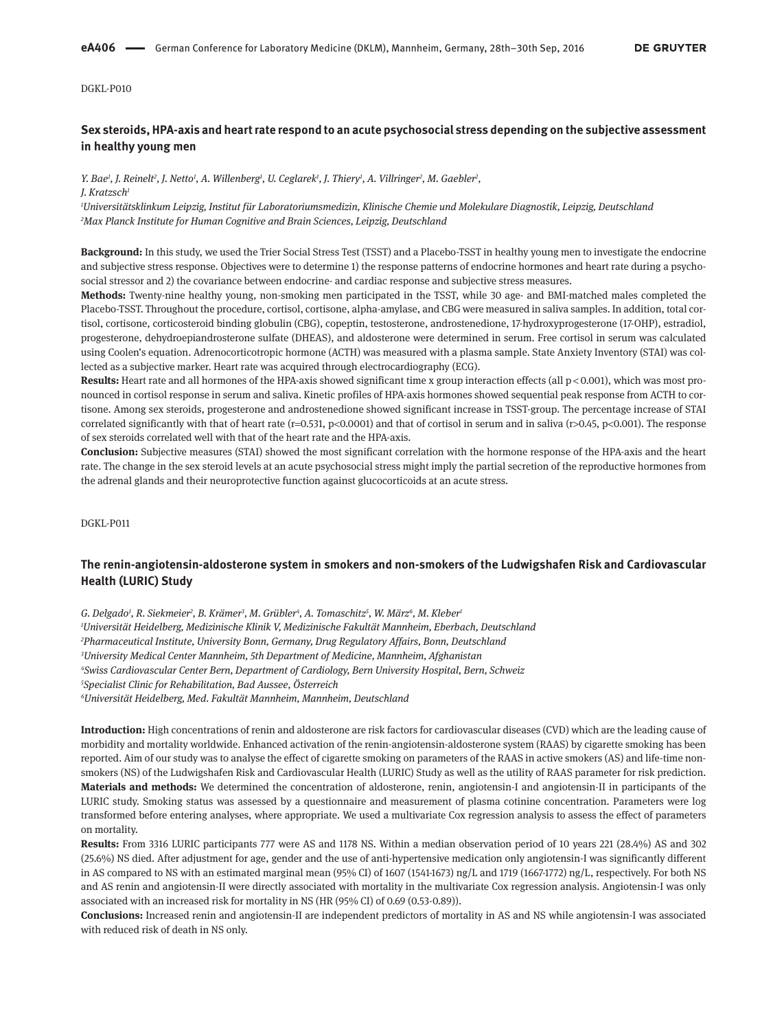# **Sex steroids, HPA-axis and heart rate respond to an acute psychosocial stress depending on the subjective assessment in healthy young men**

*Y. Bae1 , J. Reinelt2 , J. Netto1 , A. Willenberg1 , U. Ceglarek1 , J. Thiery1 , A. Villringer2 , M. Gaebler2 , J. Kratzsch1*

*1 Universitätsklinkum Leipzig, Institut für Laboratoriumsmedizin, Klinische Chemie und Molekulare Diagnostik, Leipzig, Deutschland 2 Max Planck Institute for Human Cognitive and Brain Sciences, Leipzig, Deutschland*

**Background:** In this study, we used the Trier Social Stress Test (TSST) and a Placebo-TSST in healthy young men to investigate the endocrine and subjective stress response. Objectives were to determine 1) the response patterns of endocrine hormones and heart rate during a psychosocial stressor and 2) the covariance between endocrine- and cardiac response and subjective stress measures.

**Methods:** Twenty-nine healthy young, non-smoking men participated in the TSST, while 30 age- and BMI-matched males completed the Placebo-TSST. Throughout the procedure, cortisol, cortisone, alpha-amylase, and CBG were measured in saliva samples. In addition, total cortisol, cortisone, corticosteroid binding globulin (CBG), copeptin, testosterone, androstenedione, 17-hydroxyprogesterone (17-OHP), estradiol, progesterone, dehydroepiandrosterone sulfate (DHEAS), and aldosterone were determined in serum. Free cortisol in serum was calculated using Coolen's equation. Adrenocorticotropic hormone (ACTH) was measured with a plasma sample. State Anxiety Inventory (STAI) was collected as a subjective marker. Heart rate was acquired through electrocardiography (ECG).

Results: Heart rate and all hormones of the HPA-axis showed significant time x group interaction effects (all p < 0.001), which was most pronounced in cortisol response in serum and saliva. Kinetic profiles of HPA-axis hormones showed sequential peak response from ACTH to cortisone. Among sex steroids, progesterone and androstenedione showed significant increase in TSST-group. The percentage increase of STAI correlated significantly with that of heart rate (r=0.531, p<0.0001) and that of cortisol in serum and in saliva (r>0.45, p<0.001). The response of sex steroids correlated well with that of the heart rate and the HPA-axis.

**Conclusion:** Subjective measures (STAI) showed the most significant correlation with the hormone response of the HPA-axis and the heart rate. The change in the sex steroid levels at an acute psychosocial stress might imply the partial secretion of the reproductive hormones from the adrenal glands and their neuroprotective function against glucocorticoids at an acute stress.

DGKL-P011

## **The renin-angiotensin-aldosterone system in smokers and non-smokers of the Ludwigshafen Risk and Cardiovascular Health (LURIC) Study**

G. Delgado<sup>1</sup>, R. Siekmeier<sup>2</sup>, B. Krämer<sup>3</sup>, M. Grübler<sup>4</sup>, A. Tomaschitz<sup>5</sup>, W. März<sup>6</sup>, M. Kleber<sup>1</sup> *Universität Heidelberg, Medizinische Klinik V, Medizinische Fakultät Mannheim, Eberbach, Deutschland Pharmaceutical Institute, University Bonn, Germany, Drug Regulatory Affairs, Bonn, Deutschland University Medical Center Mannheim, 5th Department of Medicine, Mannheim, Afghanistan Swiss Cardiovascular Center Bern, Department of Cardiology, Bern University Hospital, Bern, Schweiz Specialist Clinic for Rehabilitation, Bad Aussee, Österreich Universität Heidelberg, Med. Fakultät Mannheim, Mannheim, Deutschland*

**Introduction:** High concentrations of renin and aldosterone are risk factors for cardiovascular diseases (CVD) which are the leading cause of morbidity and mortality worldwide. Enhanced activation of the renin-angiotensin-aldosterone system (RAAS) by cigarette smoking has been reported. Aim of our study was to analyse the effect of cigarette smoking on parameters of the RAAS in active smokers (AS) and life-time nonsmokers (NS) of the Ludwigshafen Risk and Cardiovascular Health (LURIC) Study as well as the utility of RAAS parameter for risk prediction. **Materials and methods:** We determined the concentration of aldosterone, renin, angiotensin-I and angiotensin-II in participants of the LURIC study. Smoking status was assessed by a questionnaire and measurement of plasma cotinine concentration. Parameters were log transformed before entering analyses, where appropriate. We used a multivariate Cox regression analysis to assess the effect of parameters on mortality.

**Results:** From 3316 LURIC participants 777 were AS and 1178 NS. Within a median observation period of 10 years 221 (28.4%) AS and 302 (25.6%) NS died. After adjustment for age, gender and the use of anti-hypertensive medication only angiotensin-I was significantly different in AS compared to NS with an estimated marginal mean (95% CI) of 1607 (1541-1673) ng/L and 1719 (1667-1772) ng/L, respectively. For both NS and AS renin and angiotensin-II were directly associated with mortality in the multivariate Cox regression analysis. Angiotensin-I was only associated with an increased risk for mortality in NS (HR (95% CI) of 0.69 (0.53-0.89)).

**Conclusions:** Increased renin and angiotensin-II are independent predictors of mortality in AS and NS while angiotensin-I was associated with reduced risk of death in NS only.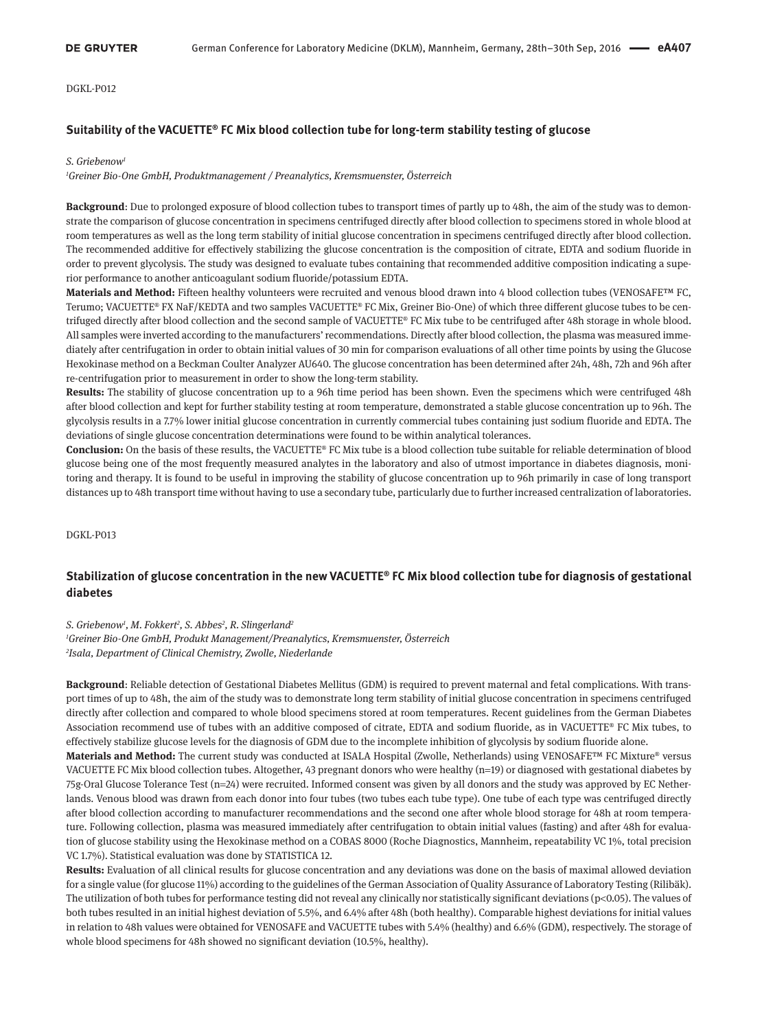## **Suitability of the VACUETTE® FC Mix blood collection tube for long-term stability testing of glucose**

#### *S. Griebenow1*

*1 Greiner Bio-One GmbH, Produktmanagement / Preanalytics, Kremsmuenster, Österreich*

**Background**: Due to prolonged exposure of blood collection tubes to transport times of partly up to 48h, the aim of the study was to demonstrate the comparison of glucose concentration in specimens centrifuged directly after blood collection to specimens stored in whole blood at room temperatures as well as the long term stability of initial glucose concentration in specimens centrifuged directly after blood collection. The recommended additive for effectively stabilizing the glucose concentration is the composition of citrate, EDTA and sodium fluoride in order to prevent glycolysis. The study was designed to evaluate tubes containing that recommended additive composition indicating a superior performance to another anticoagulant sodium fluoride/potassium EDTA.

**Materials and Method:** Fifteen healthy volunteers were recruited and venous blood drawn into 4 blood collection tubes (VENOSAFE™ FC, Terumo; VACUETTE® FX NaF/KEDTA and two samples VACUETTE® FC Mix, Greiner Bio-One) of which three different glucose tubes to be centrifuged directly after blood collection and the second sample of VACUETTE® FC Mix tube to be centrifuged after 48h storage in whole blood. All samples were inverted according to the manufacturers' recommendations. Directly after blood collection, the plasma was measured immediately after centrifugation in order to obtain initial values of 30 min for comparison evaluations of all other time points by using the Glucose Hexokinase method on a Beckman Coulter Analyzer AU640. The glucose concentration has been determined after 24h, 48h, 72h and 96h after re-centrifugation prior to measurement in order to show the long-term stability.

**Results:** The stability of glucose concentration up to a 96h time period has been shown. Even the specimens which were centrifuged 48h after blood collection and kept for further stability testing at room temperature, demonstrated a stable glucose concentration up to 96h. The glycolysis results in a 7.7% lower initial glucose concentration in currently commercial tubes containing just sodium fluoride and EDTA. The deviations of single glucose concentration determinations were found to be within analytical tolerances.

**Conclusion:** On the basis of these results, the VACUETTE® FC Mix tube is a blood collection tube suitable for reliable determination of blood glucose being one of the most frequently measured analytes in the laboratory and also of utmost importance in diabetes diagnosis, monitoring and therapy. It is found to be useful in improving the stability of glucose concentration up to 96h primarily in case of long transport distances up to 48h transport time without having to use a secondary tube, particularly due to further increased centralization of laboratories.

DGKL-P013

# **Stabilization of glucose concentration in the new VACUETTE® FC Mix blood collection tube for diagnosis of gestational diabetes**

*S. Griebenow1 , M. Fokkert2 , S. Abbes2 , R. Slingerland2*

*1 Greiner Bio-One GmbH, Produkt Management/Preanalytics, Kremsmuenster, Österreich 2 Isala, Department of Clinical Chemistry, Zwolle, Niederlande*

**Background**: Reliable detection of Gestational Diabetes Mellitus (GDM) is required to prevent maternal and fetal complications. With transport times of up to 48h, the aim of the study was to demonstrate long term stability of initial glucose concentration in specimens centrifuged directly after collection and compared to whole blood specimens stored at room temperatures. Recent guidelines from the German Diabetes Association recommend use of tubes with an additive composed of citrate, EDTA and sodium fluoride, as in VACUETTE® FC Mix tubes, to effectively stabilize glucose levels for the diagnosis of GDM due to the incomplete inhibition of glycolysis by sodium fluoride alone.

**Materials and Method:** The current study was conducted at ISALA Hospital (Zwolle, Netherlands) using VENOSAFE™ FC Mixture® versus VACUETTE FC Mix blood collection tubes. Altogether, 43 pregnant donors who were healthy (n=19) or diagnosed with gestational diabetes by 75g-Oral Glucose Tolerance Test (n=24) were recruited. Informed consent was given by all donors and the study was approved by EC Netherlands. Venous blood was drawn from each donor into four tubes (two tubes each tube type). One tube of each type was centrifuged directly after blood collection according to manufacturer recommendations and the second one after whole blood storage for 48h at room temperature. Following collection, plasma was measured immediately after centrifugation to obtain initial values (fasting) and after 48h for evaluation of glucose stability using the Hexokinase method on a COBAS 8000 (Roche Diagnostics, Mannheim, repeatability VC 1%, total precision VC 1.7%). Statistical evaluation was done by STATISTICA 12.

**Results:** Evaluation of all clinical results for glucose concentration and any deviations was done on the basis of maximal allowed deviation for a single value (for glucose 11%) according to the guidelines of the German Association of Quality Assurance of Laboratory Testing (Rilibäk). The utilization of both tubes for performance testing did not reveal any clinically nor statistically significant deviations (p<0.05). The values of both tubes resulted in an initial highest deviation of 5.5%, and 6.4% after 48h (both healthy). Comparable highest deviations for initial values in relation to 48h values were obtained for VENOSAFE and VACUETTE tubes with 5.4% (healthy) and 6.6% (GDM), respectively. The storage of whole blood specimens for 48h showed no significant deviation (10.5%, healthy).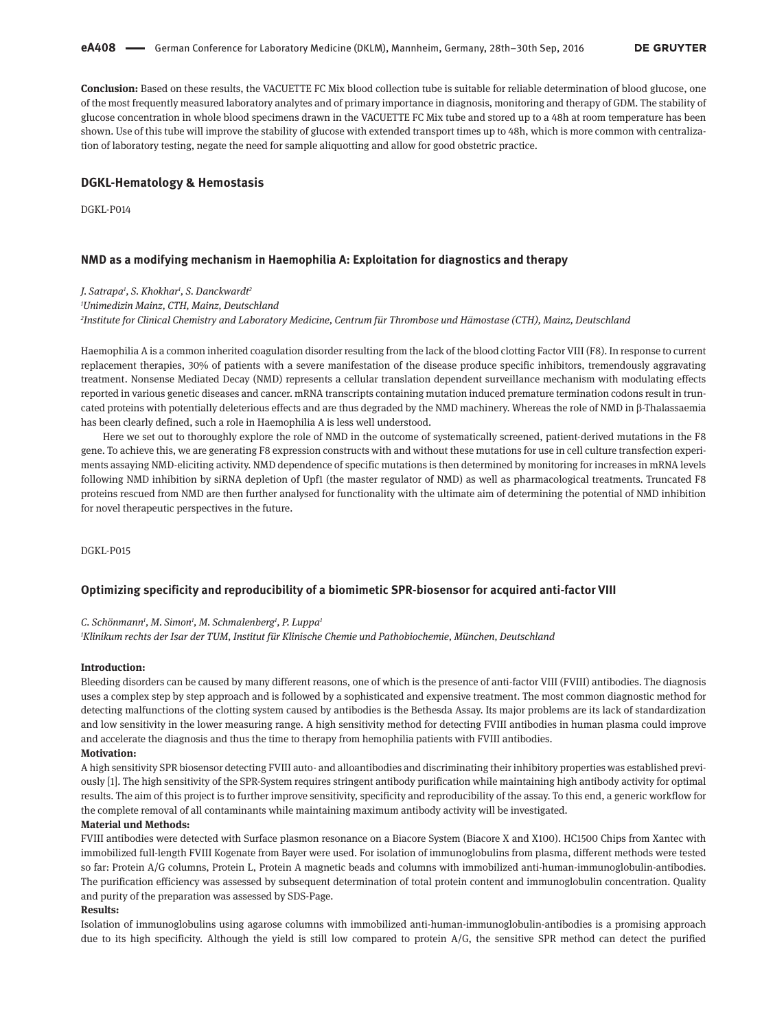**Conclusion:** Based on these results, the VACUETTE FC Mix blood collection tube is suitable for reliable determination of blood glucose, one of the most frequently measured laboratory analytes and of primary importance in diagnosis, monitoring and therapy of GDM. The stability of glucose concentration in whole blood specimens drawn in the VACUETTE FC Mix tube and stored up to a 48h at room temperature has been shown. Use of this tube will improve the stability of glucose with extended transport times up to 48h, which is more common with centralization of laboratory testing, negate the need for sample aliquotting and allow for good obstetric practice.

## **DGKL-Hematology & Hemostasis**

DGKL-P014

#### **NMD as a modifying mechanism in Haemophilia A: Exploitation for diagnostics and therapy**

*J. Satrapa1 , S. Khokhar1 , S. Danckwardt2*

*1 Unimedizin Mainz, CTH, Mainz, Deutschland*

*2 Institute for Clinical Chemistry and Laboratory Medicine, Centrum für Thrombose und Hämostase (CTH), Mainz, Deutschland*

Haemophilia A is a common inherited coagulation disorder resulting from the lack of the blood clotting Factor VIII (F8). In response to current replacement therapies, 30% of patients with a severe manifestation of the disease produce specific inhibitors, tremendously aggravating treatment. Nonsense Mediated Decay (NMD) represents a cellular translation dependent surveillance mechanism with modulating effects reported in various genetic diseases and cancer. mRNA transcripts containing mutation induced premature termination codons result in truncated proteins with potentially deleterious effects and are thus degraded by the NMD machinery. Whereas the role of NMD in β-Thalassaemia has been clearly defined, such a role in Haemophilia A is less well understood.

Here we set out to thoroughly explore the role of NMD in the outcome of systematically screened, patient-derived mutations in the F8 gene. To achieve this, we are generating F8 expression constructs with and without these mutations for use in cell culture transfection experiments assaying NMD-eliciting activity. NMD dependence of specific mutations is then determined by monitoring for increases in mRNA levels following NMD inhibition by siRNA depletion of Upf1 (the master regulator of NMD) as well as pharmacological treatments. Truncated F8 proteins rescued from NMD are then further analysed for functionality with the ultimate aim of determining the potential of NMD inhibition for novel therapeutic perspectives in the future.

DGKL-P015

## **Optimizing specificity and reproducibility of a biomimetic SPR-biosensor for acquired anti-factor VIII**

#### *C. Schönmann1 , M. Simon1 , M. Schmalenberg1 , P. Luppa1*

*1 Klinikum rechts der Isar der TUM, Institut für Klinische Chemie und Pathobiochemie, München, Deutschland*

#### **Introduction:**

Bleeding disorders can be caused by many different reasons, one of which is the presence of anti-factor VIII (FVIII) antibodies. The diagnosis uses a complex step by step approach and is followed by a sophisticated and expensive treatment. The most common diagnostic method for detecting malfunctions of the clotting system caused by antibodies is the Bethesda Assay. Its major problems are its lack of standardization and low sensitivity in the lower measuring range. A high sensitivity method for detecting FVIII antibodies in human plasma could improve and accelerate the diagnosis and thus the time to therapy from hemophilia patients with FVIII antibodies.

## **Motivation:**

A high sensitivity SPR biosensor detecting FVIII auto- and alloantibodies and discriminating their inhibitory properties was established previously [1]. The high sensitivity of the SPR-System requires stringent antibody purification while maintaining high antibody activity for optimal results. The aim of this project is to further improve sensitivity, specificity and reproducibility of the assay. To this end, a generic workflow for the complete removal of all contaminants while maintaining maximum antibody activity will be investigated.

### **Material und Methods:**

FVIII antibodies were detected with Surface plasmon resonance on a Biacore System (Biacore X and X100). HC1500 Chips from Xantec with immobilized full-length FVIII Kogenate from Bayer were used. For isolation of immunoglobulins from plasma, different methods were tested so far: Protein A/G columns, Protein L, Protein A magnetic beads and columns with immobilized anti-human-immunoglobulin-antibodies. The purification efficiency was assessed by subsequent determination of total protein content and immunoglobulin concentration. Quality and purity of the preparation was assessed by SDS-Page.

#### **Results:**

Isolation of immunoglobulins using agarose columns with immobilized anti-human-immunoglobulin-antibodies is a promising approach due to its high specificity. Although the yield is still low compared to protein A/G, the sensitive SPR method can detect the purified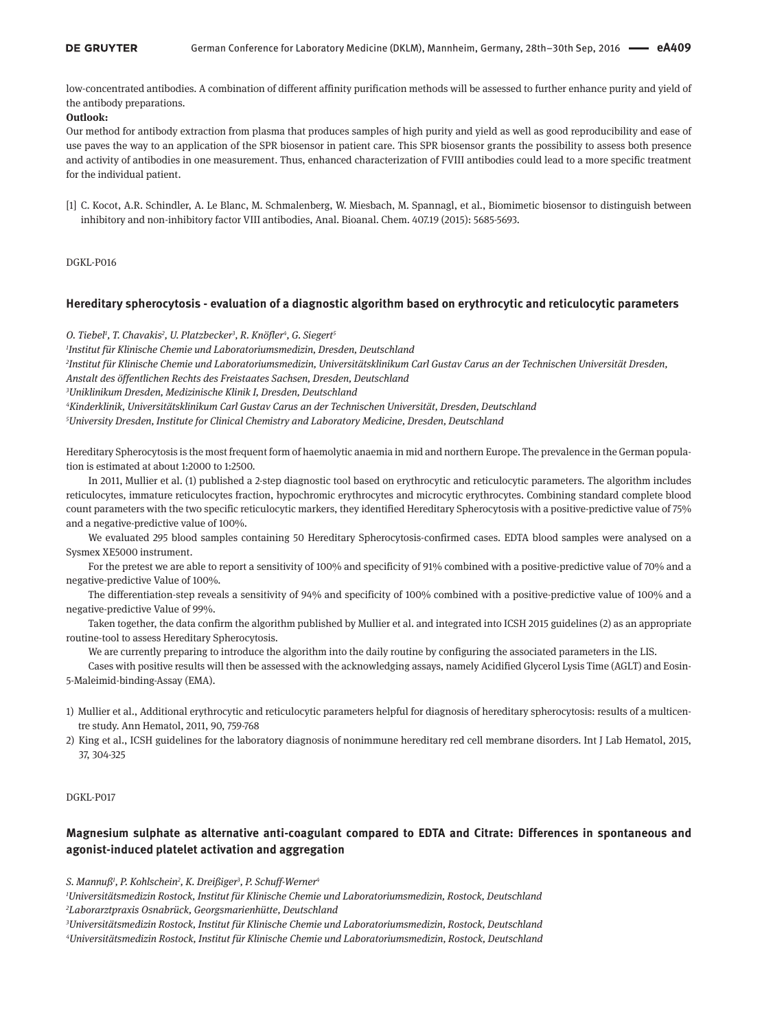low-concentrated antibodies. A combination of different affinity purification methods will be assessed to further enhance purity and yield of the antibody preparations.

## **Outlook:**

Our method for antibody extraction from plasma that produces samples of high purity and yield as well as good reproducibility and ease of use paves the way to an application of the SPR biosensor in patient care. This SPR biosensor grants the possibility to assess both presence and activity of antibodies in one measurement. Thus, enhanced characterization of FVIII antibodies could lead to a more specific treatment for the individual patient.

[1] C. Kocot, A.R. Schindler, A. Le Blanc, M. Schmalenberg, W. Miesbach, M. Spannagl, et al., Biomimetic biosensor to distinguish between inhibitory and non-inhibitory factor VIII antibodies, Anal. Bioanal. Chem. 407.19 (2015): 5685-5693.

DGKL-P016

## **Hereditary spherocytosis - evaluation of a diagnostic algorithm based on erythrocytic and reticulocytic parameters**

*O. Tiebel1 , T. Chavakis2 , U. Platzbecker3 , R. Knöfler4 , G. Siegert5*

*1 Institut für Klinische Chemie und Laboratoriumsmedizin, Dresden, Deutschland*

*2 Institut für Klinische Chemie und Laboratoriumsmedizin, Universitätsklinikum Carl Gustav Carus an der Technischen Universität Dresden, Anstalt des öffentlichen Rechts des Freistaates Sachsen, Dresden, Deutschland*

*3 Uniklinikum Dresden, Medizinische Klinik I, Dresden, Deutschland*

*4 Kinderklinik, Universitätsklinikum Carl Gustav Carus an der Technischen Universität, Dresden, Deutschland*

*5 University Dresden, Institute for Clinical Chemistry and Laboratory Medicine, Dresden, Deutschland*

Hereditary Spherocytosis is the most frequent form of haemolytic anaemia in mid and northern Europe. The prevalence in the German population is estimated at about 1:2000 to 1:2500.

In 2011, Mullier et al. (1) published a 2-step diagnostic tool based on erythrocytic and reticulocytic parameters. The algorithm includes reticulocytes, immature reticulocytes fraction, hypochromic erythrocytes and microcytic erythrocytes. Combining standard complete blood count parameters with the two specific reticulocytic markers, they identified Hereditary Spherocytosis with a positive-predictive value of 75% and a negative-predictive value of 100%.

We evaluated 295 blood samples containing 50 Hereditary Spherocytosis-confirmed cases. EDTA blood samples were analysed on a Sysmex XE5000 instrument.

For the pretest we are able to report a sensitivity of 100% and specificity of 91% combined with a positive-predictive value of 70% and a negative-predictive Value of 100%.

The differentiation-step reveals a sensitivity of 94% and specificity of 100% combined with a positive-predictive value of 100% and a negative-predictive Value of 99%.

Taken together, the data confirm the algorithm published by Mullier et al. and integrated into ICSH 2015 guidelines (2) as an appropriate routine-tool to assess Hereditary Spherocytosis.

We are currently preparing to introduce the algorithm into the daily routine by configuring the associated parameters in the LIS.

Cases with positive results will then be assessed with the acknowledging assays, namely Acidified Glycerol Lysis Time (AGLT) and Eosin-5-Maleimid-binding-Assay (EMA).

- 1) Mullier et al., Additional erythrocytic and reticulocytic parameters helpful for diagnosis of hereditary spherocytosis: results of a multicentre study. Ann Hematol, 2011, 90, 759-768
- 2) King et al., ICSH guidelines for the laboratory diagnosis of nonimmune hereditary red cell membrane disorders. Int J Lab Hematol, 2015, 37, 304-325

## DGKL-P017

# **Magnesium sulphate as alternative anti-coagulant compared to EDTA and Citrate: Differences in spontaneous and agonist-induced platelet activation and aggregation**

*S. Mannuß1 , P. Kohlschein2 , K. Dreißiger3 , P. Schuff-Werner4*

*1 Universitätsmedizin Rostock, Institut für Klinische Chemie und Laboratoriumsmedizin, Rostock, Deutschland 2 Laborarztpraxis Osnabrück, Georgsmarienhütte, Deutschland*

*3 Universitätsmedizin Rostock, Institut für Klinische Chemie und Laboratoriumsmedizin, Rostock, Deutschland*

*4 Universitätsmedizin Rostock, Institut für Klinische Chemie und Laboratoriumsmedizin, Rostock, Deutschland*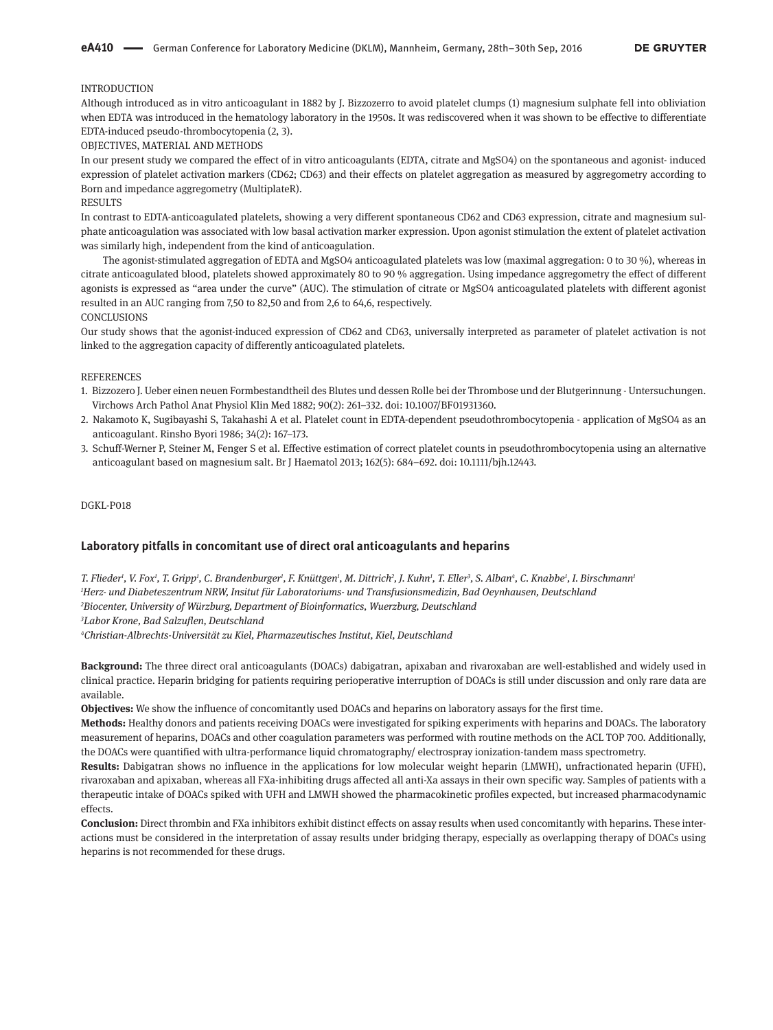### INTRODUCTION

Although introduced as in vitro anticoagulant in 1882 by J. Bizzozerro to avoid platelet clumps (1) magnesium sulphate fell into obliviation when EDTA was introduced in the hematology laboratory in the 1950s. It was rediscovered when it was shown to be effective to differentiate EDTA-induced pseudo-thrombocytopenia (2, 3).

OBJECTIVES, MATERIAL AND METHODS

In our present study we compared the effect of in vitro anticoagulants (EDTA, citrate and MgSO4) on the spontaneous and agonist- induced expression of platelet activation markers (CD62; CD63) and their effects on platelet aggregation as measured by aggregometry according to Born and impedance aggregometry (MultiplateR).

### RESULTS

In contrast to EDTA-anticoagulated platelets, showing a very different spontaneous CD62 and CD63 expression, citrate and magnesium sulphate anticoagulation was associated with low basal activation marker expression. Upon agonist stimulation the extent of platelet activation was similarly high, independent from the kind of anticoagulation.

The agonist-stimulated aggregation of EDTA and MgSO4 anticoagulated platelets was low (maximal aggregation: 0 to 30 %), whereas in citrate anticoagulated blood, platelets showed approximately 80 to 90 % aggregation. Using impedance aggregometry the effect of different agonists is expressed as "area under the curve" (AUC). The stimulation of citrate or MgSO4 anticoagulated platelets with different agonist resulted in an AUC ranging from 7,50 to 82,50 and from 2,6 to 64,6, respectively. CONCLUSIONS

Our study shows that the agonist-induced expression of CD62 and CD63, universally interpreted as parameter of platelet activation is not linked to the aggregation capacity of differently anticoagulated platelets.

#### **REFERENCES**

- 1. Bizzozero J. Ueber einen neuen Formbestandtheil des Blutes und dessen Rolle bei der Thrombose und der Blutgerinnung Untersuchungen. Virchows Arch Pathol Anat Physiol Klin Med 1882; 90(2): 261–332. doi: 10.1007/BF01931360.
- 2. Nakamoto K, Sugibayashi S, Takahashi A et al. Platelet count in EDTA-dependent pseudothrombocytopenia application of MgSO4 as an anticoagulant. Rinsho Byori 1986; 34(2): 167–173.
- 3. Schuff-Werner P, Steiner M, Fenger S et al. Effective estimation of correct platelet counts in pseudothrombocytopenia using an alternative anticoagulant based on magnesium salt. Br J Haematol 2013; 162(5): 684–692. doi: 10.1111/bjh.12443.

#### DGKL-P018

## **Laboratory pitfalls in concomitant use of direct oral anticoagulants and heparins**

T. Flieder<sup>ı</sup>, V. Fox<sup>ı</sup>, T. Gripp<sup>ı</sup>, C. Brandenburger<sup>ı</sup>, F. Knüttgen<sup>ı</sup>, M. Dittrich<sup>2</sup>, J. Kuhn<sup>ı</sup>, T. Eller<sup>3</sup>, S. Alban<sup>4</sup>, C. Knabbe<sup>ı</sup>, I. Birschmann *Herz- und Diabeteszentrum NRW, Insitut für Laboratoriums- und Transfusionsmedizin, Bad Oeynhausen, Deutschland Biocenter, University of Würzburg, Department of Bioinformatics, Wuerzburg, Deutschland Labor Krone, Bad Salzuflen, Deutschland*

*4 Christian-Albrechts-Universität zu Kiel, Pharmazeutisches Institut, Kiel, Deutschland*

**Background:** The three direct oral anticoagulants (DOACs) dabigatran, apixaban and rivaroxaban are well-established and widely used in clinical practice. Heparin bridging for patients requiring perioperative interruption of DOACs is still under discussion and only rare data are available.

**Objectives:** We show the influence of concomitantly used DOACs and heparins on laboratory assays for the first time.

**Methods:** Healthy donors and patients receiving DOACs were investigated for spiking experiments with heparins and DOACs. The laboratory measurement of heparins, DOACs and other coagulation parameters was performed with routine methods on the ACL TOP 700. Additionally, the DOACs were quantified with ultra-performance liquid chromatography/ electrospray ionization-tandem mass spectrometry.

**Results:** Dabigatran shows no influence in the applications for low molecular weight heparin (LMWH), unfractionated heparin (UFH), rivaroxaban and apixaban, whereas all FXa-inhibiting drugs affected all anti-Xa assays in their own specific way. Samples of patients with a therapeutic intake of DOACs spiked with UFH and LMWH showed the pharmacokinetic profiles expected, but increased pharmacodynamic effects.

**Conclusion:** Direct thrombin and FXa inhibitors exhibit distinct effects on assay results when used concomitantly with heparins. These interactions must be considered in the interpretation of assay results under bridging therapy, especially as overlapping therapy of DOACs using heparins is not recommended for these drugs.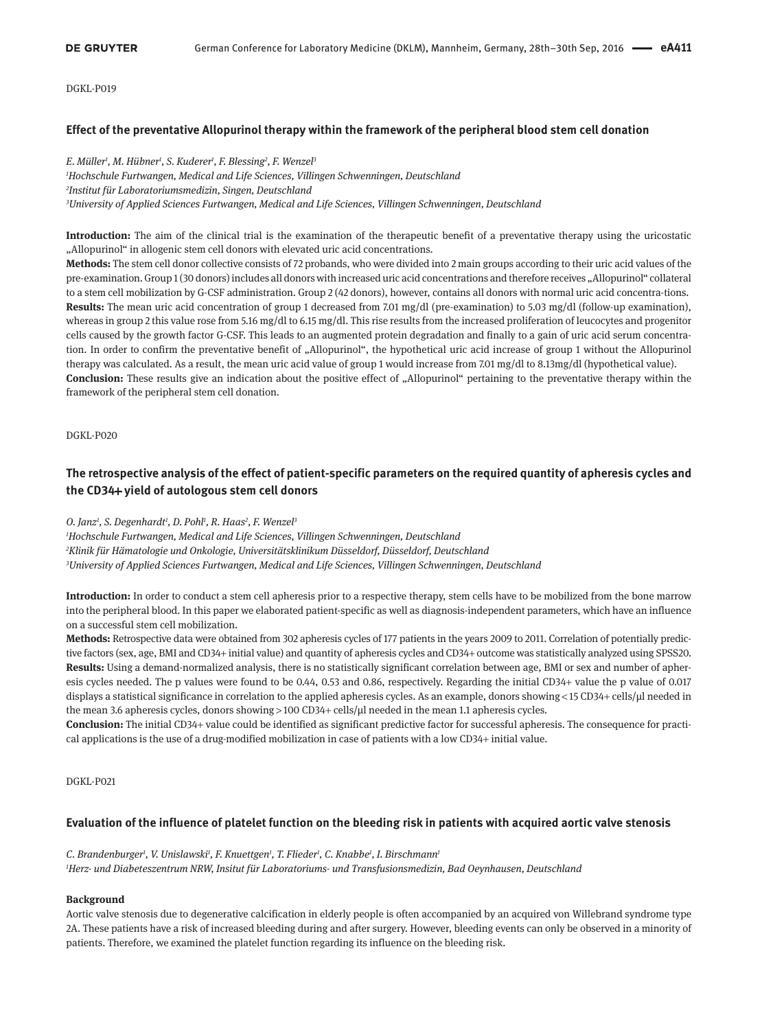## **Effect of the preventative Allopurinol therapy within the framework of the peripheral blood stem cell donation**

*E. Müller1 , M. Hübner1 , S. Kuderer1 , F. Blessing2 , F. Wenzel3 Hochschule Furtwangen, Medical and Life Sciences, Villingen Schwenningen, Deutschland Institut für Laboratoriumsmedizin, Singen, Deutschland University of Applied Sciences Furtwangen, Medical and Life Sciences, Villingen Schwenningen, Deutschland*

**Introduction:** The aim of the clinical trial is the examination of the therapeutic benefit of a preventative therapy using the uricostatic "Allopurinol" in allogenic stem cell donors with elevated uric acid concentrations.

**Methods:** The stem cell donor collective consists of 72 probands, who were divided into 2 main groups according to their uric acid values of the pre-examination. Group 1 (30 donors) includes all donors with increased uric acid concentrations and therefore receives "Allopurinol" collateral to a stem cell mobilization by G-CSF administration. Group 2 (42 donors), however, contains all donors with normal uric acid concentra-tions. **Results:** The mean uric acid concentration of group 1 decreased from 7.01 mg/dl (pre-examination) to 5.03 mg/dl (follow-up examination), whereas in group 2 this value rose from 5.16 mg/dl to 6.15 mg/dl. This rise results from the increased proliferation of leucocytes and progenitor cells caused by the growth factor G-CSF. This leads to an augmented protein degradation and finally to a gain of uric acid serum concentration. In order to confirm the preventative benefit of "Allopurinol", the hypothetical uric acid increase of group 1 without the Allopurinol therapy was calculated. As a result, the mean uric acid value of group 1 would increase from 7.01 mg/dl to 8.13mg/dl (hypothetical value). **Conclusion:** These results give an indication about the positive effect of "Allopurinol" pertaining to the preventative therapy within the framework of the peripheral stem cell donation.

DGKL-P020

# **The retrospective analysis of the effect of patient-specific parameters on the required quantity of apheresis cycles and the CD34**+ **yield of autologous stem cell donors**

#### *O. Janz1 , S. Degenhardt1 , D. Pohl1 , R. Haas2 , F. Wenzel3*

*1 Hochschule Furtwangen, Medical and Life Sciences, Villingen Schwenningen, Deutschland 2 Klinik für Hämatologie und Onkologie, Universitätsklinikum Düsseldorf, Düsseldorf, Deutschland 3 University of Applied Sciences Furtwangen, Medical and Life Sciences, Villingen Schwenningen, Deutschland*

**Introduction:** In order to conduct a stem cell apheresis prior to a respective therapy, stem cells have to be mobilized from the bone marrow into the peripheral blood. In this paper we elaborated patient-specific as well as diagnosis-independent parameters, which have an influence on a successful stem cell mobilization.

**Methods:** Retrospective data were obtained from 302 apheresis cycles of 177 patients in the years 2009 to 2011. Correlation of potentially predictive factors (sex, age, BMI and CD34+ initial value) and quantity of apheresis cycles and CD34+ outcome was statistically analyzed using SPSS20. **Results:** Using a demand-normalized analysis, there is no statistically significant correlation between age, BMI or sex and number of apheresis cycles needed. The p values were found to be 0.44, 0.53 and 0.86, respectively. Regarding the initial CD34+ value the p value of 0.017 displays a statistical significance in correlation to the applied apheresis cycles. As an example, donors showing < 15 CD34+ cells/µl needed in the mean 3.6 apheresis cycles, donors showing > 100 CD34+ cells/ $\mu$ l needed in the mean 1.1 apheresis cycles.

**Conclusion:** The initial CD34+ value could be identified as significant predictive factor for successful apheresis. The consequence for practical applications is the use of a drug-modified mobilization in case of patients with a low CD34+ initial value.

DGKL-P021

## **Evaluation of the influence of platelet function on the bleeding risk in patients with acquired aortic valve stenosis**

C. Brandenburger<sup>1</sup>, V. Unislawski<sup>1</sup>, F. Knuettgen<sup>1</sup>, T. Flieder<sup>1</sup>, C. Knabbe<sup>1</sup>, I. Birschmann<sup>1</sup> *1 Herz- und Diabeteszentrum NRW, Insitut für Laboratoriums- und Transfusionsmedizin, Bad Oeynhausen, Deutschland*

## **Background**

Aortic valve stenosis due to degenerative calcification in elderly people is often accompanied by an acquired von Willebrand syndrome type 2A. These patients have a risk of increased bleeding during and after surgery. However, bleeding events can only be observed in a minority of patients. Therefore, we examined the platelet function regarding its influence on the bleeding risk.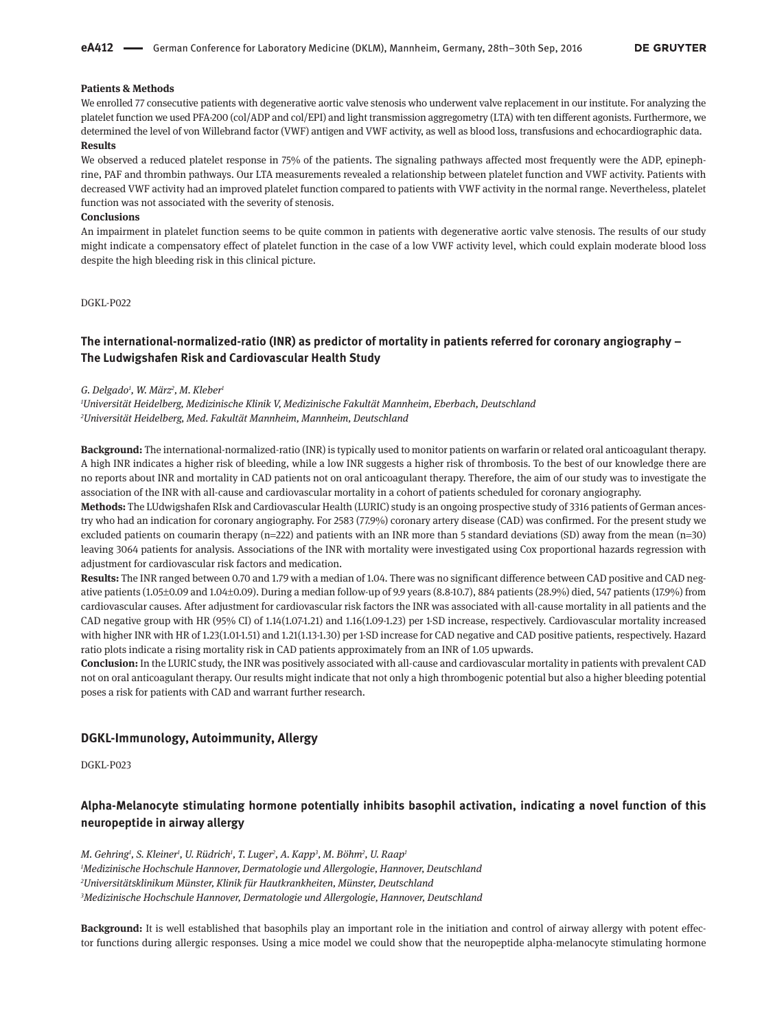### **Patients & Methods**

We enrolled 77 consecutive patients with degenerative aortic valve stenosis who underwent valve replacement in our institute. For analyzing the platelet function we used PFA-200 (col/ADP and col/EPI) and light transmission aggregometry (LTA) with ten different agonists. Furthermore, we determined the level of von Willebrand factor (VWF) antigen and VWF activity, as well as blood loss, transfusions and echocardiographic data. **Results**

We observed a reduced platelet response in 75% of the patients. The signaling pathways affected most frequently were the ADP, epinephrine, PAF and thrombin pathways. Our LTA measurements revealed a relationship between platelet function and VWF activity. Patients with decreased VWF activity had an improved platelet function compared to patients with VWF activity in the normal range. Nevertheless, platelet function was not associated with the severity of stenosis.

## **Conclusions**

An impairment in platelet function seems to be quite common in patients with degenerative aortic valve stenosis. The results of our study might indicate a compensatory effect of platelet function in the case of a low VWF activity level, which could explain moderate blood loss despite the high bleeding risk in this clinical picture.

DGKL-P022

# **The international-normalized-ratio (INR) as predictor of mortality in patients referred for coronary angiography – The Ludwigshafen Risk and Cardiovascular Health Study**

#### *G. Delgado1 , W. März2 , M. Kleber1*

*1 Universität Heidelberg, Medizinische Klinik V, Medizinische Fakultät Mannheim, Eberbach, Deutschland 2 Universität Heidelberg, Med. Fakultät Mannheim, Mannheim, Deutschland*

**Background:** The international-normalized-ratio (INR) is typically used to monitor patients on warfarin or related oral anticoagulant therapy. A high INR indicates a higher risk of bleeding, while a low INR suggests a higher risk of thrombosis. To the best of our knowledge there are no reports about INR and mortality in CAD patients not on oral anticoagulant therapy. Therefore, the aim of our study was to investigate the association of the INR with all-cause and cardiovascular mortality in a cohort of patients scheduled for coronary angiography.

**Methods:** The LUdwigshafen RIsk and Cardiovascular Health (LURIC) study is an ongoing prospective study of 3316 patients of German ancestry who had an indication for coronary angiography. For 2583 (77.9%) coronary artery disease (CAD) was confirmed. For the present study we excluded patients on coumarin therapy ( $n=222$ ) and patients with an INR more than 5 standard deviations (SD) away from the mean ( $n=30$ ) leaving 3064 patients for analysis. Associations of the INR with mortality were investigated using Cox proportional hazards regression with adjustment for cardiovascular risk factors and medication.

**Results:** The INR ranged between 0.70 and 1.79 with a median of 1.04. There was no significant difference between CAD positive and CAD negative patients (1.05±0.09 and 1.04±0.09). During a median follow-up of 9.9 years (8.8-10.7), 884 patients (28.9%) died, 547 patients (17.9%) from cardiovascular causes. After adjustment for cardiovascular risk factors the INR was associated with all-cause mortality in all patients and the CAD negative group with HR (95% CI) of 1.14(1.07-1.21) and 1.16(1.09-1.23) per 1-SD increase, respectively. Cardiovascular mortality increased with higher INR with HR of 1.23(1.01-1.51) and 1.21(1.13-1.30) per 1-SD increase for CAD negative and CAD positive patients, respectively. Hazard ratio plots indicate a rising mortality risk in CAD patients approximately from an INR of 1.05 upwards.

**Conclusion:** In the LURIC study, the INR was positively associated with all-cause and cardiovascular mortality in patients with prevalent CAD not on oral anticoagulant therapy. Our results might indicate that not only a high thrombogenic potential but also a higher bleeding potential poses a risk for patients with CAD and warrant further research.

## **DGKL-Immunology, Autoimmunity, Allergy**

DGKL-P023

# **Alpha-Melanocyte stimulating hormone potentially inhibits basophil activation, indicating a novel function of this neuropeptide in airway allergy**

*M. Gehring1 , S. Kleiner1 , U. Rüdrich1 , T. Luger2 , A. Kapp3 , M. Böhm2 , U. Raap1 Medizinische Hochschule Hannover, Dermatologie und Allergologie, Hannover, Deutschland Universitätsklinikum Münster, Klinik für Hautkrankheiten, Münster, Deutschland Medizinische Hochschule Hannover, Dermatologie und Allergologie, Hannover, Deutschland*

**Background:** It is well established that basophils play an important role in the initiation and control of airway allergy with potent effector functions during allergic responses. Using a mice model we could show that the neuropeptide alpha-melanocyte stimulating hormone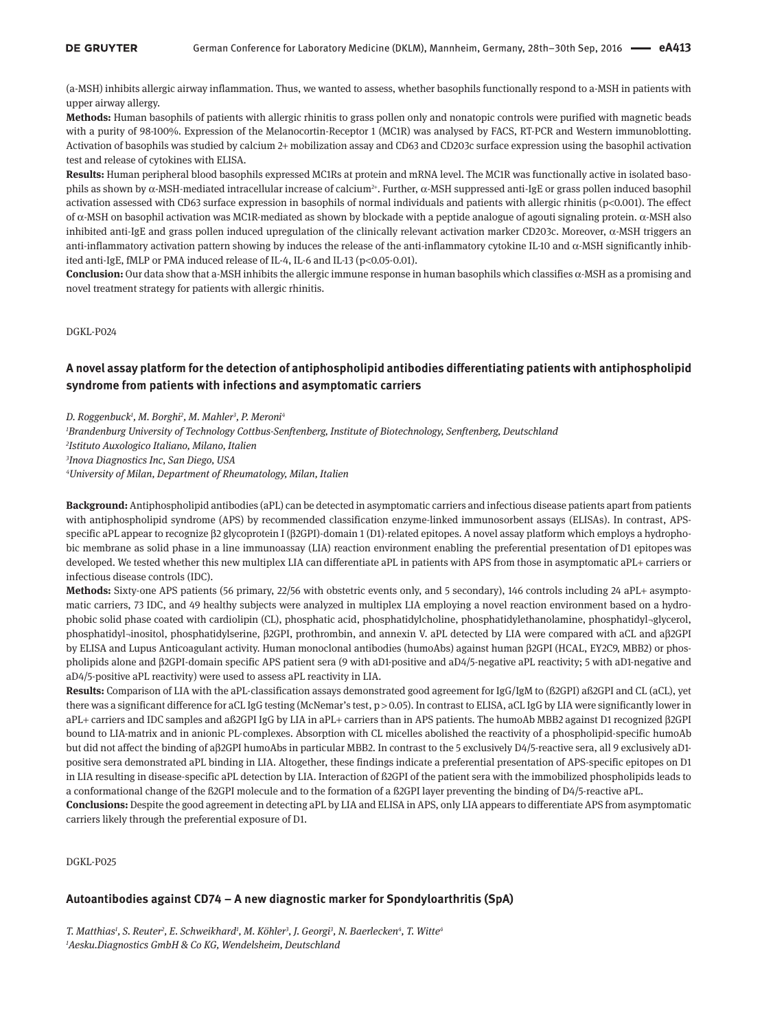(a-MSH) inhibits allergic airway inflammation. Thus, we wanted to assess, whether basophils functionally respond to a-MSH in patients with upper airway allergy.

**Methods:** Human basophils of patients with allergic rhinitis to grass pollen only and nonatopic controls were purified with magnetic beads with a purity of 98-100%. Expression of the Melanocortin-Receptor 1 (MC1R) was analysed by FACS, RT-PCR and Western immunoblotting. Activation of basophils was studied by calcium 2+ mobilization assay and CD63 and CD203c surface expression using the basophil activation test and release of cytokines with ELISA.

**Results:** Human peripheral blood basophils expressed MC1Rs at protein and mRNA level. The MC1R was functionally active in isolated basophils as shown by α-MSH-mediated intracellular increase of calcium<sup>2+</sup>. Further, α-MSH suppressed anti-IgE or grass pollen induced basophil activation assessed with CD63 surface expression in basophils of normal individuals and patients with allergic rhinitis (p<0.001). The effect of α-MSH on basophil activation was MC1R-mediated as shown by blockade with a peptide analogue of agouti signaling protein. α-MSH also inhibited anti-IgE and grass pollen induced upregulation of the clinically relevant activation marker CD203c. Moreover, α-MSH triggers an anti-inflammatory activation pattern showing by induces the release of the anti-inflammatory cytokine IL-10 and  $\alpha$ -MSH significantly inhibited anti-IgE, fMLP or PMA induced release of IL-4, IL-6 and IL-13 (p<0.05-0.01).

**Conclusion:** Our data show that a-MSH inhibits the allergic immune response in human basophils which classifies α-MSH as a promising and novel treatment strategy for patients with allergic rhinitis.

### DGKL-P024

# **A novel assay platform for the detection of antiphospholipid antibodies differentiating patients with antiphospholipid syndrome from patients with infections and asymptomatic carriers**

*D. Roggenbuck1 , M. Borghi2 , M. Mahler3 , P. Meroni4*

 *Brandenburg University of Technology Cottbus-Senftenberg, Institute of Biotechnology, Senftenberg, Deutschland Istituto Auxologico Italiano, Milano, Italien Inova Diagnostics Inc, San Diego, USA University of Milan, Department of Rheumatology, Milan, Italien*

**Background:** Antiphospholipid antibodies (aPL) can be detected in asymptomatic carriers and infectious disease patients apart from patients with antiphospholipid syndrome (APS) by recommended classification enzyme-linked immunosorbent assays (ELISAs). In contrast, APSspecific aPL appear to recognize β2 glycoprotein I (β2GPI)-domain 1 (D1)-related epitopes. A novel assay platform which employs a hydrophobic membrane as solid phase in a line immunoassay (LIA) reaction environment enabling the preferential presentation of D1 epitopes was developed. We tested whether this new multiplex LIA can differentiate aPL in patients with APS from those in asymptomatic aPL+ carriers or infectious disease controls (IDC).

**Methods:** Sixty-one APS patients (56 primary, 22/56 with obstetric events only, and 5 secondary), 146 controls including 24 aPL+ asymptomatic carriers, 73 IDC, and 49 healthy subjects were analyzed in multiplex LIA employing a novel reaction environment based on a hydrophobic solid phase coated with cardiolipin (CL), phosphatic acid, phosphatidylcholine, phosphatidylethanolamine, phosphatidyl-glycerol, phosphatidyl¬inositol, phosphatidylserine, β2GPI, prothrombin, and annexin V. aPL detected by LIA were compared with aCL and aβ2GPI by ELISA and Lupus Anticoagulant activity. Human monoclonal antibodies (humoAbs) against human β2GPI (HCAL, EY2C9, MBB2) or phospholipids alone and β2GPI-domain specific APS patient sera (9 with aD1-positive and aD4/5-negative aPL reactivity; 5 with aD1-negative and aD4/5-positive aPL reactivity) were used to assess aPL reactivity in LIA.

**Results:** Comparison of LIA with the aPL-classification assays demonstrated good agreement for IgG/IgM to (ß2GPI) aß2GPI and CL (aCL), yet there was a significant difference for aCL IgG testing (McNemar's test, p > 0.05). In contrast to ELISA, aCL IgG by LIA were significantly lower in aPL+ carriers and IDC samples and aß2GPI IgG by LIA in aPL+ carriers than in APS patients. The humoAb MBB2 against D1 recognized β2GPI bound to LIA-matrix and in anionic PL-complexes. Absorption with CL micelles abolished the reactivity of a phospholipid-specific humoAb but did not affect the binding of aβ2GPI humoAbs in particular MBB2. In contrast to the 5 exclusively D4/5-reactive sera, all 9 exclusively aD1 positive sera demonstrated aPL binding in LIA. Altogether, these findings indicate a preferential presentation of APS-specific epitopes on D1 in LIA resulting in disease-specific aPL detection by LIA. Interaction of ß2GPI of the patient sera with the immobilized phospholipids leads to a conformational change of the ß2GPI molecule and to the formation of a ß2GPI layer preventing the binding of D4/5-reactive aPL.

**Conclusions:** Despite the good agreement in detecting aPL by LIA and ELISA in APS, only LIA appears to differentiate APS from asymptomatic carriers likely through the preferential exposure of D1.

DGKL-P025

## **Autoantibodies against CD74 – A new diagnostic marker for Spondyloarthritis (SpA)**

T. Matthias<sup>1</sup>, S. Reuter<sup>2</sup>, E. Schweikhard<sup>1</sup>, M. Köhler<sup>3</sup>, J. Georgi<sup>3</sup>, N. Baerlecken<sup>4</sup>, T. Witte<sup>4</sup> *1 Aesku.Diagnostics GmbH & Co KG, Wendelsheim, Deutschland*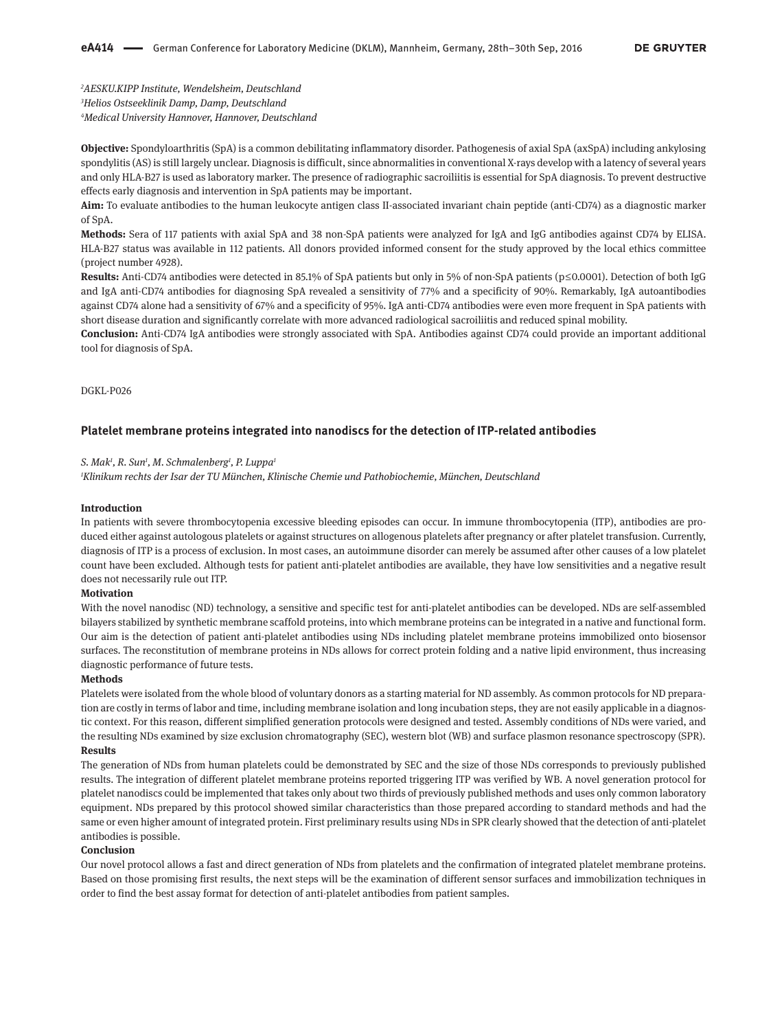*2 AESKU.KIPP Institute, Wendelsheim, Deutschland 3 Helios Ostseeklinik Damp, Damp, Deutschland 4 Medical University Hannover, Hannover, Deutschland*

**Objective:** Spondyloarthritis (SpA) is a common debilitating inflammatory disorder. Pathogenesis of axial SpA (axSpA) including ankylosing spondylitis (AS) is still largely unclear. Diagnosis is difficult, since abnormalities in conventional X-rays develop with a latency of several years and only HLA-B27 is used as laboratory marker. The presence of radiographic sacroiliitis is essential for SpA diagnosis. To prevent destructive effects early diagnosis and intervention in SpA patients may be important.

**Aim:** To evaluate antibodies to the human leukocyte antigen class II-associated invariant chain peptide (anti-CD74) as a diagnostic marker of SpA.

**Methods:** Sera of 117 patients with axial SpA and 38 non-SpA patients were analyzed for IgA and IgG antibodies against CD74 by ELISA. HLA-B27 status was available in 112 patients. All donors provided informed consent for the study approved by the local ethics committee (project number 4928).

**Results:** Anti-CD74 antibodies were detected in 85.1% of SpA patients but only in 5% of non-SpA patients (p ≤ 0.0001). Detection of both IgG and IgA anti-CD74 antibodies for diagnosing SpA revealed a sensitivity of 77% and a specificity of 90%. Remarkably, IgA autoantibodies against CD74 alone had a sensitivity of 67% and a specificity of 95%. IgA anti-CD74 antibodies were even more frequent in SpA patients with short disease duration and significantly correlate with more advanced radiological sacroiliitis and reduced spinal mobility.

**Conclusion:** Anti-CD74 IgA antibodies were strongly associated with SpA. Antibodies against CD74 could provide an important additional tool for diagnosis of SpA.

DGKL-P026

#### **Platelet membrane proteins integrated into nanodiscs for the detection of ITP-related antibodies**

#### *S. Mak1 , R. Sun1 , M. Schmalenberg1 , P. Luppa1*

*1 Klinikum rechts der Isar der TU München, Klinische Chemie und Pathobiochemie, München, Deutschland*

#### **Introduction**

In patients with severe thrombocytopenia excessive bleeding episodes can occur. In immune thrombocytopenia (ITP), antibodies are produced either against autologous platelets or against structures on allogenous platelets after pregnancy or after platelet transfusion. Currently, diagnosis of ITP is a process of exclusion. In most cases, an autoimmune disorder can merely be assumed after other causes of a low platelet count have been excluded. Although tests for patient anti-platelet antibodies are available, they have low sensitivities and a negative result does not necessarily rule out ITP.

#### **Motivation**

With the novel nanodisc (ND) technology, a sensitive and specific test for anti-platelet antibodies can be developed. NDs are self-assembled bilayers stabilized by synthetic membrane scaffold proteins, into which membrane proteins can be integrated in a native and functional form. Our aim is the detection of patient anti-platelet antibodies using NDs including platelet membrane proteins immobilized onto biosensor surfaces. The reconstitution of membrane proteins in NDs allows for correct protein folding and a native lipid environment, thus increasing diagnostic performance of future tests.

#### **Methods**

Platelets were isolated from the whole blood of voluntary donors as a starting material for ND assembly. As common protocols for ND preparation are costly in terms of labor and time, including membrane isolation and long incubation steps, they are not easily applicable in a diagnostic context. For this reason, different simplified generation protocols were designed and tested. Assembly conditions of NDs were varied, and the resulting NDs examined by size exclusion chromatography (SEC), western blot (WB) and surface plasmon resonance spectroscopy (SPR). **Results**

The generation of NDs from human platelets could be demonstrated by SEC and the size of those NDs corresponds to previously published results. The integration of different platelet membrane proteins reported triggering ITP was verified by WB. A novel generation protocol for platelet nanodiscs could be implemented that takes only about two thirds of previously published methods and uses only common laboratory equipment. NDs prepared by this protocol showed similar characteristics than those prepared according to standard methods and had the same or even higher amount of integrated protein. First preliminary results using NDs in SPR clearly showed that the detection of anti-platelet antibodies is possible.

#### **Conclusion**

Our novel protocol allows a fast and direct generation of NDs from platelets and the confirmation of integrated platelet membrane proteins. Based on those promising first results, the next steps will be the examination of different sensor surfaces and immobilization techniques in order to find the best assay format for detection of anti-platelet antibodies from patient samples.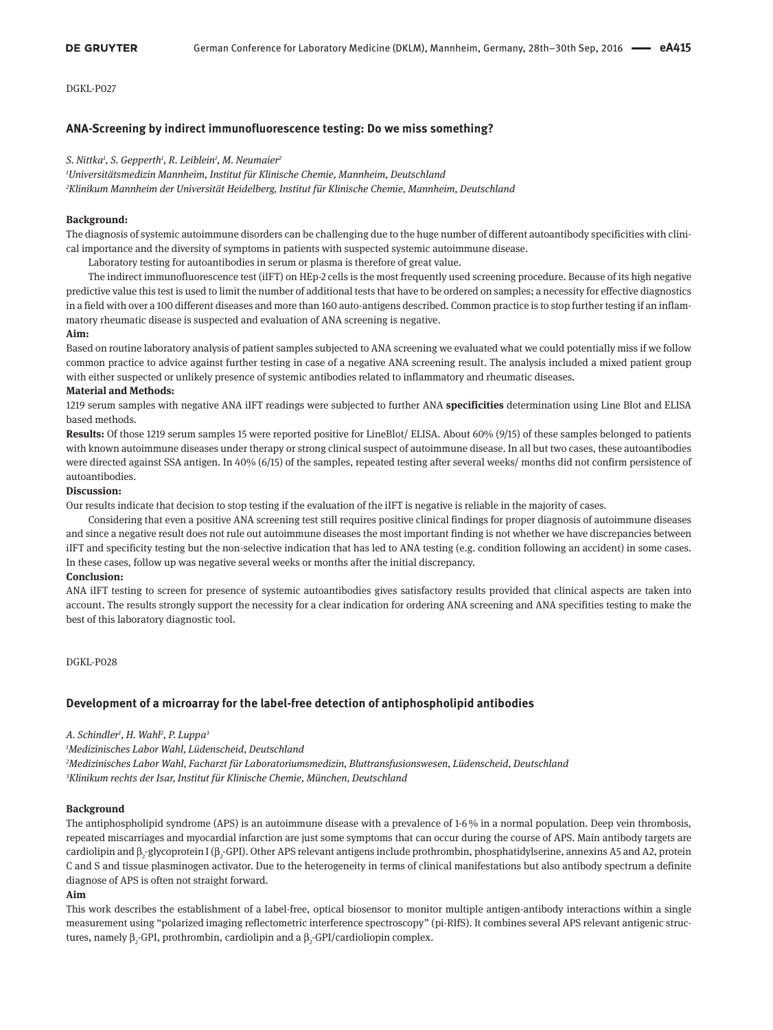## **ANA-Screening by indirect immunofluorescence testing: Do we miss something?**

*S. Nittka1 , S. Gepperth1 , R. Leiblein1 , M. Neumaier2*

*1 Universitätsmedizin Mannheim, Institut für Klinische Chemie, Mannheim, Deutschland*

*2 Klinikum Mannheim der Universität Heidelberg, Institut für Klinische Chemie, Mannheim, Deutschland*

#### **Background:**

The diagnosis of systemic autoimmune disorders can be challenging due to the huge number of different autoantibody specificities with clinical importance and the diversity of symptoms in patients with suspected systemic autoimmune disease.

Laboratory testing for autoantibodies in serum or plasma is therefore of great value.

The indirect immunofluorescence test (iIFT) on HEp-2 cells is the most frequently used screening procedure. Because of its high negative predictive value this test is used to limit the number of additional tests that have to be ordered on samples; a necessity for effective diagnostics in a field with over a 100 different diseases and more than 160 auto-antigens described. Common practice is to stop further testing if an inflammatory rheumatic disease is suspected and evaluation of ANA screening is negative.

#### **Aim:**

Based on routine laboratory analysis of patient samples subjected to ANA screening we evaluated what we could potentially miss if we follow common practice to advice against further testing in case of a negative ANA screening result. The analysis included a mixed patient group with either suspected or unlikely presence of systemic antibodies related to inflammatory and rheumatic diseases.

#### **Material and Methods:**

1219 serum samples with negative ANA iIFT readings were subjected to further ANA **specificities** determination using Line Blot and ELISA based methods.

**Results:** Of those 1219 serum samples 15 were reported positive for LineBlot/ ELISA. About 60% (9/15) of these samples belonged to patients with known autoimmune diseases under therapy or strong clinical suspect of autoimmune disease. In all but two cases, these autoantibodies were directed against SSA antigen. In 40% (6/15) of the samples, repeated testing after several weeks/ months did not confirm persistence of autoantibodies.

### **Discussion:**

Our results indicate that decision to stop testing if the evaluation of the iIFT is negative is reliable in the majority of cases.

Considering that even a positive ANA screening test still requires positive clinical findings for proper diagnosis of autoimmune diseases and since a negative result does not rule out autoimmune diseases the most important finding is not whether we have discrepancies between iIFT and specificity testing but the non-selective indication that has led to ANA testing (e.g. condition following an accident) in some cases. In these cases, follow up was negative several weeks or months after the initial discrepancy.

#### **Conclusion:**

ANA iIFT testing to screen for presence of systemic autoantibodies gives satisfactory results provided that clinical aspects are taken into account. The results strongly support the necessity for a clear indication for ordering ANA screening and ANA specifities testing to make the best of this laboratory diagnostic tool.

DGKL-P028

### **Development of a microarray for the label-free detection of antiphospholipid antibodies**

*A. Schindler1 , H. Wahl2 , P. Luppa3*

*1 Medizinisches Labor Wahl, Lüdenscheid, Deutschland*

*2 Medizinisches Labor Wahl, Facharzt für Laboratoriumsmedizin, Bluttransfusionswesen, Lüdenscheid, Deutschland 3 Klinikum rechts der Isar, Institut für Klinische Chemie, München, Deutschland*

### **Background**

The antiphospholipid syndrome (APS) is an autoimmune disease with a prevalence of 1-6 % in a normal population. Deep vein thrombosis, repeated miscarriages and myocardial infarction are just some symptoms that can occur during the course of APS. Main antibody targets are cardiolipin and  $\beta_2$ -glycoprotein I ( $\beta_2$ -GPI). Other APS relevant antigens include prothrombin, phosphatidylserine, annexins A5 and A2, protein C and S and tissue plasminogen activator. Due to the heterogeneity in terms of clinical manifestations but also antibody spectrum a definite diagnose of APS is often not straight forward.

#### **Aim**

This work describes the establishment of a label-free, optical biosensor to monitor multiple antigen-antibody interactions within a single measurement using "polarized imaging reflectometric interference spectroscopy" (pi-RIfS). It combines several APS relevant antigenic structures, namely β<sub>2</sub>-GPI, prothrombin, cardiolipin and a β<sub>2</sub>-GPI/cardioliopin complex.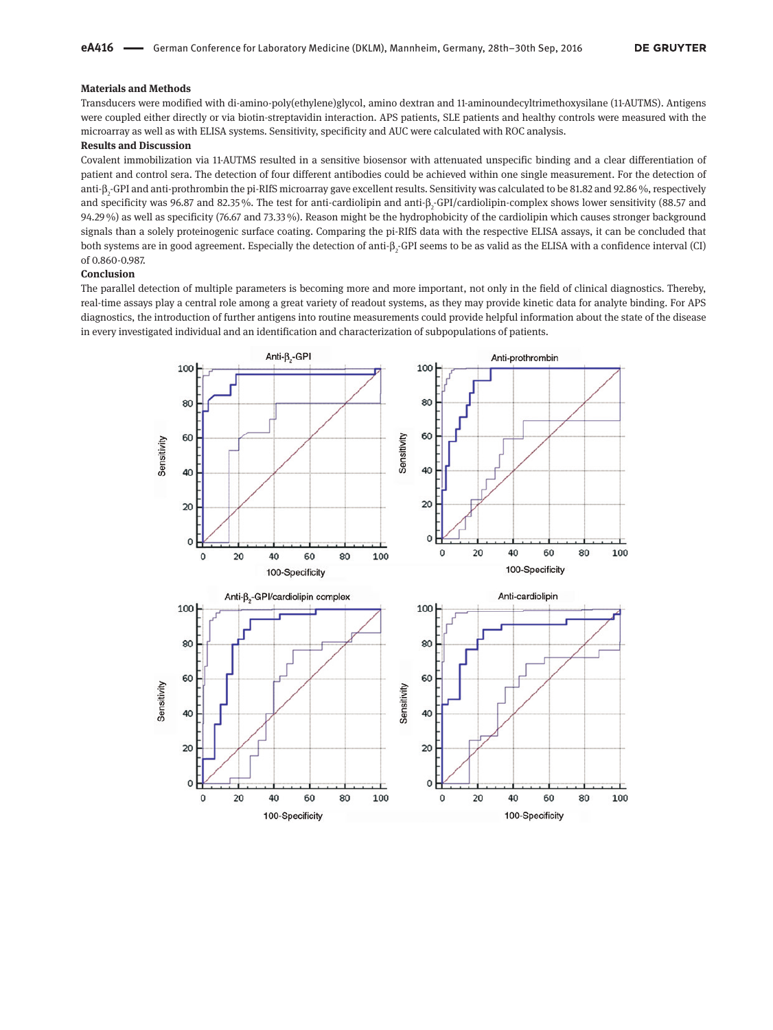### **Materials and Methods**

Transducers were modified with di-amino-poly(ethylene)glycol, amino dextran and 11-aminoundecyltrimethoxysilane (11-AUTMS). Antigens were coupled either directly or via biotin-streptavidin interaction. APS patients, SLE patients and healthy controls were measured with the microarray as well as with ELISA systems. Sensitivity, specificity and AUC were calculated with ROC analysis.

## **Results and Discussion**

Covalent immobilization via 11-AUTMS resulted in a sensitive biosensor with attenuated unspecific binding and a clear differentiation of patient and control sera. The detection of four different antibodies could be achieved within one single measurement. For the detection of anti-β<sub>2</sub>-GPI and anti-prothrombin the pi-RIfS microarray gave excellent results. Sensitivity was calculated to be 81.82 and 92.86 %, respectively and specificity was 96.87 and 82.35%. The test for anti-cardiolipin and anti-β<sub>2</sub>-GPI/cardiolipin-complex shows lower sensitivity (88.57 and 94.29 %) as well as specificity (76.67 and 73.33 %). Reason might be the hydrophobicity of the cardiolipin which causes stronger background signals than a solely proteinogenic surface coating. Comparing the pi-RIfS data with the respective ELISA assays, it can be concluded that both systems are in good agreement. Especially the detection of anti-β<sub>2</sub>-GPI seems to be as valid as the ELISA with a confidence interval (CI) of 0.860-0.987.

#### **Conclusion**

The parallel detection of multiple parameters is becoming more and more important, not only in the field of clinical diagnostics. Thereby, real-time assays play a central role among a great variety of readout systems, as they may provide kinetic data for analyte binding. For APS diagnostics, the introduction of further antigens into routine measurements could provide helpful information about the state of the disease in every investigated individual and an identification and characterization of subpopulations of patients.

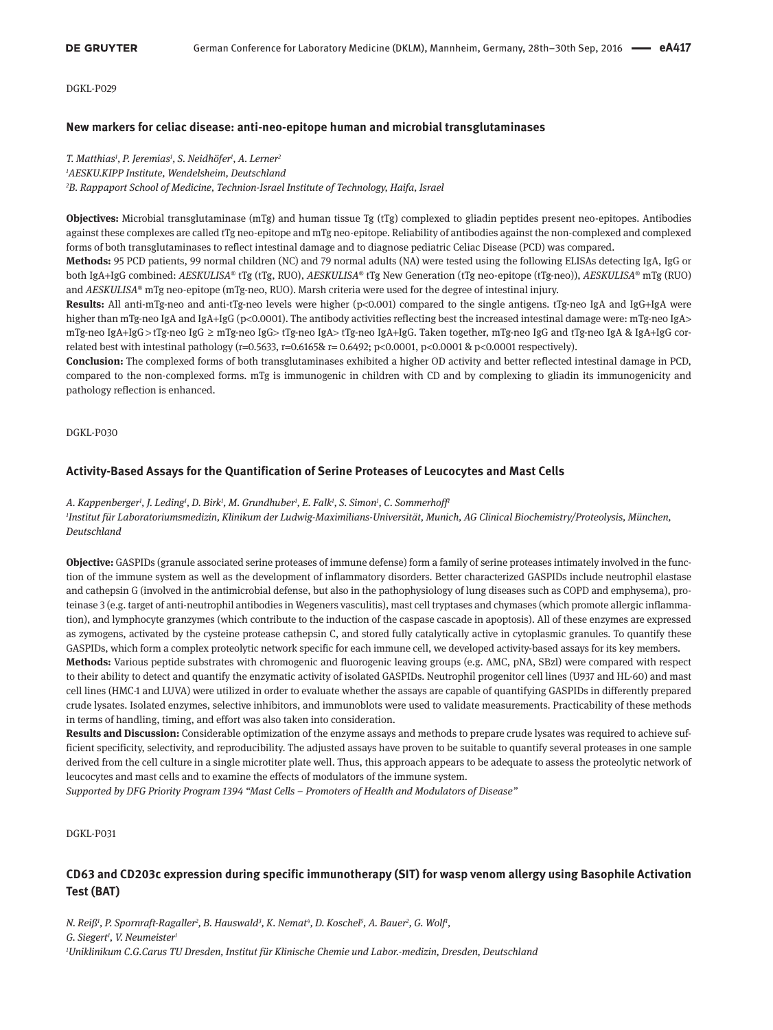## **New markers for celiac disease: anti-neo-epitope human and microbial transglutaminases**

*T. Matthias1 , P. Jeremias1 , S. Neidhöfer1 , A. Lerner2 1 AESKU.KIPP Institute, Wendelsheim, Deutschland 2 B. Rappaport School of Medicine, Technion-Israel Institute of Technology, Haifa, Israel*

**Objectives:** Microbial transglutaminase (mTg) and human tissue Tg (tTg) complexed to gliadin peptides present neo-epitopes. Antibodies against these complexes are called tTg neo-epitope and mTg neo-epitope. Reliability of antibodies against the non-complexed and complexed forms of both transglutaminases to reflect intestinal damage and to diagnose pediatric Celiac Disease (PCD) was compared.

**Methods:** 95 PCD patients, 99 normal children (NC) and 79 normal adults (NA) were tested using the following ELISAs detecting IgA, IgG or both IgA+IgG combined: *AESKULISA*® tTg (tTg, RUO), *AESKULISA*® tTg New Generation (tTg neo-epitope (tTg-neo)), *AESKULISA*® mTg (RUO) and *AESKULISA*® mTg neo-epitope (mTg-neo, RUO). Marsh criteria were used for the degree of intestinal injury.

**Results:** All anti-mTg-neo and anti-tTg-neo levels were higher (p<0.001) compared to the single antigens. tTg-neo IgA and IgG+IgA were higher than mTg-neo IgA and IgA+IgG (p<0.0001). The antibody activities reflecting best the increased intestinal damage were: mTg-neo IgA> mTg-neo IgA+IgG > tTg-neo IgG  ≥  mTg-neo IgG> tTg-neo IgA> tTg-neo IgA+IgG. Taken together, mTg-neo IgG and tTg-neo IgA & IgA+IgG correlated best with intestinal pathology ( $r=0.5633$ ,  $r=0.6165$ &  $r=0.6492$ ; p<0.0001, p<0.0001 & p<0.0001 respectively).

**Conclusion:** The complexed forms of both transglutaminases exhibited a higher OD activity and better reflected intestinal damage in PCD, compared to the non-complexed forms. mTg is immunogenic in children with CD and by complexing to gliadin its immunogenicity and pathology reflection is enhanced.

DGKL-P030

# **Activity-Based Assays for the Quantification of Serine Proteases of Leucocytes and Mast Cells**

*A. Kappenberger1 , J. Leding1 , D. Birk1 , M. Grundhuber1 , E. Falk1 , S. Simon1 , C. Sommerhoff1 1 Institut für Laboratoriumsmedizin, Klinikum der Ludwig-Maximilians-Universität, Munich, AG Clinical Biochemistry/Proteolysis, München, Deutschland*

**Objective:** GASPIDs (granule associated serine proteases of immune defense) form a family of serine proteases intimately involved in the function of the immune system as well as the development of inflammatory disorders. Better characterized GASPIDs include neutrophil elastase and cathepsin G (involved in the antimicrobial defense, but also in the pathophysiology of lung diseases such as COPD and emphysema), proteinase 3 (e.g. target of anti-neutrophil antibodies in Wegeners vasculitis), mast cell tryptases and chymases (which promote allergic inflammation), and lymphocyte granzymes (which contribute to the induction of the caspase cascade in apoptosis). All of these enzymes are expressed as zymogens, activated by the cysteine protease cathepsin C, and stored fully catalytically active in cytoplasmic granules. To quantify these GASPIDs, which form a complex proteolytic network specific for each immune cell, we developed activity-based assays for its key members.

**Methods:** Various peptide substrates with chromogenic and fluorogenic leaving groups (e.g. AMC, pNA, SBzl) were compared with respect to their ability to detect and quantify the enzymatic activity of isolated GASPIDs. Neutrophil progenitor cell lines (U937 and HL-60) and mast cell lines (HMC-1 and LUVA) were utilized in order to evaluate whether the assays are capable of quantifying GASPIDs in differently prepared crude lysates. Isolated enzymes, selective inhibitors, and immunoblots were used to validate measurements. Practicability of these methods in terms of handling, timing, and effort was also taken into consideration.

**Results and Discussion:** Considerable optimization of the enzyme assays and methods to prepare crude lysates was required to achieve sufficient specificity, selectivity, and reproducibility. The adjusted assays have proven to be suitable to quantify several proteases in one sample derived from the cell culture in a single microtiter plate well. Thus, this approach appears to be adequate to assess the proteolytic network of leucocytes and mast cells and to examine the effects of modulators of the immune system.

*Supported by DFG Priority Program 1394 "Mast Cells – Promoters of Health and Modulators of Disease"*

DGKL-P031

# **CD63 and CD203c expression during specific immunotherapy (SIT) for wasp venom allergy using Basophile Activation Test (BAT)**

*N. Reiß<sup>1</sup>, P. Spornraft-Ragaller<sup>2</sup>, B. Hauswald<sup>3</sup>, K. Nemat<sup>4</sup>, D. Koschel<sup>5</sup>, A. Bauer<sup>2</sup>, G. Wolf<sup>1</sup>, G. Siegert1 , V. Neumeister1 1 Uniklinikum C.G.Carus TU Dresden, Institut für Klinische Chemie und Labor.-medizin, Dresden, Deutschland*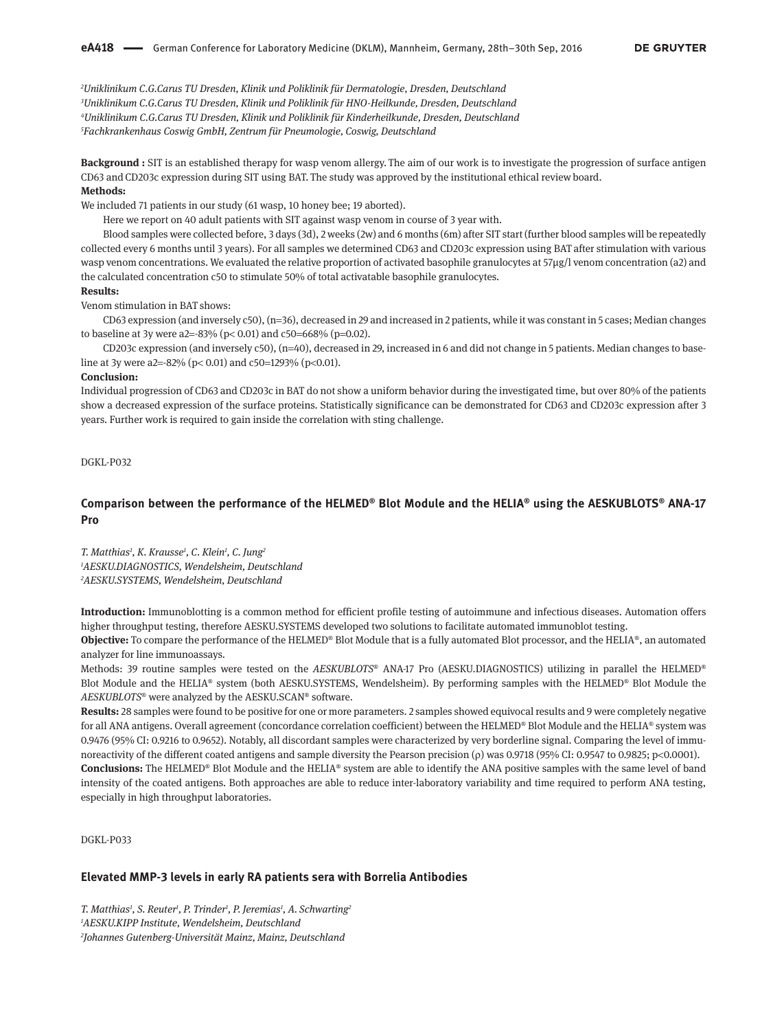*Uniklinikum C.G.Carus TU Dresden, Klinik und Poliklinik für Dermatologie, Dresden, Deutschland Uniklinikum C.G.Carus TU Dresden, Klinik und Poliklinik für HNO-Heilkunde, Dresden, Deutschland Uniklinikum C.G.Carus TU Dresden, Klinik und Poliklinik für Kinderheilkunde, Dresden, Deutschland Fachkrankenhaus Coswig GmbH, Zentrum für Pneumologie, Coswig, Deutschland*

**Background :** SIT is an established therapy for wasp venom allergy. The aim of our work is to investigate the progression of surface antigen CD63 and CD203c expression during SIT using BAT. The study was approved by the institutional ethical review board. **Methods:**

We included 71 patients in our study (61 wasp, 10 honey bee; 19 aborted).

Here we report on 40 adult patients with SIT against wasp venom in course of 3 year with. 

Blood samples were collected before, 3 days (3d), 2 weeks (2w) and 6 months (6m) after SIT start (further blood samples will be repeatedly collected every 6 months until 3 years). For all samples we determined CD63 and CD203c expression using BAT after stimulation with various wasp venom concentrations. We evaluated the relative proportion of activated basophile granulocytes at 57µg/l venom concentration (a2) and the calculated concentration c50 to stimulate 50% of total activatable basophile granulocytes.

#### **Results:**

Venom stimulation in BAT shows: 

CD63 expression (and inversely c50), (n=36), decreased in 29 and increased in 2 patients, while it was constant in 5 cases; Median changes to baseline at 3y were a2=-83% ( $p$ < 0.01) and c50=668% ( $p$ =0.02).

CD203c expression (and inversely c50), (n=40), decreased in 29, increased in 6 and did not change in 5 patients. Median changes to baseline at 3y were a2=-82% (p< 0.01) and c50=1293% (p<0.01).

#### **Conclusion:**

Individual progression of CD63 and CD203c in BAT do not show a uniform behavior during the investigated time, but over 80% of the patients show a decreased expression of the surface proteins. Statistically significance can be demonstrated for CD63 and CD203c expression after 3 years. Further work is required to gain inside the correlation with sting challenge.

DGKL-P032

## **Comparison between the performance of the HELMED® Blot Module and the HELIA® using the AESKUBLOTS® ANA-17 Pro**

*T. Matthias1 , K. Krausse1 , C. Klein1 , C. Jung2 1 AESKU.DIAGNOSTICS, Wendelsheim, Deutschland 2 AESKU.SYSTEMS, Wendelsheim, Deutschland*

especially in high throughput laboratories.

**Introduction:** Immunoblotting is a common method for efficient profile testing of autoimmune and infectious diseases. Automation offers higher throughput testing, therefore AESKU.SYSTEMS developed two solutions to facilitate automated immunoblot testing.

**Objective:** To compare the performance of the HELMED® Blot Module that is a fully automated Blot processor, and the HELIA®, an automated analyzer for line immunoassays.

Methods: 39 routine samples were tested on the *AESKUBLOTS*® ANA-17 Pro (AESKU.DIAGNOSTICS) utilizing in parallel the HELMED® Blot Module and the HELIA® system (both AESKU.SYSTEMS, Wendelsheim). By performing samples with the HELMED® Blot Module the *AESKUBLOTS*® were analyzed by the AESKU.SCAN® software.

**Results:** 28 samples were found to be positive for one or more parameters. 2 samples showed equivocal results and 9 were completely negative for all ANA antigens. Overall agreement (concordance correlation coefficient) between the HELMED® Blot Module and the HELIA® system was 0.9476 (95% CI: 0.9216 to 0.9652). Notably, all discordant samples were characterized by very borderline signal. Comparing the level of immunoreactivity of the different coated antigens and sample diversity the Pearson precision (ρ) was 0.9718 (95% CI: 0.9547 to 0.9825; p<0.0001). **Conclusions:** The HELMED® Blot Module and the HELIA® system are able to identify the ANA positive samples with the same level of band intensity of the coated antigens. Both approaches are able to reduce inter-laboratory variability and time required to perform ANA testing,

DGKL-P033

#### **Elevated MMP-3 levels in early RA patients sera with Borrelia Antibodies**

*T. Matthias1 , S. Reuter1 , P. Trinder1 , P. Jeremias1 , A. Schwarting2 1 AESKU.KIPP Institute, Wendelsheim, Deutschland 2 Johannes Gutenberg-Universität Mainz, Mainz, Deutschland*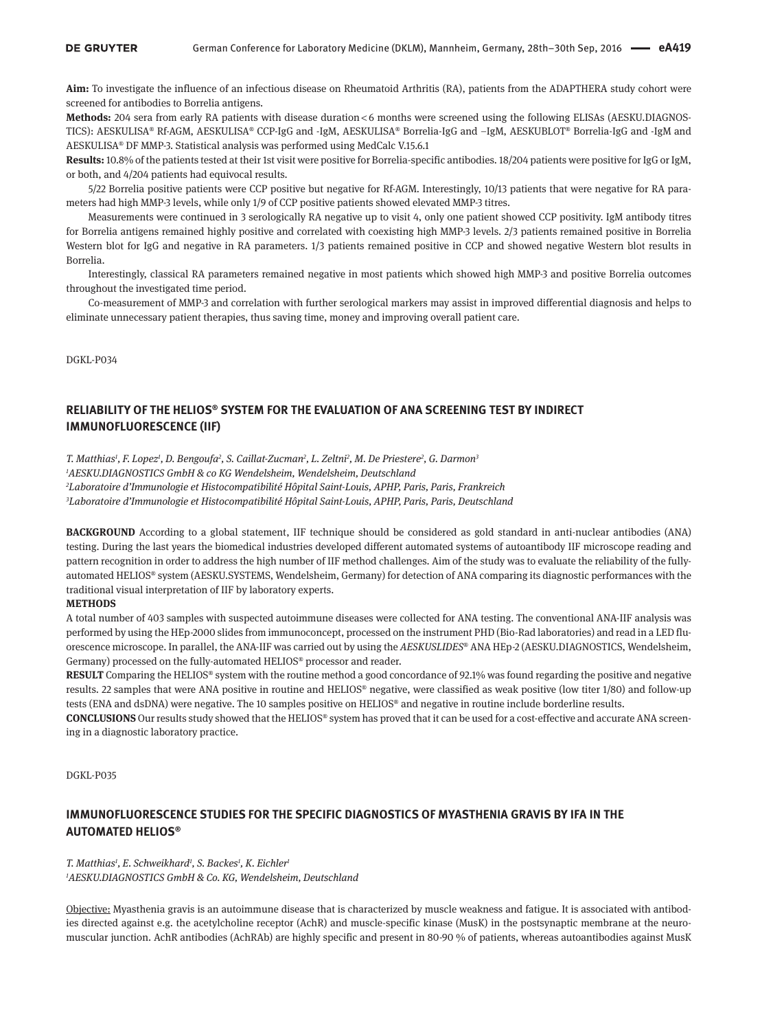**Aim:** To investigate the influence of an infectious disease on Rheumatoid Arthritis (RA), patients from the ADAPTHERA study cohort were screened for antibodies to Borrelia antigens.

**Methods:** 204 sera from early RA patients with disease duration < 6 months were screened using the following ELISAs (AESKU.DIAGNOS-TICS): AESKULISA® Rf-AGM, AESKULISA® CCP-IgG and -IgM, AESKULISA® Borrelia-IgG and –IgM, AESKUBLOT® Borrelia-IgG and -IgM and AESKULISA® DF MMP-3. Statistical analysis was performed using MedCalc V.15.6.1

**Results:** 10.8% of the patients tested at their 1st visit were positive for Borrelia-specific antibodies. 18/204 patients were positive for IgG or IgM, or both, and 4/204 patients had equivocal results.

5/22 Borrelia positive patients were CCP positive but negative for Rf-AGM. Interestingly, 10/13 patients that were negative for RA parameters had high MMP-3 levels, while only 1/9 of CCP positive patients showed elevated MMP-3 titres.

Measurements were continued in 3 serologically RA negative up to visit 4, only one patient showed CCP positivity. IgM antibody titres for Borrelia antigens remained highly positive and correlated with coexisting high MMP-3 levels. 2/3 patients remained positive in Borrelia Western blot for IgG and negative in RA parameters. 1/3 patients remained positive in CCP and showed negative Western blot results in Borrelia.

Interestingly, classical RA parameters remained negative in most patients which showed high MMP-3 and positive Borrelia outcomes throughout the investigated time period.

Co-measurement of MMP-3 and correlation with further serological markers may assist in improved differential diagnosis and helps to eliminate unnecessary patient therapies, thus saving time, money and improving overall patient care.

DGKL-P034

# **RELIABILITY OF THE HELIOS® SYSTEM FOR THE EVALUATION OF ANA SCREENING TEST BY INDIRECT IMMUNOFLUORESCENCE (IIF)**

T. Matthias<sup>1</sup>, F. Lopez<sup>1</sup>, D. Bengoufa<sup>2</sup>, S. Caillat-Zucman<sup>2</sup>, L. Zeltni<sup>2</sup>, M. De Priestere<sup>2</sup>, G. Darmon<sup>3</sup>

*1 AESKU.DIAGNOSTICS GmbH & co KG Wendelsheim, Wendelsheim, Deutschland*

*2 Laboratoire d'Immunologie et Histocompatibilité Hôpital Saint-Louis, APHP, Paris, Paris, Frankreich*

*3 Laboratoire d'Immunologie et Histocompatibilité Hôpital Saint-Louis, APHP, Paris, Paris, Deutschland*

**BACKGROUND** According to a global statement, IIF technique should be considered as gold standard in anti-nuclear antibodies (ANA) testing. During the last years the biomedical industries developed different automated systems of autoantibody IIF microscope reading and pattern recognition in order to address the high number of IIF method challenges. Aim of the study was to evaluate the reliability of the fullyautomated HELIOS® system (AESKU.SYSTEMS, Wendelsheim, Germany) for detection of ANA comparing its diagnostic performances with the traditional visual interpretation of IIF by laboratory experts.

### **METHODS**

A total number of 403 samples with suspected autoimmune diseases were collected for ANA testing. The conventional ANA-IIF analysis was performed by using the HEp-2000 slides from immunoconcept, processed on the instrument PHD (Bio-Rad laboratories) and read in a LED fluorescence microscope. In parallel, the ANA-IIF was carried out by using the *AESKUSLIDES*® ANA HEp-2 (AESKU.DIAGNOSTICS, Wendelsheim, Germany) processed on the fully-automated HELIOS® processor and reader.

**RESULT** Comparing the HELIOS® system with the routine method a good concordance of 92.1% was found regarding the positive and negative results. 22 samples that were ANA positive in routine and HELIOS® negative, were classified as weak positive (low titer 1/80) and follow-up tests (ENA and dsDNA) were negative. The 10 samples positive on HELIOS® and negative in routine include borderline results.

**CONCLUSIONS** Our results study showed that the HELIOS® system has proved that it can be used for a cost-effective and accurate ANA screening in a diagnostic laboratory practice.

DGKL-P035

# **IMMUNOFLUORESCENCE STUDIES FOR THE SPECIFIC DIAGNOSTICS OF MYASTHENIA GRAVIS BY IFA IN THE AUTOMATED HELIOS®**

*T. Matthias1 , E. Schweikhard1 , S. Backes1 , K. Eichler1 1 AESKU.DIAGNOSTICS GmbH & Co. KG, Wendelsheim, Deutschland*

Objective: Myasthenia gravis is an autoimmune disease that is characterized by muscle weakness and fatigue. It is associated with antibodies directed against e.g. the acetylcholine receptor (AchR) and muscle-specific kinase (MusK) in the postsynaptic membrane at the neuromuscular junction. AchR antibodies (AchRAb) are highly specific and present in 80-90 % of patients, whereas autoantibodies against MusK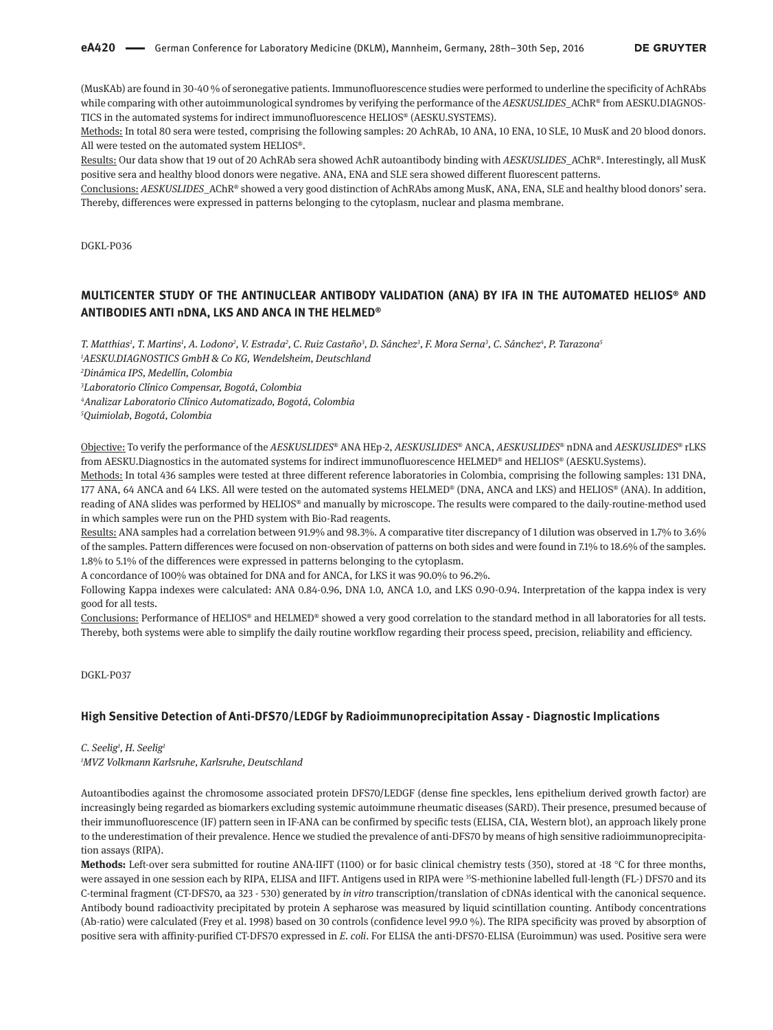(MusKAb) are found in 30-40 % of seronegative patients. Immunofluorescence studies were performed to underline the specificity of AchRAbs while comparing with other autoimmunological syndromes by verifying the performance of the *AESKUSLIDES*\_AChR® from AESKU.DIAGNOS-TICS in the automated systems for indirect immunofluorescence HELIOS® (AESKU.SYSTEMS).

Methods: In total 80 sera were tested, comprising the following samples: 20 AchRAb, 10 ANA, 10 ENA, 10 SLE, 10 MusK and 20 blood donors. All were tested on the automated system HELIOS®.

Results: Our data show that 19 out of 20 AchRAb sera showed AchR autoantibody binding with *AESKUSLIDES*\_AChR®. Interestingly, all MusK positive sera and healthy blood donors were negative. ANA, ENA and SLE sera showed different fluorescent patterns.

Conclusions: *AESKUSLIDES*\_AChR® showed a very good distinction of AchRAbs among MusK, ANA, ENA, SLE and healthy blood donors' sera. Thereby, differences were expressed in patterns belonging to the cytoplasm, nuclear and plasma membrane.

DGKL-P036

# **MULTICENTER STUDY OF THE ANTINUCLEAR ANTIBODY VALIDATION (ANA) BY IFA IN THE AUTOMATED HELIOS® AND ANTIBODIES ANTI nDNA, LKS AND ANCA IN THE HELMED®**

*T. Matthias1 , T. Martins1 , A. Lodono2 , V. Estrada2 , C. Ruiz Castaño3 , D. Sánchez3 , F. Mora Serna3 , C. Sánchez4 , P. Tarazona5 1 AESKU.DIAGNOSTICS GmbH & Co KG, Wendelsheim, Deutschland*

*2 Dinámica IPS, Medellín, Colombia*

*3 Laboratorio Clínico Compensar, Bogotá, Colombia*

*4 Analizar Laboratorio Clínico Automatizado, Bogotá, Colombia*

*5 Quimiolab, Bogotá, Colombia*

Objective: To verify the performance of the *AESKUSLIDES*® ANA HEp-2, *AESKUSLIDES*® ANCA, *AESKUSLIDES*® nDNA and *AESKUSLIDES*® rLKS from AESKU.Diagnostics in the automated systems for indirect immunofluorescence HELMED® and HELIOS® (AESKU.Systems).

Methods: In total 436 samples were tested at three different reference laboratories in Colombia, comprising the following samples: 131 DNA, 177 ANA, 64 ANCA and 64 LKS. All were tested on the automated systems HELMED® (DNA, ANCA and LKS) and HELIOS® (ANA). In addition, reading of ANA slides was performed by HELIOS® and manually by microscope. The results were compared to the daily-routine-method used in which samples were run on the PHD system with Bio-Rad reagents.

Results: ANA samples had a correlation between 91.9% and 98.3%. A comparative titer discrepancy of 1 dilution was observed in 1.7% to 3.6% of the samples. Pattern differences were focused on non-observation of patterns on both sides and were found in 7.1% to 18.6% of the samples. 1.8% to 5.1% of the differences were expressed in patterns belonging to the cytoplasm.

A concordance of 100% was obtained for DNA and for ANCA, for LKS it was 90.0% to 96.2%.

Following Kappa indexes were calculated: ANA 0.84-0.96, DNA 1.0, ANCA 1.0, and LKS 0.90-0.94. Interpretation of the kappa index is very good for all tests.

Conclusions: Performance of HELIOS® and HELMED® showed a very good correlation to the standard method in all laboratories for all tests. Thereby, both systems were able to simplify the daily routine workflow regarding their process speed, precision, reliability and efficiency.

DGKL-P037

## **High Sensitive Detection of Anti-DFS70/LEDGF by Radioimmunoprecipitation Assay - Diagnostic Implications**

# *C. Seelig1 , H. Seelig1*

*1 MVZ Volkmann Karlsruhe, Karlsruhe, Deutschland*

Autoantibodies against the chromosome associated protein DFS70/LEDGF (dense fine speckles, lens epithelium derived growth factor) are increasingly being regarded as biomarkers excluding systemic autoimmune rheumatic diseases (SARD). Their presence, presumed because of their immunofluorescence (IF) pattern seen in IF-ANA can be confirmed by specific tests (ELISA, CIA, Western blot), an approach likely prone to the underestimation of their prevalence. Hence we studied the prevalence of anti-DFS70 by means of high sensitive radioimmunoprecipitation assays (RIPA).

**Methods:** Left-over sera submitted for routine ANA-IIFT (1100) or for basic clinical chemistry tests (350), stored at -18 °C for three months, were assayed in one session each by RIPA, ELISA and IIFT. Antigens used in RIPA were <sup>35</sup>S-methionine labelled full-length (FL-) DFS70 and its C-terminal fragment (CT-DFS70, aa 323 - 530) generated by *in vitro* transcription/translation of cDNAs identical with the canonical sequence. Antibody bound radioactivity precipitated by protein A sepharose was measured by liquid scintillation counting. Antibody concentrations (Ab-ratio) were calculated (Frey et al. 1998) based on 30 controls (confidence level 99.0 %). The RIPA specificity was proved by absorption of positive sera with affinity-purified CT-DFS70 expressed in *E. coli*. For ELISA the anti-DFS70-ELISA (Euroimmun) was used. Positive sera were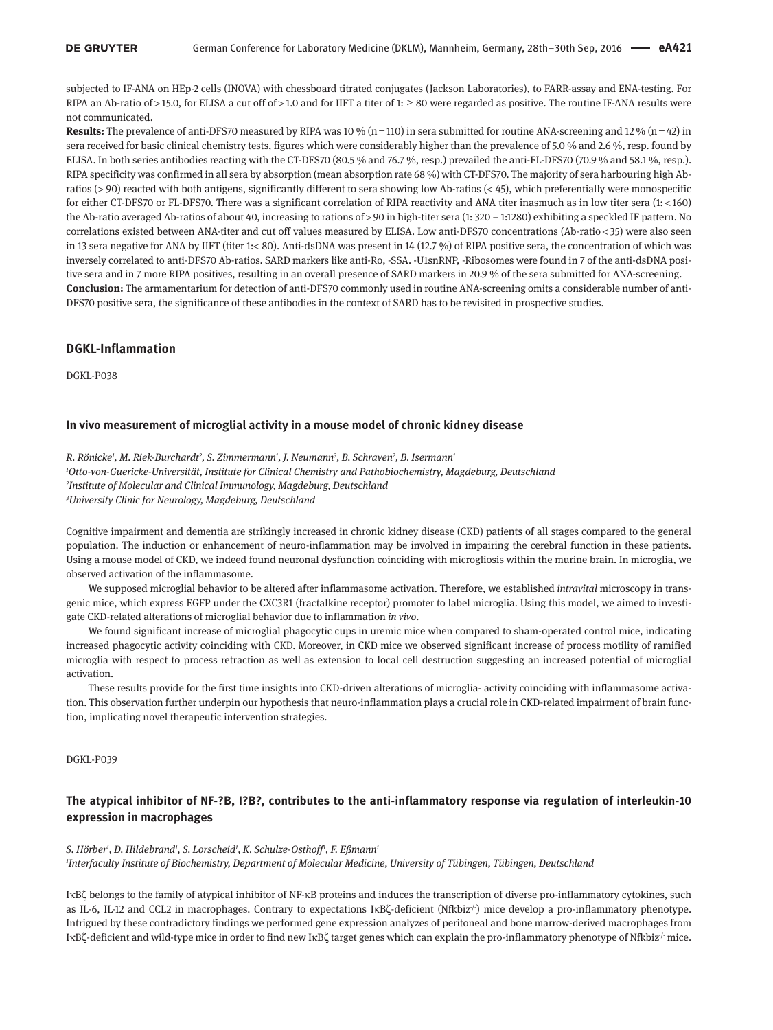subjected to IF-ANA on HEp-2 cells (INOVA) with chessboard titrated conjugates (Jackson Laboratories), to FARR-assay and ENA-testing. For RIPA an Ab-ratio of > 15.0, for ELISA a cut off of > 1.0 and for IIFT a titer of 1:  $\geq 80$  were regarded as positive. The routine IF-ANA results were not communicated.

**Results:** The prevalence of anti-DFS70 measured by RIPA was 10 % (n = 110) in sera submitted for routine ANA-screening and 12 % (n = 42) in sera received for basic clinical chemistry tests, figures which were considerably higher than the prevalence of 5.0 % and 2.6 %, resp. found by ELISA. In both series antibodies reacting with the CT-DFS70 (80.5 % and 76.7 %, resp.) prevailed the anti-FL-DFS70 (70.9 % and 58.1 %, resp.). RIPA specificity was confirmed in all sera by absorption (mean absorption rate 68 %) with CT-DFS70. The majority of sera harbouring high Abratios (> 90) reacted with both antigens, significantly different to sera showing low Ab-ratios (< 45), which preferentially were monospecific for either CT-DFS70 or FL-DFS70. There was a significant correlation of RIPA reactivity and ANA titer inasmuch as in low titer sera (1: < 160) the Ab-ratio averaged Ab-ratios of about 40, increasing to rations of > 90 in high-titer sera (1: 320 – 1:1280) exhibiting a speckled IF pattern. No correlations existed between ANA-titer and cut off values measured by ELISA. Low anti-DFS70 concentrations (Ab-ratio < 35) were also seen in 13 sera negative for ANA by IIFT (titer 1:< 80). Anti-dsDNA was present in 14 (12.7 %) of RIPA positive sera, the concentration of which was inversely correlated to anti-DFS70 Ab-ratios. SARD markers like anti-Ro, -SSA. -U1snRNP, -Ribosomes were found in 7 of the anti-dsDNA positive sera and in 7 more RIPA positives, resulting in an overall presence of SARD markers in 20.9 % of the sera submitted for ANA-screening. **Conclusion:** The armamentarium for detection of anti-DFS70 commonly used in routine ANA-screening omits a considerable number of anti-DFS70 positive sera, the significance of these antibodies in the context of SARD has to be revisited in prospective studies.

# **DGKL-Inflammation**

DGKL-P038

## **In vivo measurement of microglial activity in a mouse model of chronic kidney disease**

*R. Rönicke1 , M. Riek-Burchardt2 , S. Zimmermann1 , J. Neumann3 , B. Schraven2 , B. Isermann1 Otto-von-Guericke-Universität, Institute for Clinical Chemistry and Pathobiochemistry, Magdeburg, Deutschland Institute of Molecular and Clinical Immunology, Magdeburg, Deutschland University Clinic for Neurology, Magdeburg, Deutschland*

Cognitive impairment and dementia are strikingly increased in chronic kidney disease (CKD) patients of all stages compared to the general population. The induction or enhancement of neuro-inflammation may be involved in impairing the cerebral function in these patients. Using a mouse model of CKD, we indeed found neuronal dysfunction coinciding with microgliosis within the murine brain. In microglia, we observed activation of the inflammasome.

We supposed microglial behavior to be altered after inflammasome activation. Therefore, we established *intravital* microscopy in transgenic mice, which express EGFP under the CXC3R1 (fractalkine receptor) promoter to label microglia. Using this model, we aimed to investigate CKD-related alterations of microglial behavior due to inflammation *in vivo*.

We found significant increase of microglial phagocytic cups in uremic mice when compared to sham-operated control mice, indicating increased phagocytic activity coinciding with CKD. Moreover, in CKD mice we observed significant increase of process motility of ramified microglia with respect to process retraction as well as extension to local cell destruction suggesting an increased potential of microglial activation.

These results provide for the first time insights into CKD-driven alterations of microglia- activity coinciding with inflammasome activation. This observation further underpin our hypothesis that neuro-inflammation plays a crucial role in CKD-related impairment of brain function, implicating novel therapeutic intervention strategies.

DGKL-P039

# **The atypical inhibitor of NF-?B, I?B?, contributes to the anti-inflammatory response via regulation of interleukin-10 expression in macrophages**

#### *S. Hörber1 , D. Hildebrand1 , S. Lorscheid1 , K. Schulze-Osthoff1 , F. Eßmann1*

*1 Interfaculty Institute of Biochemistry, Department of Molecular Medicine, University of Tübingen, Tübingen, Deutschland*

IκBζ belongs to the family of atypical inhibitor of NF-κB proteins and induces the transcription of diverse pro-inflammatory cytokines, such as IL-6, IL-12 and CCL2 in macrophages. Contrary to expectations IκBζ-deficient (Nfkbiz<sup>/-)</sup> mice develop a pro-inflammatory phenotype. Intrigued by these contradictory findings we performed gene expression analyzes of peritoneal and bone marrow-derived macrophages from IκBζ-deficient and wild-type mice in order to find new IκBζ target genes which can explain the pro-inflammatory phenotype of Nfkbiz-/- mice.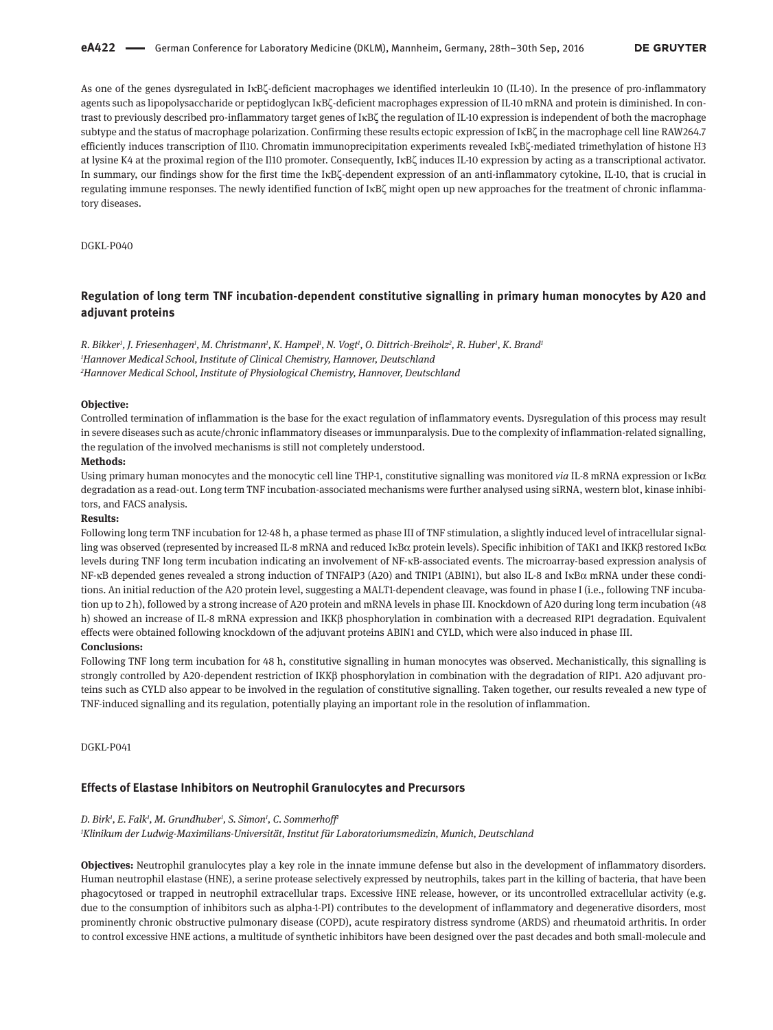As one of the genes dysregulated in IκBζ-deficient macrophages we identified interleukin 10 (IL-10). In the presence of pro-inflammatory agents such as lipopolysaccharide or peptidoglycan IκBζ-deficient macrophages expression of IL-10 mRNA and protein is diminished. In contrast to previously described pro-inflammatory target genes of IκBζ the regulation of IL-10 expression is independent of both the macrophage subtype and the status of macrophage polarization. Confirming these results ectopic expression of IκBζ in the macrophage cell line RAW264.7 efficiently induces transcription of Il10. Chromatin immunoprecipitation experiments revealed IκBζ-mediated trimethylation of histone H3 at lysine K4 at the proximal region of the Il10 promoter. Consequently, IκBζ induces IL-10 expression by acting as a transcriptional activator. In summary, our findings show for the first time the IκBζ-dependent expression of an anti-inflammatory cytokine, IL-10, that is crucial in regulating immune responses. The newly identified function of IκBζ might open up new approaches for the treatment of chronic inflammatory diseases.

DGKL-P040

## **Regulation of long term TNF incubation-dependent constitutive signalling in primary human monocytes by A20 and adjuvant proteins**

*R. Bikker1 , J. Friesenhagen1 , M. Christmann1 , K. Hampel1 , N. Vogt1 , O. Dittrich-Breiholz2 , R. Huber1 , K. Brand1 1 Hannover Medical School, Institute of Clinical Chemistry, Hannover, Deutschland 2 Hannover Medical School, Institute of Physiological Chemistry, Hannover, Deutschland*

#### **Objective:**

Controlled termination of inflammation is the base for the exact regulation of inflammatory events. Dysregulation of this process may result in severe diseases such as acute/chronic inflammatory diseases or immunparalysis. Due to the complexity of inflammation-related signalling, the regulation of the involved mechanisms is still not completely understood.

#### **Methods:**

Using primary human monocytes and the monocytic cell line THP-1, constitutive signalling was monitored *via* IL-8 mRNA expression or IκBα degradation as a read-out. Long term TNF incubation-associated mechanisms were further analysed using siRNA, western blot, kinase inhibitors, and FACS analysis.

### **Results:**

Following long term TNF incubation for 12-48 h, a phase termed as phase III of TNF stimulation, a slightly induced level of intracellular signalling was observed (represented by increased IL-8 mRNA and reduced IκBα protein levels). Specific inhibition of TAK1 and IKKβ restored IκBα levels during TNF long term incubation indicating an involvement of NF-κB-associated events. The microarray-based expression analysis of NF-κB depended genes revealed a strong induction of TNFAIP3 (A20) and TNIP1 (ABIN1), but also IL-8 and IκBα mRNA under these conditions. An initial reduction of the A20 protein level, suggesting a MALT1-dependent cleavage, was found in phase I (i.e., following TNF incubation up to 2 h), followed by a strong increase of A20 protein and mRNA levels in phase III. Knockdown of A20 during long term incubation (48 h) showed an increase of IL-8 mRNA expression and IKKβ phosphorylation in combination with a decreased RIP1 degradation. Equivalent effects were obtained following knockdown of the adjuvant proteins ABIN1 and CYLD, which were also induced in phase III.

## **Conclusions:**

Following TNF long term incubation for 48 h, constitutive signalling in human monocytes was observed. Mechanistically, this signalling is strongly controlled by A20-dependent restriction of IKKβ phosphorylation in combination with the degradation of RIP1. A20 adjuvant proteins such as CYLD also appear to be involved in the regulation of constitutive signalling. Taken together, our results revealed a new type of TNF-induced signalling and its regulation, potentially playing an important role in the resolution of inflammation.

DGKL-P041

## **Effects of Elastase Inhibitors on Neutrophil Granulocytes and Precursors**

#### *D. Birk1 , E. Falk1 , M. Grundhuber1 , S. Simon1 , C. Sommerhoff1*

*1 Klinikum der Ludwig-Maximilians-Universität, Institut für Laboratoriumsmedizin, Munich, Deutschland*

**Objectives:** Neutrophil granulocytes play a key role in the innate immune defense but also in the development of inflammatory disorders. Human neutrophil elastase (HNE), a serine protease selectively expressed by neutrophils, takes part in the killing of bacteria, that have been phagocytosed or trapped in neutrophil extracellular traps. Excessive HNE release, however, or its uncontrolled extracellular activity (e.g. due to the consumption of inhibitors such as alpha-1-PI) contributes to the development of inflammatory and degenerative disorders, most prominently chronic obstructive pulmonary disease (COPD), acute respiratory distress syndrome (ARDS) and rheumatoid arthritis. In order to control excessive HNE actions, a multitude of synthetic inhibitors have been designed over the past decades and both small-molecule and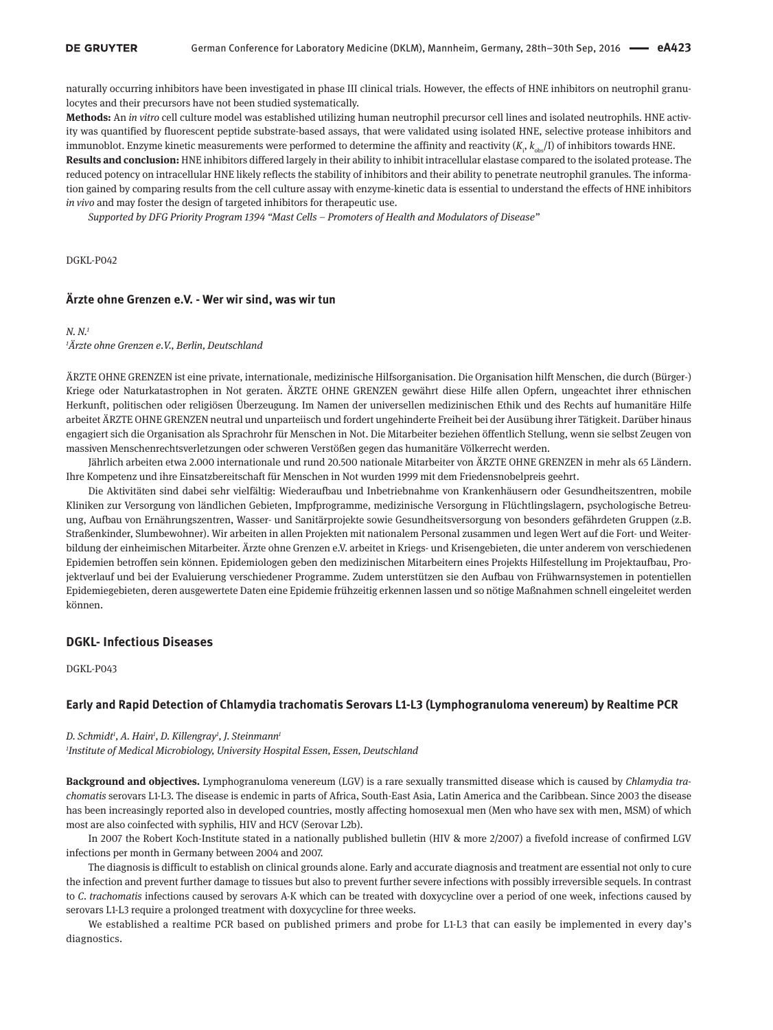naturally occurring inhibitors have been investigated in phase III clinical trials. However, the effects of HNE inhibitors on neutrophil granulocytes and their precursors have not been studied systematically.

**Methods:** An *in vitro* cell culture model was established utilizing human neutrophil precursor cell lines and isolated neutrophils. HNE activity was quantified by fluorescent peptide substrate-based assays, that were validated using isolated HNE, selective protease inhibitors and immunoblot. Enzyme kinetic measurements were performed to determine the affinity and reactivity (*K*<sup>i</sup> , *k*obs/I) of inhibitors towards HNE.

**Results and conclusion:** HNE inhibitors differed largely in their ability to inhibit intracellular elastase compared to the isolated protease. The reduced potency on intracellular HNE likely reflects the stability of inhibitors and their ability to penetrate neutrophil granules. The information gained by comparing results from the cell culture assay with enzyme-kinetic data is essential to understand the effects of HNE inhibitors *in vivo* and may foster the design of targeted inhibitors for therapeutic use.

*Supported by DFG Priority Program 1394 "Mast Cells – Promoters of Health and Modulators of Disease"*

DGKL-P042

## **Ärzte ohne Grenzen e.V. - Wer wir sind, was wir tun**

## *N. N.1 1 Ärzte ohne Grenzen e.V., Berlin, Deutschland*

ÄRZTE OHNE GRENZEN ist eine private, internationale, medizinische Hilfsorganisation. Die Organisation hilft Menschen, die durch (Bürger-) Kriege oder Naturkatastrophen in Not geraten. ÄRZTE OHNE GRENZEN gewährt diese Hilfe allen Opfern, ungeachtet ihrer ethnischen Herkunft, politischen oder religiösen Überzeugung. Im Namen der universellen medizinischen Ethik und des Rechts auf humanitäre Hilfe arbeitet ÄRZTE OHNE GRENZEN neutral und unparteiisch und fordert ungehinderte Freiheit bei der Ausübung ihrer Tätigkeit. Darüber hinaus engagiert sich die Organisation als Sprachrohr für Menschen in Not. Die Mitarbeiter beziehen öffentlich Stellung, wenn sie selbst Zeugen von massiven Menschenrechtsverletzungen oder schweren Verstößen gegen das humanitäre Völkerrecht werden.

Jährlich arbeiten etwa 2.000 internationale und rund 20.500 nationale Mitarbeiter von ÄRZTE OHNE GRENZEN in mehr als 65 Ländern. Ihre Kompetenz und ihre Einsatzbereitschaft für Menschen in Not wurden 1999 mit dem Friedensnobelpreis geehrt.

Die Aktivitäten sind dabei sehr vielfältig: Wiederaufbau und Inbetriebnahme von Krankenhäusern oder Gesundheitszentren, mobile Kliniken zur Versorgung von ländlichen Gebieten, Impfprogramme, medizinische Versorgung in Flüchtlingslagern, psychologische Betreuung, Aufbau von Ernährungszentren, Wasser- und Sanitärprojekte sowie Gesundheitsversorgung von besonders gefährdeten Gruppen (z.B. Straßenkinder, Slumbewohner). Wir arbeiten in allen Projekten mit nationalem Personal zusammen und legen Wert auf die Fort- und Weiterbildung der einheimischen Mitarbeiter. Ärzte ohne Grenzen e.V. arbeitet in Kriegs- und Krisengebieten, die unter anderem von verschiedenen Epidemien betroffen sein können. Epidemiologen geben den medizinischen Mitarbeitern eines Projekts Hilfestellung im Projektaufbau, Projektverlauf und bei der Evaluierung verschiedener Programme. Zudem unterstützen sie den Aufbau von Frühwarnsystemen in potentiellen Epidemiegebieten, deren ausgewertete Daten eine Epidemie frühzeitig erkennen lassen und so nötige Maßnahmen schnell eingeleitet werden können.

## **DGKL- Infectious Diseases**

DGKL-P043

### **Early and Rapid Detection of Chlamydia trachomatis Serovars L1-L3 (Lymphogranuloma venereum) by Realtime PCR**

#### *D. Schmidt1 , A. Hain1 , D. Killengray1 , J. Steinmann1*

*1 Institute of Medical Microbiology, University Hospital Essen, Essen, Deutschland*

**Background and objectives.** Lymphogranuloma venereum (LGV) is a rare sexually transmitted disease which is caused by *Chlamydia trachomatis* serovars L1-L3. The disease is endemic in parts of Africa, South-East Asia, Latin America and the Caribbean. Since 2003 the disease has been increasingly reported also in developed countries, mostly affecting homosexual men (Men who have sex with men, MSM) of which most are also coinfected with syphilis, HIV and HCV (Serovar L2b).

In 2007 the Robert Koch-Institute stated in a nationally published bulletin (HIV & more 2/2007) a fivefold increase of confirmed LGV infections per month in Germany between 2004 and 2007.

The diagnosis is difficult to establish on clinical grounds alone. Early and accurate diagnosis and treatment are essential not only to cure the infection and prevent further damage to tissues but also to prevent further severe infections with possibly irreversible sequels. In contrast to *C. trachomatis* infections caused by serovars A-K which can be treated with doxycycline over a period of one week, infections caused by serovars L1-L3 require a prolonged treatment with doxycycline for three weeks.

We established a realtime PCR based on published primers and probe for L1-L3 that can easily be implemented in every day's diagnostics.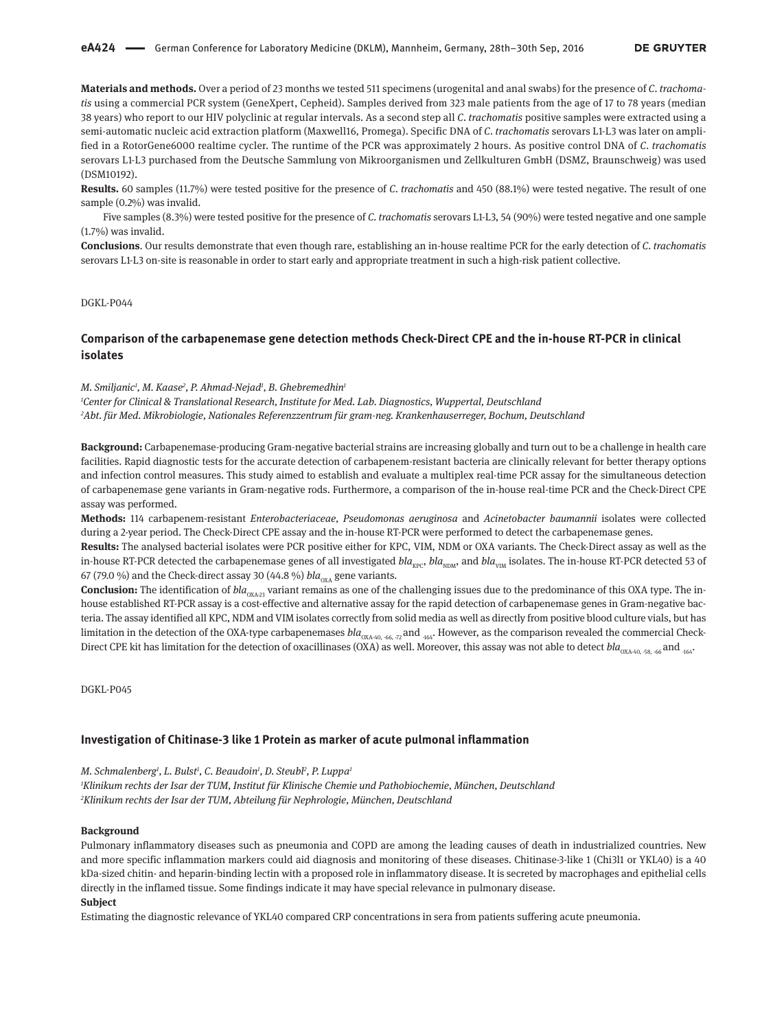**Materials and methods.** Over a period of 23 months we tested 511 specimens (urogenital and anal swabs) for the presence of *C. trachomatis* using a commercial PCR system (GeneXpert, Cepheid). Samples derived from 323 male patients from the age of 17 to 78 years (median 38 years) who report to our HIV polyclinic at regular intervals. As a second step all *C. trachomatis* positive samples were extracted using a semi-automatic nucleic acid extraction platform (Maxwell16, Promega). Specific DNA of *C. trachomatis* serovars L1-L3 was later on amplified in a RotorGene6000 realtime cycler. The runtime of the PCR was approximately 2 hours. As positive control DNA of *C. trachomatis* serovars L1-L3 purchased from the Deutsche Sammlung von Mikroorganismen und Zellkulturen GmbH (DSMZ, Braunschweig) was used (DSM10192).

**Results.** 60 samples (11.7%) were tested positive for the presence of *C. trachomatis* and 450 (88.1%) were tested negative. The result of one sample (0.2%) was invalid.

Five samples (8.3%) were tested positive for the presence of *C. trachomatis* serovars L1-L3, 54 (90%) were tested negative and one sample (1.7%) was invalid.

**Conclusions**. Our results demonstrate that even though rare, establishing an in-house realtime PCR for the early detection of *C. trachomatis* serovars L1-L3 on-site is reasonable in order to start early and appropriate treatment in such a high-risk patient collective.

## DGKL-P044

## **Comparison of the carbapenemase gene detection methods Check-Direct CPE and the in-house RT-PCR in clinical isolates**

#### *M. Smiljanic1 , M. Kaase2 , P. Ahmad-Nejad1 , B. Ghebremedhin1*

*1 Center for Clinical & Translational Research, Institute for Med. Lab. Diagnostics, Wuppertal, Deutschland 2 Abt. für Med. Mikrobiologie, Nationales Referenzzentrum für gram-neg. Krankenhauserreger, Bochum, Deutschland*

**Background:** Carbapenemase-producing Gram-negative bacterial strains are increasing globally and turn out to be a challenge in health care facilities. Rapid diagnostic tests for the accurate detection of carbapenem-resistant bacteria are clinically relevant for better therapy options and infection control measures. This study aimed to establish and evaluate a multiplex real-time PCR assay for the simultaneous detection of carbapenemase gene variants in Gram-negative rods. Furthermore, a comparison of the in-house real-time PCR and the Check-Direct CPE assay was performed.

**Methods:** 114 carbapenem-resistant *Enterobacteriaceae, Pseudomonas aeruginosa* and *Acinetobacter baumannii* isolates were collected during a 2-year period. The Check-Direct CPE assay and the in-house RT-PCR were performed to detect the carbapenemase genes.

**Results:** The analysed bacterial isolates were PCR positive either for KPC, VIM, NDM or OXA variants. The Check-Direct assay as well as the in-house RT-PCR detected the carbapenemase genes of all investigated *bla<sub>KPC</sub>*, *bla*<sub>NDM</sub>, and *bla*<sub>VIM</sub> isolates. The in-house RT-PCR detected 53 of 67 (79.0 %) and the Check-direct assay 30 (44.8 %)  $bla_{oxA}$  gene variants.

**Conclusion:** The identification of  $bla_{\text{OXA-23}}$  variant remains as one of the challenging issues due to the predominance of this OXA type. The inhouse established RT-PCR assay is a cost-effective and alternative assay for the rapid detection of carbapenemase genes in Gram-negative bacteria. The assay identified all KPC, NDM and VIM isolates correctly from solid media as well as directly from positive blood culture vials, but has limitation in the detection of the OXA-type carbapenemases  $bla_{\alpha_{\text{ON-40}} \text{--66}}$ ,  $_{\text{72}}$  and  $_{\text{164}}$ . However, as the comparison revealed the commercial Check-Direct CPE kit has limitation for the detection of oxacillinases (OXA) as well. Moreover, this assay was not able to detect  $bla_{\alpha_{\rm NA-40.} -58, -66}$  and  $_{464}$ .

DGKL-P045

#### **Investigation of Chitinase-3 like 1 Protein as marker of acute pulmonal inflammation**

*M. Schmalenberg1 , L. Bulst1 , C. Beaudoin1 , D. Steubl2 , P. Luppa1*

*1 Klinikum rechts der Isar der TUM, Institut für Klinische Chemie und Pathobiochemie, München, Deutschland 2 Klinikum rechts der Isar der TUM, Abteilung für Nephrologie, München, Deutschland*

### **Background**

Pulmonary inflammatory diseases such as pneumonia and COPD are among the leading causes of death in industrialized countries. New and more specific inflammation markers could aid diagnosis and monitoring of these diseases. Chitinase-3-like 1 (Chi3l1 or YKL40) is a 40 kDa-sized chitin- and heparin-binding lectin with a proposed role in inflammatory disease. It is secreted by macrophages and epithelial cells directly in the inflamed tissue. Some findings indicate it may have special relevance in pulmonary disease. **Subject**

#### Estimating the diagnostic relevance of YKL40 compared CRP concentrations in sera from patients suffering acute pneumonia.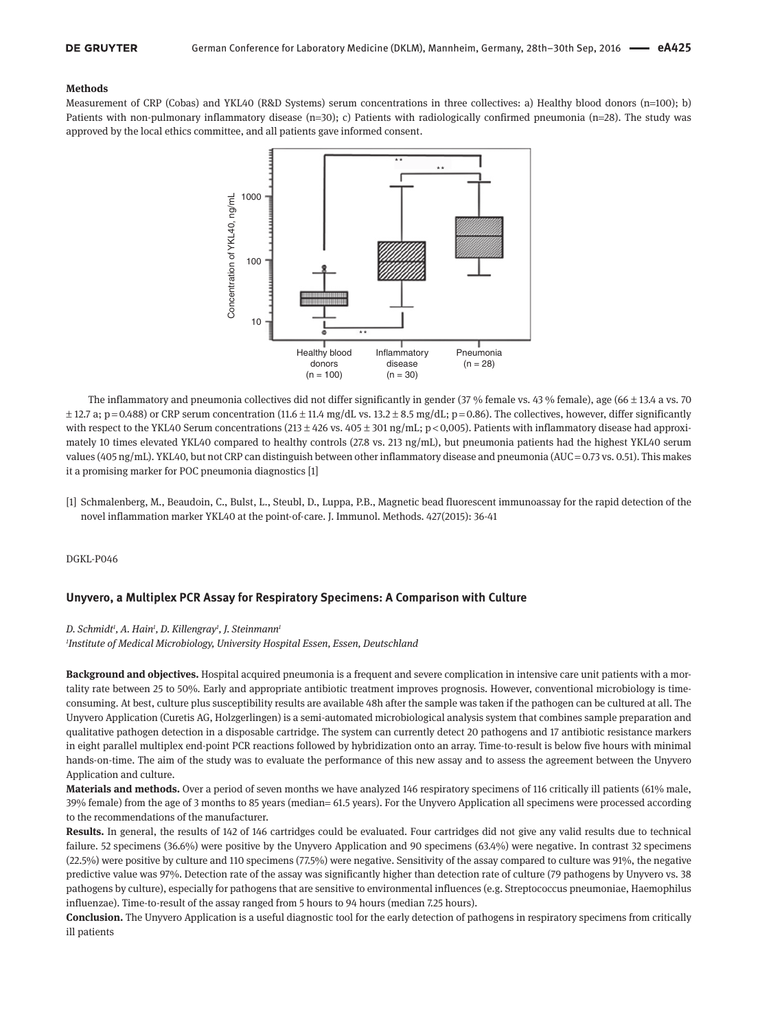#### **Methods**

Measurement of CRP (Cobas) and YKL40 (R&D Systems) serum concentrations in three collectives: a) Healthy blood donors (n=100); b) Patients with non-pulmonary inflammatory disease  $(n=30)$ ; c) Patients with radiologically confirmed pneumonia  $(n=28)$ . The study was approved by the local ethics committee, and all patients gave informed consent.



The inflammatory and pneumonia collectives did not differ significantly in gender (37 % female vs. 43 % female), age (66 ± 13.4 a vs. 70  $\pm$  12.7 a; p = 0.488) or CRP serum concentration (11.6  $\pm$  11.4 mg/dL vs. 13.2  $\pm$  8.5 mg/dL; p = 0.86). The collectives, however, differ significantly with respect to the YKL40 Serum concentrations (213  $\pm$  426 vs. 405  $\pm$  301 ng/mL; p < 0,005). Patients with inflammatory disease had approximately 10 times elevated YKL40 compared to healthy controls (27.8 vs. 213 ng/mL), but pneumonia patients had the highest YKL40 serum values (405 ng/mL). YKL40, but not CRP can distinguish between other inflammatory disease and pneumonia (AUC = 0.73 vs. 0.51). This makes it a promising marker for POC pneumonia diagnostics [1]

[1] Schmalenberg, M., Beaudoin, C., Bulst, L., Steubl, D., Luppa, P.B., Magnetic bead fluorescent immunoassay for the rapid detection of the novel inflammation marker YKL40 at the point-of-care. J. Immunol. Methods. 427(2015): 36-41

DGKL-P046

## **Unyvero, a Multiplex PCR Assay for Respiratory Specimens: A Comparison with Culture**

#### *D. Schmidt1 , A. Hain1 , D. Killengray1 , J. Steinmann1*

*1 Institute of Medical Microbiology, University Hospital Essen, Essen, Deutschland*

**Background and objectives.** Hospital acquired pneumonia is a frequent and severe complication in intensive care unit patients with a mortality rate between 25 to 50%. Early and appropriate antibiotic treatment improves prognosis. However, conventional microbiology is timeconsuming. At best, culture plus susceptibility results are available 48h after the sample was taken if the pathogen can be cultured at all. The Unyvero Application (Curetis AG, Holzgerlingen) is a semi-automated microbiological analysis system that combines sample preparation and qualitative pathogen detection in a disposable cartridge. The system can currently detect 20 pathogens and 17 antibiotic resistance markers in eight parallel multiplex end-point PCR reactions followed by hybridization onto an array. Time-to-result is below five hours with minimal hands-on-time. The aim of the study was to evaluate the performance of this new assay and to assess the agreement between the Unyvero Application and culture.

**Materials and methods.** Over a period of seven months we have analyzed 146 respiratory specimens of 116 critically ill patients (61% male, 39% female) from the age of 3 months to 85 years (median= 61.5 years). For the Unyvero Application all specimens were processed according to the recommendations of the manufacturer.

**Results.** In general, the results of 142 of 146 cartridges could be evaluated. Four cartridges did not give any valid results due to technical failure. 52 specimens (36.6%) were positive by the Unyvero Application and 90 specimens (63.4%) were negative. In contrast 32 specimens (22.5%) were positive by culture and 110 specimens (77.5%) were negative. Sensitivity of the assay compared to culture was 91%, the negative predictive value was 97%. Detection rate of the assay was significantly higher than detection rate of culture (79 pathogens by Unyvero vs. 38 pathogens by culture), especially for pathogens that are sensitive to environmental influences (e.g. Streptococcus pneumoniae, Haemophilus influenzae). Time-to-result of the assay ranged from 5 hours to 94 hours (median 7.25 hours).

**Conclusion.** The Unyvero Application is a useful diagnostic tool for the early detection of pathogens in respiratory specimens from critically ill patients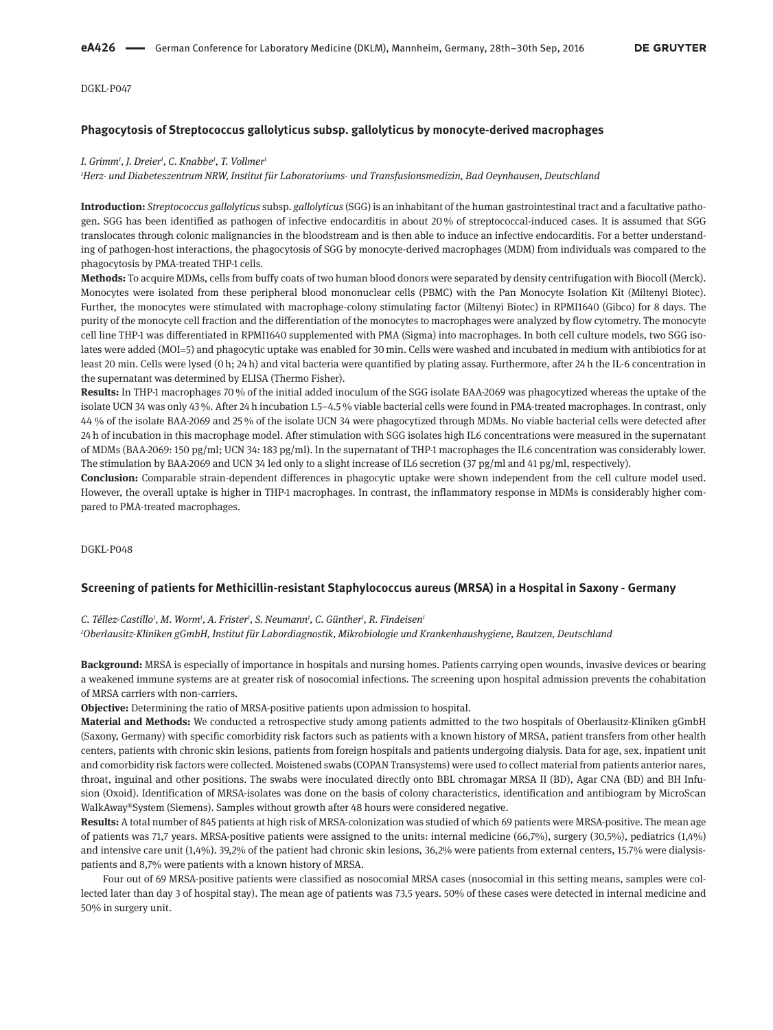## **Phagocytosis of Streptococcus gallolyticus subsp. gallolyticus by monocyte-derived macrophages**

### *I. Grimm1 , J. Dreier1 , C. Knabbe1 , T. Vollmer1*

*1 Herz- und Diabeteszentrum NRW, Institut für Laboratoriums- und Transfusionsmedizin, Bad Oeynhausen, Deutschland*

**Introduction:** *Streptococcus gallolyticus* subsp*. gallolyticus* (SGG) is an inhabitant of the human gastrointestinal tract and a facultative pathogen. SGG has been identified as pathogen of infective endocarditis in about 20 % of streptococcal-induced cases. It is assumed that SGG translocates through colonic malignancies in the bloodstream and is then able to induce an infective endocarditis. For a better understanding of pathogen-host interactions, the phagocytosis of SGG by monocyte-derived macrophages (MDM) from individuals was compared to the phagocytosis by PMA-treated THP-1 cells.

**Methods:** To acquire MDMs, cells from buffy coats of two human blood donors were separated by density centrifugation with Biocoll (Merck). Monocytes were isolated from these peripheral blood mononuclear cells (PBMC) with the Pan Monocyte Isolation Kit (Miltenyi Biotec). Further, the monocytes were stimulated with macrophage-colony stimulating factor (Miltenyi Biotec) in RPMI1640 (Gibco) for 8 days. The purity of the monocyte cell fraction and the differentiation of the monocytes to macrophages were analyzed by flow cytometry. The monocyte cell line THP-1 was differentiated in RPMI1640 supplemented with PMA (Sigma) into macrophages. In both cell culture models, two SGG isolates were added (MOI=5) and phagocytic uptake was enabled for 30 min. Cells were washed and incubated in medium with antibiotics for at least 20 min. Cells were lysed (0 h; 24 h) and vital bacteria were quantified by plating assay. Furthermore, after 24 h the IL-6 concentration in the supernatant was determined by ELISA (Thermo Fisher).

**Results:** In THP-1 macrophages 70 % of the initial added inoculum of the SGG isolate BAA-2069 was phagocytized whereas the uptake of the isolate UCN 34 was only 43%. After 24 h incubation 1.5-4.5% viable bacterial cells were found in PMA-treated macrophages. In contrast, only 44 % of the isolate BAA-2069 and 25 % of the isolate UCN 34 were phagocytized through MDMs. No viable bacterial cells were detected after 24 h of incubation in this macrophage model. After stimulation with SGG isolates high IL6 concentrations were measured in the supernatant of MDMs (BAA-2069: 150 pg/ml; UCN 34: 183 pg/ml). In the supernatant of THP-1 macrophages the IL6 concentration was considerably lower. The stimulation by BAA-2069 and UCN 34 led only to a slight increase of IL6 secretion (37 pg/ml and 41 pg/ml, respectively).

**Conclusion:** Comparable strain-dependent differences in phagocytic uptake were shown independent from the cell culture model used. However, the overall uptake is higher in THP-1 macrophages. In contrast, the inflammatory response in MDMs is considerably higher compared to PMA-treated macrophages.

DGKL-P048

### **Screening of patients for Methicillin-resistant Staphylococcus aureus (MRSA) in a Hospital in Saxony - Germany**

C. Téllez-Castillo<sup>1</sup>, M. Worm<sup>1</sup>, A. Frister<sup>1</sup>, S. Neumann<sup>1</sup>, C. Günther<sup>1</sup>, R. Findeisen<sup>1</sup>

*1 Oberlausitz-Kliniken gGmbH, Institut für Labordiagnostik, Mikrobiologie und Krankenhaushygiene, Bautzen, Deutschland*

**Background:** MRSA is especially of importance in hospitals and nursing homes. Patients carrying open wounds, invasive devices or bearing a weakened immune systems are at greater risk of nosocomial infections. The screening upon hospital admission prevents the cohabitation of MRSA carriers with non-carriers.

**Objective:** Determining the ratio of MRSA-positive patients upon admission to hospital.

**Material and Methods:** We conducted a retrospective study among patients admitted to the two hospitals of Oberlausitz-Kliniken gGmbH (Saxony, Germany) with specific comorbidity risk factors such as patients with a known history of MRSA, patient transfers from other health centers, patients with chronic skin lesions, patients from foreign hospitals and patients undergoing dialysis. Data for age, sex, inpatient unit and comorbidity risk factors were collected. Moistened swabs (COPAN Transystems) were used to collect material from patients anterior nares, throat, inguinal and other positions. The swabs were inoculated directly onto BBL chromagar MRSA II (BD), Agar CNA (BD) and BH Infusion (Oxoid). Identification of MRSA-isolates was done on the basis of colony characteristics, identification and antibiogram by MicroScan WalkAway®System (Siemens). Samples without growth after 48 hours were considered negative.

**Results:** A total number of 845 patients at high risk of MRSA-colonization was studied of which 69 patients were MRSA-positive. The mean age of patients was 71,7 years. MRSA-positive patients were assigned to the units: internal medicine (66,7%), surgery (30,5%), pediatrics (1,4%) and intensive care unit (1,4%). 39,2% of the patient had chronic skin lesions, 36,2% were patients from external centers, 15.7% were dialysispatients and 8,7% were patients with a known history of MRSA.

Four out of 69 MRSA-positive patients were classified as nosocomial MRSA cases (nosocomial in this setting means, samples were collected later than day 3 of hospital stay). The mean age of patients was 73,5 years. 50% of these cases were detected in internal medicine and 50% in surgery unit.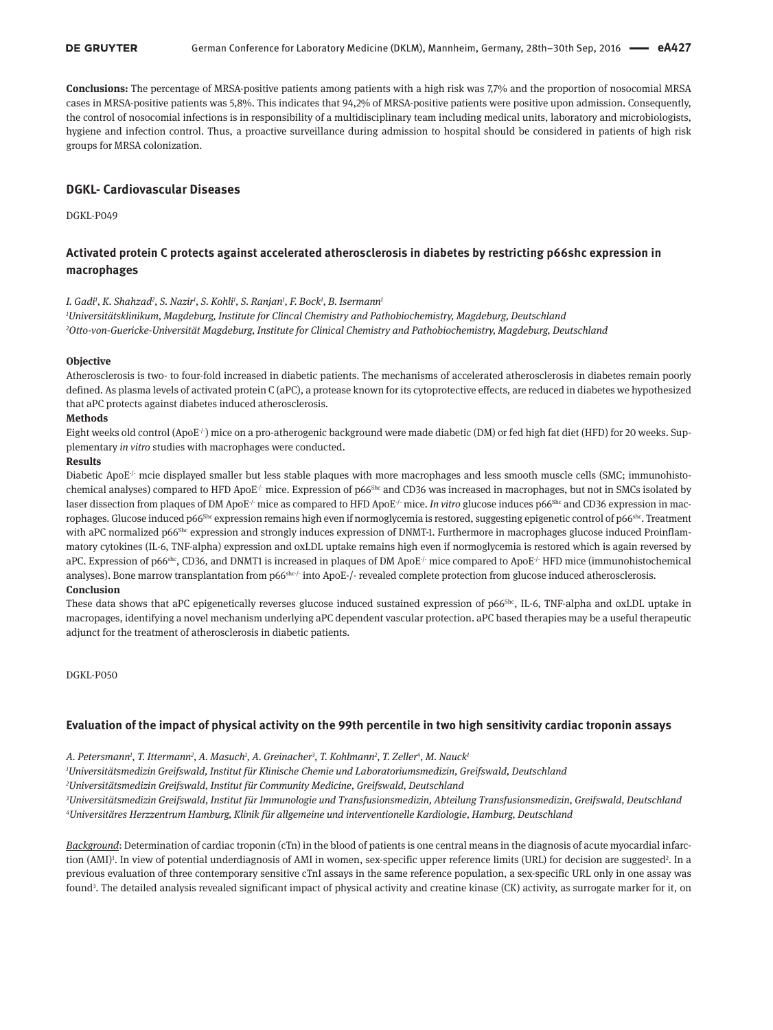**Conclusions:** The percentage of MRSA-positive patients among patients with a high risk was 7,7% and the proportion of nosocomial MRSA cases in MRSA-positive patients was 5,8%. This indicates that 94,2% of MRSA-positive patients were positive upon admission. Consequently, the control of nosocomial infections is in responsibility of a multidisciplinary team including medical units, laboratory and microbiologists, hygiene and infection control. Thus, a proactive surveillance during admission to hospital should be considered in patients of high risk groups for MRSA colonization.

## **DGKL- Cardiovascular Diseases**

DGKL-P049

# **Activated protein C protects against accelerated atherosclerosis in diabetes by restricting p66shc expression in macrophages**

#### *I. Gadi1 , K. Shahzad2 , S. Nazir1 , S. Kohli1 , S. Ranjan1 , F. Bock1 , B. Isermann1*

*1 Universitätsklinikum, Magdeburg, Institute for Clincal Chemistry and Pathobiochemistry, Magdeburg, Deutschland 2 Otto-von-Guericke-Universität Magdeburg, Institute for Clinical Chemistry and Pathobiochemistry, Magdeburg, Deutschland*

### **Objective**

Atherosclerosis is two- to four-fold increased in diabetic patients. The mechanisms of accelerated atherosclerosis in diabetes remain poorly defined. As plasma levels of activated protein C (aPC), a protease known for its cytoprotective effects, are reduced in diabetes we hypothesized that aPC protects against diabetes induced atherosclerosis.

## **Methods**

Eight weeks old control (ApoE<sup>-/-</sup>) mice on a pro-atherogenic background were made diabetic (DM) or fed high fat diet (HFD) for 20 weeks. Supplementary *in vitro* studies with macrophages were conducted.

### **Results**

Diabetic ApoE<sup>-/-</sup> mcie displayed smaller but less stable plaques with more macrophages and less smooth muscle cells (SMC; immunohistochemical analyses) compared to HFD ApoE<sup>-/-</sup> mice. Expression of p66<sup>Shc</sup> and CD36 was increased in macrophages, but not in SMCs isolated by laser dissection from plaques of DM ApoE<sup>-/-</sup> mice as compared to HFD ApoE<sup>-/-</sup> mice. *In vitro* glucose induces p66<sup>Shc</sup> and CD36 expression in macrophages. Glucose induced p66<sup>Shc</sup> expression remains high even if normoglycemia is restored, suggesting epigenetic control of p66<sup>shc</sup>. Treatment with aPC normalized p66<sup>Shc</sup> expression and strongly induces expression of DNMT-1. Furthermore in macrophages glucose induced Proinflammatory cytokines (IL-6, TNF-alpha) expression and oxLDL uptake remains high even if normoglycemia is restored which is again reversed by aPC. Expression of p66<sup>shc</sup>, CD36, and DNMT1 is increased in plaques of DM ApoE<sup>-/-</sup> mice compared to ApoE<sup>-/-</sup> HFD mice (immunohistochemical analyses). Bone marrow transplantation from p66shc/- into ApoE-/- revealed complete protection from glucose induced atherosclerosis.

## **Conclusion**

These data shows that aPC epigenetically reverses glucose induced sustained expression of p66Shc, IL-6, TNF-alpha and oxLDL uptake in macropages, identifying a novel mechanism underlying aPC dependent vascular protection. aPC based therapies may be a useful therapeutic adjunct for the treatment of atherosclerosis in diabetic patients.

#### DGKL-P050

## **Evaluation of the impact of physical activity on the 99th percentile in two high sensitivity cardiac troponin assays**

A. Petersmann<sup>1</sup>, T. Ittermann<sup>2</sup>, A. Masuch<sup>1</sup>, A. Greinacher<sup>3</sup>, T. Kohlmann<sup>2</sup>, T. Zeller<sup>4</sup>, M. Nauck<sup>1</sup>

*1 Universitätsmedizin Greifswald, Institut für Klinische Chemie und Laboratoriumsmedizin, Greifswald, Deutschland*

*2 Universitätsmedizin Greifswald, Institut für Community Medicine, Greifswald, Deutschland*

*3 Universitätsmedizin Greifswald, Institut für Immunologie und Transfusionsmedizin, Abteilung Transfusionsmedizin, Greifswald, Deutschland 4 Universitäres Herzzentrum Hamburg, Klinik für allgemeine und interventionelle Kardiologie, Hamburg, Deutschland*

*Background*: Determination of cardiac troponin (cTn) in the blood of patients is one central means in the diagnosis of acute myocardial infarction (AMI)<sup>1</sup>. In view of potential underdiagnosis of AMI in women, sex-specific upper reference limits (URL) for decision are suggested<sup>2</sup>. In a previous evaluation of three contemporary sensitive cTnI assays in the same reference population, a sex-specific URL only in one assay was found3 . The detailed analysis revealed significant impact of physical activity and creatine kinase (CK) activity, as surrogate marker for it, on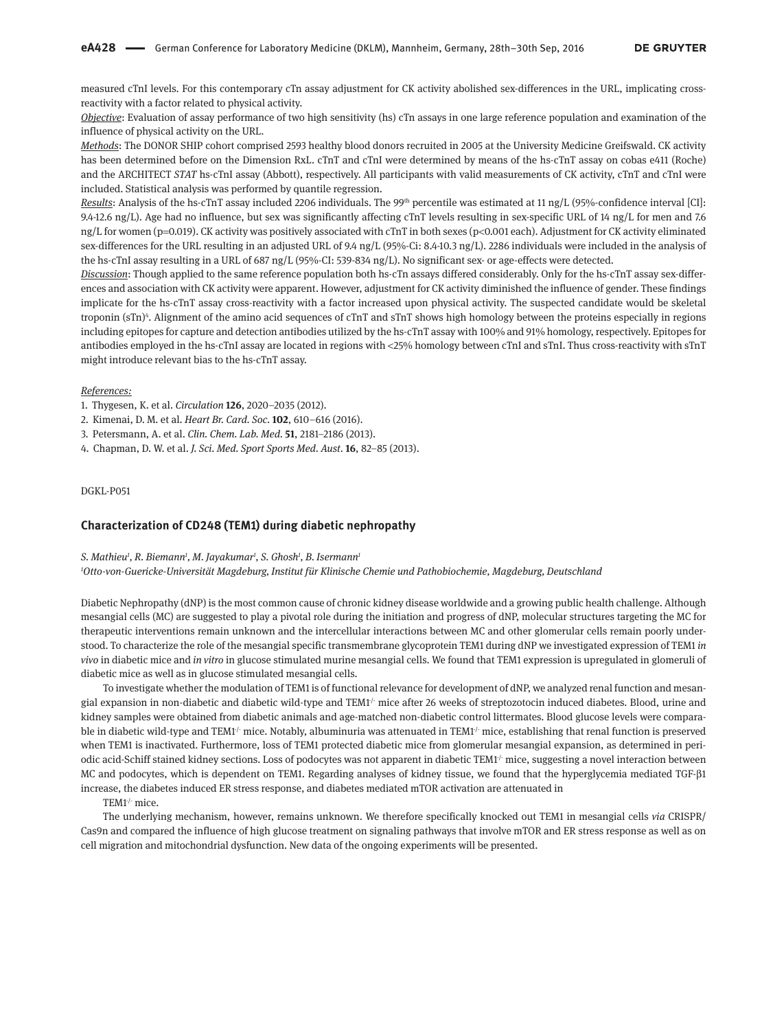measured cTnI levels. For this contemporary cTn assay adjustment for CK activity abolished sex-differences in the URL, implicating crossreactivity with a factor related to physical activity.

*Objective*: Evaluation of assay performance of two high sensitivity (hs) cTn assays in one large reference population and examination of the influence of physical activity on the URL.

*Methods*: The DONOR SHIP cohort comprised 2593 healthy blood donors recruited in 2005 at the University Medicine Greifswald. CK activity has been determined before on the Dimension RxL. cTnT and cTnI were determined by means of the hs-cTnT assay on cobas e411 (Roche) and the ARCHITECT *STAT* hs-cTnI assay (Abbott), respectively. All participants with valid measurements of CK activity, cTnT and cTnI were included. Statistical analysis was performed by quantile regression.

*Results*: Analysis of the hs-cTnT assay included 2206 individuals. The 99<sup>th</sup> percentile was estimated at 11 ng/L (95%-confidence interval [CI]: 9.4-12.6 ng/L). Age had no influence, but sex was significantly affecting cTnT levels resulting in sex-specific URL of 14 ng/L for men and 7.6 ng/L for women (p=0.019). CK activity was positively associated with cTnT in both sexes (p<0.001 each). Adjustment for CK activity eliminated sex-differences for the URL resulting in an adjusted URL of 9.4 ng/L (95%-Ci: 8.4-10.3 ng/L). 2286 individuals were included in the analysis of the hs-cTnI assay resulting in a URL of 687 ng/L (95%-CI: 539-834 ng/L). No significant sex- or age-effects were detected.

*Discussion*: Though applied to the same reference population both hs-cTn assays differed considerably. Only for the hs-cTnT assay sex-differences and association with CK activity were apparent. However, adjustment for CK activity diminished the influence of gender. These findings implicate for the hs-cTnT assay cross-reactivity with a factor increased upon physical activity. The suspected candidate would be skeletal troponin (sTn)4 . Alignment of the amino acid sequences of cTnT and sTnT shows high homology between the proteins especially in regions including epitopes for capture and detection antibodies utilized by the hs-cTnT assay with 100% and 91% homology, respectively. Epitopes for antibodies employed in the hs-cTnI assay are located in regions with <25% homology between cTnI and sTnI. Thus cross-reactivity with sTnT might introduce relevant bias to the hs-cTnT assay.

#### *References:*

- 1. Thygesen, K. et al. *Circulation* **126**, 2020–2035 (2012).
- 2. Kimenai, D. M. et al. *Heart Br. Card. Soc.* **102**, 610–616 (2016).
- 3. Petersmann, A. et al. *Clin. Chem. Lab. Med.* **51**, 2181–2186 (2013).
- 4. Chapman, D. W. et al. *J. Sci. Med. Sport Sports Med. Aust.* **16**, 82–85 (2013).

#### DGKL-P051

## **Characterization of CD248 (TEM1) during diabetic nephropathy**

#### *S. Mathieu1 , R. Biemann1 , M. Jayakumar1 , S. Ghosh1 , B. Isermann1*

*1 Otto-von-Guericke-Universität Magdeburg, Institut für Klinische Chemie und Pathobiochemie, Magdeburg, Deutschland*

Diabetic Nephropathy (dNP) is the most common cause of chronic kidney disease worldwide and a growing public health challenge. Although mesangial cells (MC) are suggested to play a pivotal role during the initiation and progress of dNP, molecular structures targeting the MC for therapeutic interventions remain unknown and the intercellular interactions between MC and other glomerular cells remain poorly understood. To characterize the role of the mesangial specific transmembrane glycoprotein TEM1 during dNP we investigated expression of TEM1 *in vivo* in diabetic mice and *in vitro* in glucose stimulated murine mesangial cells. We found that TEM1 expression is upregulated in glomeruli of diabetic mice as well as in glucose stimulated mesangial cells.

To investigate whether the modulation of TEM1 is of functional relevance for development of dNP, we analyzed renal function and mesangial expansion in non-diabetic and diabetic wild-type and TEM1<sup>/-</sup> mice after 26 weeks of streptozotocin induced diabetes. Blood, urine and kidney samples were obtained from diabetic animals and age-matched non-diabetic control littermates. Blood glucose levels were comparable in diabetic wild-type and TEM1<sup> $/$ </sup> mice. Notably, albuminuria was attenuated in TEM1<sup> $/$ </sup> mice, establishing that renal function is preserved when TEM1 is inactivated. Furthermore, loss of TEM1 protected diabetic mice from glomerular mesangial expansion, as determined in periodic acid-Schiff stained kidney sections. Loss of podocytes was not apparent in diabetic TEM1<sup>/-</sup> mice, suggesting a novel interaction between MC and podocytes, which is dependent on TEM1. Regarding analyses of kidney tissue, we found that the hyperglycemia mediated TGF-β1 increase, the diabetes induced ER stress response, and diabetes mediated mTOR activation are attenuated in

TEM1<sup>/-</sup> mice.

The underlying mechanism, however, remains unknown. We therefore specifically knocked out TEM1 in mesangial cells *via* CRISPR/ Cas9n and compared the influence of high glucose treatment on signaling pathways that involve mTOR and ER stress response as well as on cell migration and mitochondrial dysfunction. New data of the ongoing experiments will be presented.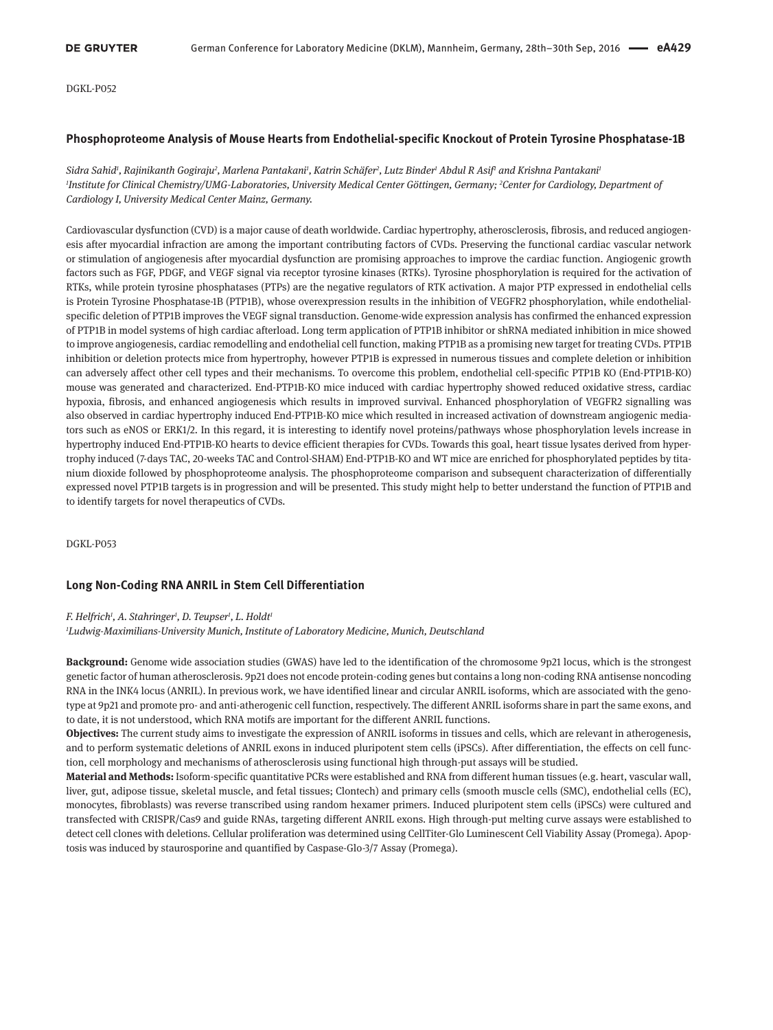## **Phosphoproteome Analysis of Mouse Hearts from Endothelial-specific Knockout of Protein Tyrosine Phosphatase-1B**

Sidra Sahid<sup>ı</sup>, Rajinikanth Gogiraju<sup>2</sup>, Marlena Pantakani<sup>ı</sup>, Katrin Schäfer<sup>2</sup>, Lutz Binder<sup>ı</sup> Abdul R Asif<sup>ı</sup> and Krishna Pantakani<sup>ı</sup> *1 Institute for Clinical Chemistry/UMG-Laboratories, University Medical Center Göttingen, Germany; <sup>2</sup> Center for Cardiology, Department of Cardiology I, University Medical Center Mainz, Germany.*

Cardiovascular dysfunction (CVD) is a major cause of death worldwide. Cardiac hypertrophy, atherosclerosis, fibrosis, and reduced angiogenesis after myocardial infraction are among the important contributing factors of CVDs. Preserving the functional cardiac vascular network or stimulation of angiogenesis after myocardial dysfunction are promising approaches to improve the cardiac function. Angiogenic growth factors such as FGF, PDGF, and VEGF signal via receptor tyrosine kinases (RTKs). Tyrosine phosphorylation is required for the activation of RTKs, while protein tyrosine phosphatases (PTPs) are the negative regulators of RTK activation. A major PTP expressed in endothelial cells is Protein Tyrosine Phosphatase-1B (PTP1B), whose overexpression results in the inhibition of VEGFR2 phosphorylation, while endothelialspecific deletion of PTP1B improves the VEGF signal transduction. Genome-wide expression analysis has confirmed the enhanced expression of PTP1B in model systems of high cardiac afterload. Long term application of PTP1B inhibitor or shRNA mediated inhibition in mice showed to improve angiogenesis, cardiac remodelling and endothelial cell function, making PTP1B as a promising new target for treating CVDs. PTP1B inhibition or deletion protects mice from hypertrophy, however PTP1B is expressed in numerous tissues and complete deletion or inhibition can adversely affect other cell types and their mechanisms. To overcome this problem, endothelial cell-specific PTP1B KO (End-PTP1B-KO) mouse was generated and characterized. End-PTP1B-KO mice induced with cardiac hypertrophy showed reduced oxidative stress, cardiac hypoxia, fibrosis, and enhanced angiogenesis which results in improved survival. Enhanced phosphorylation of VEGFR2 signalling was also observed in cardiac hypertrophy induced End-PTP1B-KO mice which resulted in increased activation of downstream angiogenic mediators such as eNOS or ERK1/2. In this regard, it is interesting to identify novel proteins/pathways whose phosphorylation levels increase in hypertrophy induced End-PTP1B-KO hearts to device efficient therapies for CVDs. Towards this goal, heart tissue lysates derived from hypertrophy induced (7-days TAC, 20-weeks TAC and Control-SHAM) End-PTP1B-KO and WT mice are enriched for phosphorylated peptides by titanium dioxide followed by phosphoproteome analysis. The phosphoproteome comparison and subsequent characterization of differentially expressed novel PTP1B targets is in progression and will be presented. This study might help to better understand the function of PTP1B and to identify targets for novel therapeutics of CVDs.

DGKL-P053

## **Long Non-Coding RNA ANRIL in Stem Cell Differentiation**

#### *F. Helfrich1 , A. Stahringer1 , D. Teupser1 , L. Holdt1*

*1 Ludwig-Maximilians-University Munich, Institute of Laboratory Medicine, Munich, Deutschland*

**Background:** Genome wide association studies (GWAS) have led to the identification of the chromosome 9p21 locus, which is the strongest genetic factor of human atherosclerosis. 9p21 does not encode protein-coding genes but contains a long non-coding RNA antisense noncoding RNA in the INK4 locus (ANRIL). In previous work, we have identified linear and circular ANRIL isoforms, which are associated with the genotype at 9p21 and promote pro- and anti-atherogenic cell function, respectively. The different ANRIL isoforms share in part the same exons, and to date, it is not understood, which RNA motifs are important for the different ANRIL functions.

**Objectives:** The current study aims to investigate the expression of ANRIL isoforms in tissues and cells, which are relevant in atherogenesis, and to perform systematic deletions of ANRIL exons in induced pluripotent stem cells (iPSCs). After differentiation, the effects on cell function, cell morphology and mechanisms of atherosclerosis using functional high through-put assays will be studied.

**Material and Methods:** Isoform-specific quantitative PCRs were established and RNA from different human tissues (e.g. heart, vascular wall, liver, gut, adipose tissue, skeletal muscle, and fetal tissues; Clontech) and primary cells (smooth muscle cells (SMC), endothelial cells (EC), monocytes, fibroblasts) was reverse transcribed using random hexamer primers. Induced pluripotent stem cells (iPSCs) were cultured and transfected with CRISPR/Cas9 and guide RNAs, targeting different ANRIL exons. High through-put melting curve assays were established to detect cell clones with deletions. Cellular proliferation was determined using CellTiter-Glo Luminescent Cell Viability Assay (Promega). Apoptosis was induced by staurosporine and quantified by Caspase-Glo-3/7 Assay (Promega).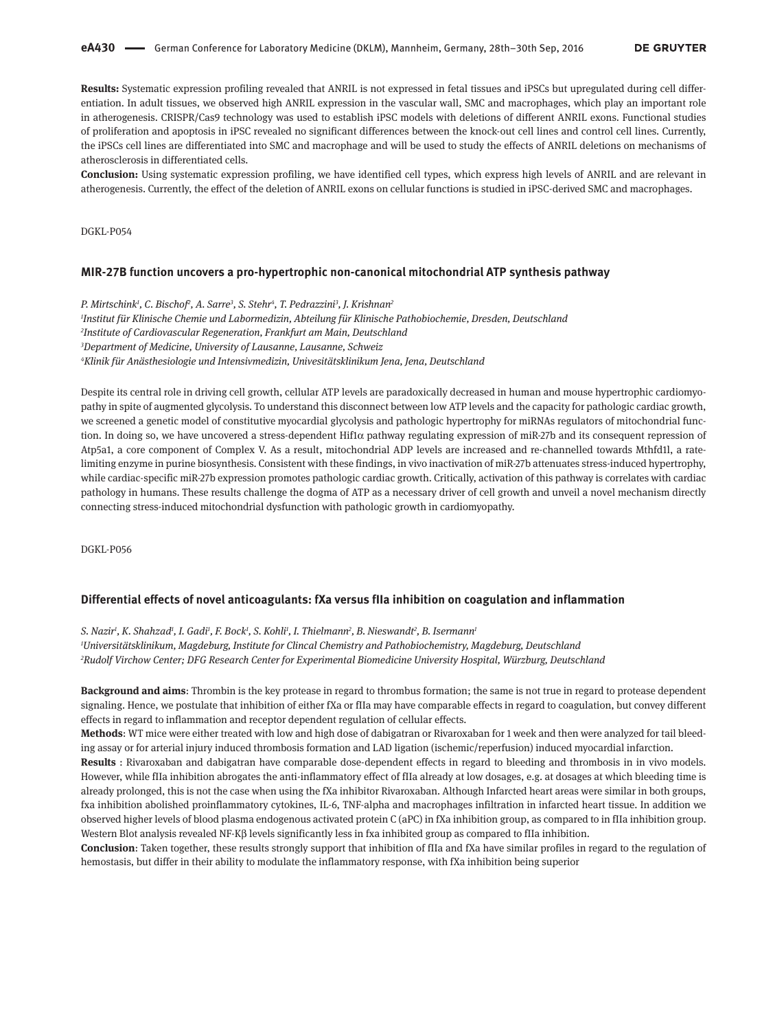**Results:** Systematic expression profiling revealed that ANRIL is not expressed in fetal tissues and iPSCs but upregulated during cell differentiation. In adult tissues, we observed high ANRIL expression in the vascular wall, SMC and macrophages, which play an important role in atherogenesis. CRISPR/Cas9 technology was used to establish iPSC models with deletions of different ANRIL exons. Functional studies of proliferation and apoptosis in iPSC revealed no significant differences between the knock-out cell lines and control cell lines. Currently, the iPSCs cell lines are differentiated into SMC and macrophage and will be used to study the effects of ANRIL deletions on mechanisms of atherosclerosis in differentiated cells.

**Conclusion:** Using systematic expression profiling, we have identified cell types, which express high levels of ANRIL and are relevant in atherogenesis. Currently, the effect of the deletion of ANRIL exons on cellular functions is studied in iPSC-derived SMC and macrophages.

DGKL-P054

#### **MIR-27B function uncovers a pro-hypertrophic non-canonical mitochondrial ATP synthesis pathway**

*P. Mirtschink1 , C. Bischof2 , A. Sarre3 , S. Stehr4 , T. Pedrazzini3 , J. Krishnan2 Institut für Klinische Chemie und Labormedizin, Abteilung für Klinische Pathobiochemie, Dresden, Deutschland Institute of Cardiovascular Regeneration, Frankfurt am Main, Deutschland Department of Medicine, University of Lausanne, Lausanne, Schweiz Klinik für Anästhesiologie und Intensivmedizin, Univesitätsklinikum Jena, Jena, Deutschland*

Despite its central role in driving cell growth, cellular ATP levels are paradoxically decreased in human and mouse hypertrophic cardiomyopathy in spite of augmented glycolysis. To understand this disconnect between low ATP levels and the capacity for pathologic cardiac growth, we screened a genetic model of constitutive myocardial glycolysis and pathologic hypertrophy for miRNAs regulators of mitochondrial function. In doing so, we have uncovered a stress-dependent Hif1α pathway regulating expression of miR-27b and its consequent repression of Atp5a1, a core component of Complex V. As a result, mitochondrial ADP levels are increased and re-channelled towards Mthfd1l, a ratelimiting enzyme in purine biosynthesis. Consistent with these findings, in vivo inactivation of miR-27b attenuates stress-induced hypertrophy, while cardiac-specific miR-27b expression promotes pathologic cardiac growth. Critically, activation of this pathway is correlates with cardiac pathology in humans. These results challenge the dogma of ATP as a necessary driver of cell growth and unveil a novel mechanism directly connecting stress-induced mitochondrial dysfunction with pathologic growth in cardiomyopathy.

DGKL-P056

#### **Differential effects of novel anticoagulants: fXa versus fIIa inhibition on coagulation and inflammation**

*S. Nazir1 , K. Shahzad1 , I. Gadi1 , F. Bock1 , S. Kohli1 , I. Thielmann2 , B. Nieswandt2 , B. Isermann1 1 Universitätsklinikum, Magdeburg, Institute for Clincal Chemistry and Pathobiochemistry, Magdeburg, Deutschland 2 Rudolf Virchow Center; DFG Research Center for Experimental Biomedicine University Hospital, Würzburg, Deutschland*

**Background and aims**: Thrombin is the key protease in regard to thrombus formation; the same is not true in regard to protease dependent signaling. Hence, we postulate that inhibition of either fXa or fIIa may have comparable effects in regard to coagulation, but convey different effects in regard to inflammation and receptor dependent regulation of cellular effects.

**Methods**: WT mice were either treated with low and high dose of dabigatran or Rivaroxaban for 1 week and then were analyzed for tail bleeding assay or for arterial injury induced thrombosis formation and LAD ligation (ischemic/reperfusion) induced myocardial infarction.

**Results** : Rivaroxaban and dabigatran have comparable dose-dependent effects in regard to bleeding and thrombosis in in vivo models. However, while fIIa inhibition abrogates the anti-inflammatory effect of fIIa already at low dosages, e.g. at dosages at which bleeding time is already prolonged, this is not the case when using the fXa inhibitor Rivaroxaban. Although Infarcted heart areas were similar in both groups, fxa inhibition abolished proinflammatory cytokines, IL-6, TNF-alpha and macrophages infiltration in infarcted heart tissue. In addition we observed higher levels of blood plasma endogenous activated protein C (aPC) in fXa inhibition group, as compared to in fIIa inhibition group. Western Blot analysis revealed NF-Kβ levels significantly less in fxa inhibited group as compared to fIIa inhibition.

**Conclusion**: Taken together, these results strongly support that inhibition of fIIa and fXa have similar profiles in regard to the regulation of hemostasis, but differ in their ability to modulate the inflammatory response, with fXa inhibition being superior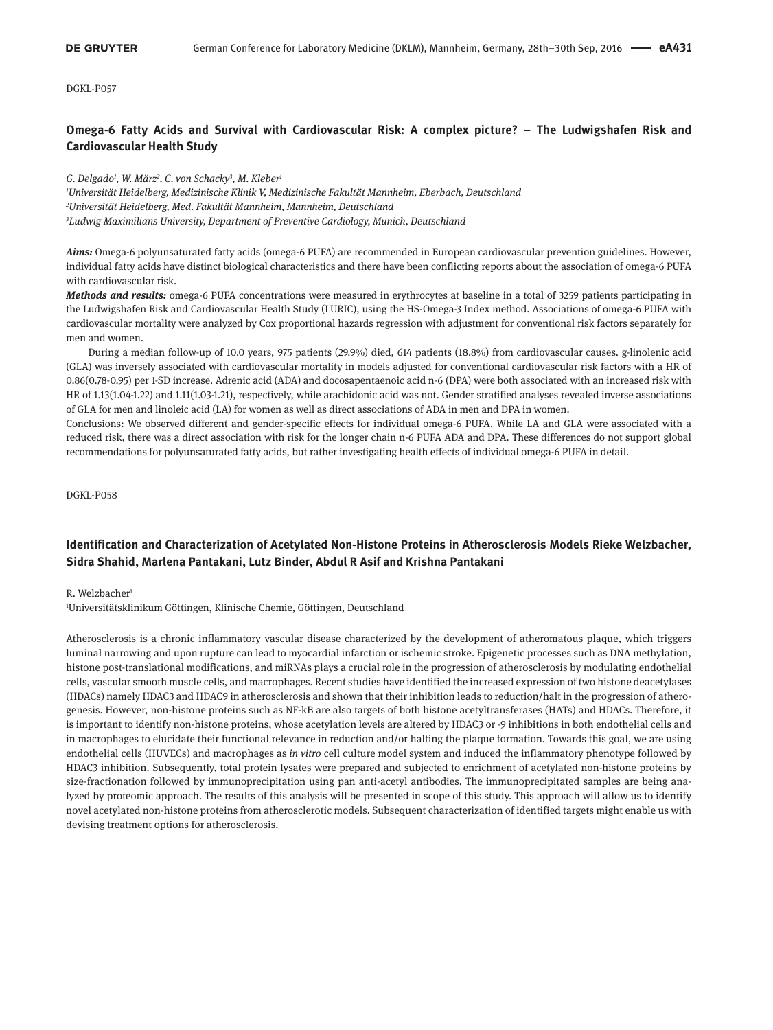# **Omega-6 Fatty Acids and Survival with Cardiovascular Risk: A complex picture? – The Ludwigshafen Risk and Cardiovascular Health Study**

*G. Delgado1 , W. März2 , C. von Schacky3 , M. Kleber1*

*1 Universität Heidelberg, Medizinische Klinik V, Medizinische Fakultät Mannheim, Eberbach, Deutschland 2 Universität Heidelberg, Med. Fakultät Mannheim, Mannheim, Deutschland 3 Ludwig Maximilians University, Department of Preventive Cardiology, Munich, Deutschland*

*Aims:* Omega-6 polyunsaturated fatty acids (omega-6 PUFA) are recommended in European cardiovascular prevention guidelines. However, individual fatty acids have distinct biological characteristics and there have been conflicting reports about the association of omega-6 PUFA with cardiovascular risk.

*Methods and results:* omega-6 PUFA concentrations were measured in erythrocytes at baseline in a total of 3259 patients participating in the Ludwigshafen Risk and Cardiovascular Health Study (LURIC), using the HS-Omega-3 Index method. Associations of omega-6 PUFA with cardiovascular mortality were analyzed by Cox proportional hazards regression with adjustment for conventional risk factors separately for men and women.

During a median follow-up of 10.0 years, 975 patients (29.9%) died, 614 patients (18.8%) from cardiovascular causes. g-linolenic acid (GLA) was inversely associated with cardiovascular mortality in models adjusted for conventional cardiovascular risk factors with a HR of 0.86(0.78-0.95) per 1-SD increase. Adrenic acid (ADA) and docosapentaenoic acid n-6 (DPA) were both associated with an increased risk with HR of 1.13(1.04-1.22) and 1.11(1.03-1.21), respectively, while arachidonic acid was not. Gender stratified analyses revealed inverse associations of GLA for men and linoleic acid (LA) for women as well as direct associations of ADA in men and DPA in women.

Conclusions: We observed different and gender-specific effects for individual omega-6 PUFA. While LA and GLA were associated with a reduced risk, there was a direct association with risk for the longer chain n-6 PUFA ADA and DPA. These differences do not support global recommendations for polyunsaturated fatty acids, but rather investigating health effects of individual omega-6 PUFA in detail.

DGKL-P058

# **Identification and Characterization of Acetylated Non-Histone Proteins in Atherosclerosis Models Rieke Welzbacher, Sidra Shahid, Marlena Pantakani, Lutz Binder, Abdul R Asif and Krishna Pantakani**

### R. Welzbacher<sup>1</sup>

1 Universitätsklinikum Göttingen, Klinische Chemie, Göttingen, Deutschland

Atherosclerosis is a chronic inflammatory vascular disease characterized by the development of atheromatous plaque, which triggers luminal narrowing and upon rupture can lead to myocardial infarction or ischemic stroke. Epigenetic processes such as DNA methylation, histone post-translational modifications, and miRNAs plays a crucial role in the progression of atherosclerosis by modulating endothelial cells, vascular smooth muscle cells, and macrophages. Recent studies have identified the increased expression of two histone deacetylases (HDACs) namely HDAC3 and HDAC9 in atherosclerosis and shown that their inhibition leads to reduction/halt in the progression of atherogenesis. However, non-histone proteins such as NF-kB are also targets of both histone acetyltransferases (HATs) and HDACs. Therefore, it is important to identify non-histone proteins, whose acetylation levels are altered by HDAC3 or -9 inhibitions in both endothelial cells and in macrophages to elucidate their functional relevance in reduction and/or halting the plaque formation. Towards this goal, we are using endothelial cells (HUVECs) and macrophages as *in vitro* cell culture model system and induced the inflammatory phenotype followed by HDAC3 inhibition. Subsequently, total protein lysates were prepared and subjected to enrichment of acetylated non-histone proteins by size-fractionation followed by immunoprecipitation using pan anti-acetyl antibodies. The immunoprecipitated samples are being analyzed by proteomic approach. The results of this analysis will be presented in scope of this study. This approach will allow us to identify novel acetylated non-histone proteins from atherosclerotic models. Subsequent characterization of identified targets might enable us with devising treatment options for atherosclerosis.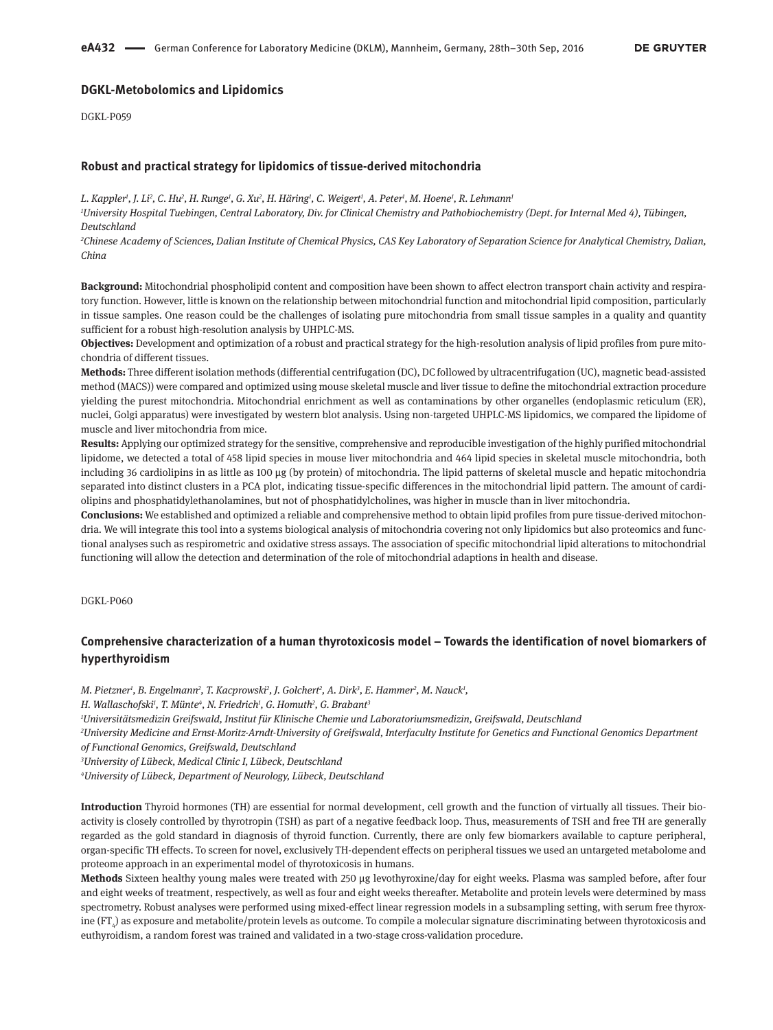## **DGKL-Metobolomics and Lipidomics**

DGKL-P059

## **Robust and practical strategy for lipidomics of tissue-derived mitochondria**

*L. Kappler1 , J. Li2 , C. Hu2 , H. Runge1 , G. Xu2 , H. Häring1 , C. Weigert1 , A. Peter1 , M. Hoene1 , R. Lehmann1*

*1 University Hospital Tuebingen, Central Laboratory, Div. for Clinical Chemistry and Pathobiochemistry (Dept. for Internal Med 4), Tübingen, Deutschland*

<sup>2</sup>Chinese Academy of Sciences, Dalian Institute of Chemical Physics, CAS Key Laboratory of Separation Science for Analytical Chemistry, Dalian, *China*

**Background:** Mitochondrial phospholipid content and composition have been shown to affect electron transport chain activity and respiratory function. However, little is known on the relationship between mitochondrial function and mitochondrial lipid composition, particularly in tissue samples. One reason could be the challenges of isolating pure mitochondria from small tissue samples in a quality and quantity sufficient for a robust high-resolution analysis by UHPLC-MS.

**Objectives:** Development and optimization of a robust and practical strategy for the high-resolution analysis of lipid profiles from pure mitochondria of different tissues.

**Methods:** Three different isolation methods (differential centrifugation (DC), DC followed by ultracentrifugation (UC), magnetic bead-assisted method (MACS)) were compared and optimized using mouse skeletal muscle and liver tissue to define the mitochondrial extraction procedure yielding the purest mitochondria. Mitochondrial enrichment as well as contaminations by other organelles (endoplasmic reticulum (ER), nuclei, Golgi apparatus) were investigated by western blot analysis. Using non-targeted UHPLC-MS lipidomics, we compared the lipidome of muscle and liver mitochondria from mice.

**Results:** Applying our optimized strategy for the sensitive, comprehensive and reproducible investigation of the highly purified mitochondrial lipidome, we detected a total of 458 lipid species in mouse liver mitochondria and 464 lipid species in skeletal muscle mitochondria, both including 36 cardiolipins in as little as 100 µg (by protein) of mitochondria. The lipid patterns of skeletal muscle and hepatic mitochondria separated into distinct clusters in a PCA plot, indicating tissue-specific differences in the mitochondrial lipid pattern. The amount of cardiolipins and phosphatidylethanolamines, but not of phosphatidylcholines, was higher in muscle than in liver mitochondria.

**Conclusions:** We established and optimized a reliable and comprehensive method to obtain lipid profiles from pure tissue-derived mitochondria. We will integrate this tool into a systems biological analysis of mitochondria covering not only lipidomics but also proteomics and functional analyses such as respirometric and oxidative stress assays. The association of specific mitochondrial lipid alterations to mitochondrial functioning will allow the detection and determination of the role of mitochondrial adaptions in health and disease.

DGKL-P060

# **Comprehensive characterization of a human thyrotoxicosis model – Towards the identification of novel biomarkers of hyperthyroidism**

M. Pietzner', B. Engelmann<sup>2</sup>, T. Kacprowski<sup>2</sup>, J. Golchert<sup>2</sup>, A. Dirk<sup>3</sup>, E. Hammer<sup>2</sup>, M. Nauck<sup>1</sup>,

*H. Wallaschofski1 , T. Münte4 , N. Friedrich1 , G. Homuth2 , G. Brabant3*

*1 Universitätsmedizin Greifswald, Institut für Klinische Chemie und Laboratoriumsmedizin, Greifswald, Deutschland*

*2 University Medicine and Ernst-Moritz-Arndt-University of Greifswald, Interfaculty Institute for Genetics and Functional Genomics Department of Functional Genomics, Greifswald, Deutschland*

*3 University of Lübeck, Medical Clinic I, Lübeck, Deutschland*

*4 University of Lübeck, Department of Neurology, Lübeck, Deutschland*

**Introduction** Thyroid hormones (TH) are essential for normal development, cell growth and the function of virtually all tissues. Their bioactivity is closely controlled by thyrotropin (TSH) as part of a negative feedback loop. Thus, measurements of TSH and free TH are generally regarded as the gold standard in diagnosis of thyroid function. Currently, there are only few biomarkers available to capture peripheral, organ-specific TH effects. To screen for novel, exclusively TH-dependent effects on peripheral tissues we used an untargeted metabolome and proteome approach in an experimental model of thyrotoxicosis in humans.

**Methods** Sixteen healthy young males were treated with 250 µg levothyroxine/day for eight weeks. Plasma was sampled before, after four and eight weeks of treatment, respectively, as well as four and eight weeks thereafter. Metabolite and protein levels were determined by mass spectrometry. Robust analyses were performed using mixed-effect linear regression models in a subsampling setting, with serum free thyroxine (FT $_{\rm 4}$ ) as exposure and metabolite/protein levels as outcome. To compile a molecular signature discriminating between thyrotoxicosis and euthyroidism, a random forest was trained and validated in a two-stage cross-validation procedure.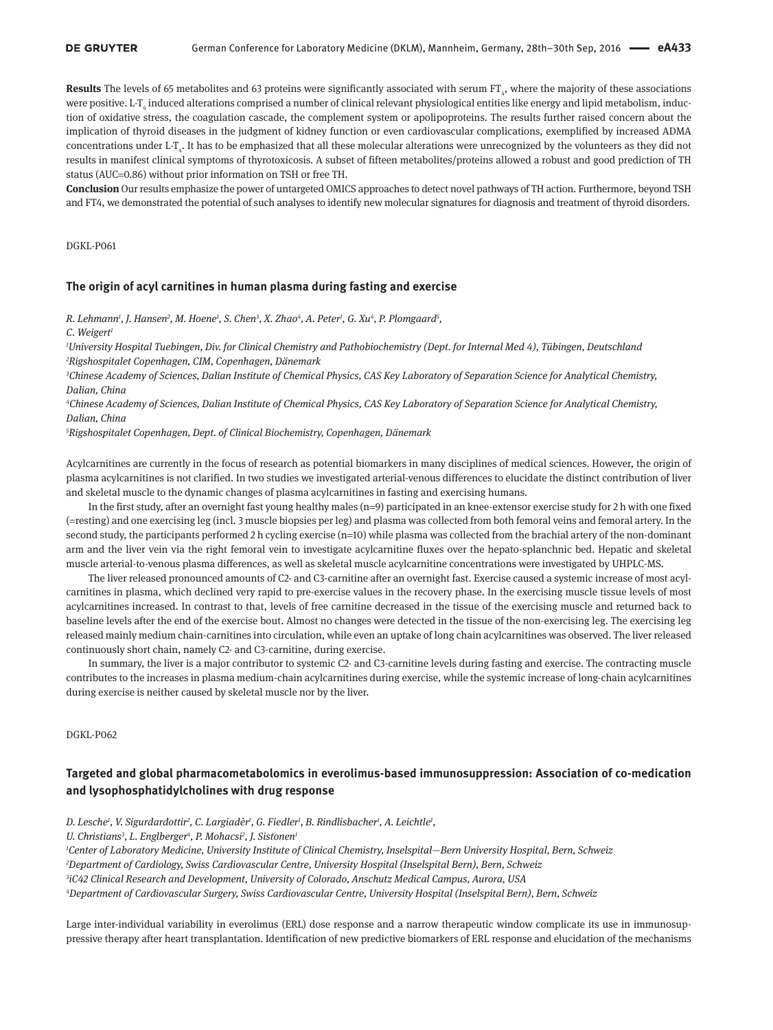**Results** The levels of 65 metabolites and 63 proteins were significantly associated with serum FT $_{4}$ , where the majority of these associations were positive. L-T<sub>4</sub> induced alterations comprised a number of clinical relevant physiological entities like energy and lipid metabolism, induction of oxidative stress, the coagulation cascade, the complement system or apolipoproteins. The results further raised concern about the implication of thyroid diseases in the judgment of kidney function or even cardiovascular complications, exemplified by increased ADMA concentrations under L-T<sub>4</sub>. It has to be emphasized that all these molecular alterations were unrecognized by the volunteers as they did not results in manifest clinical symptoms of thyrotoxicosis. A subset of fifteen metabolites/proteins allowed a robust and good prediction of TH status (AUC=0.86) without prior information on TSH or free TH.

**Conclusion** Our results emphasize the power of untargeted OMICS approaches to detect novel pathways of TH action. Furthermore, beyond TSH and FT4, we demonstrated the potential of such analyses to identify new molecular signatures for diagnosis and treatment of thyroid disorders.

DGKL-P061

### **The origin of acyl carnitines in human plasma during fasting and exercise**

*R. Lehmann<sup>1</sup>, J. Hansen<sup>2</sup>, M. Hoene<sup>1</sup>, S. Chen<sup>3</sup>, X. Zhao<sup>4</sup>, A. Peter<sup>1</sup>, G. Xu<sup>4</sup>, P. Plomgaard<sup>5</sup>,* 

*C. Weigert1*

*1 University Hospital Tuebingen, Div. for Clinical Chemistry and Pathobiochemistry (Dept. for Internal Med 4), Tübingen, Deutschland 2 Rigshospitalet Copenhagen, CIM, Copenhagen, Dänemark*

*3 Chinese Academy of Sciences, Dalian Institute of Chemical Physics, CAS Key Laboratory of Separation Science for Analytical Chemistry, Dalian, China*

*4 Chinese Academy of Sciences, Dalian Institute of Chemical Physics, CAS Key Laboratory of Separation Science for Analytical Chemistry, Dalian, China*

*5 Rigshospitalet Copenhagen, Dept. of Clinical Biochemistry, Copenhagen, Dänemark*

Acylcarnitines are currently in the focus of research as potential biomarkers in many disciplines of medical sciences. However, the origin of plasma acylcarnitines is not clarified. In two studies we investigated arterial-venous differences to elucidate the distinct contribution of liver and skeletal muscle to the dynamic changes of plasma acylcarnitines in fasting and exercising humans.

In the first study, after an overnight fast young healthy males (n=9) participated in an knee-extensor exercise study for 2 h with one fixed (=resting) and one exercising leg (incl. 3 muscle biopsies per leg) and plasma was collected from both femoral veins and femoral artery. In the second study, the participants performed 2 h cycling exercise (n=10) while plasma was collected from the brachial artery of the non-dominant arm and the liver vein via the right femoral vein to investigate acylcarnitine fluxes over the hepato-splanchnic bed. Hepatic and skeletal muscle arterial-to-venous plasma differences, as well as skeletal muscle acylcarnitine concentrations were investigated by UHPLC-MS.

The liver released pronounced amounts of C2- and C3-carnitine after an overnight fast. Exercise caused a systemic increase of most acylcarnitines in plasma, which declined very rapid to pre-exercise values in the recovery phase. In the exercising muscle tissue levels of most acylcarnitines increased. In contrast to that, levels of free carnitine decreased in the tissue of the exercising muscle and returned back to baseline levels after the end of the exercise bout. Almost no changes were detected in the tissue of the non-exercising leg. The exercising leg released mainly medium chain-carnitines into circulation, while even an uptake of long chain acylcarnitines was observed. The liver released continuously short chain, namely C2- and C3-carnitine, during exercise.

In summary, the liver is a major contributor to systemic C2- and C3-carnitine levels during fasting and exercise. The contracting muscle contributes to the increases in plasma medium-chain acylcarnitines during exercise, while the systemic increase of long-chain acylcarnitines during exercise is neither caused by skeletal muscle nor by the liver.

DGKL-P062

# **Targeted and global pharmacometabolomics in everolimus-based immunosuppression: Association of co-medication and lysophosphatidylcholines with drug response**

*D. Lesche1 , V. Sigurdardottir2 , C. Largiadèr1 , G. Fiedler1 , B. Rindlisbacher1 , A. Leichtle1 ,*

U. Christians<sup>3</sup>, L. Englberger<sup>4</sup>, P. Mohacsi<sup>2</sup>, J. Sistonen<sup>1</sup>

 *Center of Laboratory Medicine, University Institute of Clinical Chemistry, Inselspital—Bern University Hospital, Bern, Schweiz Department of Cardiology, Swiss Cardiovascular Centre, University Hospital (Inselspital Bern), Bern, Schweiz iC42 Clinical Research and Development, University of Colorado, Anschutz Medical Campus, Aurora, USA Department of Cardiovascular Surgery, Swiss Cardiovascular Centre, University Hospital (Inselspital Bern), Bern, Schweiz*

Large inter-individual variability in everolimus (ERL) dose response and a narrow therapeutic window complicate its use in immunosuppressive therapy after heart transplantation. Identification of new predictive biomarkers of ERL response and elucidation of the mechanisms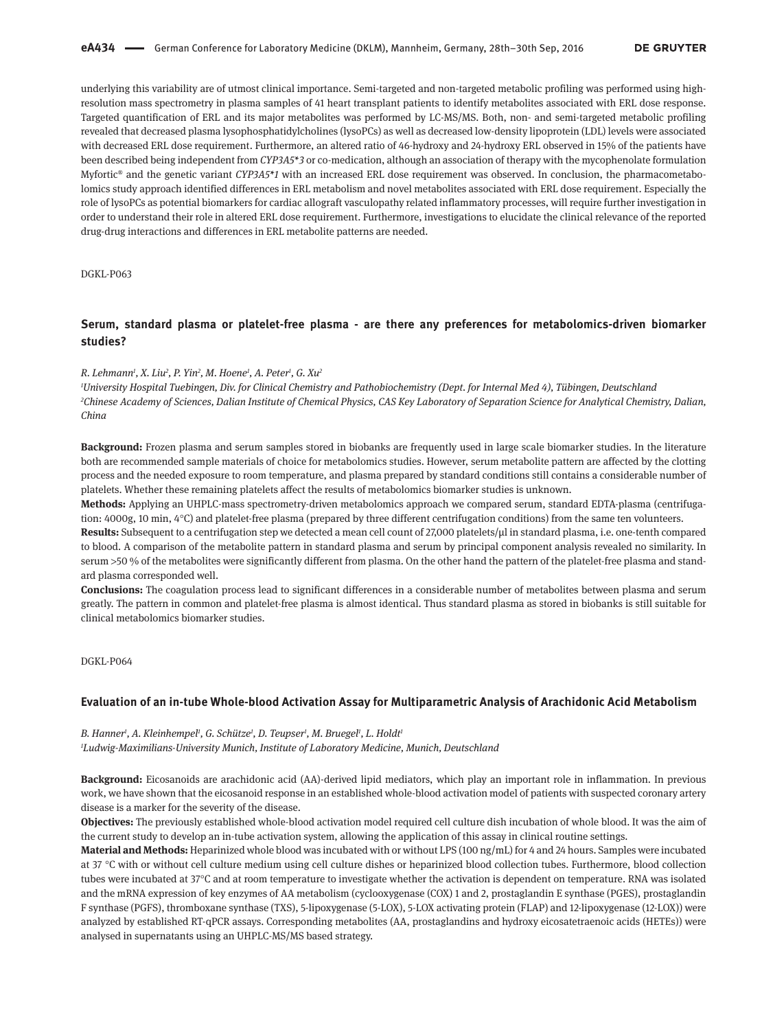underlying this variability are of utmost clinical importance. Semi-targeted and non-targeted metabolic profiling was performed using highresolution mass spectrometry in plasma samples of 41 heart transplant patients to identify metabolites associated with ERL dose response. Targeted quantification of ERL and its major metabolites was performed by LC-MS/MS. Both, non- and semi-targeted metabolic profiling revealed that decreased plasma lysophosphatidylcholines (lysoPCs) as well as decreased low-density lipoprotein (LDL) levels were associated with decreased ERL dose requirement. Furthermore, an altered ratio of 46-hydroxy and 24-hydroxy ERL observed in 15% of the patients have been described being independent from *CYP3A5\*3* or co-medication, although an association of therapy with the mycophenolate formulation Myfortic<sup>®</sup> and the genetic variant *CYP3A5\*1* with an increased ERL dose requirement was observed. In conclusion, the pharmacometabolomics study approach identified differences in ERL metabolism and novel metabolites associated with ERL dose requirement. Especially the role of lysoPCs as potential biomarkers for cardiac allograft vasculopathy related inflammatory processes, will require further investigation in order to understand their role in altered ERL dose requirement. Furthermore, investigations to elucidate the clinical relevance of the reported drug-drug interactions and differences in ERL metabolite patterns are needed.

DGKL-P063

## **Serum, standard plasma or platelet-free plasma - are there any preferences for metabolomics-driven biomarker studies?**

#### *R. Lehmann1 , X. Liu2 , P. Yin2 , M. Hoene1 , A. Peter1 , G. Xu2*

*1 University Hospital Tuebingen, Div. for Clinical Chemistry and Pathobiochemistry (Dept. for Internal Med 4), Tübingen, Deutschland* <sup>2</sup>Chinese Academy of Sciences, Dalian Institute of Chemical Physics, CAS Key Laboratory of Separation Science for Analytical Chemistry, Dalian, *China*

**Background:** Frozen plasma and serum samples stored in biobanks are frequently used in large scale biomarker studies. In the literature both are recommended sample materials of choice for metabolomics studies. However, serum metabolite pattern are affected by the clotting process and the needed exposure to room temperature, and plasma prepared by standard conditions still contains a considerable number of platelets. Whether these remaining platelets affect the results of metabolomics biomarker studies is unknown.

**Methods:** Applying an UHPLC-mass spectrometry-driven metabolomics approach we compared serum, standard EDTA-plasma (centrifugation: 4000g, 10 min, 4°C) and platelet-free plasma (prepared by three different centrifugation conditions) from the same ten volunteers.

**Results:** Subsequent to a centrifugation step we detected a mean cell count of 27,000 platelets/µl in standard plasma, i.e. one-tenth compared to blood. A comparison of the metabolite pattern in standard plasma and serum by principal component analysis revealed no similarity. In serum >50 % of the metabolites were significantly different from plasma. On the other hand the pattern of the platelet-free plasma and standard plasma corresponded well.

**Conclusions:** The coagulation process lead to significant differences in a considerable number of metabolites between plasma and serum greatly. The pattern in common and platelet-free plasma is almost identical. Thus standard plasma as stored in biobanks is still suitable for clinical metabolomics biomarker studies.

DGKL-P064

### **Evaluation of an in-tube Whole-blood Activation Assay for Multiparametric Analysis of Arachidonic Acid Metabolism**

*B. Hanner1 , A. Kleinhempel1 , G. Schütze1 , D. Teupser1 , M. Bruegel1 , L. Holdt1 1 Ludwig-Maximilians-University Munich, Institute of Laboratory Medicine, Munich, Deutschland*

**Background:** Eicosanoids are arachidonic acid (AA)-derived lipid mediators, which play an important role in inflammation. In previous work, we have shown that the eicosanoid response in an established whole-blood activation model of patients with suspected coronary artery disease is a marker for the severity of the disease.

**Objectives:** The previously established whole-blood activation model required cell culture dish incubation of whole blood. It was the aim of the current study to develop an in-tube activation system, allowing the application of this assay in clinical routine settings.

**Material and Methods:** Heparinized whole blood was incubated with or without LPS (100 ng/mL) for 4 and 24 hours. Samples were incubated at 37 °C with or without cell culture medium using cell culture dishes or heparinized blood collection tubes. Furthermore, blood collection tubes were incubated at 37°C and at room temperature to investigate whether the activation is dependent on temperature. RNA was isolated and the mRNA expression of key enzymes of AA metabolism (cyclooxygenase (COX) 1 and 2, prostaglandin E synthase (PGES), prostaglandin F synthase (PGFS), thromboxane synthase (TXS), 5-lipoxygenase (5-LOX), 5-LOX activating protein (FLAP) and 12-lipoxygenase (12-LOX)) were analyzed by established RT-qPCR assays. Corresponding metabolites (AA, prostaglandins and hydroxy eicosatetraenoic acids (HETEs)) were analysed in supernatants using an UHPLC-MS/MS based strategy.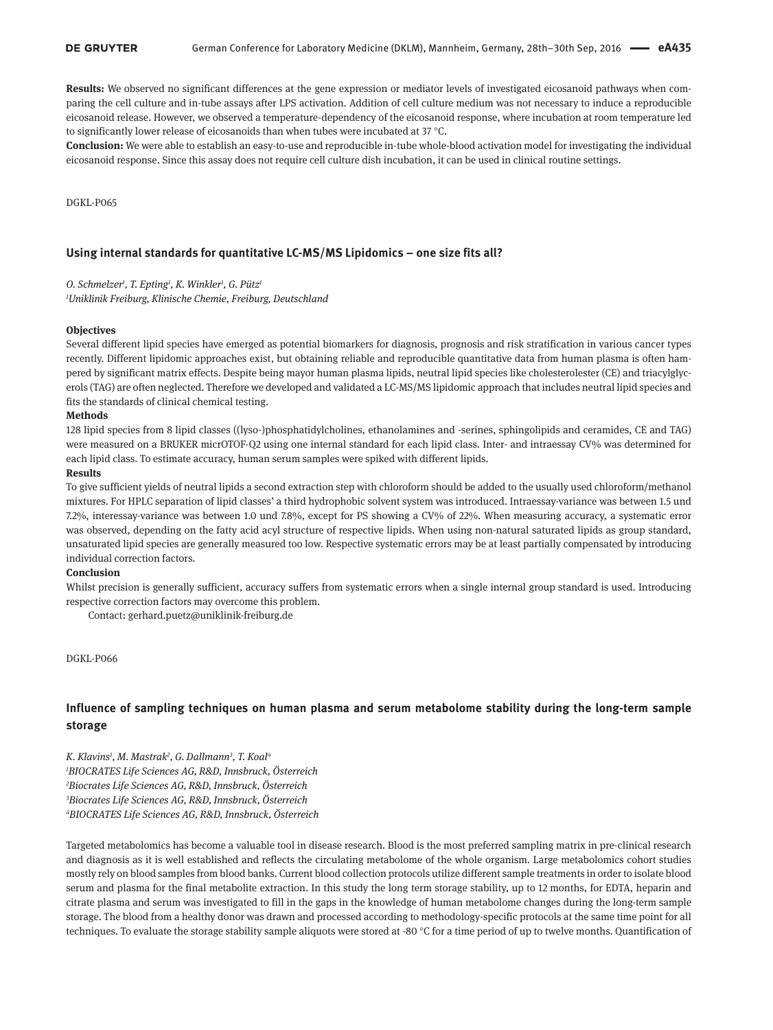**Results:** We observed no significant differences at the gene expression or mediator levels of investigated eicosanoid pathways when comparing the cell culture and in-tube assays after LPS activation. Addition of cell culture medium was not necessary to induce a reproducible eicosanoid release. However, we observed a temperature-dependency of the eicosanoid response, where incubation at room temperature led to significantly lower release of eicosanoids than when tubes were incubated at 37 °C.

**Conclusion:** We were able to establish an easy-to-use and reproducible in-tube whole-blood activation model for investigating the individual eicosanoid response. Since this assay does not require cell culture dish incubation, it can be used in clinical routine settings.

DGKL-P065

## **Using internal standards for quantitative LC-MS/MS Lipidomics – one size fits all?**

*O. Schmelzer1 , T. Epting1 , K. Winkler1 , G. Pütz1 1 Uniklinik Freiburg, Klinische Chemie, Freiburg, Deutschland*

#### **Objectives**

Several different lipid species have emerged as potential biomarkers for diagnosis, prognosis and risk stratification in various cancer types recently. Different lipidomic approaches exist, but obtaining reliable and reproducible quantitative data from human plasma is often hampered by significant matrix effects. Despite being mayor human plasma lipids, neutral lipid species like cholesterolester (CE) and triacylglycerols (TAG) are often neglected. Therefore we developed and validated a LC-MS/MS lipidomic approach that includes neutral lipid species and fits the standards of clinical chemical testing.

#### **Methods**

128 lipid species from 8 lipid classes ((lyso-)phosphatidylcholines, ethanolamines and -serines, sphingolipids and ceramides, CE and TAG) were measured on a BRUKER micrOTOF-Q2 using one internal standard for each lipid class. Inter- and intraessay CV% was determined for each lipid class. To estimate accuracy, human serum samples were spiked with different lipids.

## **Results**

To give sufficient yields of neutral lipids a second extraction step with chloroform should be added to the usually used chloroform/methanol mixtures. For HPLC separation of lipid classes' a third hydrophobic solvent system was introduced. Intraessay-variance was between 1.5 und 7.2%, interessay-variance was between 1.0 und 7.8%, except for PS showing a CV% of 22%. When measuring accuracy, a systematic error was observed, depending on the fatty acid acyl structure of respective lipids. When using non-natural saturated lipids as group standard, unsaturated lipid species are generally measured too low. Respective systematic errors may be at least partially compensated by introducing individual correction factors.

#### **Conclusion**

Whilst precision is generally sufficient, accuracy suffers from systematic errors when a single internal group standard is used. Introducing respective correction factors may overcome this problem.

Contact: gerhard.puetz@uniklinik-freiburg.de

DGKL-P066

# **Influence of sampling techniques on human plasma and serum metabolome stability during the long-term sample storage**

*K. Klavins1 , M. Mastrak2 , G. Dallmann3 , T. Koal4 BIOCRATES Life Sciences AG, R&D, Innsbruck, Österreich Biocrates Life Sciences AG, R&D, Innsbruck, Österreich Biocrates Life Sciences AG, R&D, Innsbruck, Österreich BIOCRATES Life Sciences AG, R&D, Innsbruck, Österreich*

Targeted metabolomics has become a valuable tool in disease research. Blood is the most preferred sampling matrix in pre-clinical research and diagnosis as it is well established and reflects the circulating metabolome of the whole organism. Large metabolomics cohort studies mostly rely on blood samples from blood banks. Current blood collection protocols utilize different sample treatments in order to isolate blood serum and plasma for the final metabolite extraction. In this study the long term storage stability, up to 12 months, for EDTA, heparin and citrate plasma and serum was investigated to fill in the gaps in the knowledge of human metabolome changes during the long-term sample storage. The blood from a healthy donor was drawn and processed according to methodology-specific protocols at the same time point for all techniques. To evaluate the storage stability sample aliquots were stored at -80  $^{\circ}$ C for a time period of up to twelve months. Quantification of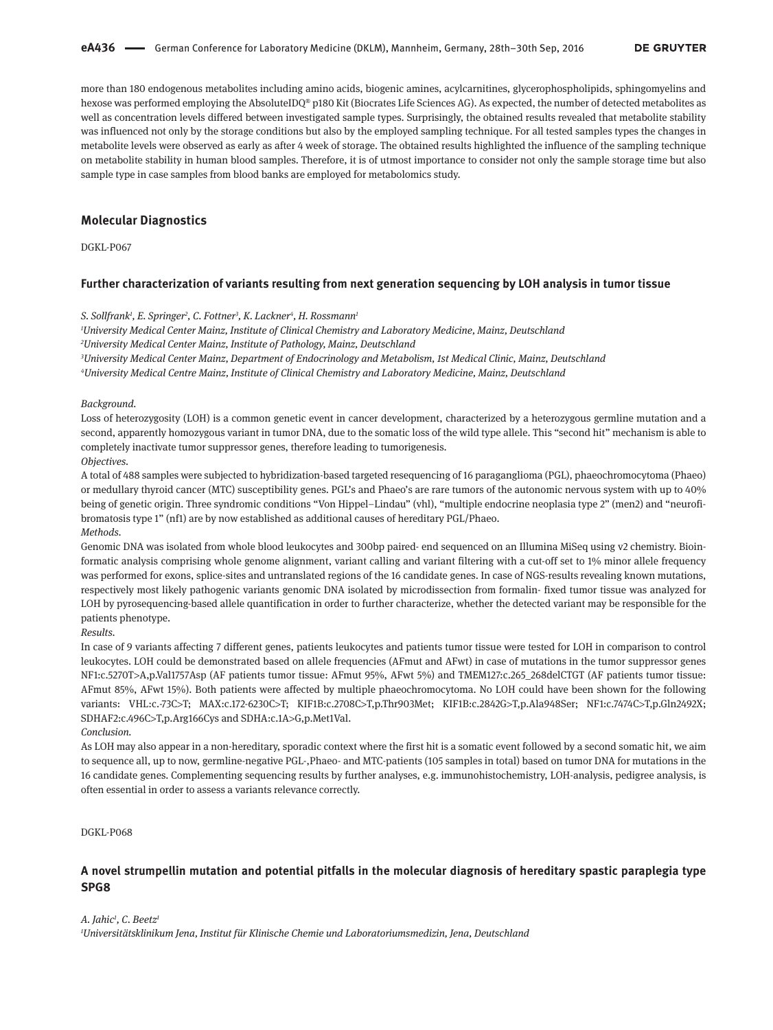more than 180 endogenous metabolites including amino acids, biogenic amines, acylcarnitines, glycerophospholipids, sphingomyelins and hexose was performed employing the AbsoluteIDQ® p180 Kit (Biocrates Life Sciences AG). As expected, the number of detected metabolites as well as concentration levels differed between investigated sample types. Surprisingly, the obtained results revealed that metabolite stability was influenced not only by the storage conditions but also by the employed sampling technique. For all tested samples types the changes in metabolite levels were observed as early as after 4 week of storage. The obtained results highlighted the influence of the sampling technique on metabolite stability in human blood samples. Therefore, it is of utmost importance to consider not only the sample storage time but also sample type in case samples from blood banks are employed for metabolomics study.

## **Molecular Diagnostics**

DGKL-P067

## **Further characterization of variants resulting from next generation sequencing by LOH analysis in tumor tissue**

#### *S. Sollfrank1 , E. Springer2 , C. Fottner3 , K. Lackner4 , H. Rossmann1*

*1 University Medical Center Mainz, Institute of Clinical Chemistry and Laboratory Medicine, Mainz, Deutschland*

*2 University Medical Center Mainz, Institute of Pathology, Mainz, Deutschland*

*3 University Medical Center Mainz, Department of Endocrinology and Metabolism, 1st Medical Clinic, Mainz, Deutschland*

*4 University Medical Centre Mainz, Institute of Clinical Chemistry and Laboratory Medicine, Mainz, Deutschland*

#### *Background.*

Loss of heterozygosity (LOH) is a common genetic event in cancer development, characterized by a heterozygous germline mutation and a second, apparently homozygous variant in tumor DNA, due to the somatic loss of the wild type allele. This "second hit" mechanism is able to completely inactivate tumor suppressor genes, therefore leading to tumorigenesis. *Objectives.*

A total of 488 samples were subjected to hybridization-based targeted resequencing of 16 paraganglioma (PGL), phaeochromocytoma (Phaeo) or medullary thyroid cancer (MTC) susceptibility genes. PGL's and Phaeo's are rare tumors of the autonomic nervous system with up to 40% being of genetic origin. Three syndromic conditions "Von Hippel–Lindau" (vhl), "multiple endocrine neoplasia type 2" (men2) and "neurofibromatosis type 1" (nf1) are by now established as additional causes of hereditary PGL/Phaeo. *Methods.*

Genomic DNA was isolated from whole blood leukocytes and 300bp paired- end sequenced on an Illumina MiSeq using v2 chemistry. Bioinformatic analysis comprising whole genome alignment, variant calling and variant filtering with a cut-off set to 1% minor allele frequency was performed for exons, splice-sites and untranslated regions of the 16 candidate genes. In case of NGS-results revealing known mutations, respectively most likely pathogenic variants genomic DNA isolated by microdissection from formalin- fixed tumor tissue was analyzed for LOH by pyrosequencing-based allele quantification in order to further characterize, whether the detected variant may be responsible for the patients phenotype.

*Results.*

In case of 9 variants affecting 7 different genes, patients leukocytes and patients tumor tissue were tested for LOH in comparison to control leukocytes. LOH could be demonstrated based on allele frequencies (AFmut and AFwt) in case of mutations in the tumor suppressor genes NF1:c.5270T>A,p.Val1757Asp (AF patients tumor tissue: AFmut 95%, AFwt 5%) and TMEM127:c.265\_268delCTGT (AF patients tumor tissue: AFmut 85%, AFwt 15%). Both patients were affected by multiple phaeochromocytoma. No LOH could have been shown for the following variants: VHL:c.-73C>T; MAX:c.172-6230C>T; KIF1B:c.2708C>T,p.Thr903Met; KIF1B:c.2842G>T,p.Ala948Ser; NF1:c.7474C>T,p.Gln2492X; SDHAF2:c.496C>T,p.Arg166Cys and SDHA:c.1A>G,p.Met1Val.

#### *Conclusion.*

As LOH may also appear in a non-hereditary, sporadic context where the first hit is a somatic event followed by a second somatic hit, we aim to sequence all, up to now, germline-negative PGL-,Phaeo- and MTC-patients (105 samples in total) based on tumor DNA for mutations in the 16 candidate genes. Complementing sequencing results by further analyses, e.g. immunohistochemistry, LOH-analysis, pedigree analysis, is often essential in order to assess a variants relevance correctly.

DGKL-P068

## **A novel strumpellin mutation and potential pitfalls in the molecular diagnosis of hereditary spastic paraplegia type SPG8**

*A. Jahic1 , C. Beetz1*

*1 Universitätsklinikum Jena, Institut für Klinische Chemie und Laboratoriumsmedizin, Jena, Deutschland*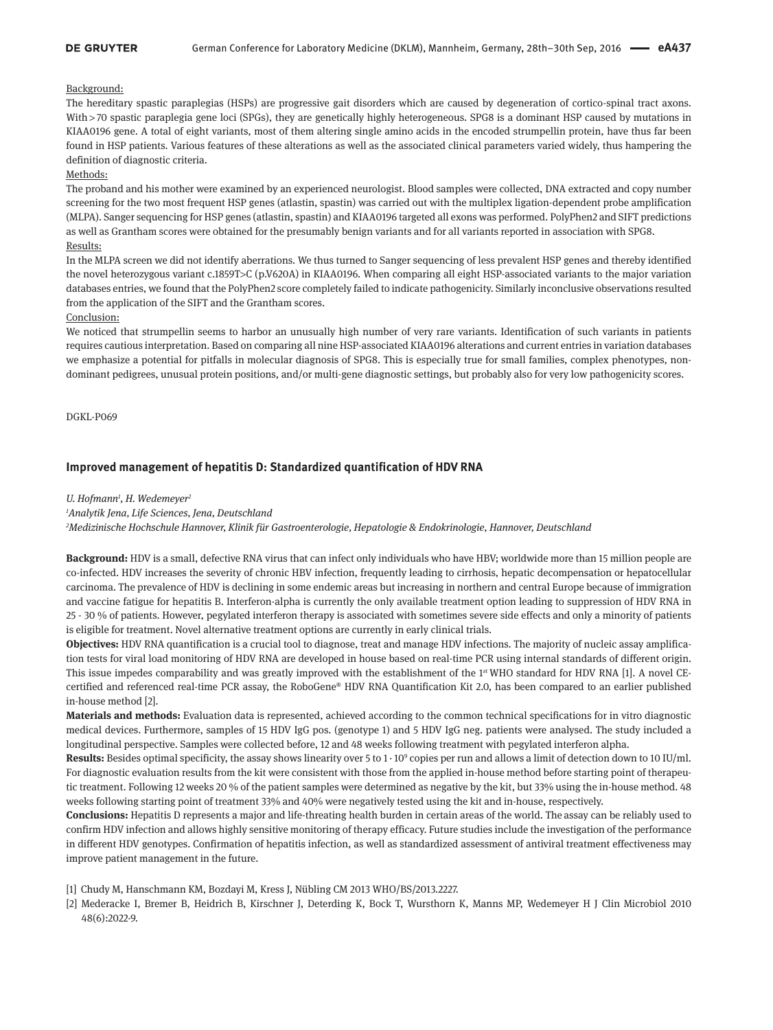### **DE GRUYTER**

## Background:

The hereditary spastic paraplegias (HSPs) are progressive gait disorders which are caused by degeneration of cortico-spinal tract axons. With > 70 spastic paraplegia gene loci (SPGs), they are genetically highly heterogeneous. SPG8 is a dominant HSP caused by mutations in KIAA0196 gene. A total of eight variants, most of them altering single amino acids in the encoded strumpellin protein, have thus far been found in HSP patients. Various features of these alterations as well as the associated clinical parameters varied widely, thus hampering the definition of diagnostic criteria.

## Methods:

The proband and his mother were examined by an experienced neurologist. Blood samples were collected, DNA extracted and copy number screening for the two most frequent HSP genes (atlastin, spastin) was carried out with the multiplex ligation-dependent probe amplification (MLPA). Sanger sequencing for HSP genes (atlastin, spastin) and KIAA0196 targeted all exons was performed. PolyPhen2 and SIFT predictions as well as Grantham scores were obtained for the presumably benign variants and for all variants reported in association with SPG8. Results:

In the MLPA screen we did not identify aberrations. We thus turned to Sanger sequencing of less prevalent HSP genes and thereby identified the novel heterozygous variant c.1859T>C (p.V620A) in KIAA0196. When comparing all eight HSP-associated variants to the major variation databases entries, we found that the PolyPhen2 score completely failed to indicate pathogenicity. Similarly inconclusive observations resulted from the application of the SIFT and the Grantham scores.

## Conclusion:

We noticed that strumpellin seems to harbor an unusually high number of very rare variants. Identification of such variants in patients requires cautious interpretation. Based on comparing all nine HSP-associated KIAA0196 alterations and current entries in variation databases we emphasize a potential for pitfalls in molecular diagnosis of SPG8. This is especially true for small families, complex phenotypes, nondominant pedigrees, unusual protein positions, and/or multi-gene diagnostic settings, but probably also for very low pathogenicity scores.

DGKL-P069

## **Improved management of hepatitis D: Standardized quantification of HDV RNA**

### *U. Hofmann1 , H. Wedemeyer2*

*1 Analytik Jena, Life Sciences, Jena, Deutschland*

*2 Medizinische Hochschule Hannover, Klinik für Gastroenterologie, Hepatologie & Endokrinologie, Hannover, Deutschland*

**Background:** HDV is a small, defective RNA virus that can infect only individuals who have HBV; worldwide more than 15 million people are co-infected. HDV increases the severity of chronic HBV infection, frequently leading to cirrhosis, hepatic decompensation or hepatocellular carcinoma. The prevalence of HDV is declining in some endemic areas but increasing in northern and central Europe because of immigration and vaccine fatigue for hepatitis B. Interferon-alpha is currently the only available treatment option leading to suppression of HDV RNA in 25 - 30 % of patients. However, pegylated interferon therapy is associated with sometimes severe side effects and only a minority of patients is eligible for treatment. Novel alternative treatment options are currently in early clinical trials.

**Objectives:** HDV RNA quantification is a crucial tool to diagnose, treat and manage HDV infections. The majority of nucleic assay amplification tests for viral load monitoring of HDV RNA are developed in house based on real-time PCR using internal standards of different origin. This issue impedes comparability and was greatly improved with the establishment of the 1<sup>st</sup> WHO standard for HDV RNA [1]. A novel CEcertified and referenced real-time PCR assay, the RoboGene® HDV RNA Quantification Kit 2.0, has been compared to an earlier published in-house method [2].

**Materials and methods:** Evaluation data is represented, achieved according to the common technical specifications for in vitro diagnostic medical devices. Furthermore, samples of 15 HDV IgG pos. (genotype 1) and 5 HDV IgG neg. patients were analysed. The study included a longitudinal perspective. Samples were collected before, 12 and 48 weeks following treatment with pegylated interferon alpha.

**Results:** Besides optimal specificity, the assay shows linearity over 5 to 1 · 109 copies per run and allows a limit of detection down to 10 IU/ml. For diagnostic evaluation results from the kit were consistent with those from the applied in-house method before starting point of therapeutic treatment. Following 12 weeks 20 % of the patient samples were determined as negative by the kit, but 33% using the in-house method. 48 weeks following starting point of treatment 33% and 40% were negatively tested using the kit and in-house, respectively.

**Conclusions:** Hepatitis D represents a major and life-threating health burden in certain areas of the world. The assay can be reliably used to confirm HDV infection and allows highly sensitive monitoring of therapy efficacy. Future studies include the investigation of the performance in different HDV genotypes. Confirmation of hepatitis infection, as well as standardized assessment of antiviral treatment effectiveness may improve patient management in the future.

[1] Chudy M, Hanschmann KM, Bozdayi M, Kress J, Nübling CM 2013 WHO/BS/2013.2227.

[2] Mederacke I, Bremer B, Heidrich B, Kirschner J, Deterding K, Bock T, Wursthorn K, Manns MP, Wedemeyer H J Clin Microbiol 2010 48(6):2022-9.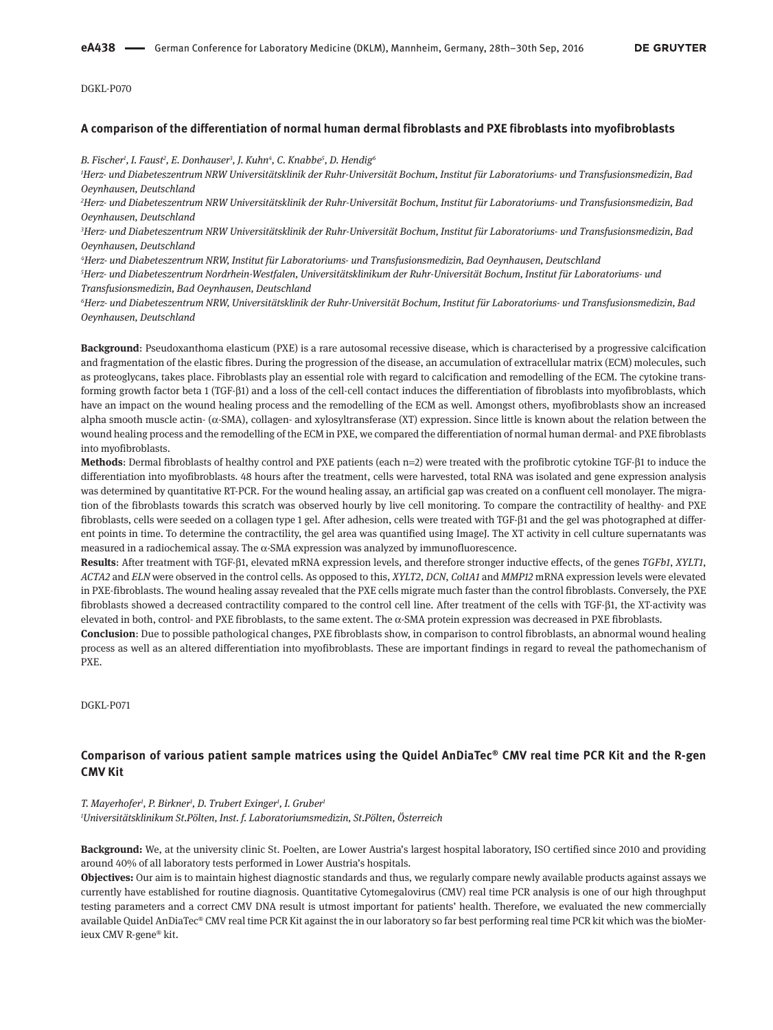#### **A comparison of the differentiation of normal human dermal fibroblasts and PXE fibroblasts into myofibroblasts**

*B. Fischer1 , I. Faust2 , E. Donhauser3 , J. Kuhn4 , C. Knabbe5 , D. Hendig6*

*1 Herz- und Diabeteszentrum NRW Universitätsklinik der Ruhr-Universität Bochum, Institut für Laboratoriums- und Transfusionsmedizin, Bad Oeynhausen, Deutschland*

*2 Herz- und Diabeteszentrum NRW Universitätsklinik der Ruhr-Universität Bochum, Institut für Laboratoriums- und Transfusionsmedizin, Bad Oeynhausen, Deutschland*

*3 Herz- und Diabeteszentrum NRW Universitätsklinik der Ruhr-Universität Bochum, Institut für Laboratoriums- und Transfusionsmedizin, Bad Oeynhausen, Deutschland*

*4 Herz- und Diabeteszentrum NRW, Institut für Laboratoriums- und Transfusionsmedizin, Bad Oeynhausen, Deutschland*

*5 Herz- und Diabeteszentrum Nordrhein-Westfalen, Universitätsklinikum der Ruhr-Universität Bochum, Institut für Laboratoriums- und Transfusionsmedizin, Bad Oeynhausen, Deutschland*

*6 Herz- und Diabeteszentrum NRW, Universitätsklinik der Ruhr-Universität Bochum, Institut für Laboratoriums- und Transfusionsmedizin, Bad Oeynhausen, Deutschland*

**Background**: Pseudoxanthoma elasticum (PXE) is a rare autosomal recessive disease, which is characterised by a progressive calcification and fragmentation of the elastic fibres. During the progression of the disease, an accumulation of extracellular matrix (ECM) molecules, such as proteoglycans, takes place. Fibroblasts play an essential role with regard to calcification and remodelling of the ECM. The cytokine transforming growth factor beta 1 (TGF-β1) and a loss of the cell-cell contact induces the differentiation of fibroblasts into myofibroblasts, which have an impact on the wound healing process and the remodelling of the ECM as well. Amongst others, myofibroblasts show an increased alpha smooth muscle actin- (α-SMA), collagen- and xylosyltransferase (XT) expression. Since little is known about the relation between the wound healing process and the remodelling of the ECM in PXE, we compared the differentiation of normal human dermal- and PXE fibroblasts into myofibroblasts.

**Methods**: Dermal fibroblasts of healthy control and PXE patients (each n=2) were treated with the profibrotic cytokine TGF-β1 to induce the differentiation into myofibroblasts. 48 hours after the treatment, cells were harvested, total RNA was isolated and gene expression analysis was determined by quantitative RT-PCR. For the wound healing assay, an artificial gap was created on a confluent cell monolayer. The migration of the fibroblasts towards this scratch was observed hourly by live cell monitoring. To compare the contractility of healthy- and PXE fibroblasts, cells were seeded on a collagen type 1 gel. After adhesion, cells were treated with TGF-β1 and the gel was photographed at different points in time. To determine the contractility, the gel area was quantified using ImageJ. The XT activity in cell culture supernatants was measured in a radiochemical assay. The  $\alpha$ -SMA expression was analyzed by immunofluorescence.

**Results**: After treatment with TGF-β1, elevated mRNA expression levels, and therefore stronger inductive effects, of the genes *TGFb1*, *XYLT1*, *ACTA2* and *ELN* were observed in the control cells. As opposed to this, *XYLT2*, *DCN*, *Col1A1* and *MMP12* mRNA expression levels were elevated in PXE-fibroblasts. The wound healing assay revealed that the PXE cells migrate much faster than the control fibroblasts. Conversely, the PXE fibroblasts showed a decreased contractility compared to the control cell line. After treatment of the cells with TGF-β1, the XT-activity was elevated in both, control- and PXE fibroblasts, to the same extent. The α-SMA protein expression was decreased in PXE fibroblasts.

**Conclusion**: Due to possible pathological changes, PXE fibroblasts show, in comparison to control fibroblasts, an abnormal wound healing process as well as an altered differentiation into myofibroblasts. These are important findings in regard to reveal the pathomechanism of PXE.

DGKL-P071

# **Comparison of various patient sample matrices using the Quidel AnDiaTec® CMV real time PCR Kit and the R-gen CMV Kit**

*T. Mayerhofer1 , P. Birkner1 , D. Trubert Exinger1 , I. Gruber1 1 Universitätsklinikum St.Pölten, Inst. f. Laboratoriumsmedizin, St.Pölten, Österreich*

**Background:** We, at the university clinic St. Poelten, are Lower Austria's largest hospital laboratory, ISO certified since 2010 and providing around 40% of all laboratory tests performed in Lower Austria's hospitals.

**Objectives:** Our aim is to maintain highest diagnostic standards and thus, we regularly compare newly available products against assays we currently have established for routine diagnosis. Quantitative Cytomegalovirus (CMV) real time PCR analysis is one of our high throughput testing parameters and a correct CMV DNA result is utmost important for patients' health. Therefore, we evaluated the new commercially available Quidel AnDiaTec® CMV real time PCR Kit against the in our laboratory so far best performing real time PCR kit which was the bioMerieux CMV R-gene® kit.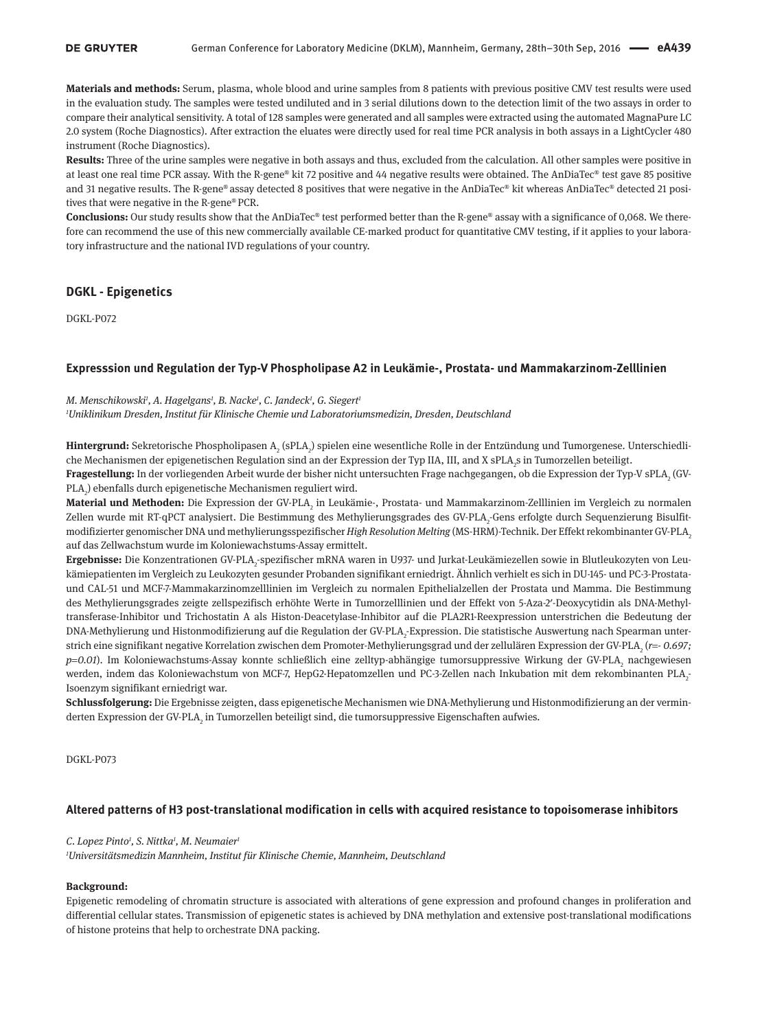**Materials and methods:** Serum, plasma, whole blood and urine samples from 8 patients with previous positive CMV test results were used in the evaluation study. The samples were tested undiluted and in 3 serial dilutions down to the detection limit of the two assays in order to compare their analytical sensitivity. A total of 128 samples were generated and all samples were extracted using the automated MagnaPure LC 2.0 system (Roche Diagnostics). After extraction the eluates were directly used for real time PCR analysis in both assays in a LightCycler 480 instrument (Roche Diagnostics).

**Results:** Three of the urine samples were negative in both assays and thus, excluded from the calculation. All other samples were positive in at least one real time PCR assay. With the R-gene® kit 72 positive and 44 negative results were obtained. The AnDiaTec® test gave 85 positive and 31 negative results. The R-gene® assay detected 8 positives that were negative in the AnDiaTec® kit whereas AnDiaTec® detected 21 positives that were negative in the R-gene® PCR.

**Conclusions:** Our study results show that the AnDiaTec® test performed better than the R-gene® assay with a significance of 0,068. We therefore can recommend the use of this new commercially available CE-marked product for quantitative CMV testing, if it applies to your laboratory infrastructure and the national IVD regulations of your country.

# **DGKL - Epigenetics**

DGKL-P072

#### **Expresssion und Regulation der Typ-V Phospholipase A2 in Leukämie-, Prostata- und Mammakarzinom-Zelllinien**

#### *M. Menschikowski1 , A. Hagelgans1 , B. Nacke1 , C. Jandeck1 , G. Siegert1*

*1 Uniklinikum Dresden, Institut für Klinische Chemie und Laboratoriumsmedizin, Dresden, Deutschland*

**Hintergrund:** Sekretorische Phospholipasen A<sub>2</sub> (sPLA<sub>2</sub>) spielen eine wesentliche Rolle in der Entzündung und Tumorgenese. Unterschiedliche Mechanismen der epigenetischen Regulation sind an der Expression der Typ IIA, III, and X sPLA<sub>2</sub>s in Tumorzellen beteiligt.

**Fragestellung:** In der vorliegenden Arbeit wurde der bisher nicht untersuchten Frage nachgegangen, ob die Expression der Typ-V sPLA<sub>2</sub> (GV- ${\rm PLA}_\mathrm{\scriptscriptstyle 2}$ ) ebenfalls durch epigenetische Mechanismen reguliert wird.

**Material und Methoden:** Die Expression der GV-PLA<sub>2</sub> in Leukämie-, Prostata- und Mammakarzinom-Zelllinien im Vergleich zu normalen Zellen wurde mit RT-qPCT analysiert. Die Bestimmung des Methylierungsgrades des GV-PLA<sub>2</sub>-Gens erfolgte durch Sequenzierung Bisulfitmodifizierter genomischer DNA und methylierungsspezifischer *High Resolution Melting* (MS-HRM)-Technik. Der Effekt rekombinanter GV-PLA2 auf das Zellwachstum wurde im Koloniewachstums-Assay ermittelt.

**Ergebnisse:** Die Konzentrationen GV-PLA<sub>2</sub>-spezifischer mRNA waren in U937- und Jurkat-Leukämiezellen sowie in Blutleukozyten von Leukämiepatienten im Vergleich zu Leukozyten gesunder Probanden signifikant erniedrigt. Ähnlich verhielt es sich in DU-145- und PC-3-Prostataund CAL-51 und MCF-7-Mammakarzinomzelllinien im Vergleich zu normalen Epithelialzellen der Prostata und Mamma. Die Bestimmung des Methylierungsgrades zeigte zellspezifisch erhöhte Werte in Tumorzelllinien und der Effekt von 5-Aza-2′-Deoxycytidin als DNA-Methyltransferase-Inhibitor und Trichostatin A als Histon-Deacetylase-Inhibitor auf die PLA2R1-Reexpression unterstrichen die Bedeutung der DNA-Methylierung und Histonmodifizierung auf die Regulation der GV-PLA<sub>2</sub>-Expression. Die statistische Auswertung nach Spearman unterstrich eine signifikant negative Korrelation zwischen dem Promoter-Methylierungsgrad und der zellulären Expression der GV-PLA<sub>2</sub> (*r=*- 0.697; *p=0.01*). Im Koloniewachstums-Assay konnte schließlich eine zelltyp-abhängige tumorsuppressive Wirkung der GV-PLA<sub>2</sub> nachgewiesen werden, indem das Koloniewachstum von MCF-7, HepG2-Hepatomzellen und PC-3-Zellen nach Inkubation mit dem rekombinanten PLA<sub>2</sub>. Isoenzym signifikant erniedrigt war.

**Schlussfolgerung:** Die Ergebnisse zeigten, dass epigenetische Mechanismen wie DNA-Methylierung und Histonmodifizierung an der verminderten Expression der GV-PLA<sub>2</sub> in Tumorzellen beteiligt sind, die tumorsuppressive Eigenschaften aufwies.

DGKL-P073

### **Altered patterns of H3 post-translational modification in cells with acquired resistance to topoisomerase inhibitors**

#### *C. Lopez Pinto1 , S. Nittka1 , M. Neumaier1*

*1 Universitätsmedizin Mannheim, Institut für Klinische Chemie, Mannheim, Deutschland*

#### **Background:**

Epigenetic remodeling of chromatin structure is associated with alterations of gene expression and profound changes in proliferation and differential cellular states. Transmission of epigenetic states is achieved by DNA methylation and extensive post-translational modifications of histone proteins that help to orchestrate DNA packing.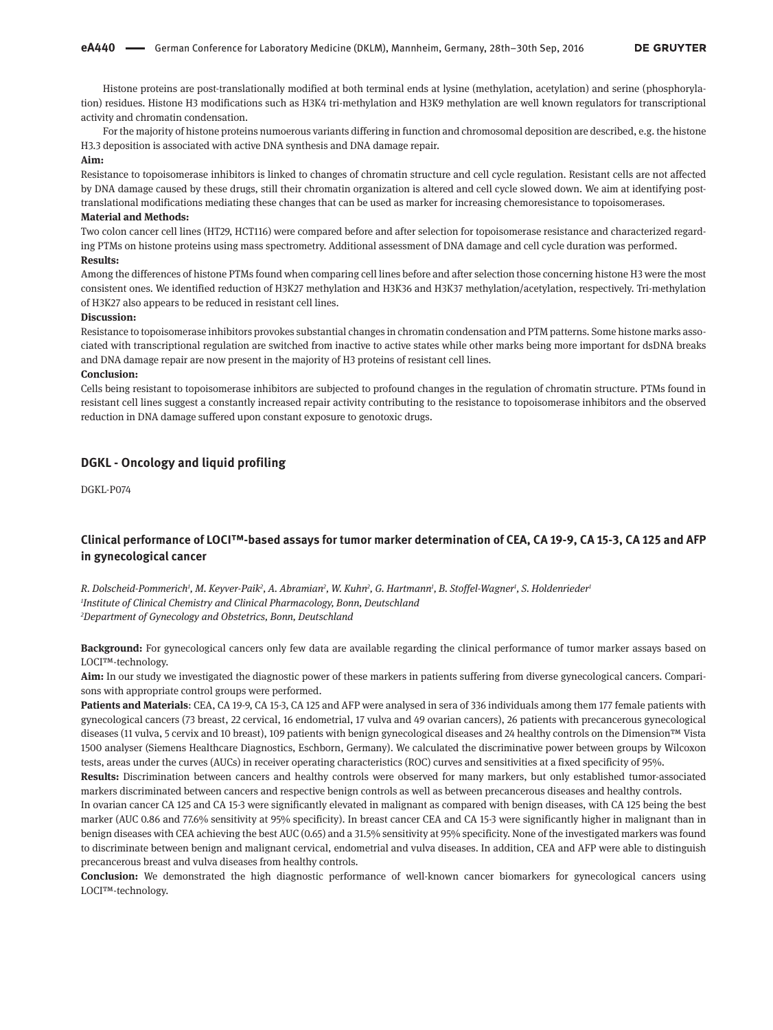Histone proteins are post-translationally modified at both terminal ends at lysine (methylation, acetylation) and serine (phosphorylation) residues. Histone H3 modifications such as H3K4 tri-methylation and H3K9 methylation are well known regulators for transcriptional activity and chromatin condensation.

For the majority of histone proteins numoerous variants differing in function and chromosomal deposition are described, e.g. the histone H3.3 deposition is associated with active DNA synthesis and DNA damage repair.

### **Aim:**

Resistance to topoisomerase inhibitors is linked to changes of chromatin structure and cell cycle regulation. Resistant cells are not affected by DNA damage caused by these drugs, still their chromatin organization is altered and cell cycle slowed down. We aim at identifying posttranslational modifications mediating these changes that can be used as marker for increasing chemoresistance to topoisomerases. **Material and Methods:**

Two colon cancer cell lines (HT29, HCT116) were compared before and after selection for topoisomerase resistance and characterized regarding PTMs on histone proteins using mass spectrometry. Additional assessment of DNA damage and cell cycle duration was performed. **Results:**

Among the differences of histone PTMs found when comparing cell lines before and after selection those concerning histone H3 were the most consistent ones. We identified reduction of H3K27 methylation and H3K36 and H3K37 methylation/acetylation, respectively. Tri-methylation of H3K27 also appears to be reduced in resistant cell lines.

#### **Discussion:**

Resistance to topoisomerase inhibitors provokes substantial changes in chromatin condensation and PTM patterns. Some histone marks associated with transcriptional regulation are switched from inactive to active states while other marks being more important for dsDNA breaks and DNA damage repair are now present in the majority of H3 proteins of resistant cell lines.

#### **Conclusion:**

Cells being resistant to topoisomerase inhibitors are subjected to profound changes in the regulation of chromatin structure. PTMs found in resistant cell lines suggest a constantly increased repair activity contributing to the resistance to topoisomerase inhibitors and the observed reduction in DNA damage suffered upon constant exposure to genotoxic drugs.

# **DGKL - Oncology and liquid profiling**

DGKL-P074

# **Clinical performance of LOCI™-based assays for tumor marker determination of CEA, CA 19-9, CA 15-3, CA 125 and AFP in gynecological cancer**

 $R$ . Dolscheid-Pommerich<sup>1</sup>, M. Keyver-Paik<sup>2</sup>, A. Abramian<sup>2</sup>, W. Kuhn<sup>2</sup>, G. Hartmann<sup>1</sup>, B. Stoffel-Wagner<sup>1</sup>, S. Holdenrieder<sup>1</sup> *1 Institute of Clinical Chemistry and Clinical Pharmacology, Bonn, Deutschland 2 Department of Gynecology and Obstetrics, Bonn, Deutschland*

**Background:** For gynecological cancers only few data are available regarding the clinical performance of tumor marker assays based on LOCI™-technology.

**Aim:** In our study we investigated the diagnostic power of these markers in patients suffering from diverse gynecological cancers. Comparisons with appropriate control groups were performed.

**Patients and Materials**: CEA, CA 19-9, CA 15-3, CA 125 and AFP were analysed in sera of 336 individuals among them 177 female patients with gynecological cancers (73 breast, 22 cervical, 16 endometrial, 17 vulva and 49 ovarian cancers), 26 patients with precancerous gynecological diseases (11 vulva, 5 cervix and 10 breast), 109 patients with benign gynecological diseases and 24 healthy controls on the Dimension™ Vista 1500 analyser (Siemens Healthcare Diagnostics, Eschborn, Germany). We calculated the discriminative power between groups by Wilcoxon tests, areas under the curves (AUCs) in receiver operating characteristics (ROC) curves and sensitivities at a fixed specificity of 95%.

**Results:** Discrimination between cancers and healthy controls were observed for many markers, but only established tumor-associated markers discriminated between cancers and respective benign controls as well as between precancerous diseases and healthy controls.

In ovarian cancer CA 125 and CA 15-3 were significantly elevated in malignant as compared with benign diseases, with CA 125 being the best marker (AUC 0.86 and 77.6% sensitivity at 95% specificity). In breast cancer CEA and CA 15-3 were significantly higher in malignant than in benign diseases with CEA achieving the best AUC (0.65) and a 31.5% sensitivity at 95% specificity. None of the investigated markers was found to discriminate between benign and malignant cervical, endometrial and vulva diseases. In addition, CEA and AFP were able to distinguish precancerous breast and vulva diseases from healthy controls.

**Conclusion:** We demonstrated the high diagnostic performance of well-known cancer biomarkers for gynecological cancers using LOCI™-technology.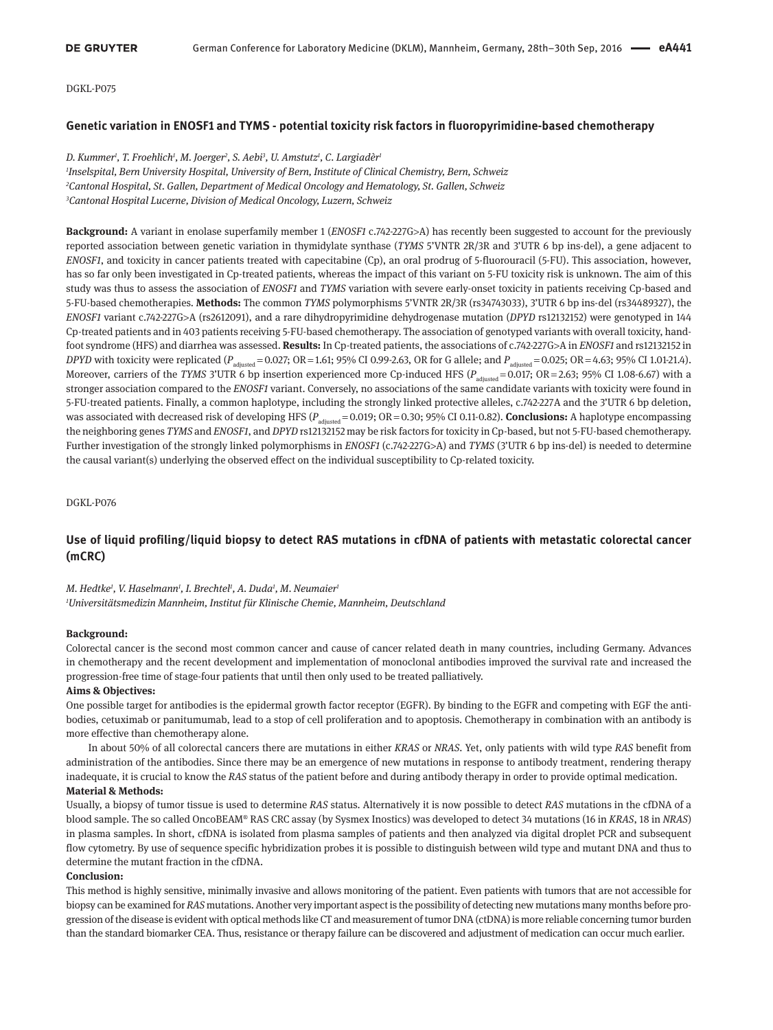DGKL-P075

### **Genetic variation in ENOSF1 and TYMS - potential toxicity risk factors in fluoropyrimidine-based chemotherapy**

*D. Kummer1 , T. Froehlich1 , M. Joerger2 , S. Aebi3 , U. Amstutz1 , C. Largiadèr1 Inselspital, Bern University Hospital, University of Bern, Institute of Clinical Chemistry, Bern, Schweiz Cantonal Hospital, St. Gallen, Department of Medical Oncology and Hematology, St. Gallen, Schweiz Cantonal Hospital Lucerne, Division of Medical Oncology, Luzern, Schweiz*

**Background:** A variant in enolase superfamily member 1 (*ENOSF1* c.742-227G>A) has recently been suggested to account for the previously reported association between genetic variation in thymidylate synthase (*TYMS* 5'VNTR 2R/3R and 3'UTR 6 bp ins-del), a gene adjacent to *ENOSF1*, and toxicity in cancer patients treated with capecitabine (Cp), an oral prodrug of 5-fluorouracil (5-FU). This association, however, has so far only been investigated in Cp-treated patients, whereas the impact of this variant on 5-FU toxicity risk is unknown. The aim of this study was thus to assess the association of *ENOSF1* and *TYMS* variation with severe early-onset toxicity in patients receiving Cp-based and 5-FU-based chemotherapies. **Methods:** The common *TYMS* polymorphisms 5'VNTR 2R/3R (rs34743033), 3'UTR 6 bp ins-del (rs34489327), the *ENOSF1* variant c.742-227G>A (rs2612091), and a rare dihydropyrimidine dehydrogenase mutation (*DPYD* rs12132152) were genotyped in 144 Cp-treated patients and in 403 patients receiving 5-FU-based chemotherapy. The association of genotyped variants with overall toxicity, handfoot syndrome (HFS) and diarrhea was assessed. **Results:** In Cp-treated patients, the associations of c.742-227G>A in *ENOSF1* and rs12132152 in *DPYD* with toxicity were replicated (*P*<sub>adjusted</sub> = 0.027; OR = 1.61; 95% CI 0.99-2.63, OR for G allele; and *P*<sub>adjusted</sub> = 0.025; OR = 4.63; 95% CI 1.01-21.4). Moreover, carriers of the *TYMS* 3'UTR 6 bp insertion experienced more Cp-induced HFS ( $P_{\text{adiusted}} = 0.017$ ; OR = 2.63; 95% CI 1.08-6.67) with a stronger association compared to the *ENOSF1* variant. Conversely, no associations of the same candidate variants with toxicity were found in 5-FU-treated patients. Finally, a common haplotype, including the strongly linked protective alleles, c.742-227A and the 3'UTR 6 bp deletion, was associated with decreased risk of developing HFS ( $P_{\text{adiueta}} = 0.019$ ; OR = 0.30; 95% CI 0.11-0.82). **Conclusions:** A haplotype encompassing the neighboring genes *TYMS* and *ENOSF1*, and *DPYD* rs12132152 may be risk factors for toxicity in Cp-based, but not 5-FU-based chemotherapy. Further investigation of the strongly linked polymorphisms in *ENOSF1* (c.742-227G>A) and *TYMS* (3'UTR 6 bp ins-del) is needed to determine the causal variant(s) underlying the observed effect on the individual susceptibility to Cp-related toxicity.

DGKL-P076

# **Use of liquid profiling/liquid biopsy to detect RAS mutations in cfDNA of patients with metastatic colorectal cancer (mCRC)**

*M. Hedtke1 , V. Haselmann1 , I. Brechtel1 , A. Duda1 , M. Neumaier1 1 Universitätsmedizin Mannheim, Institut für Klinische Chemie, Mannheim, Deutschland*

#### **Background:**

Colorectal cancer is the second most common cancer and cause of cancer related death in many countries, including Germany. Advances in chemotherapy and the recent development and implementation of monoclonal antibodies improved the survival rate and increased the progression-free time of stage-four patients that until then only used to be treated palliatively.

### **Aims & Objectives:**

One possible target for antibodies is the epidermal growth factor receptor (EGFR). By binding to the EGFR and competing with EGF the antibodies, cetuximab or panitumumab, lead to a stop of cell proliferation and to apoptosis. Chemotherapy in combination with an antibody is more effective than chemotherapy alone.

In about 50% of all colorectal cancers there are mutations in either *KRAS* or *NRAS*. Yet, only patients with wild type *RAS* benefit from administration of the antibodies. Since there may be an emergence of new mutations in response to antibody treatment, rendering therapy inadequate, it is crucial to know the *RAS* status of the patient before and during antibody therapy in order to provide optimal medication. **Material & Methods:**

Usually, a biopsy of tumor tissue is used to determine *RAS* status. Alternatively it is now possible to detect *RAS* mutations in the cfDNA of a blood sample. The so called OncoBEAM® RAS CRC assay (by Sysmex Inostics) was developed to detect 34 mutations (16 in *KRAS*, 18 in *NRAS*) in plasma samples. In short, cfDNA is isolated from plasma samples of patients and then analyzed via digital droplet PCR and subsequent flow cytometry. By use of sequence specific hybridization probes it is possible to distinguish between wild type and mutant DNA and thus to determine the mutant fraction in the cfDNA.

#### **Conclusion:**

This method is highly sensitive, minimally invasive and allows monitoring of the patient. Even patients with tumors that are not accessible for biopsy can be examined for *RAS* mutations. Another very important aspect is the possibility of detecting new mutations many months before progression of the disease is evident with optical methods like CT and measurement of tumor DNA (ctDNA) is more reliable concerning tumor burden than the standard biomarker CEA. Thus, resistance or therapy failure can be discovered and adjustment of medication can occur much earlier.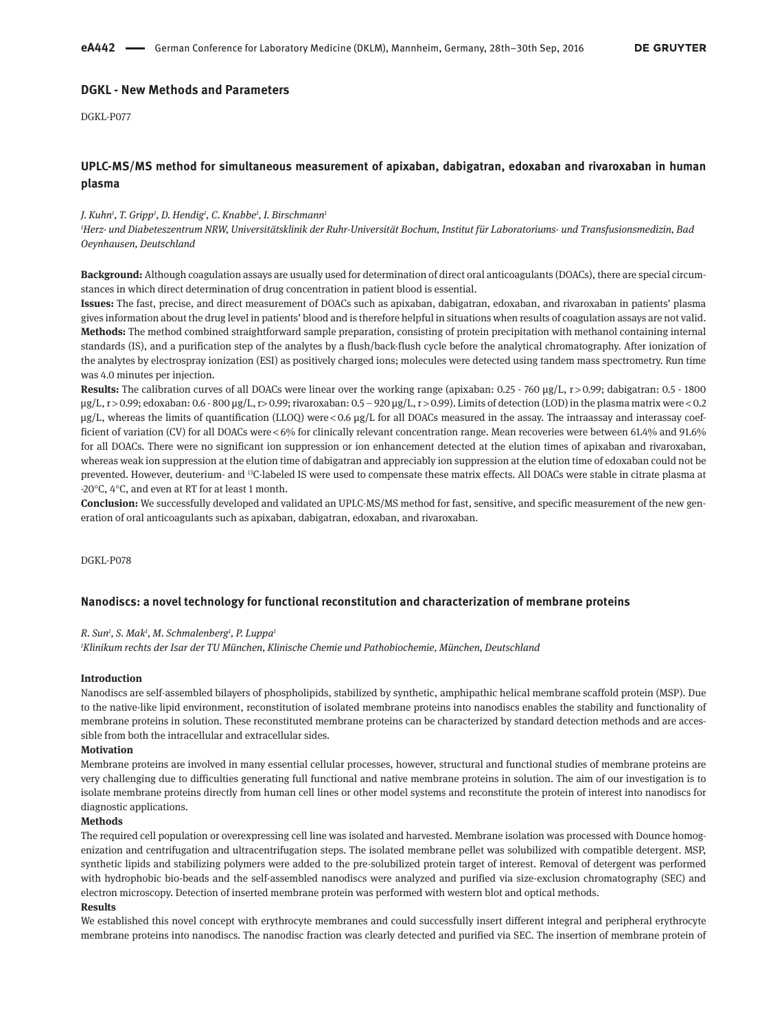# **DGKL - New Methods and Parameters**

DGKL-P077

# **UPLC-MS/MS method for simultaneous measurement of apixaban, dabigatran, edoxaban and rivaroxaban in human plasma**

### *J. Kuhn1 , T. Gripp1 , D. Hendig1 , C. Knabbe1 , I. Birschmann1*

*1 Herz- und Diabeteszentrum NRW, Universitätsklinik der Ruhr-Universität Bochum, Institut für Laboratoriums- und Transfusionsmedizin, Bad Oeynhausen, Deutschland*

**Background:** Although coagulation assays are usually used for determination of direct oral anticoagulants (DOACs), there are special circumstances in which direct determination of drug concentration in patient blood is essential.

**Issues:** The fast, precise, and direct measurement of DOACs such as apixaban, dabigatran, edoxaban, and rivaroxaban in patients' plasma gives information about the drug level in patients' blood and is therefore helpful in situations when results of coagulation assays are not valid. **Methods:** The method combined straightforward sample preparation, consisting of protein precipitation with methanol containing internal standards (IS), and a purification step of the analytes by a flush/back-flush cycle before the analytical chromatography. After ionization of the analytes by electrospray ionization (ESI) as positively charged ions; molecules were detected using tandem mass spectrometry. Run time was 4.0 minutes per injection.

Results: The calibration curves of all DOACs were linear over the working range (apixaban: 0.25 - 760 µg/L, r > 0.99; dabigatran: 0.5 - 1800 µg/L, r > 0.99; edoxaban: 0.6 - 800 µg/L, r> 0.99; rivaroxaban: 0.5 – 920 µg/L, r > 0.99). Limits of detection (LOD) in the plasma matrix were < 0.2 µg/L, whereas the limits of quantification (LLOQ) were < 0.6 µg/L for all DOACs measured in the assay. The intraassay and interassay coefficient of variation (CV) for all DOACs were < 6% for clinically relevant concentration range. Mean recoveries were between 61.4% and 91.6% for all DOACs. There were no significant ion suppression or ion enhancement detected at the elution times of apixaban and rivaroxaban, whereas weak ion suppression at the elution time of dabigatran and appreciably ion suppression at the elution time of edoxaban could not be prevented. However, deuterium- and <sup>13</sup>C-labeled IS were used to compensate these matrix effects. All DOACs were stable in citrate plasma at -20°C, 4°C, and even at RT for at least 1 month.

**Conclusion:** We successfully developed and validated an UPLC-MS/MS method for fast, sensitive, and specific measurement of the new generation of oral anticoagulants such as apixaban, dabigatran, edoxaban, and rivaroxaban.

DGKL-P078

### **Nanodiscs: a novel technology for functional reconstitution and characterization of membrane proteins**

### *R. Sun1 , S. Mak1 , M. Schmalenberg1 , P. Luppa1*

*1 Klinikum rechts der Isar der TU München, Klinische Chemie und Pathobiochemie, München, Deutschland*

#### **Introduction**

Nanodiscs are self-assembled bilayers of phospholipids, stabilized by synthetic, amphipathic helical membrane scaffold protein (MSP). Due to the native-like lipid environment, reconstitution of isolated membrane proteins into nanodiscs enables the stability and functionality of membrane proteins in solution. These reconstituted membrane proteins can be characterized by standard detection methods and are accessible from both the intracellular and extracellular sides.

## **Motivation**

Membrane proteins are involved in many essential cellular processes, however, structural and functional studies of membrane proteins are very challenging due to difficulties generating full functional and native membrane proteins in solution. The aim of our investigation is to isolate membrane proteins directly from human cell lines or other model systems and reconstitute the protein of interest into nanodiscs for diagnostic applications.

### **Methods**

The required cell population or overexpressing cell line was isolated and harvested. Membrane isolation was processed with Dounce homogenization and centrifugation and ultracentrifugation steps. The isolated membrane pellet was solubilized with compatible detergent. MSP, synthetic lipids and stabilizing polymers were added to the pre-solubilized protein target of interest. Removal of detergent was performed with hydrophobic bio-beads and the self-assembled nanodiscs were analyzed and purified via size-exclusion chromatography (SEC) and electron microscopy. Detection of inserted membrane protein was performed with western blot and optical methods.

### **Results**

We established this novel concept with erythrocyte membranes and could successfully insert different integral and peripheral erythrocyte membrane proteins into nanodiscs. The nanodisc fraction was clearly detected and purified via SEC. The insertion of membrane protein of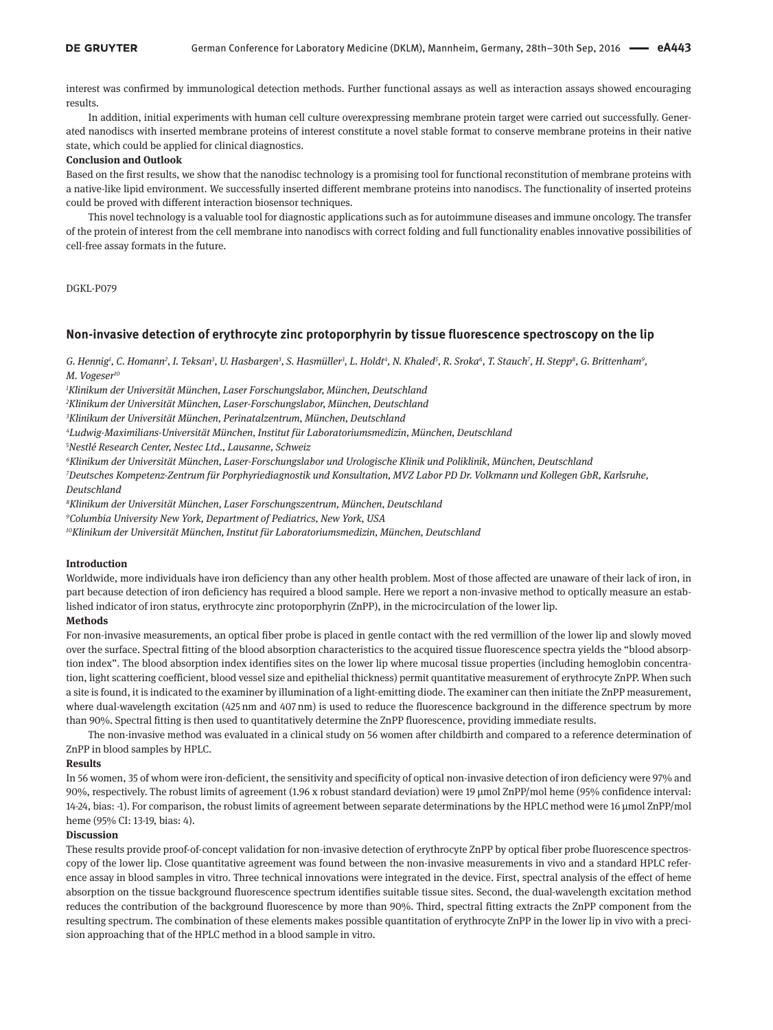interest was confirmed by immunological detection methods. Further functional assays as well as interaction assays showed encouraging results.

In addition, initial experiments with human cell culture overexpressing membrane protein target were carried out successfully. Generated nanodiscs with inserted membrane proteins of interest constitute a novel stable format to conserve membrane proteins in their native state, which could be applied for clinical diagnostics.

#### **Conclusion and Outlook**

Based on the first results, we show that the nanodisc technology is a promising tool for functional reconstitution of membrane proteins with a native-like lipid environment. We successfully inserted different membrane proteins into nanodiscs. The functionality of inserted proteins could be proved with different interaction biosensor techniques.

This novel technology is a valuable tool for diagnostic applications such as for autoimmune diseases and immune oncology. The transfer of the protein of interest from the cell membrane into nanodiscs with correct folding and full functionality enables innovative possibilities of cell-free assay formats in the future.

#### DGKL-P079

### **Non-invasive detection of erythrocyte zinc protoporphyrin by tissue fluorescence spectroscopy on the lip**

G. Hennig<sup>1</sup>, C. Homann<sup>2</sup>, I. Teksan<sup>3</sup>, U. Hasbargen<sup>3</sup>, S. Hasmüller<sup>3</sup>, L. Holdt<sup>4</sup>, N. Khaled<sup>5</sup>, R. Sroka<sup>6</sup>, T. Stauch<sup>7</sup>, H. Stepp<sup>8</sup>, G. Brittenham<sup>9</sup>, *M. Vogeser10*

*1 Klinikum der Universität München, Laser Forschungslabor, München, Deutschland*

*2 Klinikum der Universität München, Laser-Forschungslabor, München, Deutschland*

*3 Klinikum der Universität München, Perinatalzentrum, München, Deutschland*

*4 Ludwig-Maximilians-Universität München, Institut für Laboratoriumsmedizin, München, Deutschland*

*5 Nestlé Research Center, Nestec Ltd., Lausanne, Schweiz*

*6 Klinikum der Universität München, Laser-Forschungslabor und Urologische Klinik und Poliklinik, München, Deutschland*

*7 Deutsches Kompetenz-Zentrum für Porphyriediagnostik und Konsultation, MVZ Labor PD Dr. Volkmann und Kollegen GbR, Karlsruhe, Deutschland*

*8 Klinikum der Universität München, Laser Forschungszentrum, München, Deutschland*

*9 Columbia University New York, Department of Pediatrics, New York, USA*

*10Klinikum der Universität München, Institut für Laboratoriumsmedizin, München, Deutschland*

#### **Introduction**

Worldwide, more individuals have iron deficiency than any other health problem. Most of those affected are unaware of their lack of iron, in part because detection of iron deficiency has required a blood sample. Here we report a non-invasive method to optically measure an established indicator of iron status, erythrocyte zinc protoporphyrin (ZnPP), in the microcirculation of the lower lip.

#### **Methods**

For non-invasive measurements, an optical fiber probe is placed in gentle contact with the red vermillion of the lower lip and slowly moved over the surface. Spectral fitting of the blood absorption characteristics to the acquired tissue fluorescence spectra yields the "blood absorption index". The blood absorption index identifies sites on the lower lip where mucosal tissue properties (including hemoglobin concentration, light scattering coefficient, blood vessel size and epithelial thickness) permit quantitative measurement of erythrocyte ZnPP. When such a site is found, it is indicated to the examiner by illumination of a light-emitting diode. The examiner can then initiate the ZnPP measurement, where dual-wavelength excitation (425 nm and 407 nm) is used to reduce the fluorescence background in the difference spectrum by more than 90%. Spectral fitting is then used to quantitatively determine the ZnPP fluorescence, providing immediate results.

The non-invasive method was evaluated in a clinical study on 56 women after childbirth and compared to a reference determination of ZnPP in blood samples by HPLC.

#### **Results**

In 56 women, 35 of whom were iron-deficient, the sensitivity and specificity of optical non-invasive detection of iron deficiency were 97% and 90%, respectively. The robust limits of agreement (1.96 x robust standard deviation) were 19 µmol ZnPP/mol heme (95% confidence interval: 14-24, bias: -1). For comparison, the robust limits of agreement between separate determinations by the HPLC method were 16 µmol ZnPP/mol heme (95% CI: 13-19, bias: 4).

### **Discussion**

These results provide proof-of-concept validation for non-invasive detection of erythrocyte ZnPP by optical fiber probe fluorescence spectroscopy of the lower lip. Close quantitative agreement was found between the non-invasive measurements in vivo and a standard HPLC reference assay in blood samples in vitro. Three technical innovations were integrated in the device. First, spectral analysis of the effect of heme absorption on the tissue background fluorescence spectrum identifies suitable tissue sites. Second, the dual-wavelength excitation method reduces the contribution of the background fluorescence by more than 90%. Third, spectral fitting extracts the ZnPP component from the resulting spectrum. The combination of these elements makes possible quantitation of erythrocyte ZnPP in the lower lip in vivo with a precision approaching that of the HPLC method in a blood sample in vitro.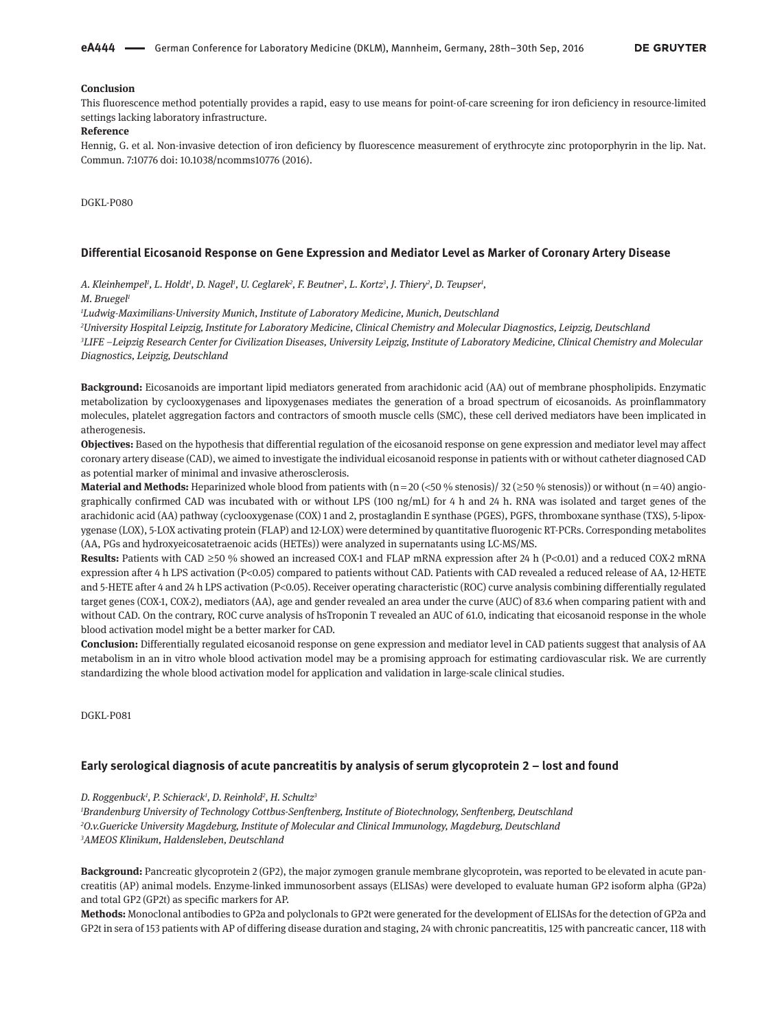### **Conclusion**

This fluorescence method potentially provides a rapid, easy to use means for point-of-care screening for iron deficiency in resource-limited settings lacking laboratory infrastructure.

#### **Reference**

Hennig, G. et al. Non-invasive detection of iron deficiency by fluorescence measurement of erythrocyte zinc protoporphyrin in the lip. Nat. Commun. 7:10776 doi: 10.1038/ncomms10776 (2016).

DGKL-P080

#### **Differential Eicosanoid Response on Gene Expression and Mediator Level as Marker of Coronary Artery Disease**

*A. Kleinhempel1 , L. Holdt1 , D. Nagel1 , U. Ceglarek2 , F. Beutner2 , L. Kortz3 , J. Thiery2 , D. Teupser1 ,*

*M. Bruegel1*

*1 Ludwig-Maximilians-University Munich, Institute of Laboratory Medicine, Munich, Deutschland*

*2 University Hospital Leipzig, Institute for Laboratory Medicine, Clinical Chemistry and Molecular Diagnostics, Leipzig, Deutschland 3 LIFE –Leipzig Research Center for Civilization Diseases, University Leipzig, Institute of Laboratory Medicine, Clinical Chemistry and Molecular Diagnostics, Leipzig, Deutschland*

**Background:** Eicosanoids are important lipid mediators generated from arachidonic acid (AA) out of membrane phospholipids. Enzymatic metabolization by cyclooxygenases and lipoxygenases mediates the generation of a broad spectrum of eicosanoids. As proinflammatory molecules, platelet aggregation factors and contractors of smooth muscle cells (SMC), these cell derived mediators have been implicated in atherogenesis.

**Objectives:** Based on the hypothesis that differential regulation of the eicosanoid response on gene expression and mediator level may affect coronary artery disease (CAD), we aimed to investigate the individual eicosanoid response in patients with or without catheter diagnosed CAD as potential marker of minimal and invasive atherosclerosis.

**Material and Methods:** Heparinized whole blood from patients with (n = 20 (<50 % stenosis)/ 32 ( $\geq$ 50 % stenosis)) or without (n = 40) angiographically confirmed CAD was incubated with or without LPS (100  $\text{ng/mL}$ ) for 4 h and 24 h. RNA was isolated and target genes of the arachidonic acid (AA) pathway (cyclooxygenase (COX) 1 and 2, prostaglandin E synthase (PGES), PGFS, thromboxane synthase (TXS), 5-lipoxygenase (LOX), 5-LOX activating protein (FLAP) and 12-LOX) were determined by quantitative fluorogenic RT-PCRs. Corresponding metabolites (AA, PGs and hydroxyeicosatetraenoic acids (HETEs)) were analyzed in supernatants using LC-MS/MS.

**Results:** Patients with CAD ≥50 % showed an increased COX-1 and FLAP mRNA expression after 24 h (P<0.01) and a reduced COX-2 mRNA expression after 4 h LPS activation (P<0.05) compared to patients without CAD. Patients with CAD revealed a reduced release of AA, 12-HETE and 5-HETE after 4 and 24 h LPS activation (P<0.05). Receiver operating characteristic (ROC) curve analysis combining differentially regulated target genes (COX-1, COX-2), mediators (AA), age and gender revealed an area under the curve (AUC) of 83.6 when comparing patient with and without CAD. On the contrary, ROC curve analysis of hsTroponin T revealed an AUC of 61.0, indicating that eicosanoid response in the whole blood activation model might be a better marker for CAD.

**Conclusion:** Differentially regulated eicosanoid response on gene expression and mediator level in CAD patients suggest that analysis of AA metabolism in an in vitro whole blood activation model may be a promising approach for estimating cardiovascular risk. We are currently standardizing the whole blood activation model for application and validation in large-scale clinical studies.

DGKL-P081

### **Early serological diagnosis of acute pancreatitis by analysis of serum glycoprotein 2 – lost and found**

*D. Roggenbuck1 , P. Schierack1 , D. Reinhold2 , H. Schultz3*

*1 Brandenburg University of Technology Cottbus-Senftenberg, Institute of Biotechnology, Senftenberg, Deutschland 2 O.v.Guericke University Magdeburg, Institute of Molecular and Clinical Immunology, Magdeburg, Deutschland 3 AMEOS Klinikum, Haldensleben, Deutschland*

**Background:** Pancreatic glycoprotein 2 (GP2), the major zymogen granule membrane glycoprotein, was reported to be elevated in acute pancreatitis (AP) animal models. Enzyme-linked immunosorbent assays (ELISAs) were developed to evaluate human GP2 isoform alpha (GP2a) and total GP2 (GP2t) as specific markers for AP.

**Methods:** Monoclonal antibodies to GP2a and polyclonals to GP2t were generated for the development of ELISAs for the detection of GP2a and GP2t in sera of 153 patients with AP of differing disease duration and staging, 24 with chronic pancreatitis, 125 with pancreatic cancer, 118 with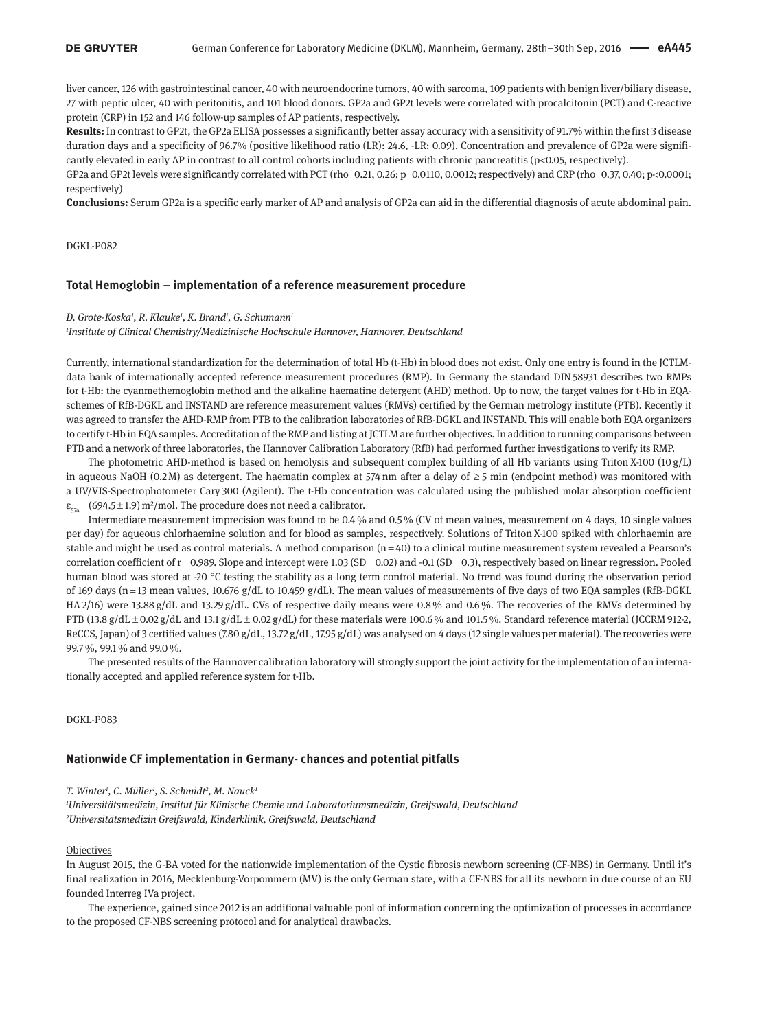liver cancer, 126 with gastrointestinal cancer, 40 with neuroendocrine tumors, 40 with sarcoma, 109 patients with benign liver/biliary disease, 27 with peptic ulcer, 40 with peritonitis, and 101 blood donors. GP2a and GP2t levels were correlated with procalcitonin (PCT) and C-reactive protein (CRP) in 152 and 146 follow-up samples of AP patients, respectively.

**Results:** In contrast to GP2t, the GP2a ELISA possesses a significantly better assay accuracy with a sensitivity of 91.7% within the first 3 disease duration days and a specificity of 96.7% (positive likelihood ratio (LR): 24.6, -LR: 0.09). Concentration and prevalence of GP2a were significantly elevated in early AP in contrast to all control cohorts including patients with chronic pancreatitis (p<0.05, respectively).

GP2a and GP2t levels were significantly correlated with PCT (rho=0.21, 0.26; p=0.0110, 0.0012; respectively) and CRP (rho=0.37, 0.40; p<0.0001; respectively)

**Conclusions:** Serum GP2a is a specific early marker of AP and analysis of GP2a can aid in the differential diagnosis of acute abdominal pain.

DGKL-P082

### **Total Hemoglobin – implementation of a reference measurement procedure**

#### *D. Grote-Koska1 , R. Klauke1 , K. Brand1 , G. Schumann1*

*1 Institute of Clinical Chemistry/Medizinische Hochschule Hannover, Hannover, Deutschland*

Currently, international standardization for the determination of total Hb (t-Hb) in blood does not exist. Only one entry is found in the JCTLMdata bank of internationally accepted reference measurement procedures (RMP). In Germany the standard DIN 58931 describes two RMPs for t-Hb: the cyanmethemoglobin method and the alkaline haematine detergent (AHD) method. Up to now, the target values for t-Hb in EQAschemes of RfB-DGKL and INSTAND are reference measurement values (RMVs) certified by the German metrology institute (PTB). Recently it was agreed to transfer the AHD-RMP from PTB to the calibration laboratories of RfB-DGKL and INSTAND. This will enable both EQA organizers to certify t-Hb in EQA samples. Accreditation of the RMP and listing at JCTLM are further objectives. In addition to running comparisons between PTB and a network of three laboratories, the Hannover Calibration Laboratory (RfB) had performed further investigations to verify its RMP.

The photometric AHD-method is based on hemolysis and subsequent complex building of all Hb variants using Triton X-100 (10 g/L) in aqueous NaOH (0.2 $M$ ) as detergent. The haematin complex at 574 nm after a delay of  $\geq$  5 min (endpoint method) was monitored with a UV/VIS-Spectrophotometer Cary 300 (Agilent). The t-Hb concentration was calculated using the published molar absorption coefficient  $\varepsilon_{574}$  = (694.5 ± 1.9) m<sup>2</sup>/mol. The procedure does not need a calibrator.

Intermediate measurement imprecision was found to be 0.4 % and 0.5 % (CV of mean values, measurement on 4 days, 10 single values per day) for aqueous chlorhaemine solution and for blood as samples, respectively. Solutions of Triton X-100 spiked with chlorhaemin are stable and might be used as control materials. A method comparison  $(n=40)$  to a clinical routine measurement system revealed a Pearson's correlation coefficient of  $r = 0.989$ . Slope and intercept were 1.03 (SD = 0.02) and -0.1 (SD = 0.3), respectively based on linear regression. Pooled human blood was stored at -20 °C testing the stability as a long term control material. No trend was found during the observation period of 169 days (n=13 mean values, 10.676 g/dL to 10.459 g/dL). The mean values of measurements of five days of two EQA samples (RfB-DGKL HA 2/16) were 13.88 g/dL and 13.29 g/dL. CVs of respective daily means were 0.8 % and 0.6 %. The recoveries of the RMVs determined by PTB (13.8*g*/dL ± 0.02*g*/dL and 13.1*g*/dL ± 0.02*g*/dL) for these materials were 100.6<sup> $\%$ </sup> and 101.5<sup> $\%$ </sup>. Standard reference material (JCCRM 912-2, ReCCS, Japan) of 3 certified values (7.80 g/dL, 13.72 g/dL, 17.95 g/dL) was analysed on 4 days (12 single values per material). The recoveries were 99.7 %, 99.1 % and 99.0 %.

The presented results of the Hannover calibration laboratory will strongly support the joint activity for the implementation of an internationally accepted and applied reference system for t-Hb.

DGKL-P083

### **Nationwide CF implementation in Germany- chances and potential pitfalls**

#### *T. Winter1 , C. Müller1 , S. Schmidt2 , M. Nauck1*

*1 Universitätsmedizin, Institut für Klinische Chemie und Laboratoriumsmedizin, Greifswald, Deutschland 2 Universitätsmedizin Greifswald, Kinderklinik, Greifswald, Deutschland*

#### **Objectives**

In August 2015, the G-BA voted for the nationwide implementation of the Cystic fibrosis newborn screening (CF-NBS) in Germany. Until it's final realization in 2016, Mecklenburg-Vorpommern (MV) is the only German state, with a CF-NBS for all its newborn in due course of an EU founded Interreg IVa project.

The experience, gained since 2012 is an additional valuable pool of information concerning the optimization of processes in accordance to the proposed CF-NBS screening protocol and for analytical drawbacks.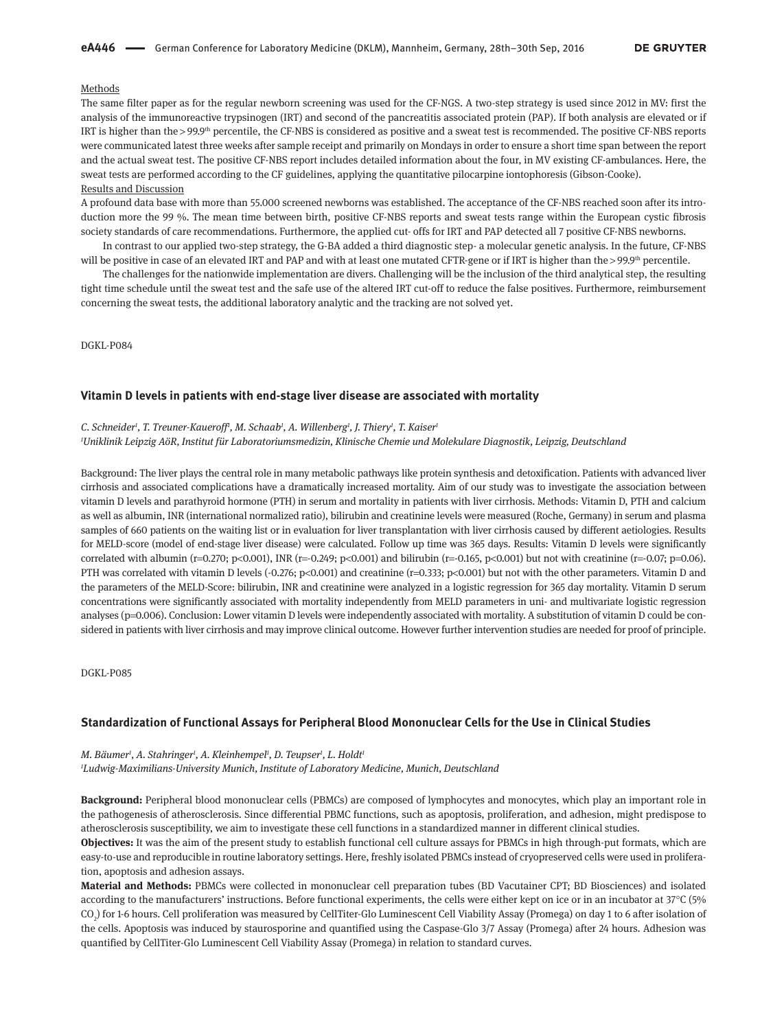### Methods

The same filter paper as for the regular newborn screening was used for the CF-NGS. A two-step strategy is used since 2012 in MV: first the analysis of the immunoreactive trypsinogen (IRT) and second of the pancreatitis associated protein (PAP). If both analysis are elevated or if IRT is higher than the > 99.9th percentile, the CF-NBS is considered as positive and a sweat test is recommended. The positive CF-NBS reports were communicated latest three weeks after sample receipt and primarily on Mondays in order to ensure a short time span between the report and the actual sweat test. The positive CF-NBS report includes detailed information about the four, in MV existing CF-ambulances. Here, the sweat tests are performed according to the CF guidelines, applying the quantitative pilocarpine iontophoresis (Gibson-Cooke). Results and Discussion

A profound data base with more than 55.000 screened newborns was established. The acceptance of the CF-NBS reached soon after its introduction more the 99 %. The mean time between birth, positive CF-NBS reports and sweat tests range within the European cystic fibrosis society standards of care recommendations. Furthermore, the applied cut- offs for IRT and PAP detected all 7 positive CF-NBS newborns.

In contrast to our applied two-step strategy, the G-BA added a third diagnostic step- a molecular genetic analysis. In the future, CF-NBS will be positive in case of an elevated IRT and PAP and with at least one mutated CFTR-gene or if IRT is higher than the > 99.9<sup>th</sup> percentile.

The challenges for the nationwide implementation are divers. Challenging will be the inclusion of the third analytical step, the resulting tight time schedule until the sweat test and the safe use of the altered IRT cut-off to reduce the false positives. Furthermore, reimbursement concerning the sweat tests, the additional laboratory analytic and the tracking are not solved yet.

DGKL-P084

#### **Vitamin D levels in patients with end-stage liver disease are associated with mortality**

#### *C. Schneider1 , T. Treuner-Kaueroff1 , M. Schaab1 , A. Willenberg1 , J. Thiery1 , T. Kaiser1*

*1 Uniklinik Leipzig AöR, Institut für Laboratoriumsmedizin, Klinische Chemie und Molekulare Diagnostik, Leipzig, Deutschland*

Background: The liver plays the central role in many metabolic pathways like protein synthesis and detoxification. Patients with advanced liver cirrhosis and associated complications have a dramatically increased mortality. Aim of our study was to investigate the association between vitamin D levels and parathyroid hormone (PTH) in serum and mortality in patients with liver cirrhosis. Methods: Vitamin D, PTH and calcium as well as albumin, INR (international normalized ratio), bilirubin and creatinine levels were measured (Roche, Germany) in serum and plasma samples of 660 patients on the waiting list or in evaluation for liver transplantation with liver cirrhosis caused by different aetiologies. Results for MELD-score (model of end-stage liver disease) were calculated. Follow up time was 365 days. Results: Vitamin D levels were significantly correlated with albumin (r=0.270; p<0.001), INR (r=-0.249; p<0.001) and bilirubin (r=-0.165, p<0.001) but not with creatinine (r=-0.07; p=0.06). PTH was correlated with vitamin D levels (-0.276; p<0.001) and creatinine (r=0.333; p<0.001) but not with the other parameters. Vitamin D and the parameters of the MELD-Score: bilirubin, INR and creatinine were analyzed in a logistic regression for 365 day mortality. Vitamin D serum concentrations were significantly associated with mortality independently from MELD parameters in uni- and multivariate logistic regression analyses (p=0.006). Conclusion: Lower vitamin D levels were independently associated with mortality. A substitution of vitamin D could be considered in patients with liver cirrhosis and may improve clinical outcome. However further intervention studies are needed for proof of principle.

DGKL-P085

### **Standardization of Functional Assays for Peripheral Blood Mononuclear Cells for the Use in Clinical Studies**

### *M. Bäumer1 , A. Stahringer1 , A. Kleinhempel1 , D. Teupser1 , L. Holdt1 1 Ludwig-Maximilians-University Munich, Institute of Laboratory Medicine, Munich, Deutschland*

**Background:** Peripheral blood mononuclear cells (PBMCs) are composed of lymphocytes and monocytes, which play an important role in the pathogenesis of atherosclerosis. Since differential PBMC functions, such as apoptosis, proliferation, and adhesion, might predispose to atherosclerosis susceptibility, we aim to investigate these cell functions in a standardized manner in different clinical studies.

**Objectives:** It was the aim of the present study to establish functional cell culture assays for PBMCs in high through-put formats, which are easy-to-use and reproducible in routine laboratory settings. Here, freshly isolated PBMCs instead of cryopreserved cells were used in proliferation, apoptosis and adhesion assays.

**Material and Methods:** PBMCs were collected in mononuclear cell preparation tubes (BD Vacutainer CPT; BD Biosciences) and isolated according to the manufacturers' instructions. Before functional experiments, the cells were either kept on ice or in an incubator at 37°C (5% CO<sub>2</sub>) for 1-6 hours. Cell proliferation was measured by CellTiter-Glo Luminescent Cell Viability Assay (Promega) on day 1 to 6 after isolation of the cells. Apoptosis was induced by staurosporine and quantified using the Caspase-Glo 3/7 Assay (Promega) after 24 hours. Adhesion was quantified by CellTiter-Glo Luminescent Cell Viability Assay (Promega) in relation to standard curves.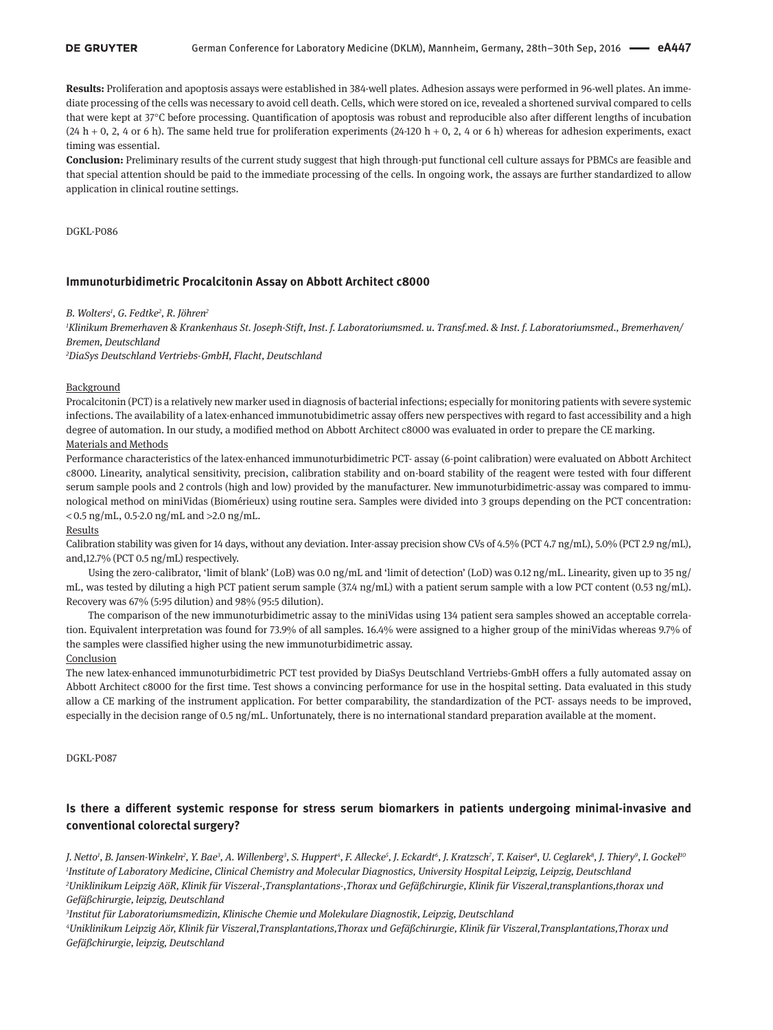### **DE GRUYTER**

**Results:** Proliferation and apoptosis assays were established in 384-well plates. Adhesion assays were performed in 96-well plates. An immediate processing of the cells was necessary to avoid cell death. Cells, which were stored on ice, revealed a shortened survival compared to cells that were kept at 37°C before processing. Quantification of apoptosis was robust and reproducible also after different lengths of incubation  $(24 h + 0, 2, 4 \text{ or } 6 h)$ . The same held true for proliferation experiments  $(24-120 h + 0, 2, 4 \text{ or } 6 h)$  whereas for adhesion experiments, exact timing was essential.

**Conclusion:** Preliminary results of the current study suggest that high through-put functional cell culture assays for PBMCs are feasible and that special attention should be paid to the immediate processing of the cells. In ongoing work, the assays are further standardized to allow application in clinical routine settings.

DGKL-P086

### **Immunoturbidimetric Procalcitonin Assay on Abbott Architect c8000**

### *B. Wolters1 , G. Fedtke2 , R. Jöhren2*

*1 Klinikum Bremerhaven & Krankenhaus St. Joseph-Stift, Inst. f. Laboratoriumsmed. u. Transf.med. & Inst. f. Laboratoriumsmed., Bremerhaven/ Bremen, Deutschland*

*2 DiaSys Deutschland Vertriebs-GmbH, Flacht, Deutschland*

### Background

Procalcitonin (PCT) is a relatively new marker used in diagnosis of bacterial infections; especially for monitoring patients with severe systemic infections. The availability of a latex-enhanced immunotubidimetric assay offers new perspectives with regard to fast accessibility and a high degree of automation. In our study, a modified method on Abbott Architect c8000 was evaluated in order to prepare the CE marking.

### Materials and Methods

Performance characteristics of the latex-enhanced immunoturbidimetric PCT- assay (6-point calibration) were evaluated on Abbott Architect c8000. Linearity, analytical sensitivity, precision, calibration stability and on-board stability of the reagent were tested with four different serum sample pools and 2 controls (high and low) provided by the manufacturer. New immunoturbidimetric-assay was compared to immunological method on miniVidas (Biomérieux) using routine sera. Samples were divided into 3 groups depending on the PCT concentration:  $<$  0.5 ng/mL, 0.5-2.0 ng/mL and >2.0 ng/mL.

#### **Results**

Calibration stability was given for 14 days, without any deviation. Inter-assay precision show CVs of 4.5% (PCT 4.7 ng/mL), 5.0% (PCT 2.9 ng/mL), and,12.7% (PCT 0.5 ng/mL) respectively.

Using the zero-calibrator, 'limit of blank' (LoB) was 0.0 ng/mL and 'limit of detection' (LoD) was 0.12 ng/mL. Linearity, given up to 35 ng/ mL, was tested by diluting a high PCT patient serum sample (37.4 ng/mL) with a patient serum sample with a low PCT content (0.53 ng/mL). Recovery was 67% (5:95 dilution) and 98% (95:5 dilution).

The comparison of the new immunoturbidimetric assay to the miniVidas using 134 patient sera samples showed an acceptable correlation. Equivalent interpretation was found for 73.9% of all samples. 16.4% were assigned to a higher group of the miniVidas whereas 9.7% of the samples were classified higher using the new immunoturbidimetric assay.

### Conclusion

The new latex-enhanced immunoturbidimetric PCT test provided by DiaSys Deutschland Vertriebs-GmbH offers a fully automated assay on Abbott Architect c8000 for the first time. Test shows a convincing performance for use in the hospital setting. Data evaluated in this study allow a CE marking of the instrument application. For better comparability, the standardization of the PCT- assays needs to be improved, especially in the decision range of 0.5 ng/mL. Unfortunately, there is no international standard preparation available at the moment.

DGKL-P087

# **Is there a different systemic response for stress serum biomarkers in patients undergoing minimal-invasive and conventional colorectal surgery?**

J. Netto', B. Jansen-Winkeln?, Y. Bae<sup>3</sup>, A. Willenberg<sup>3</sup>, S. Huppert<sup>4</sup>, F. Allecke<sup>5</sup>, J. Eckardt<sup>6</sup>, J. Kratzsch<sup>7</sup>, T. Kaiser<sup>s</sup>, U. Ceglarek<sup>8</sup>, J. Thiery<sup>9</sup>, I. Gockel<sup>16</sup> *1 Institute of Laboratory Medicine, Clinical Chemistry and Molecular Diagnostics, University Hospital Leipzig, Leipzig, Deutschland 2 Uniklinikum Leipzig AöR, Klinik für Viszeral-,Transplantations-,Thorax und Gefäßchirurgie, Klinik für Viszeral,transplantions,thorax und Gefäßchirurgie, leipzig, Deutschland*

*3 Institut für Laboratoriumsmedizin, Klinische Chemie und Molekulare Diagnostik, Leipzig, Deutschland*

*4 Uniklinikum Leipzig Aör, Klinik für Viszeral,Transplantations,Thorax und Gefäßchirurgie, Klinik für Viszeral,Transplantations,Thorax und Gefäßchirurgie, leipzig, Deutschland*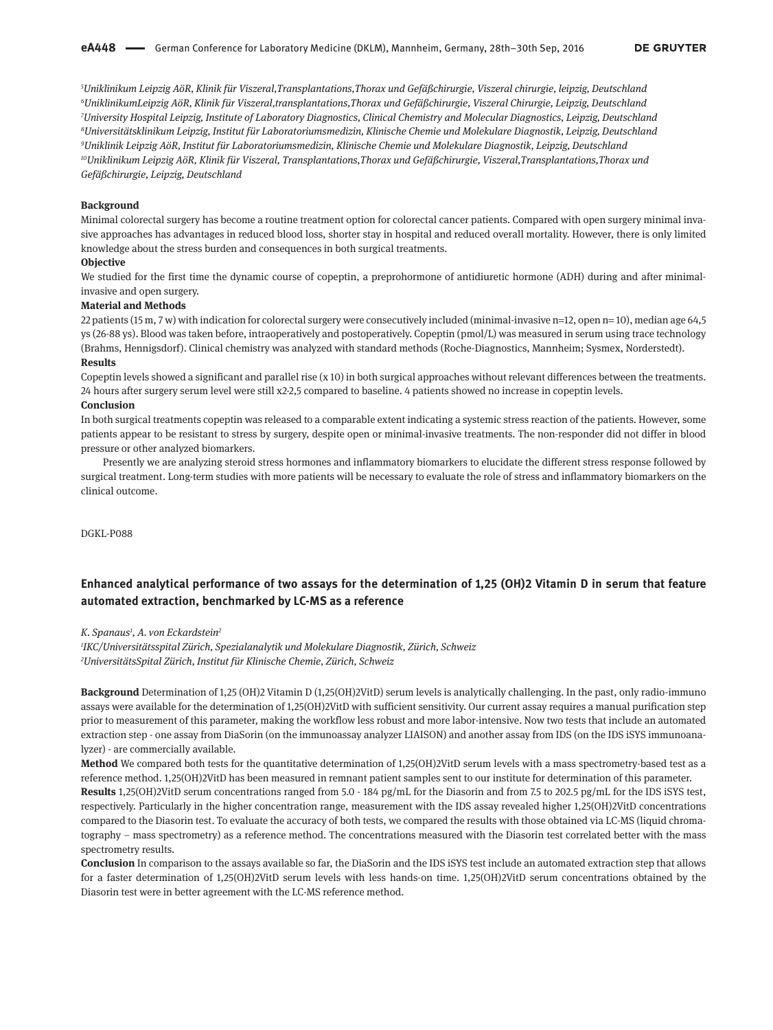*Uniklinikum Leipzig AöR, Klinik für Viszeral,Transplantations,Thorax und Gefäßchirurgie, Viszeral chirurgie, leipzig, Deutschland UniklinikumLeipzig AöR, Klinik für Viszeral,transplantations,Thorax und Gefäßchirurgie, Viszeral Chirurgie, Leipzig, Deutschland University Hospital Leipzig, Institute of Laboratory Diagnostics, Clinical Chemistry and Molecular Diagnostics, Leipzig, Deutschland Universitätsklinikum Leipzig, Institut für Laboratoriumsmedizin, Klinische Chemie und Molekulare Diagnostik, Leipzig, Deutschland Uniklinik Leipzig AöR, Institut für Laboratoriumsmedizin, Klinische Chemie und Molekulare Diagnostik, Leipzig, Deutschland 10Uniklinikum Leipzig AöR, Klinik für Viszeral, Transplantations,Thorax und Gefäßchirurgie, Viszeral,Transplantations,Thorax und Gefäßchirurgie, Leipzig, Deutschland*

### **Background**

Minimal colorectal surgery has become a routine treatment option for colorectal cancer patients. Compared with open surgery minimal invasive approaches has advantages in reduced blood loss, shorter stay in hospital and reduced overall mortality. However, there is only limited knowledge about the stress burden and consequences in both surgical treatments.

#### **Objective**

We studied for the first time the dynamic course of copeptin, a preprohormone of antidiuretic hormone (ADH) during and after minimalinvasive and open surgery.

### **Material and Methods**

22 patients (15 m, 7 w) with indication for colorectal surgery were consecutively included (minimal-invasive n=12, open n= 10), median age 64,5 ys (26-88 ys). Blood was taken before, intraoperatively and postoperatively. Copeptin (pmol/L) was measured in serum using trace technology (Brahms, Hennigsdorf). Clinical chemistry was analyzed with standard methods (Roche-Diagnostics, Mannheim; Sysmex, Norderstedt). **Results** 

Copeptin levels showed a significant and parallel rise (x 10) in both surgical approaches without relevant differences between the treatments. 24 hours after surgery serum level were still x2-2,5 compared to baseline. 4 patients showed no increase in copeptin levels.

#### **Conclusion**

In both surgical treatments copeptin was released to a comparable extent indicating a systemic stress reaction of the patients. However, some patients appear to be resistant to stress by surgery, despite open or minimal-invasive treatments. The non-responder did not differ in blood pressure or other analyzed biomarkers.

Presently we are analyzing steroid stress hormones and inflammatory biomarkers to elucidate the different stress response followed by surgical treatment. Long-term studies with more patients will be necessary to evaluate the role of stress and inflammatory biomarkers on the clinical outcome.

DGKL-P088

# **Enhanced analytical performance of two assays for the determination of 1,25 (OH)2 Vitamin D in serum that feature automated extraction, benchmarked by LC-MS as a reference**

*K. Spanaus1 , A. von Eckardstein2*

*1 IKC/Universitätsspital Zürich, Spezialanalytik und Molekulare Diagnostik, Zürich, Schweiz 2 UniversitätsSpital Zürich, Institut für Klinische Chemie, Zürich, Schweiz*

**Background** Determination of 1,25 (OH)2 Vitamin D (1,25(OH)2VitD) serum levels is analytically challenging. In the past, only radio-immuno assays were available for the determination of 1,25(OH)2VitD with sufficient sensitivity. Our current assay requires a manual purification step prior to measurement of this parameter, making the workflow less robust and more labor-intensive. Now two tests that include an automated extraction step - one assay from DiaSorin (on the immunoassay analyzer LIAISON) and another assay from IDS (on the IDS iSYS immunoanalyzer) - are commercially available.

**Method** We compared both tests for the quantitative determination of 1,25(OH)2VitD serum levels with a mass spectrometry-based test as a reference method. 1,25(OH)2VitD has been measured in remnant patient samples sent to our institute for determination of this parameter.

**Results** 1,25(OH)2VitD serum concentrations ranged from 5.0 - 184 pg/mL for the Diasorin and from 7.5 to 202.5 pg/mL for the IDS iSYS test, respectively. Particularly in the higher concentration range, measurement with the IDS assay revealed higher 1,25(OH)2VitD concentrations compared to the Diasorin test. To evaluate the accuracy of both tests, we compared the results with those obtained via LC-MS (liquid chromatography – mass spectrometry) as a reference method. The concentrations measured with the Diasorin test correlated better with the mass spectrometry results.

**Conclusion** In comparison to the assays available so far, the DiaSorin and the IDS iSYS test include an automated extraction step that allows for a faster determination of 1,25(OH)2VitD serum levels with less hands-on time. 1,25(OH)2VitD serum concentrations obtained by the Diasorin test were in better agreement with the LC-MS reference method.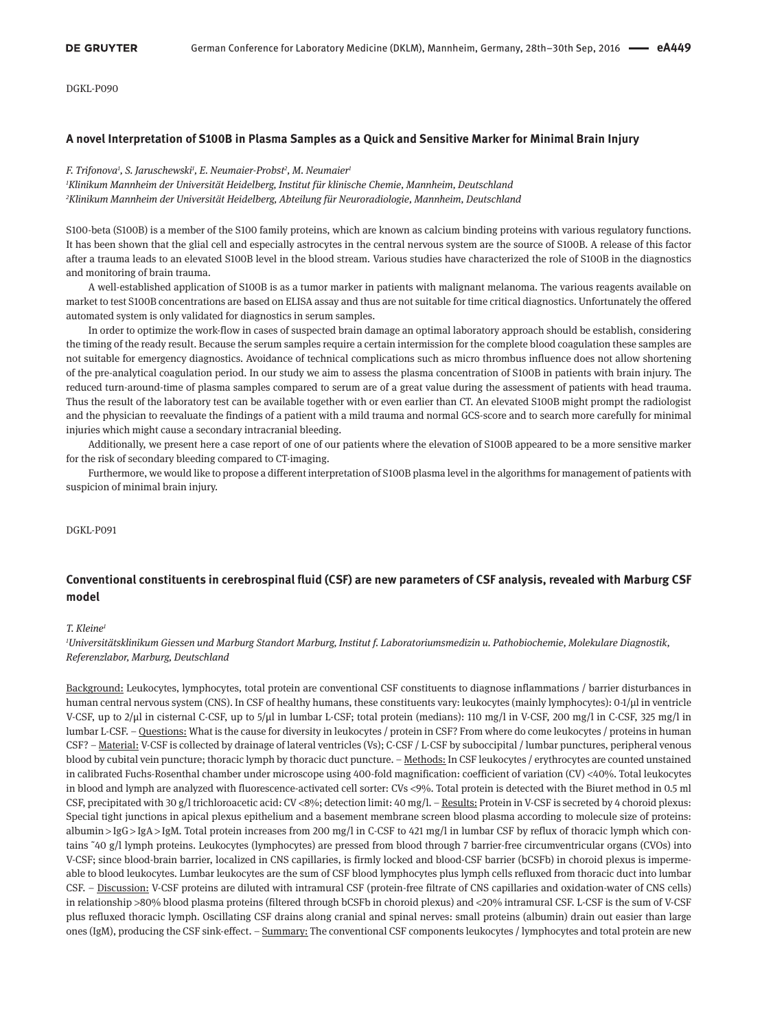DGKL-P090

### **A novel Interpretation of S100B in Plasma Samples as a Quick and Sensitive Marker for Minimal Brain Injury**

*F. Trifonova1 , S. Jaruschewski1 , E. Neumaier-Probst2 , M. Neumaier1 1 Klinikum Mannheim der Universität Heidelberg, Institut für klinische Chemie, Mannheim, Deutschland 2 Klinikum Mannheim der Universität Heidelberg, Abteilung für Neuroradiologie, Mannheim, Deutschland*

S100-beta (S100B) is a member of the S100 family proteins, which are known as calcium binding proteins with various regulatory functions. It has been shown that the glial cell and especially astrocytes in the central nervous system are the source of S100B. A release of this factor after a trauma leads to an elevated S100B level in the blood stream. Various studies have characterized the role of S100B in the diagnostics and monitoring of brain trauma.

A well-established application of S100B is as a tumor marker in patients with malignant melanoma. The various reagents available on market to test S100B concentrations are based on ELISA assay and thus are not suitable for time critical diagnostics. Unfortunately the offered automated system is only validated for diagnostics in serum samples.

In order to optimize the work-flow in cases of suspected brain damage an optimal laboratory approach should be establish, considering the timing of the ready result. Because the serum samples require a certain intermission for the complete blood coagulation these samples are not suitable for emergency diagnostics. Avoidance of technical complications such as micro thrombus influence does not allow shortening of the pre-analytical coagulation period. In our study we aim to assess the plasma concentration of S100B in patients with brain injury. The reduced turn-around-time of plasma samples compared to serum are of a great value during the assessment of patients with head trauma. Thus the result of the laboratory test can be available together with or even earlier than CT. An elevated S100B might prompt the radiologist and the physician to reevaluate the findings of a patient with a mild trauma and normal GCS-score and to search more carefully for minimal injuries which might cause a secondary intracranial bleeding.

Additionally, we present here a case report of one of our patients where the elevation of S100B appeared to be a more sensitive marker for the risk of secondary bleeding compared to CT-imaging.

Furthermore, we would like to propose a different interpretation of S100B plasma level in the algorithms for management of patients with suspicion of minimal brain injury.

#### DGKL-P091

# **Conventional constituents in cerebrospinal fluid (CSF) are new parameters of CSF analysis, revealed with Marburg CSF model**

#### *T. Kleine1*

*1 Universitätsklinikum Giessen und Marburg Standort Marburg, Institut f. Laboratoriumsmedizin u. Pathobiochemie, Molekulare Diagnostik, Referenzlabor, Marburg, Deutschland*

Background: Leukocytes, lymphocytes, total protein are conventional CSF constituents to diagnose inflammations / barrier disturbances in human central nervous system (CNS). In CSF of healthy humans, these constituents vary: leukocytes (mainly lymphocytes): 0-1/µl in ventricle V-CSF, up to 2/µl in cisternal C-CSF, up to 5/µl in lumbar L-CSF; total protein (medians): 110 mg/l in V-CSF, 200 mg/l in C-CSF, 325 mg/l in lumbar L-CSF. – Questions: What is the cause for diversity in leukocytes / protein in CSF? From where do come leukocytes / proteins in human CSF? – Material: V-CSF is collected by drainage of lateral ventricles (Vs); C-CSF / L-CSF by suboccipital / lumbar punctures, peripheral venous blood by cubital vein puncture; thoracic lymph by thoracic duct puncture. - Methods: In CSF leukocytes / erythrocytes are counted unstained in calibrated Fuchs-Rosenthal chamber under microscope using 400-fold magnification: coefficient of variation (CV) <40%. Total leukocytes in blood and lymph are analyzed with fluorescence-activated cell sorter: CVs <9%. Total protein is detected with the Biuret method in 0.5 ml CSF, precipitated with 30 g/l trichloroacetic acid: CV <8%; detection limit: 40 mg/l. - Results: Protein in V-CSF is secreted by 4 choroid plexus: Special tight junctions in apical plexus epithelium and a basement membrane screen blood plasma according to molecule size of proteins: albumin > IgG > IgA > IgM. Total protein increases from 200 mg/l in C-CSF to 421 mg/l in lumbar CSF by reflux of thoracic lymph which contains ˜40 g/l lymph proteins. Leukocytes (lymphocytes) are pressed from blood through 7 barrier-free circumventricular organs (CVOs) into V-CSF; since blood-brain barrier, localized in CNS capillaries, is firmly locked and blood-CSF barrier (bCSFb) in choroid plexus is impermeable to blood leukocytes. Lumbar leukocytes are the sum of CSF blood lymphocytes plus lymph cells refluxed from thoracic duct into lumbar CSF. – Discussion: V-CSF proteins are diluted with intramural CSF (protein-free filtrate of CNS capillaries and oxidation-water of CNS cells) in relationship >80% blood plasma proteins (filtered through bCSFb in choroid plexus) and <20% intramural CSF. L-CSF is the sum of V-CSF plus refluxed thoracic lymph. Oscillating CSF drains along cranial and spinal nerves: small proteins (albumin) drain out easier than large ones (IgM), producing the CSF sink-effect. - Summary: The conventional CSF components leukocytes / lymphocytes and total protein are new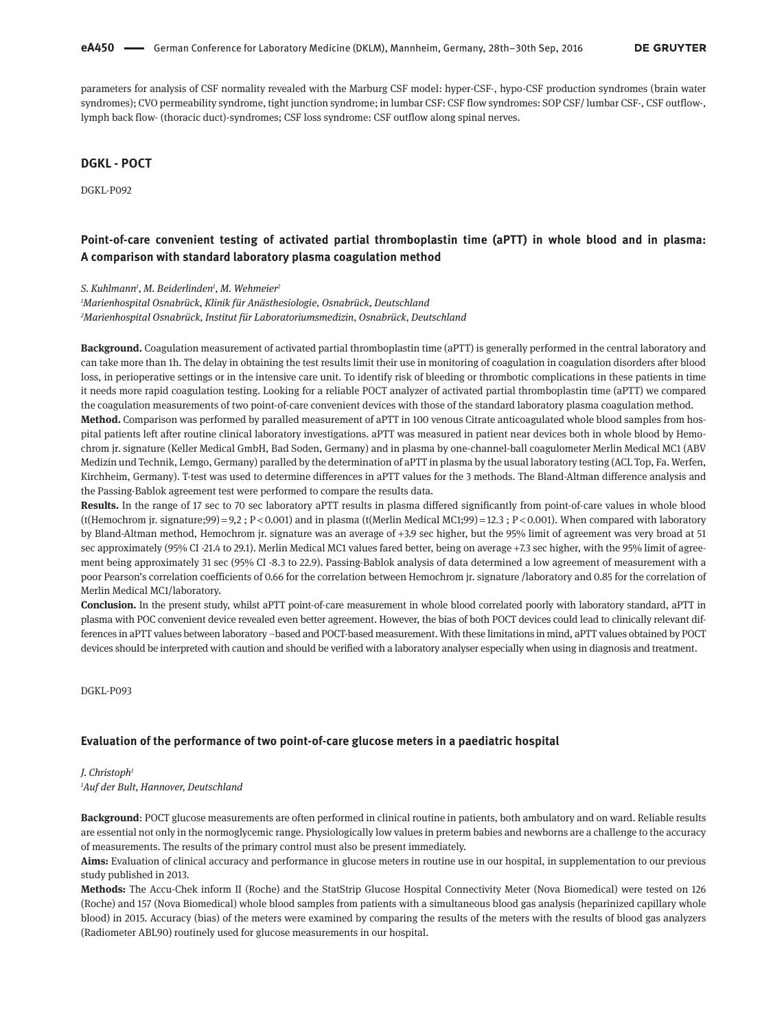parameters for analysis of CSF normality revealed with the Marburg CSF model: hyper-CSF-, hypo-CSF production syndromes (brain water syndromes); CVO permeability syndrome, tight junction syndrome; in lumbar CSF: CSF flow syndromes: SOP CSF/ lumbar CSF-, CSF outflow-, lymph back flow- (thoracic duct)-syndromes; CSF loss syndrome: CSF outflow along spinal nerves.

# **DGKL - POCT**

DGKL-P092

# **Point-of-care convenient testing of activated partial thromboplastin time (aPTT) in whole blood and in plasma: A comparison with standard laboratory plasma coagulation method**

*S. Kuhlmann1 , M. Beiderlinden1 , M. Wehmeier2*

*1 Marienhospital Osnabrück, Klinik für Anästhesiologie, Osnabrück, Deutschland 2 Marienhospital Osnabrück, Institut für Laboratoriumsmedizin, Osnabrück, Deutschland*

**Background.** Coagulation measurement of activated partial thromboplastin time (aPTT) is generally performed in the central laboratory and can take more than 1h. The delay in obtaining the test results limit their use in monitoring of coagulation in coagulation disorders after blood loss, in perioperative settings or in the intensive care unit. To identify risk of bleeding or thrombotic complications in these patients in time it needs more rapid coagulation testing. Looking for a reliable POCT analyzer of activated partial thromboplastin time (aPTT) we compared the coagulation measurements of two point-of-care convenient devices with those of the standard laboratory plasma coagulation method.

**Method.** Comparison was performed by paralled measurement of aPTT in 100 venous Citrate anticoagulated whole blood samples from hospital patients left after routine clinical laboratory investigations. aPTT was measured in patient near devices both in whole blood by Hemochrom jr. signature (Keller Medical GmbH, Bad Soden, Germany) and in plasma by one-channel-ball coagulometer Merlin Medical MC1 (ABV Medizin und Technik, Lemgo, Germany) paralled by the determination of aPTT in plasma by the usual laboratory testing (ACL Top, Fa. Werfen, Kirchheim, Germany). T-test was used to determine differences in aPTT values for the 3 methods. The Bland-Altman difference analysis and the Passing-Bablok agreement test were performed to compare the results data.

**Results.** In the range of 17 sec to 70 sec laboratory aPTT results in plasma differed significantly from point-of-care values in whole blood (t(Hemochrom jr. signature;99) = 9,2 ; P < 0.001) and in plasma (t(Merlin Medical MC1;99) = 12.3 ; P < 0.001). When compared with laboratory by Bland-Altman method, Hemochrom jr. signature was an average of +3.9 sec higher, but the 95% limit of agreement was very broad at 51 sec approximately (95% CI -21.4 to 29.1). Merlin Medical MC1 values fared better, being on average +7.3 sec higher, with the 95% limit of agreement being approximately 31 sec (95% CI -8.3 to 22.9). Passing-Bablok analysis of data determined a low agreement of measurement with a poor Pearson's correlation coefficients of 0.66 for the correlation between Hemochrom jr. signature /laboratory and 0.85 for the correlation of Merlin Medical MC1/laboratory.

**Conclusion.** In the present study, whilst aPTT point-of-care measurement in whole blood correlated poorly with laboratory standard, aPTT in plasma with POC convenient device revealed even better agreement. However, the bias of both POCT devices could lead to clinically relevant differences in aPTT values between laboratory –based and POCT-based measurement. With these limitations in mind, aPTT values obtained by POCT devices should be interpreted with caution and should be verified with a laboratory analyser especially when using in diagnosis and treatment.

DGKL-P093

### **Evaluation of the performance of two point-of-care glucose meters in a paediatric hospital**

### *J. Christoph1 1 Auf der Bult, Hannover, Deutschland*

**Background**: POCT glucose measurements are often performed in clinical routine in patients, both ambulatory and on ward. Reliable results are essential not only in the normoglycemic range. Physiologically low values in preterm babies and newborns are a challenge to the accuracy of measurements. The results of the primary control must also be present immediately.

Aims: Evaluation of clinical accuracy and performance in glucose meters in routine use in our hospital, in supplementation to our previous study published in 2013.

**Methods:** The Accu-Chek inform II (Roche) and the StatStrip Glucose Hospital Connectivity Meter (Nova Biomedical) were tested on 126 (Roche) and 157 (Nova Biomedical) whole blood samples from patients with a simultaneous blood gas analysis (heparinized capillary whole blood) in 2015. Accuracy (bias) of the meters were examined by comparing the results of the meters with the results of blood gas analyzers (Radiometer ABL90) routinely used for glucose measurements in our hospital.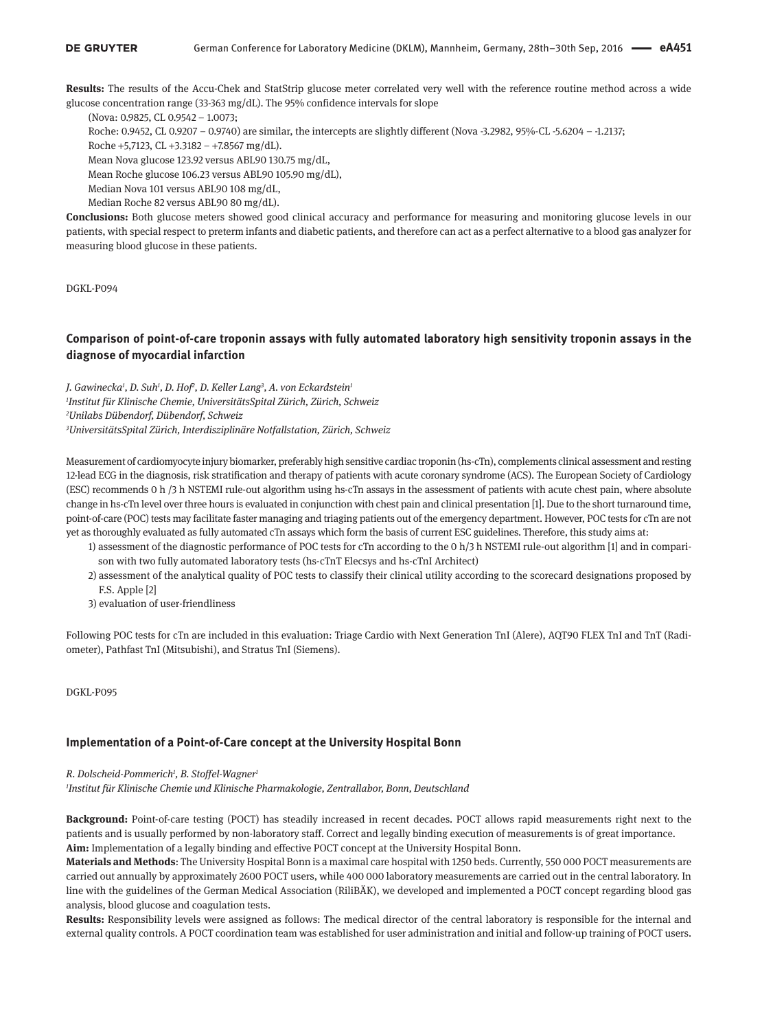**Results:** The results of the Accu-Chek and StatStrip glucose meter correlated very well with the reference routine method across a wide glucose concentration range (33-363 mg/dL). The 95% confidence intervals for slope

(Nova: 0.9825, CL 0.9542 – 1.0073;

Roche: 0.9452, CL 0.9207 – 0.9740) are similar, the intercepts are slightly different (Nova -3.2982, 95%-CL -5.6204 – -1.2137;

Roche +5,7123, CL +3.3182 – +7.8567 mg/dL).

Mean Nova glucose 123.92 versus ABL90 130.75 mg/dL,

Mean Roche glucose 106.23 versus ABL90 105.90 mg/dL),

Median Nova 101 versus ABL90 108 mg/dL,

Median Roche 82 versus ABL90 80 mg/dL).

**Conclusions:** Both glucose meters showed good clinical accuracy and performance for measuring and monitoring glucose levels in our patients, with special respect to preterm infants and diabetic patients, and therefore can act as a perfect alternative to a blood gas analyzer for measuring blood glucose in these patients.

DGKL-P094

# **Comparison of point-of-care troponin assays with fully automated laboratory high sensitivity troponin assays in the diagnose of myocardial infarction**

*J. Gawinecka1 , D. Suh1 , D. Hof2 , D. Keller Lang3 , A. von Eckardstein1 Institut für Klinische Chemie, UniversitätsSpital Zürich, Zürich, Schweiz Unilabs Dübendorf, Dübendorf, Schweiz UniversitätsSpital Zürich, Interdisziplinäre Notfallstation, Zürich, Schweiz*

Measurement of cardiomyocyte injury biomarker, preferably high sensitive cardiac troponin (hs-cTn), complements clinical assessment and resting 12-lead ECG in the diagnosis, risk stratification and therapy of patients with acute coronary syndrome (ACS). The European Society of Cardiology (ESC) recommends 0 h /3 h NSTEMI rule-out algorithm using hs-cTn assays in the assessment of patients with acute chest pain, where absolute change in hs-cTn level over three hours is evaluated in conjunction with chest pain and clinical presentation [1]. Due to the short turnaround time, point-of-care (POC) tests may facilitate faster managing and triaging patients out of the emergency department. However, POC tests for cTn are not yet as thoroughly evaluated as fully automated cTn assays which form the basis of current ESC guidelines. Therefore, this study aims at:

- 1) assessment of the diagnostic performance of POC tests for cTn according to the 0 h/3 h NSTEMI rule-out algorithm [1] and in comparison with two fully automated laboratory tests (hs-cTnT Elecsys and hs-cTnI Architect)
- 2) assessment of the analytical quality of POC tests to classify their clinical utility according to the scorecard designations proposed by F.S. Apple [2]
- 3) evaluation of user-friendliness

Following POC tests for cTn are included in this evaluation: Triage Cardio with Next Generation TnI (Alere), AQT90 FLEX TnI and TnT (Radiometer), Pathfast TnI (Mitsubishi), and Stratus TnI (Siemens).

DGKL-P095

### **Implementation of a Point-of-Care concept at the University Hospital Bonn**

### *R. Dolscheid-Pommerich1 , B. Stoffel-Wagner1*

*1 Institut für Klinische Chemie und Klinische Pharmakologie, Zentrallabor, Bonn, Deutschland*

**Background:** Point-of-care testing (POCT) has steadily increased in recent decades. POCT allows rapid measurements right next to the patients and is usually performed by non-laboratory staff. Correct and legally binding execution of measurements is of great importance. **Aim:** Implementation of a legally binding and effective POCT concept at the University Hospital Bonn.

**Materials and Methods**: The University Hospital Bonn is a maximal care hospital with 1250 beds. Currently, 550 000 POCT measurements are carried out annually by approximately 2600 POCT users, while 400 000 laboratory measurements are carried out in the central laboratory. In line with the guidelines of the German Medical Association (RiliBÄK), we developed and implemented a POCT concept regarding blood gas analysis, blood glucose and coagulation tests.

**Results:** Responsibility levels were assigned as follows: The medical director of the central laboratory is responsible for the internal and external quality controls. A POCT coordination team was established for user administration and initial and follow-up training of POCT users.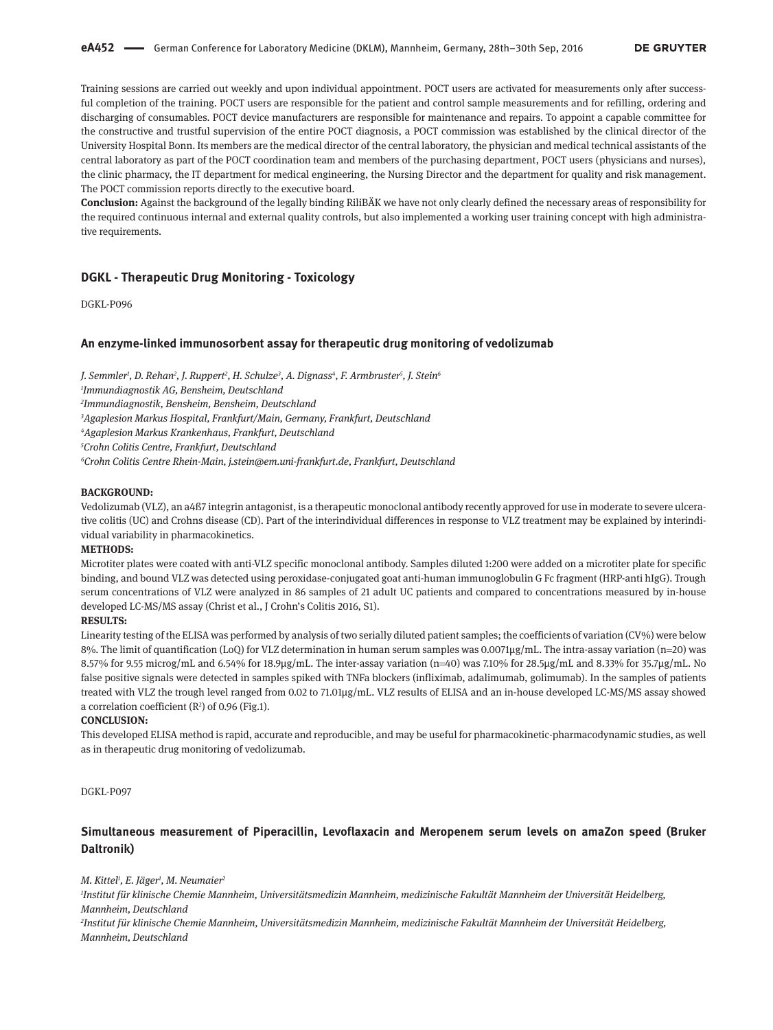Training sessions are carried out weekly and upon individual appointment. POCT users are activated for measurements only after successful completion of the training. POCT users are responsible for the patient and control sample measurements and for refilling, ordering and discharging of consumables. POCT device manufacturers are responsible for maintenance and repairs. To appoint a capable committee for the constructive and trustful supervision of the entire POCT diagnosis, a POCT commission was established by the clinical director of the University Hospital Bonn. Its members are the medical director of the central laboratory, the physician and medical technical assistants of the central laboratory as part of the POCT coordination team and members of the purchasing department, POCT users (physicians and nurses), the clinic pharmacy, the IT department for medical engineering, the Nursing Director and the department for quality and risk management. The POCT commission reports directly to the executive board.

**Conclusion:** Against the background of the legally binding RiliBÄK we have not only clearly defined the necessary areas of responsibility for the required continuous internal and external quality controls, but also implemented a working user training concept with high administrative requirements.

### **DGKL - Therapeutic Drug Monitoring - Toxicology**

DGKL-P096

### **An enzyme-linked immunosorbent assay for therapeutic drug monitoring of vedolizumab**

*J. Semmler1 , D. Rehan2 , J. Ruppert2 , H. Schulze3 , A. Dignass4 , F. Armbruster5 , J. Stein6*

*1 Immundiagnostik AG, Bensheim, Deutschland*

*2 Immundiagnostik, Bensheim, Bensheim, Deutschland*

*3 Agaplesion Markus Hospital, Frankfurt/Main, Germany, Frankfurt, Deutschland*

*4 Agaplesion Markus Krankenhaus, Frankfurt, Deutschland*

*5 Crohn Colitis Centre, Frankfurt, Deutschland*

*6 Crohn Colitis Centre Rhein-Main, j.stein@em.uni-frankfurt.de, Frankfurt, Deutschland*

#### **BACKGROUND:**

Vedolizumab (VLZ), an a4ß7 integrin antagonist, is a therapeutic monoclonal antibody recently approved for use in moderate to severe ulcerative colitis (UC) and Crohns disease (CD). Part of the interindividual differences in response to VLZ treatment may be explained by interindividual variability in pharmacokinetics.

### **METHODS:**

Microtiter plates were coated with anti-VLZ specific monoclonal antibody. Samples diluted 1:200 were added on a microtiter plate for specific binding, and bound VLZ was detected using peroxidase-conjugated goat anti-human immunoglobulin G Fc fragment (HRP-anti hIgG). Trough serum concentrations of VLZ were analyzed in 86 samples of 21 adult UC patients and compared to concentrations measured by in-house developed LC-MS/MS assay (Christ et al., J Crohn's Colitis 2016, S1).

### **RESULTS:**

Linearity testing of the ELISA was performed by analysis of two serially diluted patient samples; the coefficients of variation (CV%) were below 8%. The limit of quantification (LoQ) for VLZ determination in human serum samples was 0.0071µg/mL. The intra-assay variation (n=20) was 8.57% for 9.55 microg/mL and 6.54% for 18.9µg/mL. The inter-assay variation (n=40) was 7.10% for 28.5µg/mL and 8.33% for 35.7µg/mL. No false positive signals were detected in samples spiked with TNFa blockers (infliximab, adalimumab, golimumab). In the samples of patients treated with VLZ the trough level ranged from 0.02 to 71.01µg/mL. VLZ results of ELISA and an in-house developed LC-MS/MS assay showed a correlation coefficient  $(R^2)$  of 0.96 (Fig.1).

#### **CONCLUSION:**

This developed ELISA method is rapid, accurate and reproducible, and may be useful for pharmacokinetic-pharmacodynamic studies, as well as in therapeutic drug monitoring of vedolizumab.

DGKL-P097

# **Simultaneous measurement of Piperacillin, Levoflaxacin and Meropenem serum levels on amaZon speed (Bruker Daltronik)**

*M. Kittel1 , E. Jäger1 , M. Neumaier2*

*1 Institut für klinische Chemie Mannheim, Universitätsmedizin Mannheim, medizinische Fakultät Mannheim der Universität Heidelberg, Mannheim, Deutschland*

*2 Institut für klinische Chemie Mannheim, Universitätsmedizin Mannheim, medizinische Fakultät Mannheim der Universität Heidelberg, Mannheim, Deutschland*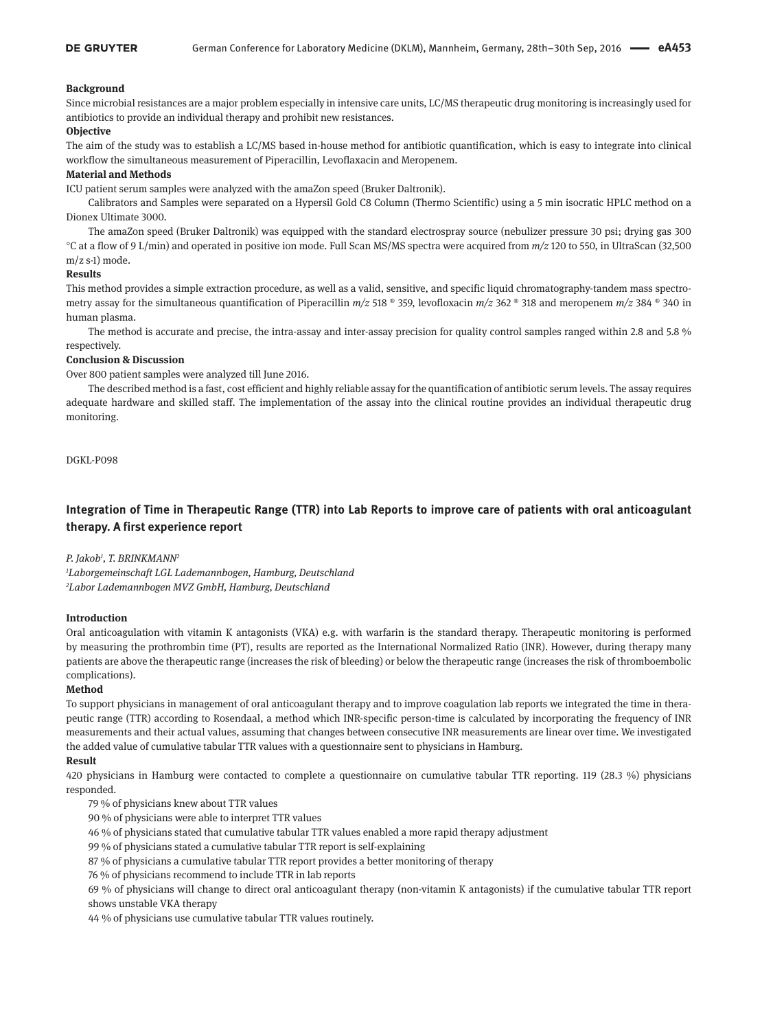### **Background**

Since microbial resistances are a major problem especially in intensive care units, LC/MS therapeutic drug monitoring is increasingly used for antibiotics to provide an individual therapy and prohibit new resistances.

#### **Objective**

The aim of the study was to establish a LC/MS based in-house method for antibiotic quantification, which is easy to integrate into clinical workflow the simultaneous measurement of Piperacillin, Levoflaxacin and Meropenem.

### **Material and Methods**

ICU patient serum samples were analyzed with the amaZon speed (Bruker Daltronik).

Calibrators and Samples were separated on a Hypersil Gold C8 Column (Thermo Scientific) using a 5 min isocratic HPLC method on a Dionex Ultimate 3000.

The amaZon speed (Bruker Daltronik) was equipped with the standard electrospray source (nebulizer pressure 30 psi; drying gas 300 °C at a flow of 9 L/min) and operated in positive ion mode. Full Scan MS/MS spectra were acquired from *m/z* 120 to 550, in UltraScan (32,500 m/z s-1) mode.

### **Results**

This method provides a simple extraction procedure, as well as a valid, sensitive, and specific liquid chromatography-tandem mass spectrometry assay for the simultaneous quantification of Piperacillin *m/z* 518 ® 359, levofloxacin *m/z* 362 ® 318 and meropenem *m/z* 384 ® 340 in human plasma.

The method is accurate and precise, the intra-assay and inter-assay precision for quality control samples ranged within 2.8 and 5.8 % respectively.

### **Conclusion & Discussion**

Over 800 patient samples were analyzed till June 2016.

The described method is a fast, cost efficient and highly reliable assay for the quantification of antibiotic serum levels. The assay requires adequate hardware and skilled staff. The implementation of the assay into the clinical routine provides an individual therapeutic drug monitoring.

DGKL-P098

# **Integration of Time in Therapeutic Range (TTR) into Lab Reports to improve care of patients with oral anticoagulant therapy. A first experience report**

## *P. Jakob1 , T. BRINKMANN2*

*1 Laborgemeinschaft LGL Lademannbogen, Hamburg, Deutschland 2 Labor Lademannbogen MVZ GmbH, Hamburg, Deutschland*

### **Introduction**

Oral anticoagulation with vitamin K antagonists (VKA) e.g. with warfarin is the standard therapy. Therapeutic monitoring is performed by measuring the prothrombin time (PT), results are reported as the International Normalized Ratio (INR). However, during therapy many patients are above the therapeutic range (increases the risk of bleeding) or below the therapeutic range (increases the risk of thromboembolic complications).

#### **Method**

To support physicians in management of oral anticoagulant therapy and to improve coagulation lab reports we integrated the time in therapeutic range (TTR) according to Rosendaal, a method which INR-specific person-time is calculated by incorporating the frequency of INR measurements and their actual values, assuming that changes between consecutive INR measurements are linear over time. We investigated the added value of cumulative tabular TTR values with a questionnaire sent to physicians in Hamburg.

### **Result**

420 physicians in Hamburg were contacted to complete a questionnaire on cumulative tabular TTR reporting. 119 (28.3 %) physicians responded.

79 % of physicians knew about TTR values

- 90 % of physicians were able to interpret TTR values
- 46 % of physicians stated that cumulative tabular TTR values enabled a more rapid therapy adjustment
- 99 % of physicians stated a cumulative tabular TTR report is self-explaining
- 87 % of physicians a cumulative tabular TTR report provides a better monitoring of therapy
- 76 % of physicians recommend to include TTR in lab reports

69 % of physicians will change to direct oral anticoagulant therapy (non-vitamin K antagonists) if the cumulative tabular TTR report shows unstable VKA therapy

44 % of physicians use cumulative tabular TTR values routinely.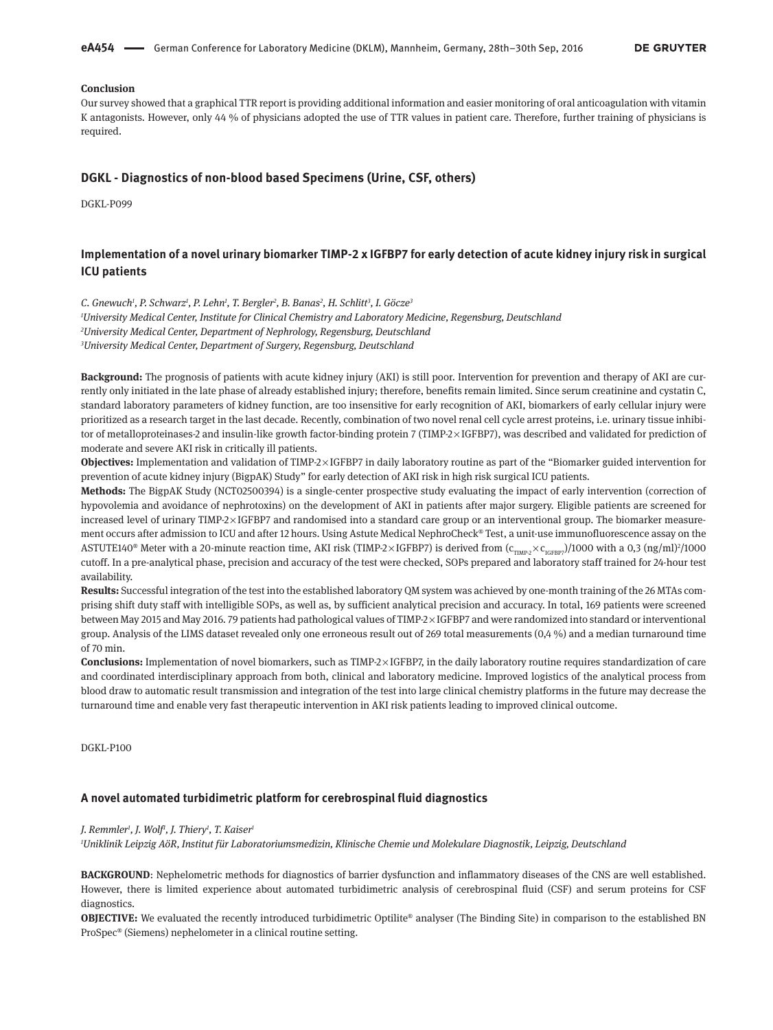**eA454**    German Conference for Laboratory Medicine (DKLM), Mannheim, Germany, 28th–30th Sep, 2016

### **Conclusion**

Our survey showed that a graphical TTR report is providing additional information and easier monitoring of oral anticoagulation with vitamin K antagonists. However, only 44 % of physicians adopted the use of TTR values in patient care. Therefore, further training of physicians is required.

### **DGKL - Diagnostics of non-blood based Specimens (Urine, CSF, others)**

DGKL-P099

# **Implementation of a novel urinary biomarker TIMP-2 x IGFBP7 for early detection of acute kidney injury risk in surgical ICU patients**

*C. Gnewuch1 , P. Schwarz1 , P. Lehn1 , T. Bergler2 , B. Banas2 , H. Schlitt3 , I. Göcze3*

*1 University Medical Center, Institute for Clinical Chemistry and Laboratory Medicine, Regensburg, Deutschland 2 University Medical Center, Department of Nephrology, Regensburg, Deutschland 3 University Medical Center, Department of Surgery, Regensburg, Deutschland*

**Background:** The prognosis of patients with acute kidney injury (AKI) is still poor. Intervention for prevention and therapy of AKI are currently only initiated in the late phase of already established injury; therefore, benefits remain limited. Since serum creatinine and cystatin C, standard laboratory parameters of kidney function, are too insensitive for early recognition of AKI, biomarkers of early cellular injury were prioritized as a research target in the last decade. Recently, combination of two novel renal cell cycle arrest proteins, i.e. urinary tissue inhibitor of metalloproteinases-2 and insulin-like growth factor-binding protein 7 (TIMP-2×IGFBP7), was described and validated for prediction of moderate and severe AKI risk in critically ill patients.

**Objectives:** Implementation and validation of TIMP-2 × IGFBP7 in daily laboratory routine as part of the "Biomarker guided intervention for prevention of acute kidney injury (BigpAK) Study" for early detection of AKI risk in high risk surgical ICU patients.

**Methods:** The BigpAK Study (NCT02500394) is a single-center prospective study evaluating the impact of early intervention (correction of hypovolemia and avoidance of nephrotoxins) on the development of AKI in patients after major surgery. Eligible patients are screened for increased level of urinary TIMP-2 × IGFBP7 and randomised into a standard care group or an interventional group. The biomarker measurement occurs after admission to ICU and after 12 hours. Using Astute Medical NephroCheck® Test, a unit-use immunofluorescence assay on the ASTUTE140® Meter with a 20-minute reaction time, AKI risk (TIMP-2×IGFBP7) is derived from ( $\rm{c_{TIMP} \times c_{IGFBP}}$ )/1000 with a 0,3 (ng/ml)?/1000 cutoff. In a pre-analytical phase, precision and accuracy of the test were checked, SOPs prepared and laboratory staff trained for 24-hour test availability.

**Results:** Successful integration of the test into the established laboratory QM system was achieved by one-month training of the 26 MTAs comprising shift duty staff with intelligible SOPs, as well as, by sufficient analytical precision and accuracy. In total, 169 patients were screened between May 2015 and May 2016. 79 patients had pathological values of TIMP-2 × IGFBP7 and were randomized into standard or interventional group. Analysis of the LIMS dataset revealed only one erroneous result out of 269 total measurements (0,4 %) and a median turnaround time of 70 min.

**Conclusions:** Implementation of novel biomarkers, such as TIMP-2 × IGFBP7, in the daily laboratory routine requires standardization of care and coordinated interdisciplinary approach from both, clinical and laboratory medicine. Improved logistics of the analytical process from blood draw to automatic result transmission and integration of the test into large clinical chemistry platforms in the future may decrease the turnaround time and enable very fast therapeutic intervention in AKI risk patients leading to improved clinical outcome.

DGKL-P100

#### **A novel automated turbidimetric platform for cerebrospinal fluid diagnostics**

#### *J. Remmler1 , J. Wolf1 , J. Thiery1 , T. Kaiser1*

*1 Uniklinik Leipzig AöR, Institut für Laboratoriumsmedizin, Klinische Chemie und Molekulare Diagnostik, Leipzig, Deutschland*

**BACKGROUND**: Nephelometric methods for diagnostics of barrier dysfunction and inflammatory diseases of the CNS are well established. However, there is limited experience about automated turbidimetric analysis of cerebrospinal fluid (CSF) and serum proteins for CSF diagnostics.

**OBJECTIVE:** We evaluated the recently introduced turbidimetric Optilite® analyser (The Binding Site) in comparison to the established BN ProSpec® (Siemens) nephelometer in a clinical routine setting.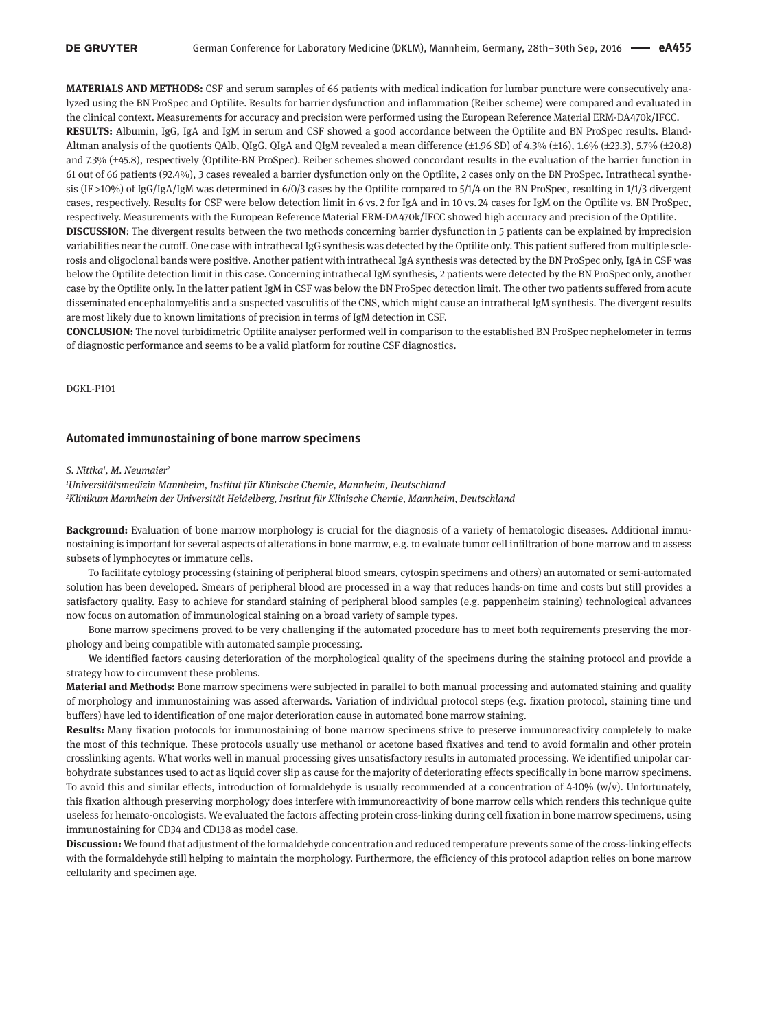**MATERIALS AND METHODS:** CSF and serum samples of 66 patients with medical indication for lumbar puncture were consecutively analyzed using the BN ProSpec and Optilite. Results for barrier dysfunction and inflammation (Reiber scheme) were compared and evaluated in the clinical context. Measurements for accuracy and precision were performed using the European Reference Material ERM-DA470k/IFCC. **RESULTS:** Albumin, IgG, IgA and IgM in serum and CSF showed a good accordance between the Optilite and BN ProSpec results. Bland-Altman analysis of the quotients QAlb, QIgG, QIgA and QIgM revealed a mean difference (±1.96 SD) of 4.3% (±16), 1.6% (±23.3), 5.7% (±20.8) and 7.3% (±45.8), respectively (Optilite-BN ProSpec). Reiber schemes showed concordant results in the evaluation of the barrier function in 61 out of 66 patients (92.4%), 3 cases revealed a barrier dysfunction only on the Optilite, 2 cases only on the BN ProSpec. Intrathecal synthesis (IF >10%) of IgG/IgA/IgM was determined in 6/0/3 cases by the Optilite compared to 5/1/4 on the BN ProSpec, resulting in 1/1/3 divergent cases, respectively. Results for CSF were below detection limit in 6 vs. 2 for IgA and in 10 vs. 24 cases for IgM on the Optilite vs. BN ProSpec, respectively. Measurements with the European Reference Material ERM-DA470k/IFCC showed high accuracy and precision of the Optilite. **DISCUSSION**: The divergent results between the two methods concerning barrier dysfunction in 5 patients can be explained by imprecision variabilities near the cutoff. One case with intrathecal IgG synthesis was detected by the Optilite only. This patient suffered from multiple sclerosis and oligoclonal bands were positive. Another patient with intrathecal IgA synthesis was detected by the BN ProSpec only, IgA in CSF was below the Optilite detection limit in this case. Concerning intrathecal IgM synthesis, 2 patients were detected by the BN ProSpec only, another case by the Optilite only. In the latter patient IgM in CSF was below the BN ProSpec detection limit. The other two patients suffered from acute disseminated encephalomyelitis and a suspected vasculitis of the CNS, which might cause an intrathecal IgM synthesis. The divergent results are most likely due to known limitations of precision in terms of IgM detection in CSF.

**CONCLUSION:** The novel turbidimetric Optilite analyser performed well in comparison to the established BN ProSpec nephelometer in terms of diagnostic performance and seems to be a valid platform for routine CSF diagnostics.

DGKL-P101

#### **Automated immunostaining of bone marrow specimens**

#### *S. Nittka1 , M. Neumaier2*

*1 Universitätsmedizin Mannheim, Institut für Klinische Chemie, Mannheim, Deutschland 2 Klinikum Mannheim der Universität Heidelberg, Institut für Klinische Chemie, Mannheim, Deutschland*

**Background:** Evaluation of bone marrow morphology is crucial for the diagnosis of a variety of hematologic diseases. Additional immunostaining is important for several aspects of alterations in bone marrow, e.g. to evaluate tumor cell infiltration of bone marrow and to assess subsets of lymphocytes or immature cells.

To facilitate cytology processing (staining of peripheral blood smears, cytospin specimens and others) an automated or semi-automated solution has been developed. Smears of peripheral blood are processed in a way that reduces hands-on time and costs but still provides a satisfactory quality. Easy to achieve for standard staining of peripheral blood samples (e.g. pappenheim staining) technological advances now focus on automation of immunological staining on a broad variety of sample types.

Bone marrow specimens proved to be very challenging if the automated procedure has to meet both requirements preserving the morphology and being compatible with automated sample processing.

We identified factors causing deterioration of the morphological quality of the specimens during the staining protocol and provide a strategy how to circumvent these problems.

**Material and Methods:** Bone marrow specimens were subjected in parallel to both manual processing and automated staining and quality of morphology and immunostaining was assed afterwards. Variation of individual protocol steps (e.g. fixation protocol, staining time und buffers) have led to identification of one major deterioration cause in automated bone marrow staining.

**Results:** Many fixation protocols for immunostaining of bone marrow specimens strive to preserve immunoreactivity completely to make the most of this technique. These protocols usually use methanol or acetone based fixatives and tend to avoid formalin and other protein crosslinking agents. What works well in manual processing gives unsatisfactory results in automated processing. We identified unipolar carbohydrate substances used to act as liquid cover slip as cause for the majority of deteriorating effects specifically in bone marrow specimens. To avoid this and similar effects, introduction of formaldehyde is usually recommended at a concentration of 4-10% (w/v). Unfortunately, this fixation although preserving morphology does interfere with immunoreactivity of bone marrow cells which renders this technique quite useless for hemato-oncologists. We evaluated the factors affecting protein cross-linking during cell fixation in bone marrow specimens, using immunostaining for CD34 and CD138 as model case.

**Discussion:** We found that adjustment of the formaldehyde concentration and reduced temperature prevents some of the cross-linking effects with the formaldehyde still helping to maintain the morphology. Furthermore, the efficiency of this protocol adaption relies on bone marrow cellularity and specimen age.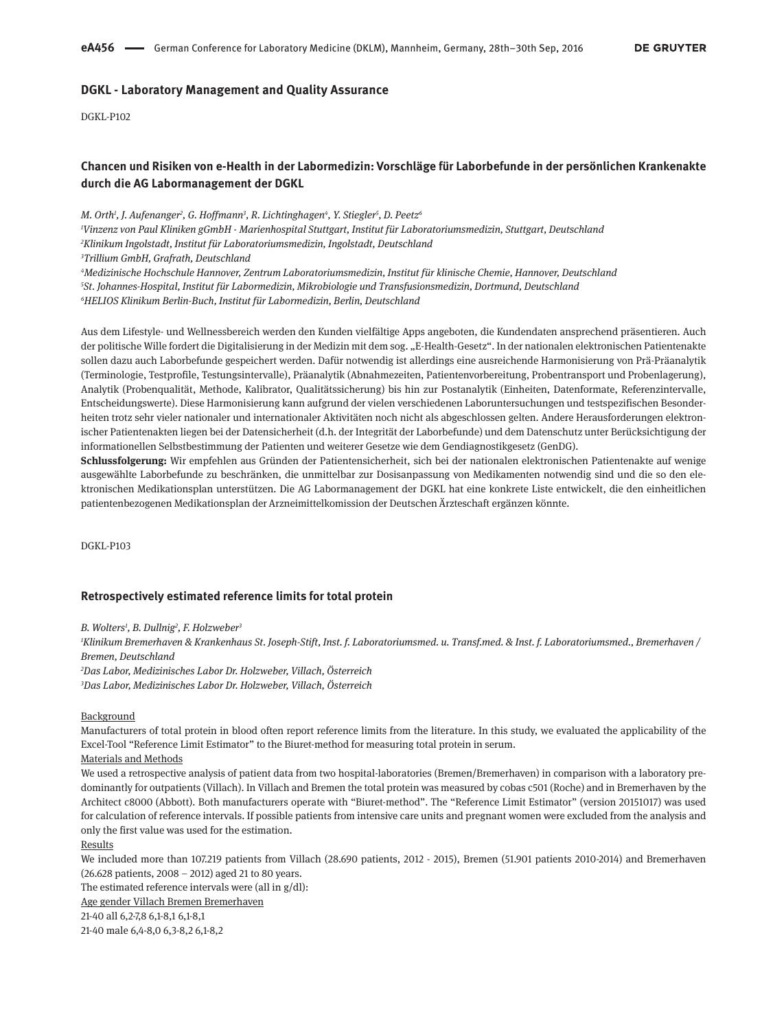### **DGKL - Laboratory Management and Quality Assurance**

DGKL-P102

# **Chancen und Risiken von e-Health in der Labormedizin: Vorschläge für Laborbefunde in der persönlichen Krankenakte durch die AG Labormanagement der DGKL**

*M. Orth1 , J. Aufenanger2 , G. Hoffmann3 , R. Lichtinghagen4 , Y. Stiegler5 , D. Peetz6 Vinzenz von Paul Kliniken gGmbH - Marienhospital Stuttgart, Institut für Laboratoriumsmedizin, Stuttgart, Deutschland Klinikum Ingolstadt, Institut für Laboratoriumsmedizin, Ingolstadt, Deutschland Trillium GmbH, Grafrath, Deutschland Medizinische Hochschule Hannover, Zentrum Laboratoriumsmedizin, Institut für klinische Chemie, Hannover, Deutschland St. Johannes-Hospital, Institut für Labormedizin, Mikrobiologie und Transfusionsmedizin, Dortmund, Deutschland*

*6 HELIOS Klinikum Berlin-Buch, Institut für Labormedizin, Berlin, Deutschland*

Aus dem Lifestyle- und Wellnessbereich werden den Kunden vielfältige Apps angeboten, die Kundendaten ansprechend präsentieren. Auch der politische Wille fordert die Digitalisierung in der Medizin mit dem sog. "E-Health-Gesetz". In der nationalen elektronischen Patientenakte sollen dazu auch Laborbefunde gespeichert werden. Dafür notwendig ist allerdings eine ausreichende Harmonisierung von Prä-Präanalytik (Terminologie, Testprofile, Testungsintervalle), Präanalytik (Abnahmezeiten, Patientenvorbereitung, Probentransport und Probenlagerung), Analytik (Probenqualität, Methode, Kalibrator, Qualitätssicherung) bis hin zur Postanalytik (Einheiten, Datenformate, Referenzintervalle, Entscheidungswerte). Diese Harmonisierung kann aufgrund der vielen verschiedenen Laboruntersuchungen und testspezifischen Besonderheiten trotz sehr vieler nationaler und internationaler Aktivitäten noch nicht als abgeschlossen gelten. Andere Herausforderungen elektronischer Patientenakten liegen bei der Datensicherheit (d.h. der Integrität der Laborbefunde) und dem Datenschutz unter Berücksichtigung der informationellen Selbstbestimmung der Patienten und weiterer Gesetze wie dem Gendiagnostikgesetz (GenDG).

**Schlussfolgerung:** Wir empfehlen aus Gründen der Patientensicherheit, sich bei der nationalen elektronischen Patientenakte auf wenige ausgewählte Laborbefunde zu beschränken, die unmittelbar zur Dosisanpassung von Medikamenten notwendig sind und die so den elektronischen Medikationsplan unterstützen. Die AG Labormanagement der DGKL hat eine konkrete Liste entwickelt, die den einheitlichen patientenbezogenen Medikationsplan der Arzneimittelkomission der Deutschen Ärzteschaft ergänzen könnte.

DGKL-P103

### **Retrospectively estimated reference limits for total protein**

*B. Wolters1 , B. Dullnig2 , F. Holzweber3*

*1 Klinikum Bremerhaven & Krankenhaus St. Joseph-Stift, Inst. f. Laboratoriumsmed. u. Transf.med. & Inst. f. Laboratoriumsmed., Bremerhaven / Bremen, Deutschland*

*2 Das Labor, Medizinisches Labor Dr. Holzweber, Villach, Österreich 3 Das Labor, Medizinisches Labor Dr. Holzweber, Villach, Österreich*

#### **Background**

Manufacturers of total protein in blood often report reference limits from the literature. In this study, we evaluated the applicability of the Excel-Tool "Reference Limit Estimator" to the Biuret-method for measuring total protein in serum.

### Materials and Methods

We used a retrospective analysis of patient data from two hospital-laboratories (Bremen/Bremerhaven) in comparison with a laboratory predominantly for outpatients (Villach). In Villach and Bremen the total protein was measured by cobas c501 (Roche) and in Bremerhaven by the Architect c8000 (Abbott). Both manufacturers operate with "Biuret-method". The "Reference Limit Estimator" (version 20151017) was used for calculation of reference intervals. If possible patients from intensive care units and pregnant women were excluded from the analysis and only the first value was used for the estimation.

Results

We included more than 107.219 patients from Villach (28.690 patients, 2012 - 2015), Bremen (51.901 patients 2010-2014) and Bremerhaven (26.628 patients, 2008 – 2012) aged 21 to 80 years.

The estimated reference intervals were (all in  $g/dl$ ):

Age gender Villach Bremen Bremerhaven

21-40 all 6,2-7,8 6,1-8,1 6,1-8,1

21-40 male 6,4-8,0 6,3-8,2 6,1-8,2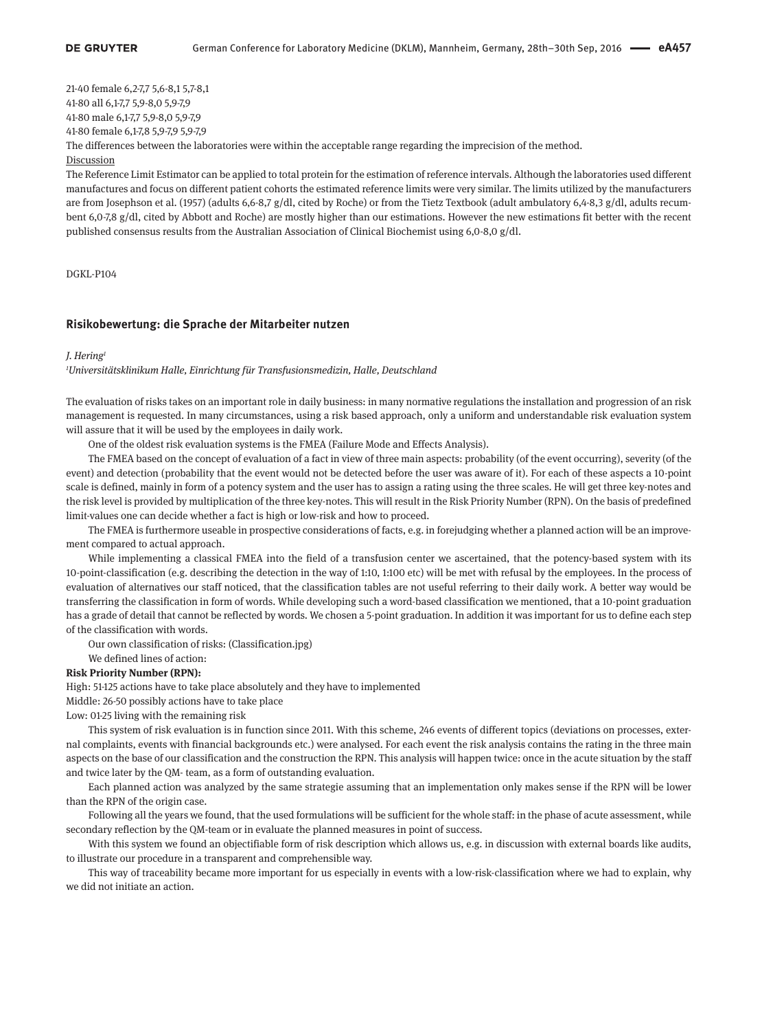21-40 female 6,2-7,7 5,6-8,1 5,7-8,1 41-80 all 6,1-7,7 5,9-8,0 5,9-7,9 41-80 male 6,1-7,7 5,9-8,0 5,9-7,9 41-80 female 6,1-7,8 5,9-7,9 5,9-7,9 The differences between the laboratories were within the acceptable range regarding the imprecision of the method. Discussion

The Reference Limit Estimator can be applied to total protein for the estimation of reference intervals. Although the laboratories used different manufactures and focus on different patient cohorts the estimated reference limits were very similar. The limits utilized by the manufacturers are from Josephson et al. (1957) (adults 6,6-8,7 g/dl, cited by Roche) or from the Tietz Textbook (adult ambulatory 6,4-8,3 g/dl, adults recumbent 6,0-7,8 g/dl, cited by Abbott and Roche) are mostly higher than our estimations. However the new estimations fit better with the recent published consensus results from the Australian Association of Clinical Biochemist using 6,0-8,0 g/dl.

DGKL-P104

#### **Risikobewertung: die Sprache der Mitarbeiter nutzen**

#### *J. Hering*

*1 Universitätsklinikum Halle, Einrichtung für Transfusionsmedizin, Halle, Deutschland*

The evaluation of risks takes on an important role in daily business: in many normative regulations the installation and progression of an risk management is requested. In many circumstances, using a risk based approach, only a uniform and understandable risk evaluation system will assure that it will be used by the employees in daily work.

One of the oldest risk evaluation systems is the FMEA (Failure Mode and Effects Analysis).

The FMEA based on the concept of evaluation of a fact in view of three main aspects: probability (of the event occurring), severity (of the event) and detection (probability that the event would not be detected before the user was aware of it). For each of these aspects a 10-point scale is defined, mainly in form of a potency system and the user has to assign a rating using the three scales. He will get three key-notes and the risk level is provided by multiplication of the three key-notes. This will result in the Risk Priority Number (RPN). On the basis of predefined limit-values one can decide whether a fact is high or low-risk and how to proceed.

The FMEA is furthermore useable in prospective considerations of facts, e.g. in forejudging whether a planned action will be an improvement compared to actual approach.

While implementing a classical FMEA into the field of a transfusion center we ascertained, that the potency-based system with its 10-point-classification (e.g. describing the detection in the way of 1:10, 1:100 etc) will be met with refusal by the employees. In the process of evaluation of alternatives our staff noticed, that the classification tables are not useful referring to their daily work. A better way would be transferring the classification in form of words. While developing such a word-based classification we mentioned, that a 10-point graduation has a grade of detail that cannot be reflected by words. We chosen a 5-point graduation. In addition it was important for us to define each step of the classification with words.

Our own classification of risks: (Classification.jpg)

We defined lines of action:

#### **Risk Priority Number (RPN):**

High: 51-125 actions have to take place absolutely and they have to implemented

Middle: 26-50 possibly actions have to take place

Low: 01-25 living with the remaining risk

This system of risk evaluation is in function since 2011. With this scheme, 246 events of different topics (deviations on processes, external complaints, events with financial backgrounds etc.) were analysed. For each event the risk analysis contains the rating in the three main aspects on the base of our classification and the construction the RPN. This analysis will happen twice: once in the acute situation by the staff and twice later by the QM- team, as a form of outstanding evaluation.

Each planned action was analyzed by the same strategie assuming that an implementation only makes sense if the RPN will be lower than the RPN of the origin case.

Following all the years we found, that the used formulations will be sufficient for the whole staff: in the phase of acute assessment, while secondary reflection by the QM-team or in evaluate the planned measures in point of success.

With this system we found an objectifiable form of risk description which allows us, e.g. in discussion with external boards like audits, to illustrate our procedure in a transparent and comprehensible way.

This way of traceability became more important for us especially in events with a low-risk-classification where we had to explain, why we did not initiate an action.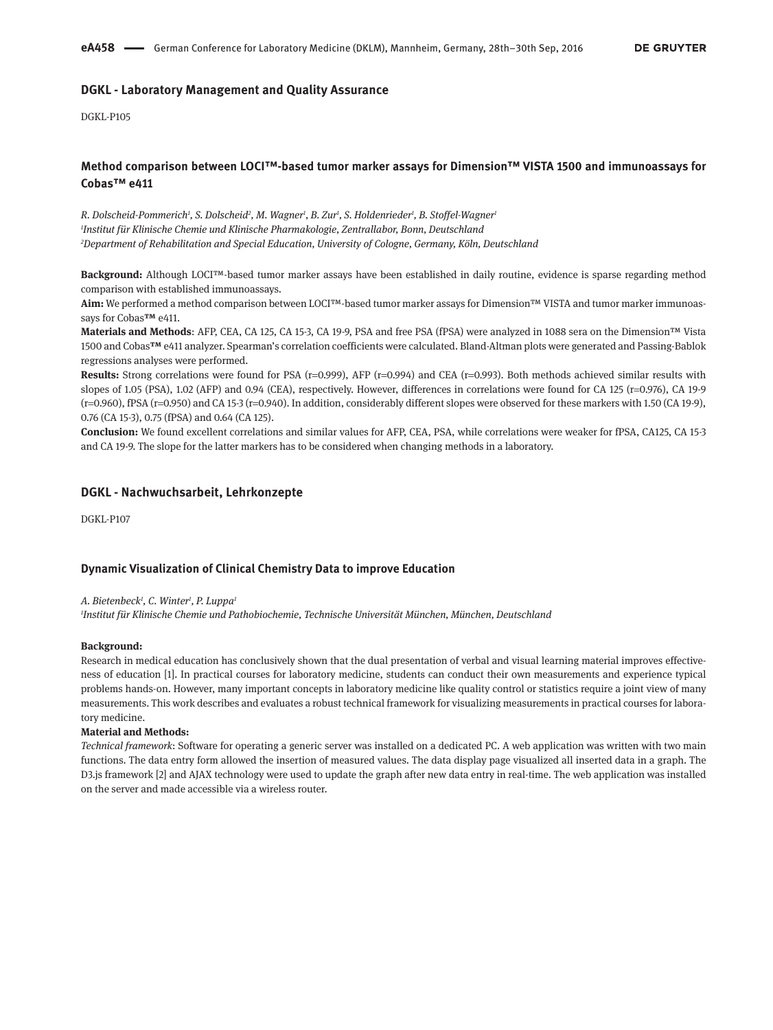# **DGKL - Laboratory Management and Quality Assurance**

DGKL-P105

# **Method comparison between LOCI™-based tumor marker assays for Dimension™ VISTA 1500 and immunoassays for Cobas™ e411**

*R. Dolscheid-Pommerich1 , S. Dolscheid2 , M. Wagner1 , B. Zur1 , S. Holdenrieder1 , B. Stoffel-Wagner1 1 Institut für Klinische Chemie und Klinische Pharmakologie, Zentrallabor, Bonn, Deutschland 2 Department of Rehabilitation and Special Education, University of Cologne, Germany, Köln, Deutschland*

**Background:** Although LOCI™-based tumor marker assays have been established in daily routine, evidence is sparse regarding method comparison with established immunoassays.

**Aim:** We performed a method comparison between LOCI™-based tumor marker assays for Dimension™ VISTA and tumor marker immunoassays for Cobas**™** e411.

**Materials and Methods**: AFP, CEA, CA 125, CA 15-3, CA 19-9, PSA and free PSA (fPSA) were analyzed in 1088 sera on the Dimension™ Vista 1500 and Cobas**™** e411 analyzer. Spearman's correlation coefficients were calculated. Bland-Altman plots were generated and Passing-Bablok regressions analyses were performed.

**Results:** Strong correlations were found for PSA (r=0.999), AFP (r=0.994) and CEA (r=0.993). Both methods achieved similar results with slopes of 1.05 (PSA), 1.02 (AFP) and 0.94 (CEA), respectively. However, differences in correlations were found for CA 125 (r=0.976), CA 19-9  $(r=0.960)$ , fPSA  $(r=0.950)$  and CA 15-3  $(r=0.940)$ . In addition, considerably different slopes were observed for these markers with 1.50 (CA 19-9), 0.76 (CA 15-3), 0.75 (fPSA) and 0.64 (CA 125).

**Conclusion:** We found excellent correlations and similar values for AFP, CEA, PSA, while correlations were weaker for fPSA, CA125, CA 15-3 and CA 19-9. The slope for the latter markers has to be considered when changing methods in a laboratory.

### **DGKL - Nachwuchsarbeit, Lehrkonzepte**

DGKL-P107

### **Dynamic Visualization of Clinical Chemistry Data to improve Education**

### *A. Bietenbeck1 , C. Winter1 , P. Luppa1*

*1 Institut für Klinische Chemie und Pathobiochemie, Technische Universität München, München, Deutschland*

### **Background:**

Research in medical education has conclusively shown that the dual presentation of verbal and visual learning material improves effectiveness of education [1]. In practical courses for laboratory medicine, students can conduct their own measurements and experience typical problems hands-on. However, many important concepts in laboratory medicine like quality control or statistics require a joint view of many measurements. This work describes and evaluates a robust technical framework for visualizing measurements in practical courses for laboratory medicine.

### **Material and Methods:**

*Technical framework*: Software for operating a generic server was installed on a dedicated PC. A web application was written with two main functions. The data entry form allowed the insertion of measured values. The data display page visualized all inserted data in a graph. The D3.js framework [2] and AJAX technology were used to update the graph after new data entry in real-time. The web application was installed on the server and made accessible via a wireless router.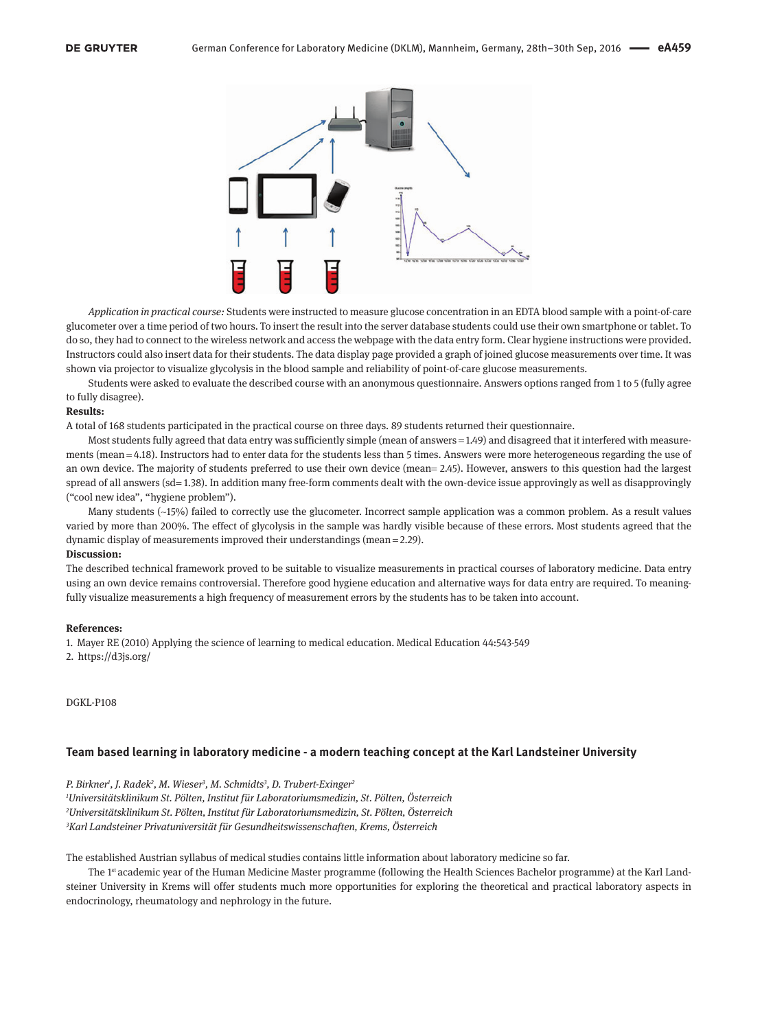

*Application in practical course:* Students were instructed to measure glucose concentration in an EDTA blood sample with a point-of-care glucometer over a time period of two hours. To insert the result into the server database students could use their own smartphone or tablet. To do so, they had to connect to the wireless network and access the webpage with the data entry form. Clear hygiene instructions were provided. Instructors could also insert data for their students. The data display page provided a graph of joined glucose measurements over time. It was shown via projector to visualize glycolysis in the blood sample and reliability of point-of-care glucose measurements.

Students were asked to evaluate the described course with an anonymous questionnaire. Answers options ranged from 1 to 5 (fully agree to fully disagree).

#### **Results:**

A total of 168 students participated in the practical course on three days. 89 students returned their questionnaire.

Most students fully agreed that data entry was sufficiently simple (mean of answers = 1.49) and disagreed that it interfered with measurements (mean = 4.18). Instructors had to enter data for the students less than 5 times. Answers were more heterogeneous regarding the use of an own device. The majority of students preferred to use their own device (mean= 2.45). However, answers to this question had the largest spread of all answers (sd= 1.38). In addition many free-form comments dealt with the own-device issue approvingly as well as disapprovingly ("cool new idea", "hygiene problem").

Many students (~15%) failed to correctly use the glucometer. Incorrect sample application was a common problem. As a result values varied by more than 200%. The effect of glycolysis in the sample was hardly visible because of these errors. Most students agreed that the dynamic display of measurements improved their understandings (mean = 2.29).

#### **Discussion:**

The described technical framework proved to be suitable to visualize measurements in practical courses of laboratory medicine. Data entry using an own device remains controversial. Therefore good hygiene education and alternative ways for data entry are required. To meaningfully visualize measurements a high frequency of measurement errors by the students has to be taken into account.

#### **References:**

1. Mayer RE (2010) Applying the science of learning to medical education. Medical Education 44:543-549 2.<https://d3js.org/>

#### DGKL-P108

### **Team based learning in laboratory medicine - a modern teaching concept at the Karl Landsteiner University**

*P. Birkner1 , J. Radek2 , M. Wieser3 , M. Schmidts3 , D. Trubert-Exinger2*

*1 Universitätsklinikum St. Pölten, Institut für Laboratoriumsmedizin, St. Pölten, Österreich 2 Universitätsklinikum St. Pölten, Institut für Laboratoriumsmedizin, St. Pölten, Österreich 3 Karl Landsteiner Privatuniversität für Gesundheitswissenschaften, Krems, Österreich*

The established Austrian syllabus of medical studies contains little information about laboratory medicine so far.

The 1<sup>st</sup> academic year of the Human Medicine Master programme (following the Health Sciences Bachelor programme) at the Karl Landsteiner University in Krems will offer students much more opportunities for exploring the theoretical and practical laboratory aspects in endocrinology, rheumatology and nephrology in the future.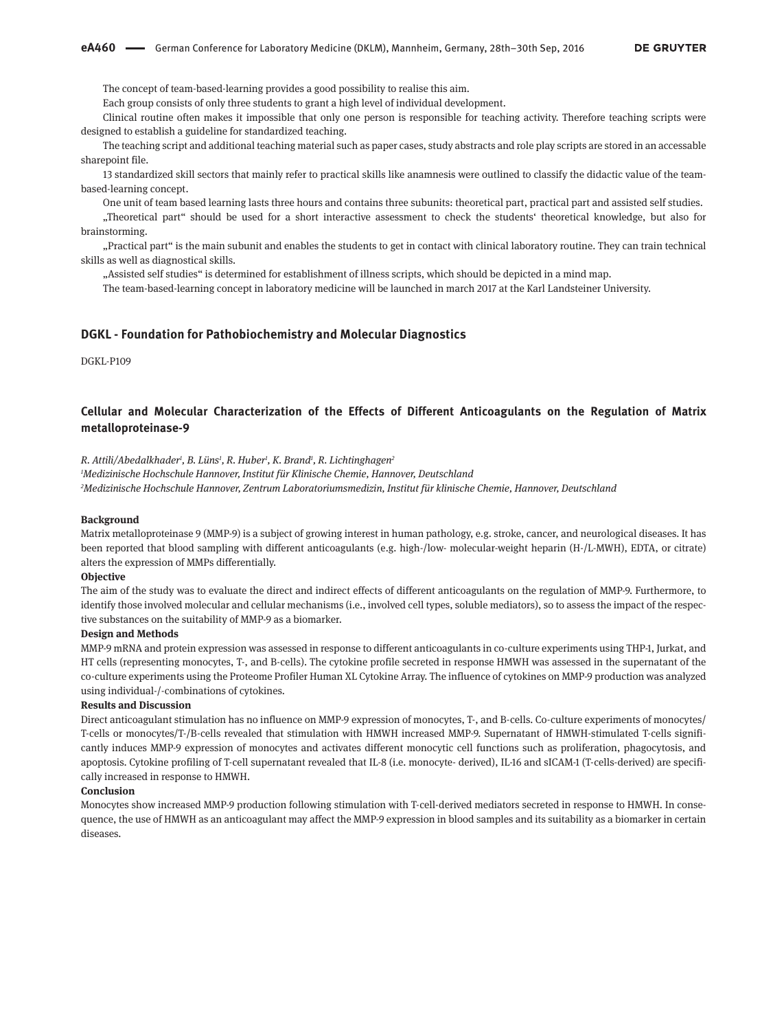The concept of team-based-learning provides a good possibility to realise this aim.

Each group consists of only three students to grant a high level of individual development.

Clinical routine often makes it impossible that only one person is responsible for teaching activity. Therefore teaching scripts were designed to establish a guideline for standardized teaching.

The teaching script and additional teaching material such as paper cases, study abstracts and role play scripts are stored in an accessable sharepoint file.

13 standardized skill sectors that mainly refer to practical skills like anamnesis were outlined to classify the didactic value of the teambased-learning concept.

One unit of team based learning lasts three hours and contains three subunits: theoretical part, practical part and assisted self studies.

"Theoretical part" should be used for a short interactive assessment to check the students' theoretical knowledge, but also for brainstorming.

"Practical part" is the main subunit and enables the students to get in contact with clinical laboratory routine. They can train technical skills as well as diagnostical skills.

"Assisted self studies" is determined for establishment of illness scripts, which should be depicted in a mind map.

The team-based-learning concept in laboratory medicine will be launched in march 2017 at the Karl Landsteiner University.

### **DGKL - Foundation for Pathobiochemistry and Molecular Diagnostics**

DGKL-P109

# **Cellular and Molecular Characterization of the Effects of Different Anticoagulants on the Regulation of Matrix metalloproteinase-9**

*R. Attili/Abedalkhader1 , B. Lüns1 , R. Huber1 , K. Brand1 , R. Lichtinghagen2*

*1 Medizinische Hochschule Hannover, Institut für Klinische Chemie, Hannover, Deutschland 2 Medizinische Hochschule Hannover, Zentrum Laboratoriumsmedizin, Institut für klinische Chemie, Hannover, Deutschland*

#### **Background**

Matrix metalloproteinase 9 (MMP-9) is a subject of growing interest in human pathology, e.g. stroke, cancer, and neurological diseases. It has been reported that blood sampling with different anticoagulants (e.g. high-/low- molecular-weight heparin (H-/L-MWH), EDTA, or citrate) alters the expression of MMPs differentially.

#### **Objective**

The aim of the study was to evaluate the direct and indirect effects of different anticoagulants on the regulation of MMP-9. Furthermore, to identify those involved molecular and cellular mechanisms (i.e., involved cell types, soluble mediators), so to assess the impact of the respective substances on the suitability of MMP-9 as a biomarker.

#### **Design and Methods**

MMP-9 mRNA and protein expression was assessed in response to different anticoagulants in co-culture experiments using THP-1, Jurkat, and HT cells (representing monocytes, T-, and B-cells). The cytokine profile secreted in response HMWH was assessed in the supernatant of the co-culture experiments using the Proteome Profiler Human XL Cytokine Array. The influence of cytokines on MMP-9 production was analyzed using individual-/-combinations of cytokines.

#### **Results and Discussion**

Direct anticoagulant stimulation has no influence on MMP-9 expression of monocytes, T-, and B-cells. Co-culture experiments of monocytes/ T-cells or monocytes/T-/B-cells revealed that stimulation with HMWH increased MMP-9. Supernatant of HMWH-stimulated T-cells significantly induces MMP-9 expression of monocytes and activates different monocytic cell functions such as proliferation, phagocytosis, and apoptosis. Cytokine profiling of T-cell supernatant revealed that IL-8 (i.e. monocyte- derived), IL-16 and sICAM-1 (T-cells-derived) are specifically increased in response to HMWH.

#### **Conclusion**

Monocytes show increased MMP-9 production following stimulation with T-cell-derived mediators secreted in response to HMWH. In consequence, the use of HMWH as an anticoagulant may affect the MMP-9 expression in blood samples and its suitability as a biomarker in certain diseases.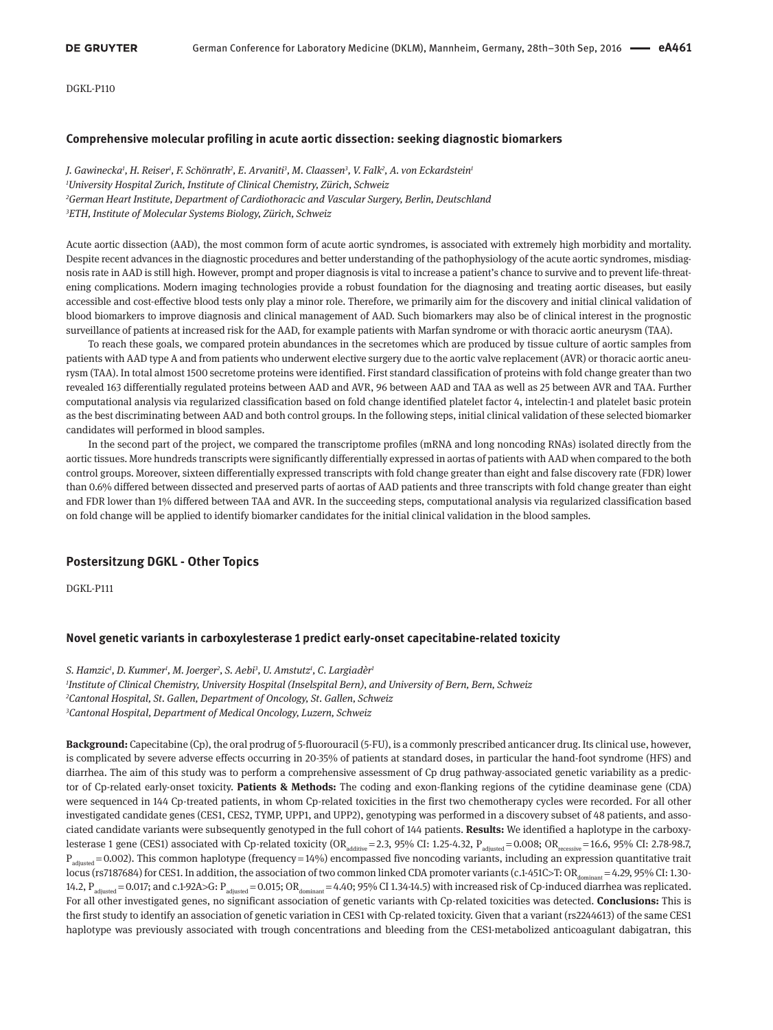DGKL-P110

### **Comprehensive molecular profiling in acute aortic dissection: seeking diagnostic biomarkers**

*J. Gawinecka1 , H. Reiser1 , F. Schönrath2 , E. Arvaniti3 , M. Claassen3 , V. Falk2 , A. von Eckardstein1 University Hospital Zurich, Institute of Clinical Chemistry, Zürich, Schweiz German Heart Institute, Department of Cardiothoracic and Vascular Surgery, Berlin, Deutschland ETH, Institute of Molecular Systems Biology, Zürich, Schweiz*

Acute aortic dissection (AAD), the most common form of acute aortic syndromes, is associated with extremely high morbidity and mortality. Despite recent advances in the diagnostic procedures and better understanding of the pathophysiology of the acute aortic syndromes, misdiagnosis rate in AAD is still high. However, prompt and proper diagnosis is vital to increase a patient's chance to survive and to prevent life-threatening complications. Modern imaging technologies provide a robust foundation for the diagnosing and treating aortic diseases, but easily accessible and cost-effective blood tests only play a minor role. Therefore, we primarily aim for the discovery and initial clinical validation of blood biomarkers to improve diagnosis and clinical management of AAD. Such biomarkers may also be of clinical interest in the prognostic surveillance of patients at increased risk for the AAD, for example patients with Marfan syndrome or with thoracic aortic aneurysm (TAA).

To reach these goals, we compared protein abundances in the secretomes which are produced by tissue culture of aortic samples from patients with AAD type A and from patients who underwent elective surgery due to the aortic valve replacement (AVR) or thoracic aortic aneurysm (TAA). In total almost 1500 secretome proteins were identified. First standard classification of proteins with fold change greater than two revealed 163 differentially regulated proteins between AAD and AVR, 96 between AAD and TAA as well as 25 between AVR and TAA. Further computational analysis via regularized classification based on fold change identified platelet factor 4, intelectin-1 and platelet basic protein as the best discriminating between AAD and both control groups. In the following steps, initial clinical validation of these selected biomarker candidates will performed in blood samples.

In the second part of the project, we compared the transcriptome profiles (mRNA and long noncoding RNAs) isolated directly from the aortic tissues. More hundreds transcripts were significantly differentially expressed in aortas of patients with AAD when compared to the both control groups. Moreover, sixteen differentially expressed transcripts with fold change greater than eight and false discovery rate (FDR) lower than 0.6% differed between dissected and preserved parts of aortas of AAD patients and three transcripts with fold change greater than eight and FDR lower than 1% differed between TAA and AVR. In the succeeding steps, computational analysis via regularized classification based on fold change will be applied to identify biomarker candidates for the initial clinical validation in the blood samples.

### **Postersitzung DGKL - Other Topics**

DGKL-P111

#### **Novel genetic variants in carboxylesterase 1 predict early-onset capecitabine-related toxicity**

*S. Hamzic1 , D. Kummer1 , M. Joerger2 , S. Aebi3 , U. Amstutz1 , C. Largiadèr1 Institute of Clinical Chemistry, University Hospital (Inselspital Bern), and University of Bern, Bern, Schweiz Cantonal Hospital, St. Gallen, Department of Oncology, St. Gallen, Schweiz Cantonal Hospital, Department of Medical Oncology, Luzern, Schweiz*

**Background:** Capecitabine (Cp), the oral prodrug of 5-fluorouracil (5-FU), is a commonly prescribed anticancer drug. Its clinical use, however, is complicated by severe adverse effects occurring in 20-35% of patients at standard doses, in particular the hand-foot syndrome (HFS) and diarrhea. The aim of this study was to perform a comprehensive assessment of Cp drug pathway-associated genetic variability as a predictor of Cp-related early-onset toxicity. **Patients & Methods:** The coding and exon-flanking regions of the cytidine deaminase gene (CDA) were sequenced in 144 Cp-treated patients, in whom Cp-related toxicities in the first two chemotherapy cycles were recorded. For all other investigated candidate genes (CES1, CES2, TYMP, UPP1, and UPP2), genotyping was performed in a discovery subset of 48 patients, and associated candidate variants were subsequently genotyped in the full cohort of 144 patients. **Results:** We identified a haplotype in the carboxylesterase 1 gene (CES1) associated with Cp-related toxicity (OR $_{\text{additive}}$ =2.3, 95% CI: 1.25-4.32, P $_{\text{adjusted}}$  = 0.008; OR $_{\text{recessive}}$ =16.6, 95% CI: 2.78-98.7,  $P_{\text{adiusited}}$  = 0.002). This common haplotype (frequency = 14%) encompassed five noncoding variants, including an expression quantitative trait locus (rs7187684) for CES1. In addition, the association of two common linked CDA promoter variants (c.1-451C>T: OR<sub>dominant</sub> = 4.29, 95% CI: 1.30-14.2,  $P_{\text{adjusted}} = 0.017$ ; and c.1-92A>G:  $P_{\text{adjusted}} = 0.015$ ; OR $_{\text{dominant}} = 4.40$ ; 95% CI 1.34-14.5) with increased risk of Cp-induced diarrhea was replicated. For all other investigated genes, no significant association of genetic variants with Cp-related toxicities was detected. **Conclusions:** This is the first study to identify an association of genetic variation in CES1 with Cp-related toxicity. Given that a variant (rs2244613) of the same CES1 haplotype was previously associated with trough concentrations and bleeding from the CES1-metabolized anticoagulant dabigatran, this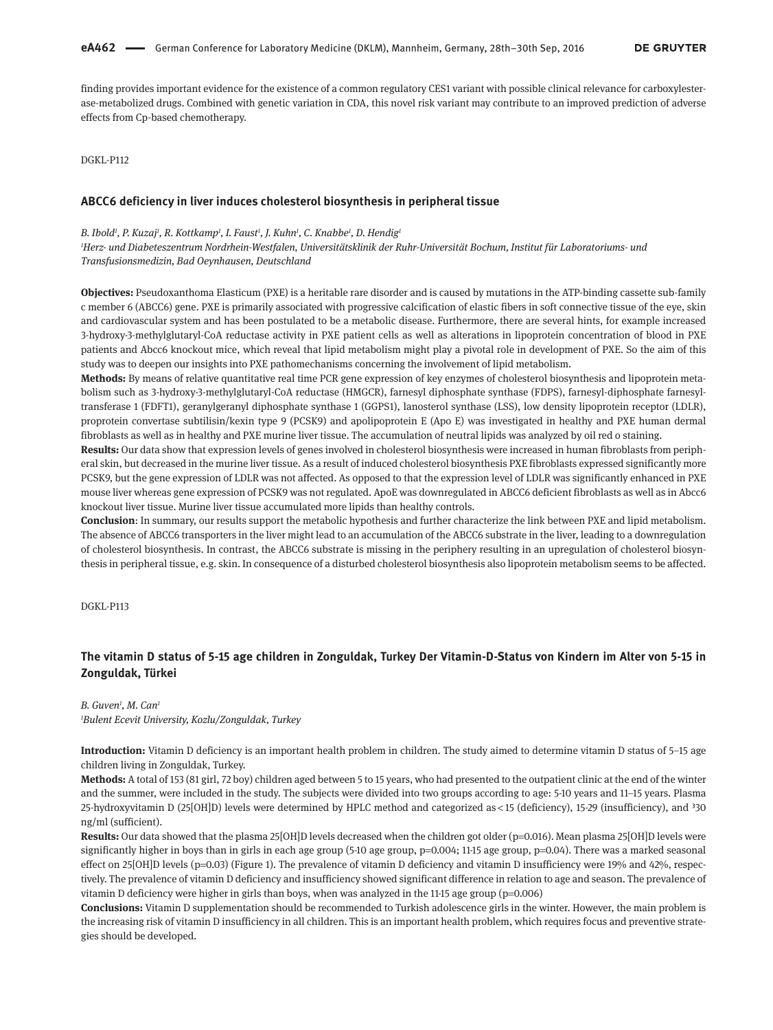finding provides important evidence for the existence of a common regulatory CES1 variant with possible clinical relevance for carboxylesterase-metabolized drugs. Combined with genetic variation in CDA, this novel risk variant may contribute to an improved prediction of adverse effects from Cp-based chemotherapy.

DGKL-P112

#### **ABCC6 deficiency in liver induces cholesterol biosynthesis in peripheral tissue**

#### B. Ibold<sup>ı</sup>, P. Kuzaj<sup>ı</sup>, R. Kottkamp<sup>ı</sup>, I. Faust<sup>ı</sup>, J. Kuhn<sup>ı</sup>, C. Knabbe<sup>ı</sup>, D. Hendig<sup>ı</sup>

*1 Herz- und Diabeteszentrum Nordrhein-Westfalen, Universitätsklinik der Ruhr-Universität Bochum, Institut für Laboratoriums- und Transfusionsmedizin, Bad Oeynhausen, Deutschland*

**Objectives:** Pseudoxanthoma Elasticum (PXE) is a heritable rare disorder and is caused by mutations in the ATP-binding cassette sub-family c member 6 (ABCC6) gene. PXE is primarily associated with progressive calcification of elastic fibers in soft connective tissue of the eye, skin and cardiovascular system and has been postulated to be a metabolic disease. Furthermore, there are several hints, for example increased 3-hydroxy-3-methylglutaryl-CoA reductase activity in PXE patient cells as well as alterations in lipoprotein concentration of blood in PXE patients and Abcc6 knockout mice, which reveal that lipid metabolism might play a pivotal role in development of PXE. So the aim of this study was to deepen our insights into PXE pathomechanisms concerning the involvement of lipid metabolism.

**Methods:** By means of relative quantitative real time PCR gene expression of key enzymes of cholesterol biosynthesis and lipoprotein metabolism such as 3-hydroxy-3-methylglutaryl-CoA reductase (HMGCR), farnesyl diphosphate synthase (FDPS), farnesyl-diphosphate farnesyltransferase 1 (FDFT1), geranylgeranyl diphosphate synthase 1 (GGPS1), lanosterol synthase (LSS), low density lipoprotein receptor (LDLR), proprotein convertase subtilisin/kexin type 9 (PCSK9) and apolipoprotein E (Apo E) was investigated in healthy and PXE human dermal fibroblasts as well as in healthy and PXE murine liver tissue. The accumulation of neutral lipids was analyzed by oil red o staining.

**Results:** Our data show that expression levels of genes involved in cholesterol biosynthesis were increased in human fibroblasts from peripheral skin, but decreased in the murine liver tissue. As a result of induced cholesterol biosynthesis PXE fibroblasts expressed significantly more PCSK9, but the gene expression of LDLR was not affected. As opposed to that the expression level of LDLR was significantly enhanced in PXE mouse liver whereas gene expression of PCSK9 was not regulated. ApoE was downregulated in ABCC6 deficient fibroblasts as well as in Abcc6 knockout liver tissue. Murine liver tissue accumulated more lipids than healthy controls.

**Conclusion**: In summary, our results support the metabolic hypothesis and further characterize the link between PXE and lipid metabolism. The absence of ABCC6 transporters in the liver might lead to an accumulation of the ABCC6 substrate in the liver, leading to a downregulation of cholesterol biosynthesis. In contrast, the ABCC6 substrate is missing in the periphery resulting in an upregulation of cholesterol biosynthesis in peripheral tissue, e.g. skin. In consequence of a disturbed cholesterol biosynthesis also lipoprotein metabolism seems to be affected.

DGKL-P113

# **The vitamin D status of 5-15 age children in Zonguldak, Turkey Der Vitamin-D-Status von Kindern im Alter von 5-15 in Zonguldak, Türkei**

### *B. Guven1 , M. Can1 1 Bulent Ecevit University, Kozlu/Zonguldak, Turkey*

**Introduction:** Vitamin D deficiency is an important health problem in children. The study aimed to determine vitamin D status of 5–15 age children living in Zonguldak, Turkey.

**Methods:** A total of 153 (81 girl, 72 boy) children aged between 5 to 15 years, who had presented to the outpatient clinic at the end of the winter and the summer, were included in the study. The subjects were divided into two groups according to age: 5-10 years and 11–15 years. Plasma 25-hydroxyvitamin D (25[OH]D) levels were determined by HPLC method and categorized as <15 (deficiency), 15-29 (insufficiency), and <sup>3</sup>30 ng/ml (sufficient).

**Results:** Our data showed that the plasma 25[OH]D levels decreased when the children got older (p=0.016). Mean plasma 25[OH]D levels were significantly higher in boys than in girls in each age group (5-10 age group, p=0.004; 11-15 age group, p=0.04). There was a marked seasonal effect on 25[OH]D levels (p=0.03) (Figure 1). The prevalence of vitamin D deficiency and vitamin D insufficiency were 19% and 42%, respectively. The prevalence of vitamin D deficiency and insufficiency showed significant difference in relation to age and season. The prevalence of vitamin D deficiency were higher in girls than boys, when was analyzed in the 11-15 age group ( $p=0.006$ )

**Conclusions:** Vitamin D supplementation should be recommended to Turkish adolescence girls in the winter. However, the main problem is the increasing risk of vitamin D insufficiency in all children. This is an important health problem, which requires focus and preventive strategies should be developed.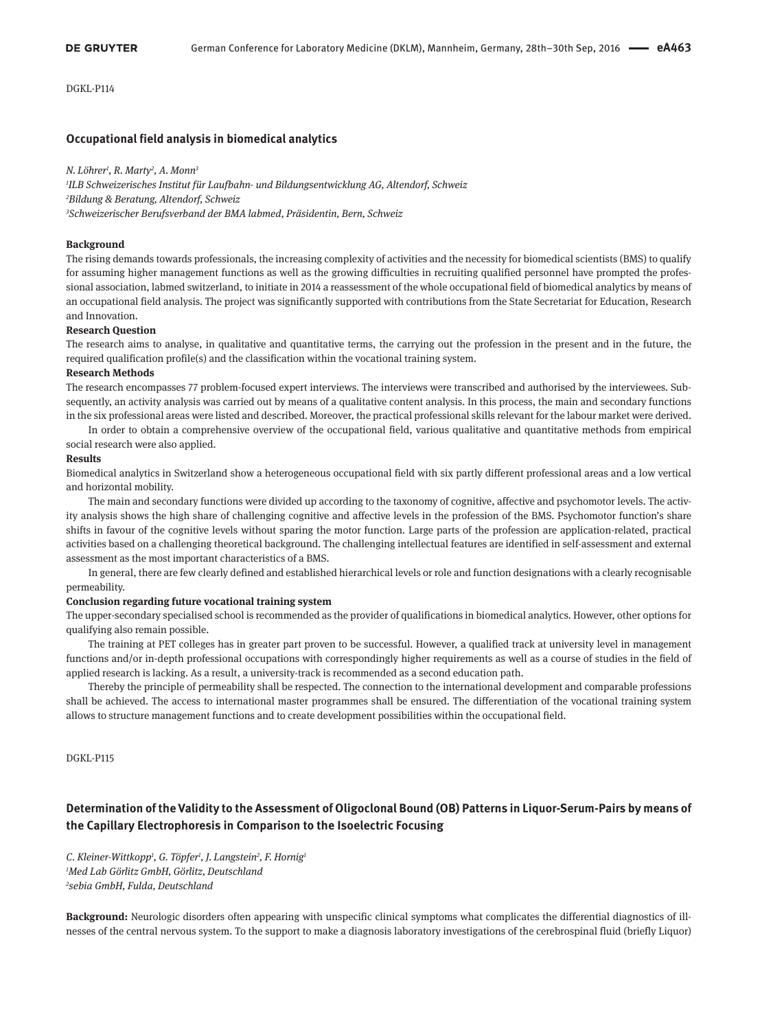DGKL-P114

### **Occupational field analysis in biomedical analytics**

#### *N. Löhrer1 , R. Marty2 , A. Monn3*

*1 ILB Schweizerisches Institut für Laufbahn- und Bildungsentwicklung AG, Altendorf, Schweiz 2 Bildung & Beratung, Altendorf, Schweiz 3 Schweizerischer Berufsverband der BMA labmed, Präsidentin, Bern, Schweiz*

#### **Background**

The rising demands towards professionals, the increasing complexity of activities and the necessity for biomedical scientists (BMS) to qualify for assuming higher management functions as well as the growing difficulties in recruiting qualified personnel have prompted the professional association, labmed switzerland, to initiate in 2014 a reassessment of the whole occupational field of biomedical analytics by means of an occupational field analysis. The project was significantly supported with contributions from the State Secretariat for Education, Research and Innovation.

#### **Research Question**

The research aims to analyse, in qualitative and quantitative terms, the carrying out the profession in the present and in the future, the required qualification profile(s) and the classification within the vocational training system.

#### **Research Methods**

The research encompasses 77 problem-focused expert interviews. The interviews were transcribed and authorised by the interviewees. Subsequently, an activity analysis was carried out by means of a qualitative content analysis. In this process, the main and secondary functions in the six professional areas were listed and described. Moreover, the practical professional skills relevant for the labour market were derived.

In order to obtain a comprehensive overview of the occupational field, various qualitative and quantitative methods from empirical social research were also applied.

#### **Results**

Biomedical analytics in Switzerland show a heterogeneous occupational field with six partly different professional areas and a low vertical and horizontal mobility.

The main and secondary functions were divided up according to the taxonomy of cognitive, affective and psychomotor levels. The activity analysis shows the high share of challenging cognitive and affective levels in the profession of the BMS. Psychomotor function's share shifts in favour of the cognitive levels without sparing the motor function. Large parts of the profession are application-related, practical activities based on a challenging theoretical background. The challenging intellectual features are identified in self-assessment and external assessment as the most important characteristics of a BMS.

In general, there are few clearly defined and established hierarchical levels or role and function designations with a clearly recognisable permeability.

#### **Conclusion regarding future vocational training system**

The upper-secondary specialised school is recommended as the provider of qualifications in biomedical analytics. However, other options for qualifying also remain possible.

The training at PET colleges has in greater part proven to be successful. However, a qualified track at university level in management functions and/or in-depth professional occupations with correspondingly higher requirements as well as a course of studies in the field of applied research is lacking. As a result, a university-track is recommended as a second education path.

Thereby the principle of permeability shall be respected. The connection to the international development and comparable professions shall be achieved. The access to international master programmes shall be ensured. The differentiation of the vocational training system allows to structure management functions and to create development possibilities within the occupational field.

DGKL-P115

# **Determination of the Validity to the Assessment of Oligoclonal Bound (OB) Patterns in Liquor-Serum-Pairs by means of the Capillary Electrophoresis in Comparison to the Isoelectric Focusing**

*C. Kleiner-Wittkopp1 , G. Töpfer1 , J. Langstein2 , F. Hornig1 1 Med Lab Görlitz GmbH, Görlitz, Deutschland 2 sebia GmbH, Fulda, Deutschland*

**Background:** Neurologic disorders often appearing with unspecific clinical symptoms what complicates the differential diagnostics of illnesses of the central nervous system. To the support to make a diagnosis laboratory investigations of the cerebrospinal fluid (briefly Liquor)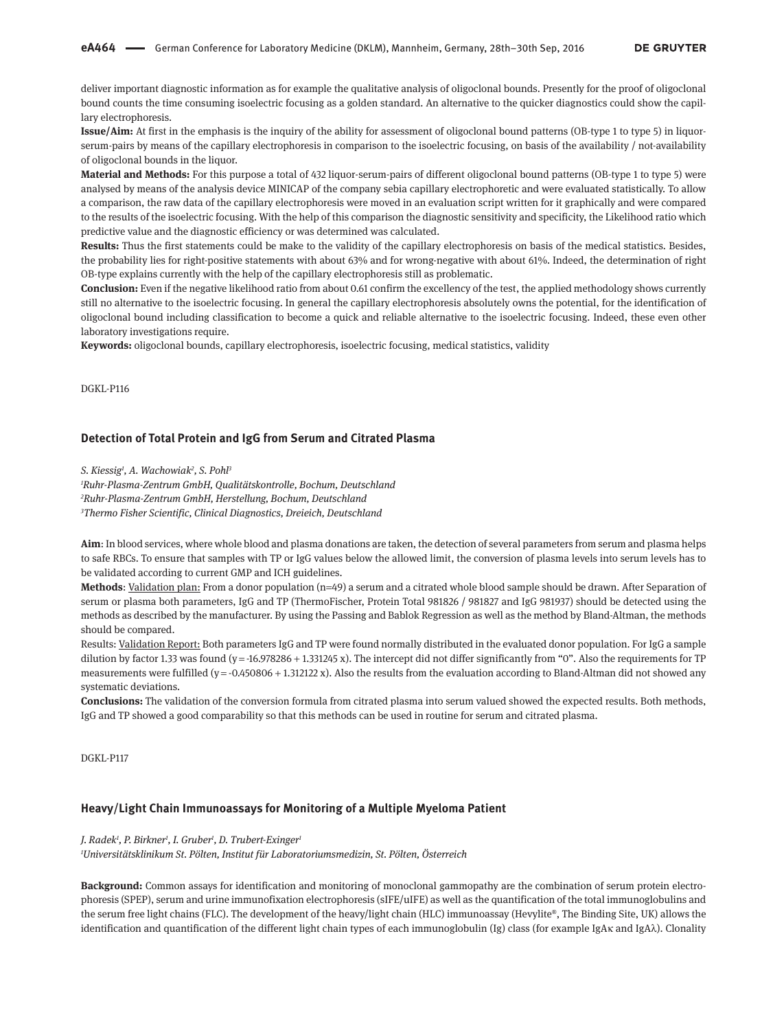deliver important diagnostic information as for example the qualitative analysis of oligoclonal bounds. Presently for the proof of oligoclonal bound counts the time consuming isoelectric focusing as a golden standard. An alternative to the quicker diagnostics could show the capillary electrophoresis.

**Issue/Aim:** At first in the emphasis is the inquiry of the ability for assessment of oligoclonal bound patterns (OB-type 1 to type 5) in liquorserum-pairs by means of the capillary electrophoresis in comparison to the isoelectric focusing, on basis of the availability / not-availability of oligoclonal bounds in the liquor.

**Material and Methods:** For this purpose a total of 432 liquor-serum-pairs of different oligoclonal bound patterns (OB-type 1 to type 5) were analysed by means of the analysis device MINICAP of the company sebia capillary electrophoretic and were evaluated statistically. To allow a comparison, the raw data of the capillary electrophoresis were moved in an evaluation script written for it graphically and were compared to the results of the isoelectric focusing. With the help of this comparison the diagnostic sensitivity and specificity, the Likelihood ratio which predictive value and the diagnostic efficiency or was determined was calculated.

**Results:** Thus the first statements could be make to the validity of the capillary electrophoresis on basis of the medical statistics. Besides, the probability lies for right-positive statements with about 63% and for wrong-negative with about 61%. Indeed, the determination of right OB-type explains currently with the help of the capillary electrophoresis still as problematic.

**Conclusion:** Even if the negative likelihood ratio from about 0.61 confirm the excellency of the test, the applied methodology shows currently still no alternative to the isoelectric focusing. In general the capillary electrophoresis absolutely owns the potential, for the identification of oligoclonal bound including classification to become a quick and reliable alternative to the isoelectric focusing. Indeed, these even other laboratory investigations require.

**Keywords:** oligoclonal bounds, capillary electrophoresis, isoelectric focusing, medical statistics, validity

DGKL-P116

### **Detection of Total Protein and IgG from Serum and Citrated Plasma**

*S. Kiessig1 , A. Wachowiak2 , S. Pohl3*

*1 Ruhr-Plasma-Zentrum GmbH, Qualitätskontrolle, Bochum, Deutschland 2 Ruhr-Plasma-Zentrum GmbH, Herstellung, Bochum, Deutschland 3 Thermo Fisher Scientific, Clinical Diagnostics, Dreieich, Deutschland*

**Aim**: In blood services, where whole blood and plasma donations are taken, the detection of several parameters from serum and plasma helps to safe RBCs. To ensure that samples with TP or IgG values below the allowed limit, the conversion of plasma levels into serum levels has to be validated according to current GMP and ICH guidelines.

**Methods**: Validation plan: From a donor population (n=49) a serum and a citrated whole blood sample should be drawn. After Separation of serum or plasma both parameters, IgG and TP (ThermoFischer, Protein Total 981826 / 981827 and IgG 981937) should be detected using the methods as described by the manufacturer. By using the Passing and Bablok Regression as well as the method by Bland-Altman, the methods should be compared.

Results: Validation Report: Both parameters IgG and TP were found normally distributed in the evaluated donor population. For IgG a sample dilution by factor 1.33 was found (y = -16.978286 + 1.331245 x). The intercept did not differ significantly from "0". Also the requirements for TP measurements were fulfilled (y = -0.450806 + 1.312122 x). Also the results from the evaluation according to Bland-Altman did not showed any systematic deviations.

**Conclusions:** The validation of the conversion formula from citrated plasma into serum valued showed the expected results. Both methods, IgG and TP showed a good comparability so that this methods can be used in routine for serum and citrated plasma.

DGKL-P117

#### **Heavy/Light Chain Immunoassays for Monitoring of a Multiple Myeloma Patient**

*J. Radek1 , P. Birkner1 , I. Gruber1 , D. Trubert-Exinger1*

*1 Universitätsklinikum St. Pölten, Institut für Laboratoriumsmedizin, St. Pölten, Österreich*

**Background:** Common assays for identification and monitoring of monoclonal gammopathy are the combination of serum protein electrophoresis (SPEP), serum and urine immunofixation electrophoresis (sIFE/uIFE) as well as the quantification of the total immunoglobulins and the serum free light chains (FLC). The development of the heavy/light chain (HLC) immunoassay (Hevylite®, The Binding Site, UK) allows the identification and quantification of the different light chain types of each immunoglobulin (Ig) class (for example IgAκ and IgAλ). Clonality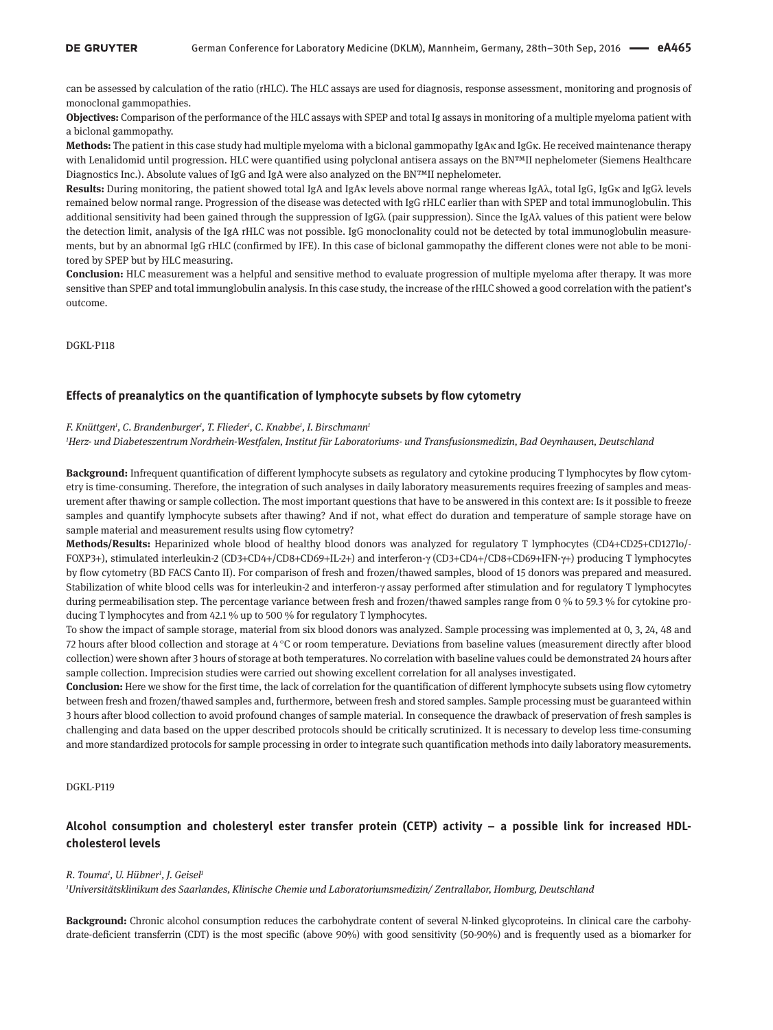can be assessed by calculation of the ratio (rHLC). The HLC assays are used for diagnosis, response assessment, monitoring and prognosis of monoclonal gammopathies.

**Objectives:** Comparison of the performance of the HLC assays with SPEP and total Ig assays in monitoring of a multiple myeloma patient with a biclonal gammopathy.

**Methods:** The patient in this case study had multiple myeloma with a biclonal gammopathy IgAκ and IgGκ. He received maintenance therapy with Lenalidomid until progression. HLC were quantified using polyclonal antisera assays on the BN™II nephelometer (Siemens Healthcare Diagnostics Inc.). Absolute values of IgG and IgA were also analyzed on the BN™II nephelometer.

**Results:** During monitoring, the patient showed total IgA and IgAκ levels above normal range whereas IgAλ, total IgG, IgGκ and IgGλ levels remained below normal range. Progression of the disease was detected with IgG rHLC earlier than with SPEP and total immunoglobulin. This additional sensitivity had been gained through the suppression of IgGλ (pair suppression). Since the IgAλ values of this patient were below the detection limit, analysis of the IgA rHLC was not possible. IgG monoclonality could not be detected by total immunoglobulin measurements, but by an abnormal IgG rHLC (confirmed by IFE). In this case of biclonal gammopathy the different clones were not able to be monitored by SPEP but by HLC measuring.

**Conclusion:** HLC measurement was a helpful and sensitive method to evaluate progression of multiple myeloma after therapy. It was more sensitive than SPEP and total immunglobulin analysis. In this case study, the increase of the rHLC showed a good correlation with the patient's outcome.

DGKL-P118

### **Effects of preanalytics on the quantification of lymphocyte subsets by flow cytometry**

#### *F. Knüttgen1 , C. Brandenburger1 , T. Flieder1 , C. Knabbe1 , I. Birschmann1*

*1 Herz- und Diabeteszentrum Nordrhein-Westfalen, Institut für Laboratoriums- und Transfusionsmedizin, Bad Oeynhausen, Deutschland*

**Background:** Infrequent quantification of different lymphocyte subsets as regulatory and cytokine producing T lymphocytes by flow cytometry is time-consuming. Therefore, the integration of such analyses in daily laboratory measurements requires freezing of samples and measurement after thawing or sample collection. The most important questions that have to be answered in this context are: Is it possible to freeze samples and quantify lymphocyte subsets after thawing? And if not, what effect do duration and temperature of sample storage have on sample material and measurement results using flow cytometry?

**Methods/Results:** Heparinized whole blood of healthy blood donors was analyzed for regulatory T lymphocytes (CD4+CD25+CD127lo/- FOXP3+), stimulated interleukin-2 (CD3+CD4+/CD8+CD69+IL-2+) and interferon-γ (CD3+CD4+/CD8+CD69+IFN-γ+) producing T lymphocytes by flow cytometry (BD FACS Canto II). For comparison of fresh and frozen/thawed samples, blood of 15 donors was prepared and measured. Stabilization of white blood cells was for interleukin-2 and interferon-γ assay performed after stimulation and for regulatory T lymphocytes during permeabilisation step. The percentage variance between fresh and frozen/thawed samples range from 0 % to 59.3 % for cytokine producing T lymphocytes and from 42.1 % up to 500 % for regulatory T lymphocytes.

To show the impact of sample storage, material from six blood donors was analyzed. Sample processing was implemented at 0, 3, 24, 48 and 72 hours after blood collection and storage at 4 °C or room temperature. Deviations from baseline values (measurement directly after blood collection) were shown after 3 hours of storage at both temperatures. No correlation with baseline values could be demonstrated 24 hours after sample collection. Imprecision studies were carried out showing excellent correlation for all analyses investigated.

**Conclusion:** Here we show for the first time, the lack of correlation for the quantification of different lymphocyte subsets using flow cytometry between fresh and frozen/thawed samples and, furthermore, between fresh and stored samples. Sample processing must be guaranteed within 3 hours after blood collection to avoid profound changes of sample material. In consequence the drawback of preservation of fresh samples is challenging and data based on the upper described protocols should be critically scrutinized. It is necessary to develop less time-consuming and more standardized protocols for sample processing in order to integrate such quantification methods into daily laboratory measurements.

DGKL-P119

# **Alcohol consumption and cholesteryl ester transfer protein (CETP) activity – a possible link for increased HDLcholesterol levels**

#### *R. Touma1 , U. Hübner1 , J. Geisel1*

*1 Universitätsklinikum des Saarlandes, Klinische Chemie und Laboratoriumsmedizin/ Zentrallabor, Homburg, Deutschland*

**Background:** Chronic alcohol consumption reduces the carbohydrate content of several N-linked glycoproteins. In clinical care the carbohydrate-deficient transferrin (CDT) is the most specific (above 90%) with good sensitivity (50-90%) and is frequently used as a biomarker for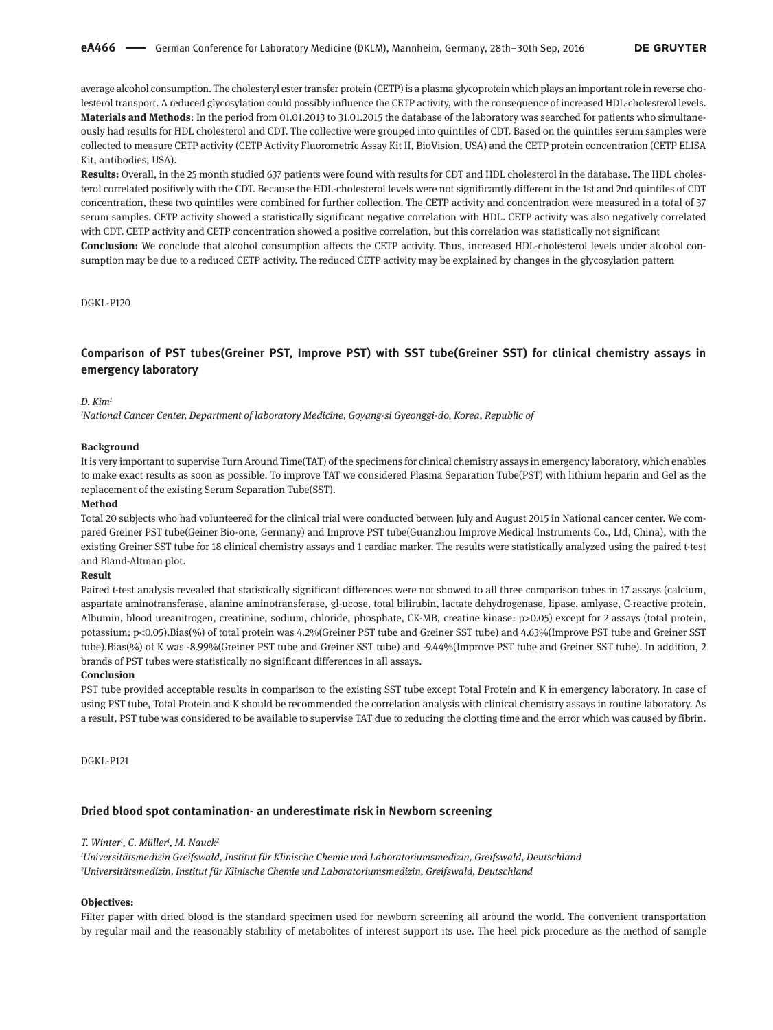average alcohol consumption. The cholesteryl ester transfer protein (CETP) is a plasma glycoprotein which plays an important role in reverse cholesterol transport. A reduced glycosylation could possibly influence the CETP activity, with the consequence of increased HDL-cholesterol levels. **Materials and Methods**: In the period from 01.01.2013 to 31.01.2015 the database of the laboratory was searched for patients who simultaneously had results for HDL cholesterol and CDT. The collective were grouped into quintiles of CDT. Based on the quintiles serum samples were collected to measure CETP activity (CETP Activity Fluorometric Assay Kit II, BioVision, USA) and the CETP protein concentration (CETP ELISA Kit, antibodies, USA).

**Results:** Overall, in the 25 month studied 637 patients were found with results for CDT and HDL cholesterol in the database. The HDL cholesterol correlated positively with the CDT. Because the HDL-cholesterol levels were not significantly different in the 1st and 2nd quintiles of CDT concentration, these two quintiles were combined for further collection. The CETP activity and concentration were measured in a total of 37 serum samples. CETP activity showed a statistically significant negative correlation with HDL. CETP activity was also negatively correlated with CDT. CETP activity and CETP concentration showed a positive correlation, but this correlation was statistically not significant **Conclusion:** We conclude that alcohol consumption affects the CETP activity. Thus, increased HDL-cholesterol levels under alcohol consumption may be due to a reduced CETP activity. The reduced CETP activity may be explained by changes in the glycosylation pattern

### DGKL-P120

# **Comparison of PST tubes(Greiner PST, Improve PST) with SST tube(Greiner SST) for clinical chemistry assays in emergency laboratory**

### *D. Kim1*

*1 National Cancer Center, Department of laboratory Medicine, Goyang-si Gyeonggi-do, Korea, Republic of*

#### **Background**

It is very important to supervise Turn Around Time(TAT) of the specimens for clinical chemistry assays in emergency laboratory, which enables to make exact results as soon as possible. To improve TAT we considered Plasma Separation Tube(PST) with lithium heparin and Gel as the replacement of the existing Serum Separation Tube(SST).

#### **Method**

Total 20 subjects who had volunteered for the clinical trial were conducted between July and August 2015 in National cancer center. We compared Greiner PST tube(Geiner Bio-one, Germany) and Improve PST tube(Guanzhou Improve Medical Instruments Co., Ltd, China), with the existing Greiner SST tube for 18 clinical chemistry assays and 1 cardiac marker. The results were statistically analyzed using the paired t-test and Bland-Altman plot.

#### **Result**

Paired t-test analysis revealed that statistically significant differences were not showed to all three comparison tubes in 17 assays (calcium, aspartate aminotransferase, alanine aminotransferase, gl-ucose, total bilirubin, lactate dehydrogenase, lipase, amlyase, C-reactive protein, Albumin, blood ureanitrogen, creatinine, sodium, chloride, phosphate, CK-MB, creatine kinase: p>0.05) except for 2 assays (total protein, potassium: p<0.05).Bias(%) of total protein was 4.2%(Greiner PST tube and Greiner SST tube) and 4.63%(Improve PST tube and Greiner SST tube).Bias(%) of K was -8.99%(Greiner PST tube and Greiner SST tube) and -9.44%(Improve PST tube and Greiner SST tube). In addition, 2 brands of PST tubes were statistically no significant differences in all assays.

#### **Conclusion**

PST tube provided acceptable results in comparison to the existing SST tube except Total Protein and K in emergency laboratory. In case of using PST tube, Total Protein and K should be recommended the correlation analysis with clinical chemistry assays in routine laboratory. As a result, PST tube was considered to be available to supervise TAT due to reducing the clotting time and the error which was caused by fibrin.

DGKL-P121

### **Dried blood spot contamination- an underestimate risk in Newborn screening**

#### *T. Winter1 , C. Müller1 , M. Nauck2*

*1 Universitätsmedizin Greifswald, Institut für Klinische Chemie und Laboratoriumsmedizin, Greifswald, Deutschland 2 Universitätsmedizin, Institut für Klinische Chemie und Laboratoriumsmedizin, Greifswald, Deutschland*

#### **Objectives:**

Filter paper with dried blood is the standard specimen used for newborn screening all around the world. The convenient transportation by regular mail and the reasonably stability of metabolites of interest support its use. The heel pick procedure as the method of sample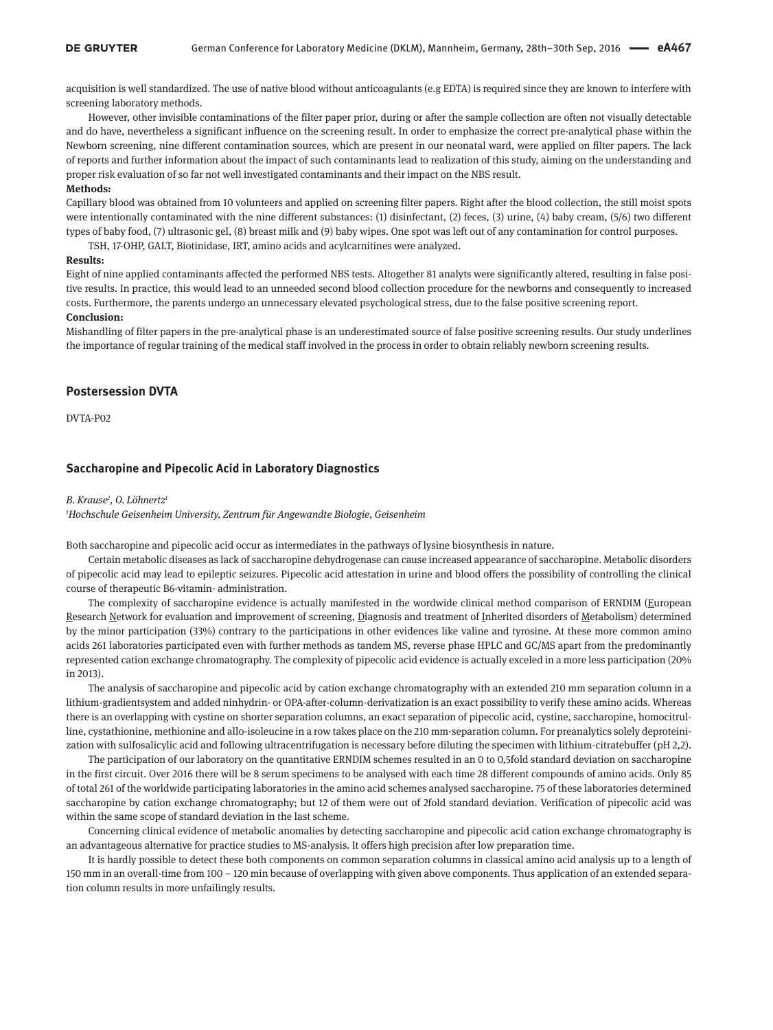acquisition is well standardized. The use of native blood without anticoagulants (e.g EDTA) is required since they are known to interfere with screening laboratory methods.

However, other invisible contaminations of the filter paper prior, during or after the sample collection are often not visually detectable and do have, nevertheless a significant influence on the screening result. In order to emphasize the correct pre-analytical phase within the Newborn screening, nine different contamination sources, which are present in our neonatal ward, were applied on filter papers. The lack of reports and further information about the impact of such contaminants lead to realization of this study, aiming on the understanding and proper risk evaluation of so far not well investigated contaminants and their impact on the NBS result.

#### **Methods:**

Capillary blood was obtained from 10 volunteers and applied on screening filter papers. Right after the blood collection, the still moist spots were intentionally contaminated with the nine different substances: (1) disinfectant, (2) feces, (3) urine, (4) baby cream, (5/6) two different types of baby food, (7) ultrasonic gel, (8) breast milk and (9) baby wipes. One spot was left out of any contamination for control purposes.

TSH, 17-OHP, GALT, Biotinidase, IRT, amino acids and acylcarnitines were analyzed.

#### **Results:**

Eight of nine applied contaminants affected the performed NBS tests. Altogether 81 analyts were significantly altered, resulting in false positive results. In practice, this would lead to an unneeded second blood collection procedure for the newborns and consequently to increased costs. Furthermore, the parents undergo an unnecessary elevated psychological stress, due to the false positive screening report.

### **Conclusion:**

Mishandling of filter papers in the pre-analytical phase is an underestimated source of false positive screening results. Our study underlines the importance of regular training of the medical staff involved in the process in order to obtain reliably newborn screening results.

### **Postersession DVTA**

DVTA-P02

## **Saccharopine and Pipecolic Acid in Laboratory Diagnostics**

#### *B. Krause1 , O. Löhnertz1*

*1 Hochschule Geisenheim University, Zentrum für Angewandte Biologie, Geisenheim*

Both saccharopine and pipecolic acid occur as intermediates in the pathways of lysine biosynthesis in nature.

Certain metabolic diseases as lack of saccharopine dehydrogenase can cause increased appearance of saccharopine. Metabolic disorders of pipecolic acid may lead to epileptic seizures. Pipecolic acid attestation in urine and blood offers the possibility of controlling the clinical course of therapeutic B6-vitamin- administration.

The complexity of saccharopine evidence is actually manifested in the wordwide clinical method comparison of ERNDIM (European Research Network for evaluation and improvement of screening, Diagnosis and treatment of Inherited disorders of Metabolism) determined by the minor participation (33%) contrary to the participations in other evidences like valine and tyrosine. At these more common amino acids 261 laboratories participated even with further methods as tandem MS, reverse phase HPLC and GC/MS apart from the predominantly represented cation exchange chromatography. The complexity of pipecolic acid evidence is actually exceled in a more less participation (20% in 2013).

The analysis of saccharopine and pipecolic acid by cation exchange chromatography with an extended 210 mm separation column in a lithium-gradientsystem and added ninhydrin- or OPA-after-column-derivatization is an exact possibility to verify these amino acids. Whereas there is an overlapping with cystine on shorter separation columns, an exact separation of pipecolic acid, cystine, saccharopine, homocitrulline, cystathionine, methionine and allo-isoleucine in a row takes place on the 210 mm-separation column. For preanalytics solely deproteinization with sulfosalicylic acid and following ultracentrifugation is necessary before diluting the specimen with lithium-citratebuffer (pH 2,2).

The participation of our laboratory on the quantitative ERNDIM schemes resulted in an 0 to 0,5fold standard deviation on saccharopine in the first circuit. Over 2016 there will be 8 serum specimens to be analysed with each time 28 different compounds of amino acids. Only 85 of total 261 of the worldwide participating laboratories in the amino acid schemes analysed saccharopine. 75 of these laboratories determined saccharopine by cation exchange chromatography; but 12 of them were out of 2fold standard deviation. Verification of pipecolic acid was within the same scope of standard deviation in the last scheme.

Concerning clinical evidence of metabolic anomalies by detecting saccharopine and pipecolic acid cation exchange chromatography is an advantageous alternative for practice studies to MS-analysis. It offers high precision after low preparation time.

It is hardly possible to detect these both components on common separation columns in classical amino acid analysis up to a length of 150 mm in an overall-time from 100 – 120 min because of overlapping with given above components. Thus application of an extended separation column results in more unfailingly results.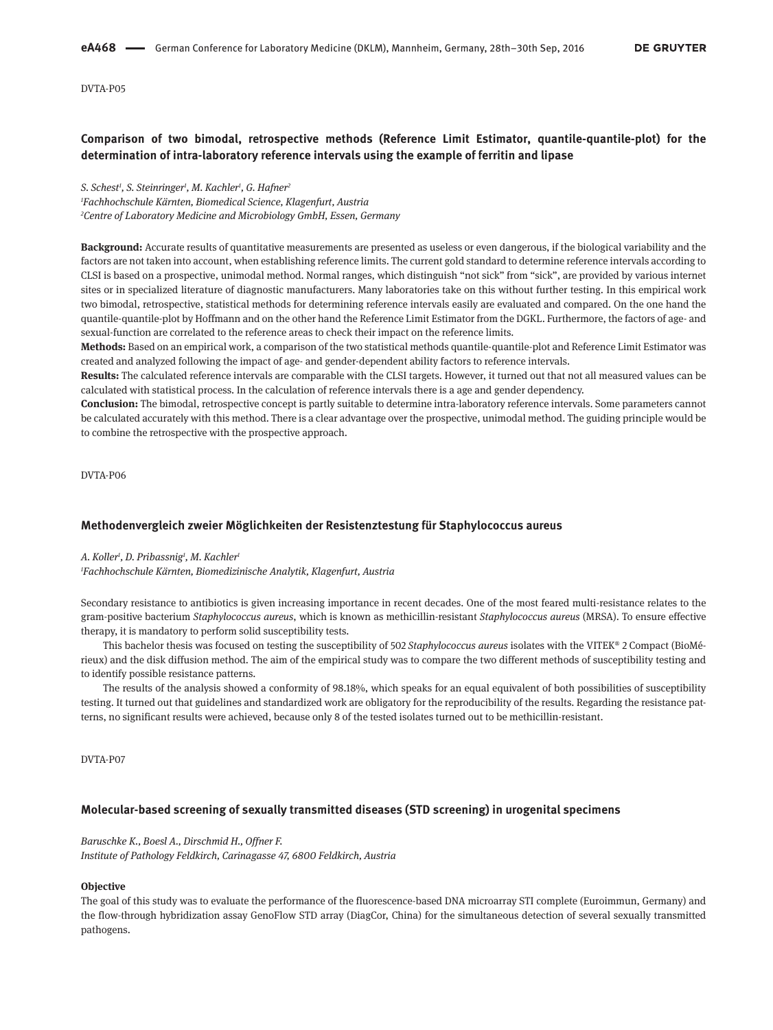DVTA-P05

# **Comparison of two bimodal, retrospective methods (Reference Limit Estimator, quantile-quantile-plot) for the determination of intra-laboratory reference intervals using the example of ferritin and lipase**

*S. Schest1 , S. Steinringer1 , M. Kachler1 , G. Hafner2*

*1 Fachhochschule Kärnten, Biomedical Science, Klagenfurt, Austria 2 Centre of Laboratory Medicine and Microbiology GmbH, Essen, Germany*

**Background:** Accurate results of quantitative measurements are presented as useless or even dangerous, if the biological variability and the factors are not taken into account, when establishing reference limits. The current gold standard to determine reference intervals according to CLSI is based on a prospective, unimodal method. Normal ranges, which distinguish "not sick" from "sick", are provided by various internet sites or in specialized literature of diagnostic manufacturers. Many laboratories take on this without further testing. In this empirical work two bimodal, retrospective, statistical methods for determining reference intervals easily are evaluated and compared. On the one hand the quantile-quantile-plot by Hoffmann and on the other hand the Reference Limit Estimator from the DGKL. Furthermore, the factors of age- and sexual-function are correlated to the reference areas to check their impact on the reference limits.

**Methods:** Based on an empirical work, a comparison of the two statistical methods quantile-quantile-plot and Reference Limit Estimator was created and analyzed following the impact of age- and gender-dependent ability factors to reference intervals.

**Results:** The calculated reference intervals are comparable with the CLSI targets. However, it turned out that not all measured values can be calculated with statistical process. In the calculation of reference intervals there is a age and gender dependency.

**Conclusion:** The bimodal, retrospective concept is partly suitable to determine intra-laboratory reference intervals. Some parameters cannot be calculated accurately with this method. There is a clear advantage over the prospective, unimodal method. The guiding principle would be to combine the retrospective with the prospective approach.

DVTA-P06

### **Methodenvergleich zweier Möglichkeiten der Resistenztestung für Staphylococcus aureus**

#### *A. Koller1 , D. Pribassnig1 , M. Kachler1*

*1 Fachhochschule Kärnten, Biomedizinische Analytik, Klagenfurt, Austria*

Secondary resistance to antibiotics is given increasing importance in recent decades. One of the most feared multi-resistance relates to the gram-positive bacterium *Staphylococcus aureus*, which is known as methicillin-resistant *Staphylococcus aureus* (MRSA). To ensure effective therapy, it is mandatory to perform solid susceptibility tests.

This bachelor thesis was focused on testing the susceptibility of 502 *Staphylococcus aureus* isolates with the VITEK® 2 Compact (BioMérieux) and the disk diffusion method. The aim of the empirical study was to compare the two different methods of susceptibility testing and to identify possible resistance patterns.

The results of the analysis showed a conformity of 98.18%, which speaks for an equal equivalent of both possibilities of susceptibility testing. It turned out that guidelines and standardized work are obligatory for the reproducibility of the results. Regarding the resistance patterns, no significant results were achieved, because only 8 of the tested isolates turned out to be methicillin-resistant.

DVTA-P07

### **Molecular-based screening of sexually transmitted diseases (STD screening) in urogenital specimens**

*Baruschke K., Boesl A., Dirschmid H., Offner F. Institute of Pathology Feldkirch, Carinagasse 47, 6800 Feldkirch, Austria*

#### **Objective**

The goal of this study was to evaluate the performance of the fluorescence-based DNA microarray STI complete (Euroimmun, Germany) and the flow-through hybridization assay GenoFlow STD array (DiagCor, China) for the simultaneous detection of several sexually transmitted pathogens.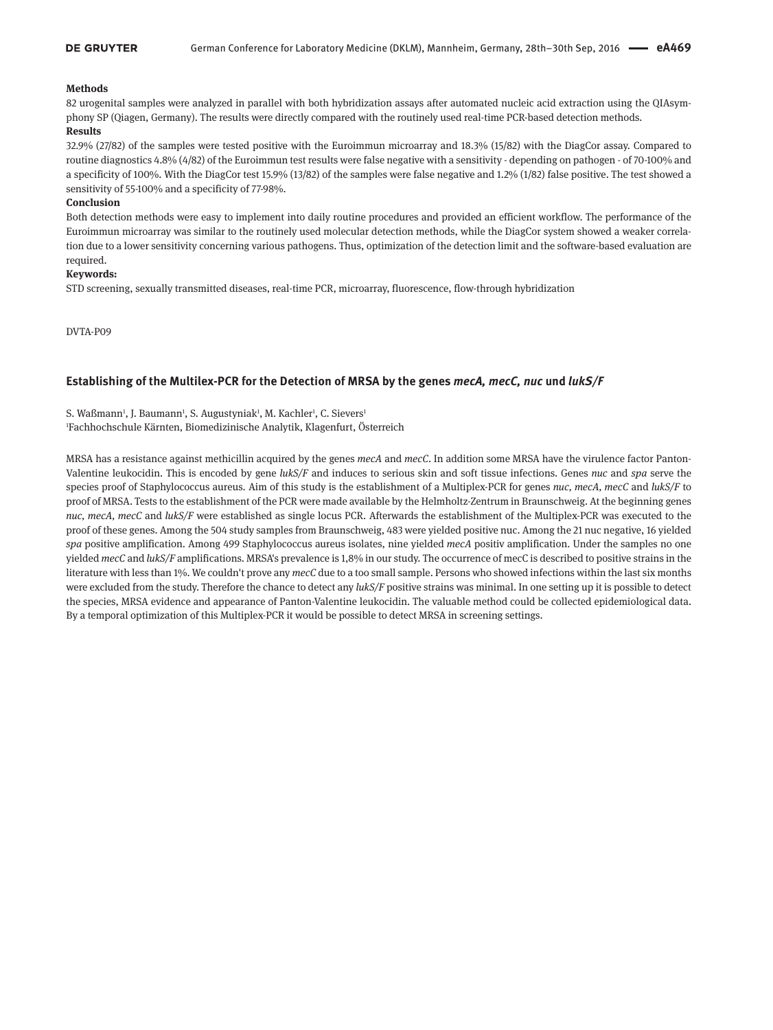### **Methods**

82 urogenital samples were analyzed in parallel with both hybridization assays after automated nucleic acid extraction using the QIAsymphony SP (Qiagen, Germany). The results were directly compared with the routinely used real-time PCR-based detection methods. **Results**

### 32.9% (27/82) of the samples were tested positive with the Euroimmun microarray and 18.3% (15/82) with the DiagCor assay. Compared to routine diagnostics 4.8% (4/82) of the Euroimmun test results were false negative with a sensitivity - depending on pathogen - of 70-100% and a specificity of 100%. With the DiagCor test 15.9% (13/82) of the samples were false negative and 1.2% (1/82) false positive. The test showed a sensitivity of 55-100% and a specificity of 77-98%.

### **Conclusion**

Both detection methods were easy to implement into daily routine procedures and provided an efficient workflow. The performance of the Euroimmun microarray was similar to the routinely used molecular detection methods, while the DiagCor system showed a weaker correlation due to a lower sensitivity concerning various pathogens. Thus, optimization of the detection limit and the software-based evaluation are required.

### **Keywords:**

STD screening, sexually transmitted diseases, real-time PCR, microarray, fluorescence, flow-through hybridization

DVTA-P09

### **Establishing of the Multilex-PCR for the Detection of MRSA by the genes** *mecA, mecC, nuc* **und** *lukS/F*

S. Waßmann<sup>1</sup>, J. Baumann<sup>1</sup>, S. Augustyniak<sup>1</sup>, M. Kachler<sup>1</sup>, C. Sievers<sup>1</sup> 1 Fachhochschule Kärnten, Biomedizinische Analytik, Klagenfurt, Österreich

MRSA has a resistance against methicillin acquired by the genes *mecA* and *mecC*. In addition some MRSA have the virulence factor Panton-Valentine leukocidin. This is encoded by gene *lukS/F* and induces to serious skin and soft tissue infections. Genes *nuc* and *spa* serve the species proof of Staphylococcus aureus. Aim of this study is the establishment of a Multiplex-PCR for genes *nuc, mecA, mecC* and *lukS/F* to proof of MRSA. Tests to the establishment of the PCR were made available by the Helmholtz-Zentrum in Braunschweig. At the beginning genes *nuc, mecA, mecC* and *lukS/F* were established as single locus PCR. Afterwards the establishment of the Multiplex-PCR was executed to the proof of these genes. Among the 504 study samples from Braunschweig, 483 were yielded positive nuc. Among the 21 nuc negative, 16 yielded *spa* positive amplification. Among 499 Staphylococcus aureus isolates, nine yielded *mecA* positiv amplification. Under the samples no one yielded *mecC* and *lukS/F* amplifications. MRSA's prevalence is 1,8% in our study. The occurrence of mecC is described to positive strains in the literature with less than 1%. We couldn't prove any *mecC* due to a too small sample. Persons who showed infections within the last six months were excluded from the study. Therefore the chance to detect any *lukS/F* positive strains was minimal. In one setting up it is possible to detect the species, MRSA evidence and appearance of Panton-Valentine leukocidin. The valuable method could be collected epidemiological data. By a temporal optimization of this Multiplex-PCR it would be possible to detect MRSA in screening settings.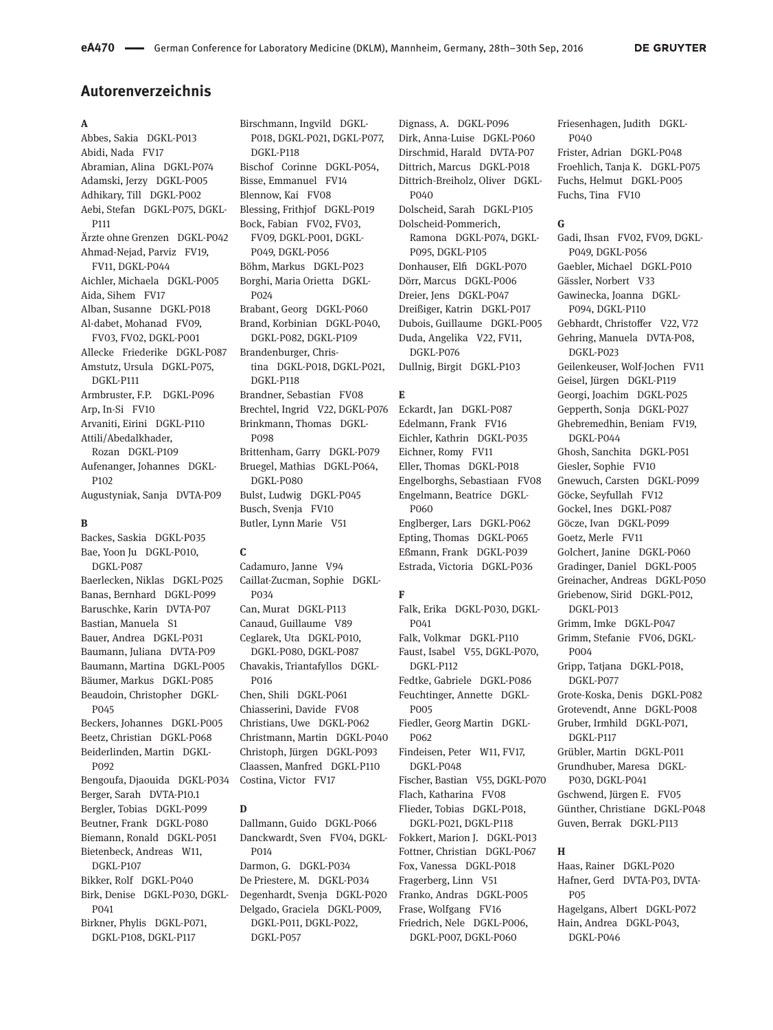# **Autorenverzeichnis**

### **A**

Abbes, Sakia DGKL-P013 Abidi, Nada FV17 Abramian, Alina DGKL-P074 Adamski, Jerzy DGKL-P005 Adhikary, Till DGKL-P002 Aebi, Stefan DGKL-P075, DGKL-P111 Ärzte ohne Grenzen DGKL-P042 Ahmad-Nejad, Parviz FV19, FV11, DGKL-P044 Aichler, Michaela DGKL-P005 Aida, Sihem FV17 Alban, Susanne DGKL-P018 Al-dabet, Mohanad FV09, FV03, FV02, DGKL-P001 Allecke Friederike DGKL-P087 Amstutz, Ursula DGKL-P075, DGKL-P111 Armbruster, F.P. DGKL-P096 Arp, In-Si FV10 Arvaniti, Eirini DGKL-P110 Attili/Abedalkhader, Rozan DGKL-P109 Aufenanger, Johannes DGKL-P<sub>102</sub> Augustyniak, Sanja DVTA-P09

#### **B**

Backes, Saskia DGKL-P035 Bae, Yoon Ju DGKL-P010, DGKL-P087 Baerlecken, Niklas DGKL-P025 Banas, Bernhard DGKL-P099 Baruschke, Karin DVTA-P07 Bastian, Manuela S1 Bauer, Andrea DGKL-P031 Baumann, Juliana DVTA-P09 Baumann, Martina DGKL-P005 Bäumer, Markus DGKL-P085 Beaudoin, Christopher DGKL-P045 Beckers, Johannes DGKL-P005 Beetz, Christian DGKL-P068 Beiderlinden, Martin DGKL-P092 Bengoufa, Djaouida DGKL-P034 Berger, Sarah DVTA-P10.1 Bergler, Tobias DGKL-P099 Beutner, Frank DGKL-P080 Biemann, Ronald DGKL-P051 Bietenbeck, Andreas W11, DGKL-P107 Bikker, Rolf DGKL-P040 Birk, Denise DGKL-P030, DGKL-P041 Birkner, Phylis DGKL-P071, DGKL-P108, DGKL-P117

Birschmann, Ingvild DGKL-P018, DGKL-P021, DGKL-P077, DGKL-P118 Bischof Corinne DGKL-P054, Bisse, Emmanuel FV14 Blennow, Kai FV08 Blessing, Frithjof DGKL-P019 Bock, Fabian FV02, FV03, FV09, DGKL-P001, DGKL-P049, DGKL-P056 Böhm, Markus DGKL-P023 Borghi, Maria Orietta DGKL-P024 Brabant, Georg DGKL-P060 Brand, Korbinian DGKL-P040, DGKL-P082, DGKL-P109 Brandenburger, Christina DGKL-P018, DGKL-P021, DGKL-P118 Brandner, Sebastian FV08 Brechtel, Ingrid V22, DGKL-P076 Brinkmann, Thomas DGKL-P098 Brittenham, Garry DGKL-P079 Bruegel, Mathias DGKL-P064, DGKL-P080 Bulst, Ludwig DGKL-P045 Busch, Svenja FV10 Butler, Lynn Marie V51

### **C**

Cadamuro, Janne V94 Caillat-Zucman, Sophie DGKL-P034 Can, Murat DGKL-P113 Canaud, Guillaume V89 Ceglarek, Uta DGKL-P010, DGKL-P080, DGKL-P087 Chavakis, Triantafyllos DGKL-P016 Chen, Shili DGKL-P061 Chiasserini, Davide FV08 Christians, Uwe DGKL-P062 Christmann, Martin DGKL-P040 Christoph, Jürgen DGKL-P093 Claassen, Manfred DGKL-P110 Costina, Victor FV17

# **D**

Dallmann, Guido DGKL-P066 Danckwardt, Sven FV04, DGKL-P014 Darmon, G. DGKL-P034 De Priestere, M. DGKL-P034 Degenhardt, Svenja DGKL-P020 Delgado, Graciela DGKL-P009, DGKL-P011, DGKL-P022, DGKL-P057

Dignass, A. DGKL-P096 Dirk, Anna-Luise DGKL-P060 Dirschmid, Harald DVTA-P07 Dittrich, Marcus DGKL-P018 Dittrich-Breiholz, Oliver DGKL-P040 Dolscheid, Sarah DGKL-P105 Dolscheid-Pommerich, Ramona DGKL-P074, DGKL-P095, DGKL-P105 Donhauser, Elfi DGKL-P070 Dörr, Marcus DGKL-P006 Dreier, Jens DGKL-P047 Dreißiger, Katrin DGKL-P017 Dubois, Guillaume DGKL-P005 Duda, Angelika V22, FV11, DGKL-P076 Dullnig, Birgit DGKL-P103

### **E**

Eckardt, Jan DGKL-P087 Edelmann, Frank FV16 Eichler, Kathrin DGKL-P035 Eichner, Romy FV11 Eller, Thomas DGKL-P018 Engelborghs, Sebastiaan FV08 Engelmann, Beatrice DGKL-P060 Englberger, Lars DGKL-P062 Epting, Thomas DGKL-P065 Eßmann, Frank DGKL-P039 Estrada, Victoria DGKL-P036 **F**

Falk, Erika DGKL-P030, DGKL-P041 Falk, Volkmar DGKL-P110 Faust, Isabel V55, DGKL-P070, DGKL-P112 Fedtke, Gabriele DGKL-P086 Feuchtinger, Annette DGKL-P005 Fiedler, Georg Martin DGKL-P062 Findeisen, Peter W11, FV17, DGKL-P048 Fischer, Bastian V55, DGKL-P070 Flach, Katharina FV08 Flieder, Tobias DGKL-P018, DGKL-P021, DGKL-P118 Fokkert, Marion J. DGKL-P013 Fottner, Christian DGKL-P067 Fox, Vanessa DGKL-P018 Fragerberg, Linn V51 Franko, Andras DGKL-P005 Frase, Wolfgang FV16 Friedrich, Nele DGKL-P006, DGKL-P007, DGKL-P060

Friesenhagen, Judith DGKL-P040 Frister, Adrian DGKL-P048 Froehlich, Tanja K. DGKL-P075 Fuchs, Helmut DGKL-P005 Fuchs, Tina FV10

#### **G**

Gadi, Ihsan FV02, FV09, DGKL-P049, DGKL-P056 Gaebler, Michael DGKL-P010 Gässler, Norbert V33 Gawinecka, Joanna DGKL-P094, DGKL-P110 Gebhardt, Christoffer V22, V72 Gehring, Manuela DVTA-P08, DGKL-P023 Geilenkeuser, Wolf-Jochen FV11 Geisel, Jürgen DGKL-P119 Georgi, Joachim DGKL-P025 Gepperth, Sonja DGKL-P027 Ghebremedhin, Beniam FV19, DGKL-P044 Ghosh, Sanchita DGKL-P051 Giesler, Sophie FV10 Gnewuch, Carsten DGKL-P099 Göcke, Seyfullah FV12 Gockel, Ines DGKL-P087 Göcze, Ivan DGKL-P099 Goetz, Merle FV11 Golchert, Janine DGKL-P060 Gradinger, Daniel DGKL-P005 Greinacher, Andreas DGKL-P050 Griebenow, Sirid DGKL-P012, DGKL-P013 Grimm, Imke DGKL-P047 Grimm, Stefanie FV06, DGKL-P004 Gripp, Tatjana DGKL-P018, DGKL-P077 Grote-Koska, Denis DGKL-P082 Grotevendt, Anne DGKL-P008 Gruber, Irmhild DGKL-P071, DGKL-P117 Grübler, Martin DGKL-P011 Grundhuber, Maresa DGKL-P030, DGKL-P041 Gschwend, Jürgen E. FV05 Günther, Christiane DGKL-P048 Guven, Berrak DGKL-P113

### **H**

Haas, Rainer DGKL-P020 Hafner, Gerd DVTA-P03, DVTA-P05 Hagelgans, Albert DGKL-P072 Hain, Andrea DGKL-P043, DGKL-P046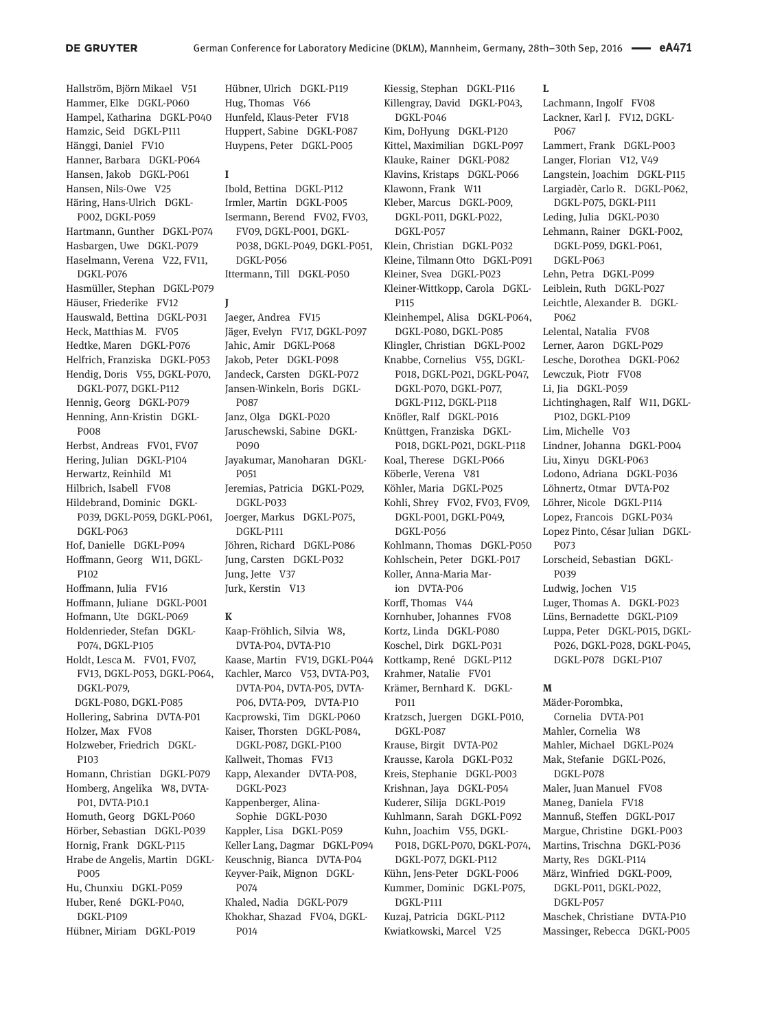Hallström, Björn Mikael V51 Hammer, Elke DGKL-P060 Hampel, Katharina DGKL-P040 Hamzic, Seid DGKL-P111 Hänggi, Daniel FV10 Hanner, Barbara DGKL-P064 Hansen, Jakob DGKL-P061 Hansen, Nils-Owe V25 Häring, Hans-Ulrich DGKL-P002, DGKL-P059 Hartmann, Gunther DGKL-P074 Hasbargen, Uwe DGKL-P079 Haselmann, Verena V22, FV11, DGKL-P076 Hasmüller, Stephan DGKL-P079 Häuser, Friederike FV12 Hauswald, Bettina DGKL-P031 Heck, Matthias M. FV05 Hedtke, Maren DGKL-P076 Helfrich, Franziska DGKL-P053 Hendig, Doris V55, DGKL-P070, DGKL-P077, DGKL-P112 Hennig, Georg DGKL-P079 Henning, Ann-Kristin DGKL-P008 Herbst, Andreas FV01, FV07 Hering, Julian DGKL-P104 Herwartz, Reinhild M1 Hilbrich, Isabell FV08 Hildebrand, Dominic DGKL-P039, DGKL-P059, DGKL-P061, DGKL-P063 Hof, Danielle DGKL-P094 Hoffmann, Georg W11, DGKL-P<sub>102</sub> Hoffmann, Julia FV16 Hoffmann, Juliane DGKL-P001 Hofmann, Ute DGKL-P069 Holdenrieder, Stefan DGKL-P074, DGKL-P105 Holdt, Lesca M. FV01, FV07, FV13, DGKL-P053, DGKL-P064, DGKL-P079, DGKL-P080, DGKL-P085 Hollering, Sabrina DVTA-P01 Holzer, Max FV08 Holzweber, Friedrich DGKL-P103 Homann, Christian DGKL-P079 Homberg, Angelika W8, DVTA-P01, DVTA-P10.1 Homuth, Georg DGKL-P060 Hörber, Sebastian DGKL-P039 Hornig, Frank DGKL-P115 Hrabe de Angelis, Martin DGKL-P005

Hu, Chunxiu DGKL-P059 Huber, René DGKL-P040, DGKL-P109

Hübner, Miriam DGKL-P019

Hübner, Ulrich DGKL-P119 Hug, Thomas V66 Hunfeld, Klaus-Peter FV18 Huppert, Sabine DGKL-P087 Huypens, Peter DGKL-P005

### **I**

Ibold, Bettina DGKL-P112 Irmler, Martin DGKL-P005 Isermann, Berend FV02, FV03, FV09, DGKL-P001, DGKL-P038, DGKL-P049, DGKL-P051, DGKL-P056 Ittermann, Till DGKL-P050

### **J**

Jaeger, Andrea FV15 Jäger, Evelyn FV17, DGKL-P097 Jahic, Amir DGKL-P068 Jakob, Peter DGKL-P098 Jandeck, Carsten DGKL-P072 Jansen-Winkeln, Boris DGKL-P087 Janz, Olga DGKL-P020 Jaruschewski, Sabine DGKL-P090 Jayakumar, Manoharan DGKL-P051 Jeremias, Patricia DGKL-P029, DGKL-P033 Joerger, Markus DGKL-P075, DGKL-P111 Jöhren, Richard DGKL-P086 Jung, Carsten DGKL-P032 Jung, Jette V37 Jurk, Kerstin V13

# **K**

Kaap-Fröhlich, Silvia W8, DVTA-P04, DVTA-P10 Kaase, Martin FV19, DGKL-P044 Kachler, Marco V53, DVTA-P03, DVTA-P04, DVTA-P05, DVTA-P06, DVTA-P09, DVTA-P10 Kacprowski, Tim DGKL-P060 Kaiser, Thorsten DGKL-P084, DGKL-P087, DGKL-P100 Kallweit, Thomas FV13 Kapp, Alexander DVTA-P08, DGKL-P023 Kappenberger, Alina-Sophie DGKL-P030 Kappler, Lisa DGKL-P059 Keller Lang, Dagmar DGKL-P094 Keuschnig, Bianca DVTA-P04 Keyver-Paik, Mignon DGKL-P074 Khaled, Nadia DGKL-P079 Khokhar, Shazad FV04, DGKL-P014

Kiessig, Stephan DGKL-P116 Killengray, David DGKL-P043, DGKL-P046 Kim, DoHyung DGKL-P120 Kittel, Maximilian DGKL-P097 Klauke, Rainer DGKL-P082 Klavins, Kristaps DGKL-P066 Klawonn, Frank W11 Kleber, Marcus DGKL-P009, DGKL-P011, DGKL-P022, DGKL-P057 Klein, Christian DGKL-P032 Kleine, Tilmann Otto DGKL-P091 Kleiner, Svea DGKL-P023 Kleiner-Wittkopp, Carola DGKL-P115 Kleinhempel, Alisa DGKL-P064, DGKL-P080, DGKL-P085 Klingler, Christian DGKL-P002 Knabbe, Cornelius V55, DGKL-P018, DGKL-P021, DGKL-P047, DGKL-P070, DGKL-P077, DGKL-P112, DGKL-P118 Knöfler, Ralf DGKL-P016 Knüttgen, Franziska DGKL-P018, DGKL-P021, DGKL-P118 Koal, Therese DGKL-P066 Köberle, Verena V81 Köhler, Maria DGKL-P025 Kohli, Shrey FV02, FV03, FV09, DGKL-P001, DGKL-P049, DGKL-P056 Kohlmann, Thomas DGKL-P050 Kohlschein, Peter DGKL-P017 Koller, Anna-Maria Marion DVTA-P06 Korff, Thomas V44 Kornhuber, Johannes FV08 Kortz, Linda DGKL-P080 Koschel, Dirk DGKL-P031 Kottkamp, René DGKL-P112 Krahmer, Natalie FV01 Krämer, Bernhard K. DGKL-P011 Kratzsch, Juergen DGKL-P010, DGKL-P087 Krause, Birgit DVTA-P02 Krausse, Karola DGKL-P032 Kreis, Stephanie DGKL-P003 Krishnan, Jaya DGKL-P054 Kuderer, Silija DGKL-P019

Kuhlmann, Sarah DGKL-P092 Kuhn, Joachim V55, DGKL-P018, DGKL-P070, DGKL-P074, DGKL-P077, DGKL-P112 Kühn, Jens-Peter DGKL-P006 Kummer, Dominic DGKL-P075, DGKL-P111 Kuzaj, Patricia DGKL-P112

Kwiatkowski, Marcel V25

**L** Lachmann, Ingolf FV08 Lackner, Karl J. FV12, DGKL-P067 Lammert, Frank DGKL-P003 Langer, Florian V12, V49 Langstein, Joachim DGKL-P115 Largiadèr, Carlo R. DGKL-P062, DGKL-P075, DGKL-P111 Leding, Julia DGKL-P030 Lehmann, Rainer DGKL-P002, DGKL-P059, DGKL-P061, DGKL-P063 Lehn, Petra DGKL-P099 Leiblein, Ruth DGKL-P027 Leichtle, Alexander B. DGKL-P062 Lelental, Natalia FV08 Lerner, Aaron DGKL-P029 Lesche, Dorothea DGKL-P062 Lewczuk, Piotr FV08 Li, Jia DGKL-P059 Lichtinghagen, Ralf W11, DGKL-P102, DGKL-P109 Lim, Michelle V03 Lindner, Johanna DGKL-P004 Liu, Xinyu DGKL-P063 Lodono, Adriana DGKL-P036 Löhnertz, Otmar DVTA-P02 Löhrer, Nicole DGKL-P114 Lopez, Francois DGKL-P034 Lopez Pinto, César Julian DGKL-P073 Lorscheid, Sebastian DGKL-P039 Ludwig, Jochen V15 Luger, Thomas A. DGKL-P023 Lüns, Bernadette DGKL-P109 Luppa, Peter DGKL-P015, DGKL-P026, DGKL-P028, DGKL-P045, DGKL-P078 DGKL-P107

#### **M**

Mäder-Porombka, Cornelia DVTA-P01 Mahler, Cornelia W8 Mahler, Michael DGKL-P024 Mak, Stefanie DGKL-P026, DGKL-P078 Maler, Juan Manuel FV08 Maneg, Daniela FV18 Mannuß, Steffen DGKL-P017 Margue, Christine DGKL-P003 Martins, Trischna DGKL-P036 Marty, Res DGKL-P114 März, Winfried DGKL-P009, DGKL-P011, DGKL-P022, DGKL-P057 Maschek, Christiane DVTA-P10 Massinger, Rebecca DGKL-P005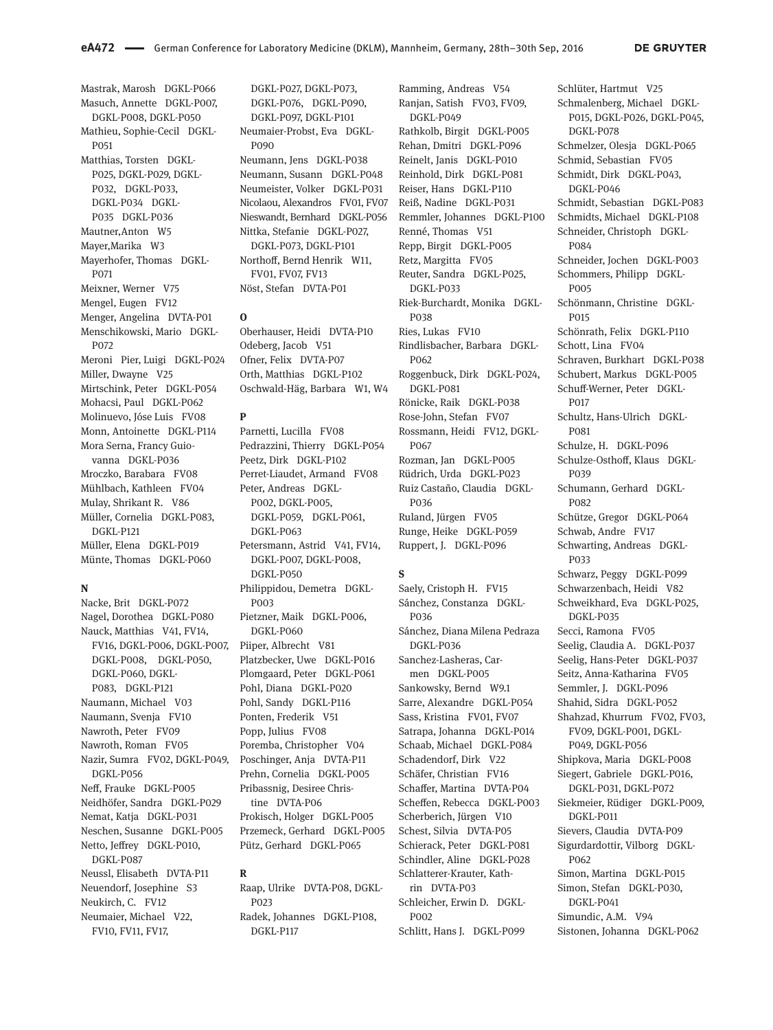Mastrak, Marosh DGKL-P066 Masuch, Annette DGKL-P007, DGKL-P008, DGKL-P050 Mathieu, Sophie-Cecil DGKL-P051 Matthias, Torsten DGKL-P025, DGKL-P029, DGKL-P032, DGKL-P033, DGKL-P034 DGKL-P035 DGKL-P036 Mautner,Anton W5 Mayer,Marika W3 Mayerhofer, Thomas DGKL-P071 Meixner, Werner V75 Mengel, Eugen FV12 Menger, Angelina DVTA-P01 Menschikowski, Mario DGKL-P072 Meroni Pier, Luigi DGKL-P024 Miller, Dwayne V25 Mirtschink, Peter DGKL-P054 Mohacsi, Paul DGKL-P062 Molinuevo, Jóse Luis FV08 Monn, Antoinette DGKL-P114 Mora Serna, Francy Guiovanna DGKL-P036 Mroczko, Barabara FV08 Mühlbach, Kathleen FV04 Mulay, Shrikant R. V86 Müller, Cornelia DGKL-P083, DGKL-P121 Müller, Elena DGKL-P019 Münte, Thomas DGKL-P060

### **N**

Nacke, Brit DGKL-P072 Nagel, Dorothea DGKL-P080 Nauck, Matthias V41, FV14, FV16, DGKL-P006, DGKL-P007, DGKL-P008, DGKL-P050, DGKL-P060, DGKL-P083, DGKL-P121 Naumann, Michael V03 Naumann, Svenja FV10 Nawroth, Peter FV09 Nawroth, Roman FV05 Nazir, Sumra FV02, DGKL-P049, DGKL-P056 Neff, Frauke DGKL-P005 Neidhöfer, Sandra DGKL-P029 Nemat, Katja DGKL-P031 Neschen, Susanne DGKL-P005 Netto, Jeffrey DGKL-P010, DGKL-P087 Neussl, Elisabeth DVTA-P11 Neuendorf, Josephine S3 Neukirch, C. FV12 Neumaier, Michael V22, FV10, FV11, FV17,

DGKL-P027, DGKL-P073, DGKL-P076, DGKL-P090, DGKL-P097, DGKL-P101 Neumaier-Probst, Eva DGKL-P090 Neumann, Jens DGKL-P038 Neumann, Susann DGKL-P048 Neumeister, Volker DGKL-P031 Nicolaou, Alexandros FV01, FV07 Nieswandt, Bernhard DGKL-P056 Nittka, Stefanie DGKL-P027, DGKL-P073, DGKL-P101 Northoff, Bernd Henrik W11, FV01, FV07, FV13 Nöst, Stefan DVTA-P01

#### **O**

Oberhauser, Heidi DVTA-P10 Odeberg, Jacob V51 Ofner, Felix DVTA-P07 Orth, Matthias DGKL-P102 Oschwald-Häg, Barbara W1, W4

## **P**

Parnetti, Lucilla FV08 Pedrazzini, Thierry DGKL-P054 Peetz, Dirk DGKL-P102 Perret-Liaudet, Armand FV08 Peter, Andreas DGKL-P002, DGKL-P005, DGKL-P059, DGKL-P061, DGKL-P063 Petersmann, Astrid V41, FV14, DGKL-P007, DGKL-P008, DGKL-P050 Philippidou, Demetra DGKL-P003 Pietzner, Maik DGKL-P006, DGKL-P060 Piiper, Albrecht V81 Platzbecker, Uwe DGKL-P016 Plomgaard, Peter DGKL-P061 Pohl, Diana DGKL-P020 Pohl, Sandy DGKL-P116 Ponten, Frederik V51 Popp, Julius FV08 Poremba, Christopher V04 Poschinger, Anja DVTA-P11 Prehn, Cornelia DGKL-P005 Pribassnig, Desiree Christine DVTA-P06 Prokisch, Holger DGKL-P005 Przemeck, Gerhard DGKL-P005 Pütz, Gerhard DGKL-P065

#### **R**

Raap, Ulrike DVTA-P08, DGKL-P023 Radek, Johannes DGKL-P108, DGKL-P117

Ramming, Andreas V54 Ranjan, Satish FV03, FV09, DGKL-P049 Rathkolb, Birgit DGKL-P005 Rehan, Dmitri DGKL-P096 Reinelt, Janis DGKL-P010 Reinhold, Dirk DGKL-P081 Reiser, Hans DGKL-P110 Reiß, Nadine DGKL-P031 Remmler, Johannes DGKL-P100 Renné, Thomas V51 Repp, Birgit DGKL-P005 Retz, Margitta FV05 Reuter, Sandra DGKL-P025, DGKL-P033 Riek-Burchardt, Monika DGKL-P038 Ries, Lukas FV10 Rindlisbacher, Barbara DGKL-P062 Roggenbuck, Dirk DGKL-P024, DGKL-P081 Rönicke, Raik DGKL-P038 Rose-John, Stefan FV07 Rossmann, Heidi FV12, DGKL-P067 Rozman, Jan DGKL-P005 Rüdrich, Urda DGKL-P023 Ruiz Castaño, Claudia DGKL-P036 Ruland, Jürgen FV05 Runge, Heike DGKL-P059 Ruppert, J. DGKL-P096

### **S**

Saely, Cristoph H. FV15 Sánchez, Constanza DGKL-P036 Sánchez, Diana Milena Pedraza DGKL-P036 Sanchez-Lasheras, Carmen DGKL-P005 Sankowsky, Bernd W9.1 Sarre, Alexandre DGKL-P054 Sass, Kristina FV01, FV07 Satrapa, Johanna DGKL-P014 Schaab, Michael DGKL-P084 Schadendorf, Dirk V22 Schäfer, Christian FV16 Schaffer, Martina DVTA-P04 Scheffen, Rebecca DGKL-P003 Scherberich, Jürgen V10 Schest, Silvia DVTA-P05 Schierack, Peter DGKL-P081 Schindler, Aline DGKL-P028 Schlatterer-Krauter, Kathrin DVTA-P03 Schleicher, Erwin D. DGKL-P002 Schlitt, Hans J. DGKL-P099

Schlüter, Hartmut V25 Schmalenberg, Michael DGKL-P015, DGKL-P026, DGKL-P045, DGKL-P078 Schmelzer, Olesja DGKL-P065 Schmid, Sebastian FV05 Schmidt, Dirk DGKL-P043, DGKL-P046 Schmidt, Sebastian DGKL-P083 Schmidts, Michael DGKL-P108 Schneider, Christoph DGKL-**P084** Schneider, Jochen DGKL-P003 Schommers, Philipp DGKL-P005 Schönmann, Christine DGKL-P015 Schönrath, Felix DGKL-P110 Schott, Lina FV04 Schraven, Burkhart DGKL-P038 Schubert, Markus DGKL-P005 Schuff-Werner, Peter DGKL-P017 Schultz, Hans-Ulrich DGKL-P081 Schulze, H. DGKL-P096 Schulze-Osthoff, Klaus DGKL-P039 Schumann, Gerhard DGKL-P082 Schütze, Gregor DGKL-P064 Schwab, Andre FV17 Schwarting, Andreas DGKL-P033 Schwarz, Peggy DGKL-P099 Schwarzenbach, Heidi V82 Schweikhard, Eva DGKL-P025, DGKL-P035 Secci, Ramona FV05 Seelig, Claudia A. DGKL-P037 Seelig, Hans-Peter DGKL-P037 Seitz, Anna-Katharina FV05 Semmler, J. DGKL-P096 Shahid, Sidra DGKL-P052 Shahzad, Khurrum FV02, FV03, FV09, DGKL-P001, DGKL-P049, DGKL-P056 Shipkova, Maria DGKL-P008 Siegert, Gabriele DGKL-P016, DGKL-P031, DGKL-P072 Siekmeier, Rüdiger DGKL-P009, DGKL-P011 Sievers, Claudia DVTA-P09 Sigurdardottir, Vilborg DGKL-P062 Simon, Martina DGKL-P015 Simon, Stefan DGKL-P030, DGKL-P041 Simundic, A.M. V94 Sistonen, Johanna DGKL-P062